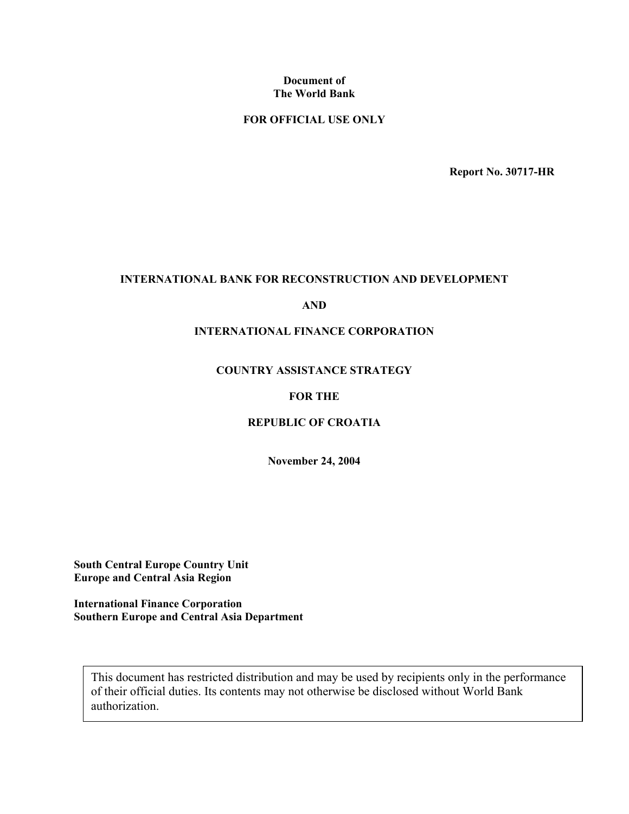#### **Document of The World Bank**

## **FOR OFFICIAL USE ONLY**

**Report No. 30717-HR**

#### **INTERNATIONAL BANK FOR RECONSTRUCTION AND DEVELOPMENT**

#### **AND**

#### **INTERNATIONAL FINANCE CORPORATION**

#### **COUNTRY ASSISTANCE STRATEGY**

#### **FOR THE**

#### **REPUBLIC OF CROATIA**

**November 24, 2004** 

**South Central Europe Country Unit Europe and Central Asia Region** 

**International Finance Corporation Southern Europe and Central Asia Department** 

This document has restricted distribution and may be used by recipients only in the performance of their official duties. Its contents may not otherwise be disclosed without World Bank authorization.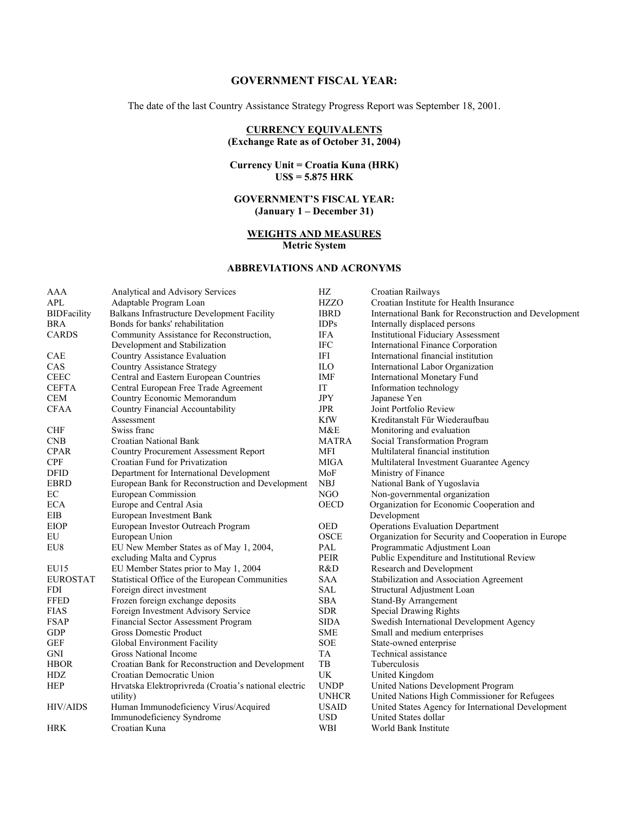#### **GOVERNMENT FISCAL YEAR:**

The date of the last Country Assistance Strategy Progress Report was September 18, 2001.

#### **CURRENCY EQUIVALENTS (Exchange Rate as of October 31, 2004)**

#### **Currency Unit = Croatia Kuna (HRK) US\$ = 5.875 HRK**

#### **GOVERNMENT'S FISCAL YEAR: (January 1 – December 31)**

#### **WEIGHTS AND MEASURES Metric System**

#### **ABBREVIATIONS AND ACRONYMS**

| AAA                | Analytical and Advisory Services                      | HZ           | Croatian Railways                                     |
|--------------------|-------------------------------------------------------|--------------|-------------------------------------------------------|
| <b>APL</b>         | Adaptable Program Loan                                | <b>HZZO</b>  | Croatian Institute for Health Insurance               |
| <b>BIDFacility</b> | Balkans Infrastructure Development Facility           | <b>IBRD</b>  | International Bank for Reconstruction and Development |
| <b>BRA</b>         | Bonds for banks' rehabilitation                       | <b>IDPs</b>  | Internally displaced persons                          |
| <b>CARDS</b>       | Community Assistance for Reconstruction,              | <b>IFA</b>   | <b>Institutional Fiduciary Assessment</b>             |
|                    | Development and Stabilization                         | <b>IFC</b>   | <b>International Finance Corporation</b>              |
| CAE                | Country Assistance Evaluation                         | IFI          | International financial institution                   |
| CAS                | Country Assistance Strategy                           | <b>ILO</b>   | International Labor Organization                      |
| <b>CEEC</b>        | Central and Eastern European Countries                | <b>IMF</b>   | <b>International Monetary Fund</b>                    |
| <b>CEFTA</b>       | Central European Free Trade Agreement                 | IT           | Information technology                                |
| <b>CEM</b>         | Country Economic Memorandum                           | <b>JPY</b>   | Japanese Yen                                          |
| <b>CFAA</b>        | Country Financial Accountability                      | <b>JPR</b>   | Joint Portfolio Review                                |
|                    | Assessment                                            | <b>KfW</b>   | Kreditanstalt Für Wiederaufbau                        |
| <b>CHF</b>         | Swiss franc                                           | M&E          | Monitoring and evaluation                             |
| <b>CNB</b>         | Croatian National Bank                                | <b>MATRA</b> | Social Transformation Program                         |
| <b>CPAR</b>        | <b>Country Procurement Assessment Report</b>          | <b>MFI</b>   | Multilateral financial institution                    |
| <b>CPF</b>         | Croatian Fund for Privatization                       | MIGA         | Multilateral Investment Guarantee Agency              |
| <b>DFID</b>        | Department for International Development              | MoF          | Ministry of Finance                                   |
| <b>EBRD</b>        | European Bank for Reconstruction and Development      | <b>NBJ</b>   | National Bank of Yugoslavia                           |
| EC                 | European Commission                                   | NGO          | Non-governmental organization                         |
| <b>ECA</b>         | Europe and Central Asia                               | <b>OECD</b>  | Organization for Economic Cooperation and             |
| EIB                | European Investment Bank                              |              | Development                                           |
| <b>EIOP</b>        | European Investor Outreach Program                    | <b>OED</b>   | <b>Operations Evaluation Department</b>               |
| EU                 | European Union                                        | <b>OSCE</b>  | Organization for Security and Cooperation in Europe   |
| EU8                | EU New Member States as of May 1, 2004,               | PAL          | Programmatic Adjustment Loan                          |
|                    | excluding Malta and Cyprus                            | <b>PEIR</b>  | Public Expenditure and Institutional Review           |
| EU15               | EU Member States prior to May 1, 2004                 | R&D          | Research and Development                              |
| <b>EUROSTAT</b>    | Statistical Office of the European Communities        | <b>SAA</b>   | Stabilization and Association Agreement               |
| <b>FDI</b>         | Foreign direct investment                             | <b>SAL</b>   | Structural Adjustment Loan                            |
| <b>FFED</b>        | Frozen foreign exchange deposits                      | <b>SBA</b>   | <b>Stand-By Arrangement</b>                           |
| <b>FIAS</b>        | Foreign Investment Advisory Service                   | <b>SDR</b>   | Special Drawing Rights                                |
| <b>FSAP</b>        | Financial Sector Assessment Program                   | <b>SIDA</b>  | Swedish International Development Agency              |
| <b>GDP</b>         | <b>Gross Domestic Product</b>                         | <b>SME</b>   | Small and medium enterprises                          |
| <b>GEF</b>         | Global Environment Facility                           | <b>SOE</b>   | State-owned enterprise                                |
| <b>GNI</b>         | Gross National Income                                 | <b>TA</b>    | Technical assistance                                  |
| <b>HBOR</b>        | Croatian Bank for Reconstruction and Development      | TB           | Tuberculosis                                          |
| HDZ                | Croatian Democratic Union                             | UK           | United Kingdom                                        |
| <b>HEP</b>         | Hrvatska Elektroprivreda (Croatia's national electric | <b>UNDP</b>  | United Nations Development Program                    |
|                    | utility)                                              | <b>UNHCR</b> | United Nations High Commissioner for Refugees         |
| <b>HIV/AIDS</b>    | Human Immunodeficiency Virus/Acquired                 | <b>USAID</b> | United States Agency for International Development    |
|                    | Immunodeficiency Syndrome                             | <b>USD</b>   | United States dollar                                  |
| <b>HRK</b>         | Croatian Kuna                                         | WBI          | World Bank Institute                                  |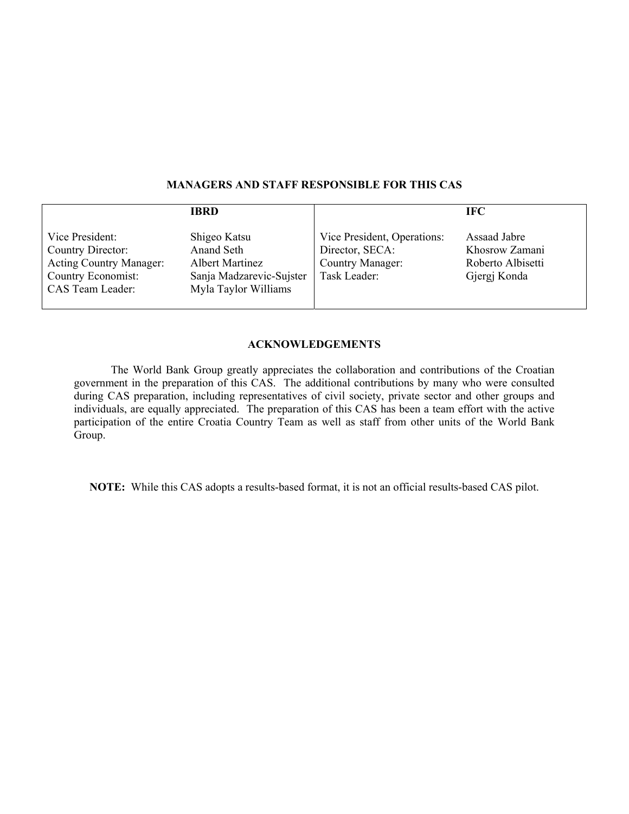|                                                                                                                  | <b>IBRD</b>                                                                                              |                                                                                    | <b>IFC</b>                                                          |
|------------------------------------------------------------------------------------------------------------------|----------------------------------------------------------------------------------------------------------|------------------------------------------------------------------------------------|---------------------------------------------------------------------|
| Vice President:<br>Country Director:<br><b>Acting Country Manager:</b><br>Country Economist:<br>CAS Team Leader: | Shigeo Katsu<br>Anand Seth<br><b>Albert Martinez</b><br>Sanja Madzarevic-Sujster<br>Myla Taylor Williams | Vice President, Operations:<br>Director, SECA:<br>Country Manager:<br>Task Leader: | Assaad Jabre<br>Khosrow Zamani<br>Roberto Albisetti<br>Gjergj Konda |

#### **MANAGERS AND STAFF RESPONSIBLE FOR THIS CAS**

#### **ACKNOWLEDGEMENTS**

The World Bank Group greatly appreciates the collaboration and contributions of the Croatian government in the preparation of this CAS. The additional contributions by many who were consulted during CAS preparation, including representatives of civil society, private sector and other groups and individuals, are equally appreciated. The preparation of this CAS has been a team effort with the active participation of the entire Croatia Country Team as well as staff from other units of the World Bank Group.

**NOTE:** While this CAS adopts a results-based format, it is not an official results-based CAS pilot.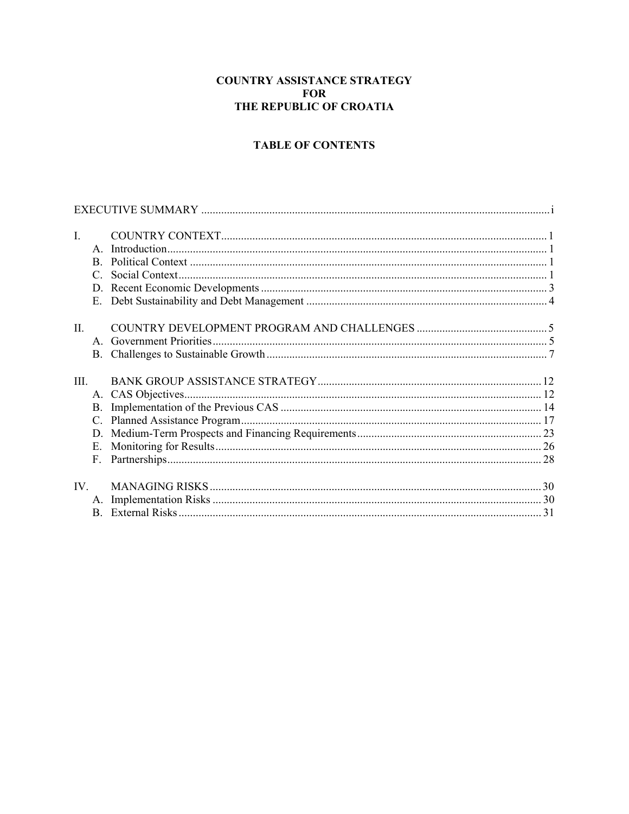## **COUNTRY ASSISTANCE STRATEGY FOR** THE REPUBLIC OF CROATIA

# **TABLE OF CONTENTS**

| $\mathbf{I}$ . |               |  |
|----------------|---------------|--|
|                | $\mathbf{A}$  |  |
|                | B.            |  |
|                | $\mathcal{C}$ |  |
|                |               |  |
|                | Е.            |  |
|                |               |  |
| $\Pi$ .        |               |  |
|                |               |  |
|                |               |  |
|                |               |  |
| III            |               |  |
|                |               |  |
|                |               |  |
|                |               |  |
|                |               |  |
|                | $E_{\perp}$   |  |
|                |               |  |
|                |               |  |
| $IV_{-}$       |               |  |
|                |               |  |
|                |               |  |
|                |               |  |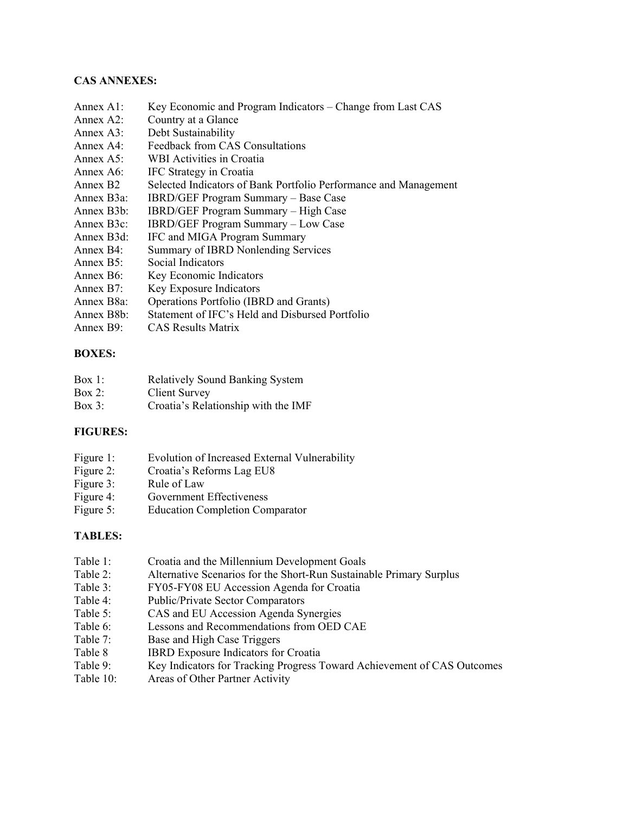## **CAS ANNEXES:**

- Annex A1: Key Economic and Program Indicators Change from Last CAS
- Annex A2: Country at a Glance
- Annex A3: Debt Sustainability
- Annex A4: Feedback from CAS Consultations
- Annex A5: WBI Activities in Croatia
- Annex A6: IFC Strategy in Croatia
- Annex B2 Selected Indicators of Bank Portfolio Performance and Management
- Annex B3a: IBRD/GEF Program Summary Base Case
- Annex B3b: IBRD/GEF Program Summary High Case
- Annex B3c: IBRD/GEF Program Summary Low Case
- Annex B3d: IFC and MIGA Program Summary
- Annex B4: Summary of IBRD Nonlending Services
- Annex B5: Social Indicators
- Annex B6: Key Economic Indicators
- Annex B7: Key Exposure Indicators
- Annex B8a: Operations Portfolio (IBRD and Grants)
- Annex B8b: Statement of IFC's Held and Disbursed Portfolio
- Annex B9: CAS Results Matrix

## **BOXES:**

| Box 1:    | <b>Relatively Sound Banking System</b> |
|-----------|----------------------------------------|
| Box $2$ : | <b>Client Survey</b>                   |

Box 3: Croatia's Relationship with the IMF

## **FIGURES:**

- Figure 1: Evolution of Increased External Vulnerability
- Figure 2: Croatia's Reforms Lag EU8
- Figure 3: Rule of Law
- Figure 4: Government Effectiveness
- Figure 5: Education Completion Comparator

## **TABLES:**

- Table 1: Croatia and the Millennium Development Goals
- Table 2: Alternative Scenarios for the Short-Run Sustainable Primary Surplus
- Table 3: FY05-FY08 EU Accession Agenda for Croatia
- Table 4: Public/Private Sector Comparators
- Table 5: CAS and EU Accession Agenda Synergies
- Table 6: Lessons and Recommendations from OED CAE
- Table 7: Base and High Case Triggers
- Table 8 **IBRD** Exposure Indicators for Croatia
- Table 9: Key Indicators for Tracking Progress Toward Achievement of CAS Outcomes
- Table 10: Areas of Other Partner Activity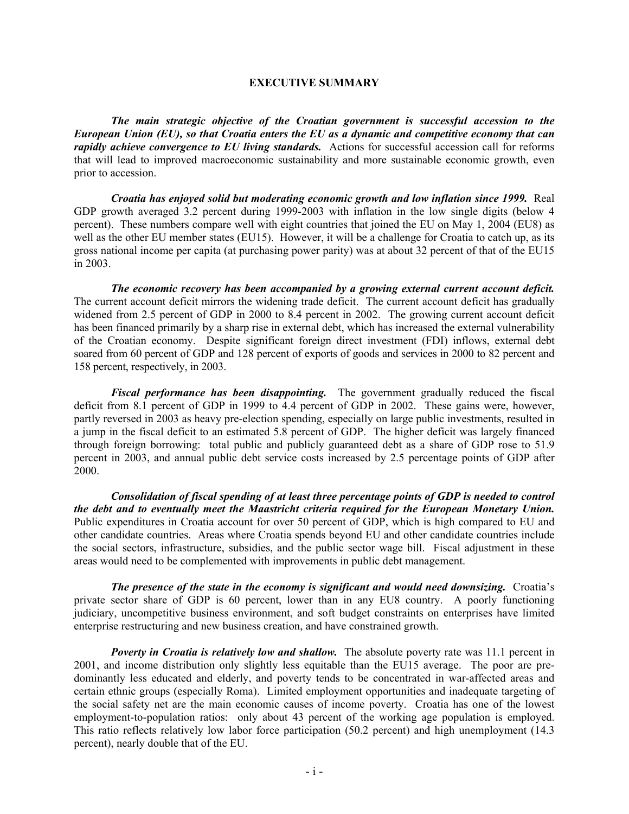#### **EXECUTIVE SUMMARY**

*The main strategic objective of the Croatian government is successful accession to the European Union (EU), so that Croatia enters the EU as a dynamic and competitive economy that can rapidly achieve convergence to EU living standards.* Actions for successful accession call for reforms that will lead to improved macroeconomic sustainability and more sustainable economic growth, even prior to accession.

*Croatia has enjoyed solid but moderating economic growth and low inflation since 1999.* Real GDP growth averaged 3.2 percent during 1999-2003 with inflation in the low single digits (below 4 percent). These numbers compare well with eight countries that joined the EU on May 1, 2004 (EU8) as well as the other EU member states (EU15). However, it will be a challenge for Croatia to catch up, as its gross national income per capita (at purchasing power parity) was at about 32 percent of that of the EU15 in 2003.

*The economic recovery has been accompanied by a growing external current account deficit.* The current account deficit mirrors the widening trade deficit. The current account deficit has gradually widened from 2.5 percent of GDP in 2000 to 8.4 percent in 2002. The growing current account deficit has been financed primarily by a sharp rise in external debt, which has increased the external vulnerability of the Croatian economy. Despite significant foreign direct investment (FDI) inflows, external debt soared from 60 percent of GDP and 128 percent of exports of goods and services in 2000 to 82 percent and 158 percent, respectively, in 2003.

*Fiscal performance has been disappointing.* The government gradually reduced the fiscal deficit from 8.1 percent of GDP in 1999 to 4.4 percent of GDP in 2002. These gains were, however, partly reversed in 2003 as heavy pre-election spending, especially on large public investments, resulted in a jump in the fiscal deficit to an estimated 5.8 percent of GDP. The higher deficit was largely financed through foreign borrowing: total public and publicly guaranteed debt as a share of GDP rose to 51.9 percent in 2003, and annual public debt service costs increased by 2.5 percentage points of GDP after 2000.

*Consolidation of fiscal spending of at least three percentage points of GDP is needed to control the debt and to eventually meet the Maastricht criteria required for the European Monetary Union.* Public expenditures in Croatia account for over 50 percent of GDP, which is high compared to EU and other candidate countries. Areas where Croatia spends beyond EU and other candidate countries include the social sectors, infrastructure, subsidies, and the public sector wage bill. Fiscal adjustment in these areas would need to be complemented with improvements in public debt management.

*The presence of the state in the economy is significant and would need downsizing.* Croatia's private sector share of GDP is 60 percent, lower than in any EU8 country. A poorly functioning judiciary, uncompetitive business environment, and soft budget constraints on enterprises have limited enterprise restructuring and new business creation, and have constrained growth.

*Poverty in Croatia is relatively low and shallow.* The absolute poverty rate was 11.1 percent in 2001, and income distribution only slightly less equitable than the EU15 average. The poor are predominantly less educated and elderly, and poverty tends to be concentrated in war-affected areas and certain ethnic groups (especially Roma). Limited employment opportunities and inadequate targeting of the social safety net are the main economic causes of income poverty. Croatia has one of the lowest employment-to-population ratios: only about 43 percent of the working age population is employed. This ratio reflects relatively low labor force participation (50.2 percent) and high unemployment (14.3 percent), nearly double that of the EU.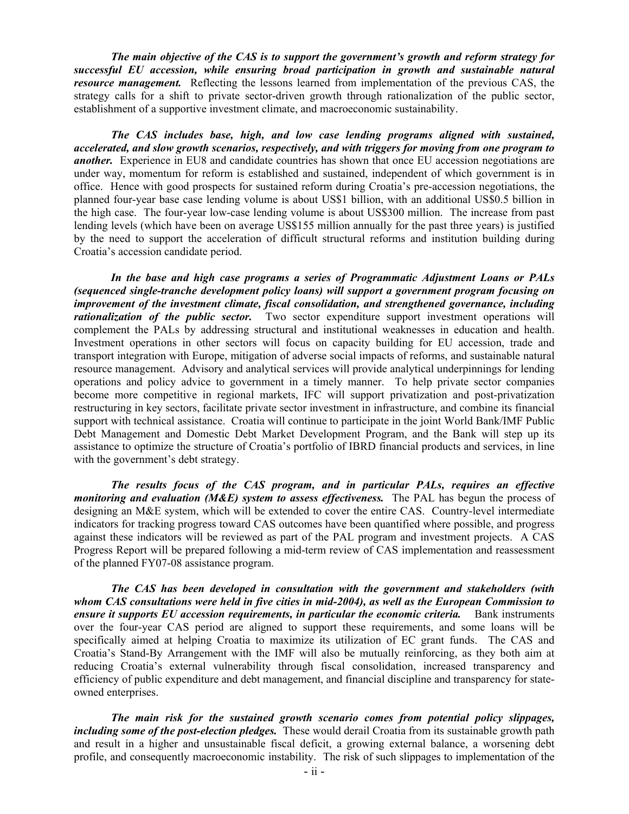*The main objective of the CAS is to support the government's growth and reform strategy for successful EU accession, while ensuring broad participation in growth and sustainable natural resource management.* Reflecting the lessons learned from implementation of the previous CAS, the strategy calls for a shift to private sector-driven growth through rationalization of the public sector, establishment of a supportive investment climate, and macroeconomic sustainability.

*The CAS includes base, high, and low case lending programs aligned with sustained, accelerated, and slow growth scenarios, respectively, and with triggers for moving from one program to another.* Experience in EU8 and candidate countries has shown that once EU accession negotiations are under way, momentum for reform is established and sustained, independent of which government is in office. Hence with good prospects for sustained reform during Croatia's pre-accession negotiations, the planned four-year base case lending volume is about US\$1 billion, with an additional US\$0.5 billion in the high case. The four-year low-case lending volume is about US\$300 million. The increase from past lending levels (which have been on average US\$155 million annually for the past three years) is justified by the need to support the acceleration of difficult structural reforms and institution building during Croatia's accession candidate period.

*In the base and high case programs a series of Programmatic Adjustment Loans or PALs (sequenced single-tranche development policy loans) will support a government program focusing on improvement of the investment climate, fiscal consolidation, and strengthened governance, including rationalization of the public sector.* Two sector expenditure support investment operations will complement the PALs by addressing structural and institutional weaknesses in education and health. Investment operations in other sectors will focus on capacity building for EU accession, trade and transport integration with Europe, mitigation of adverse social impacts of reforms, and sustainable natural resource management. Advisory and analytical services will provide analytical underpinnings for lending operations and policy advice to government in a timely manner. To help private sector companies become more competitive in regional markets, IFC will support privatization and post-privatization restructuring in key sectors, facilitate private sector investment in infrastructure, and combine its financial support with technical assistance. Croatia will continue to participate in the joint World Bank/IMF Public Debt Management and Domestic Debt Market Development Program, and the Bank will step up its assistance to optimize the structure of Croatia's portfolio of IBRD financial products and services, in line with the government's debt strategy.

*The results focus of the CAS program, and in particular PALs, requires an effective monitoring and evaluation (M&E) system to assess effectiveness.* The PAL has begun the process of designing an M&E system, which will be extended to cover the entire CAS. Country-level intermediate indicators for tracking progress toward CAS outcomes have been quantified where possible, and progress against these indicators will be reviewed as part of the PAL program and investment projects. A CAS Progress Report will be prepared following a mid-term review of CAS implementation and reassessment of the planned FY07-08 assistance program.

*The CAS has been developed in consultation with the government and stakeholders (with whom CAS consultations were held in five cities in mid-2004), as well as the European Commission to ensure it supports EU accession requirements, in particular the economic criteria.* Bank instruments over the four-year CAS period are aligned to support these requirements, and some loans will be specifically aimed at helping Croatia to maximize its utilization of EC grant funds. The CAS and Croatia's Stand-By Arrangement with the IMF will also be mutually reinforcing, as they both aim at reducing Croatia's external vulnerability through fiscal consolidation, increased transparency and efficiency of public expenditure and debt management, and financial discipline and transparency for stateowned enterprises.

*The main risk for the sustained growth scenario comes from potential policy slippages, including some of the post-election pledges.* These would derail Croatia from its sustainable growth path and result in a higher and unsustainable fiscal deficit, a growing external balance, a worsening debt profile, and consequently macroeconomic instability. The risk of such slippages to implementation of the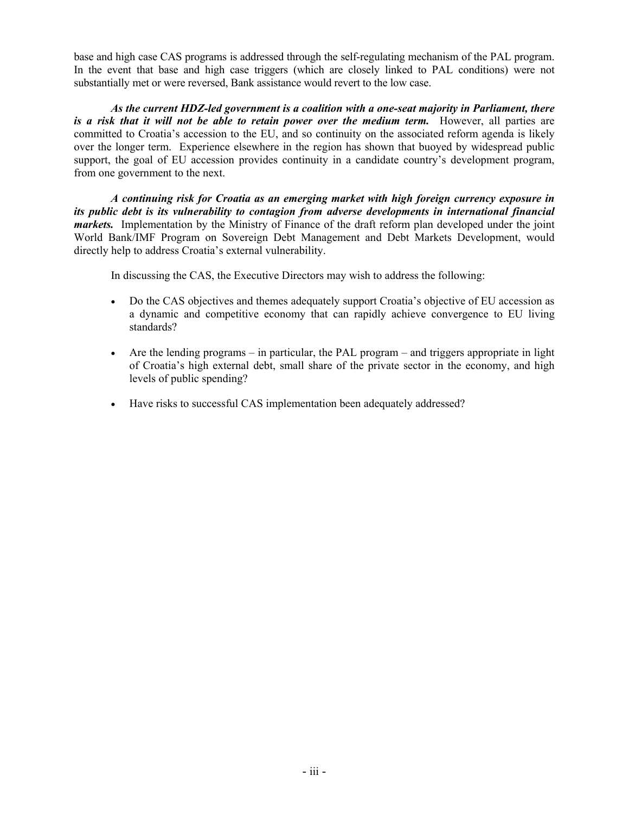base and high case CAS programs is addressed through the self-regulating mechanism of the PAL program. In the event that base and high case triggers (which are closely linked to PAL conditions) were not substantially met or were reversed, Bank assistance would revert to the low case.

*As the current HDZ-led government is a coalition with a one-seat majority in Parliament, there is a risk that it will not be able to retain power over the medium term.* However, all parties are committed to Croatia's accession to the EU, and so continuity on the associated reform agenda is likely over the longer term. Experience elsewhere in the region has shown that buoyed by widespread public support, the goal of EU accession provides continuity in a candidate country's development program, from one government to the next.

*A continuing risk for Croatia as an emerging market with high foreign currency exposure in its public debt is its vulnerability to contagion from adverse developments in international financial markets.* Implementation by the Ministry of Finance of the draft reform plan developed under the joint World Bank/IMF Program on Sovereign Debt Management and Debt Markets Development, would directly help to address Croatia's external vulnerability.

In discussing the CAS, the Executive Directors may wish to address the following:

- Do the CAS objectives and themes adequately support Croatia's objective of EU accession as a dynamic and competitive economy that can rapidly achieve convergence to EU living standards?
- Are the lending programs in particular, the PAL program and triggers appropriate in light of Croatia's high external debt, small share of the private sector in the economy, and high levels of public spending?
- Have risks to successful CAS implementation been adequately addressed?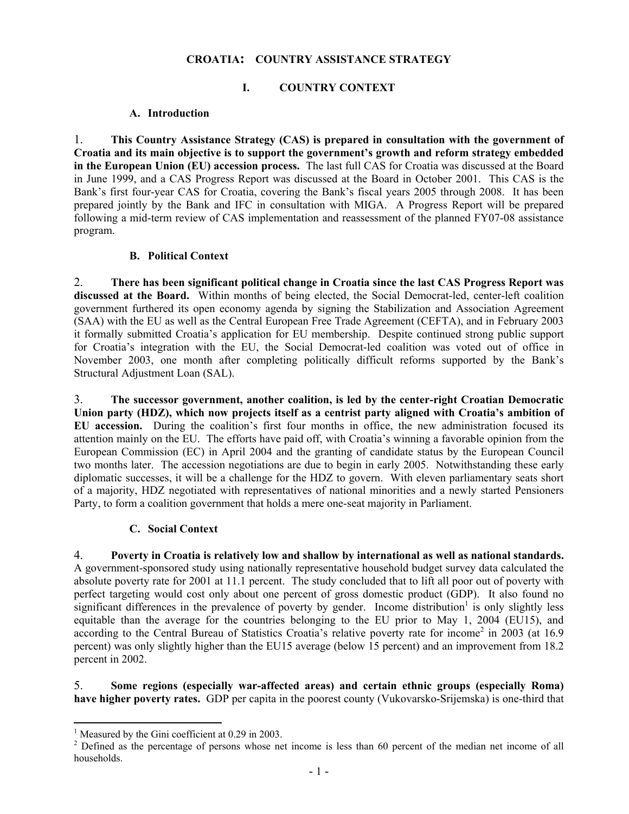## **CROATIA: COUNTRY ASSISTANCE STRATEGY**

# **I. COUNTRY CONTEXT**

## **A. Introduction**

1. **This Country Assistance Strategy (CAS) is prepared in consultation with the government of Croatia and its main objective is to support the government's growth and reform strategy embedded in the European Union (EU) accession process.** The last full CAS for Croatia was discussed at the Board in June 1999, and a CAS Progress Report was discussed at the Board in October 2001. This CAS is the Bank's first four-year CAS for Croatia, covering the Bank's fiscal years 2005 through 2008. It has been prepared jointly by the Bank and IFC in consultation with MIGA. A Progress Report will be prepared following a mid-term review of CAS implementation and reassessment of the planned FY07-08 assistance program.

## **B. Political Context**

2. **There has been significant political change in Croatia since the last CAS Progress Report was discussed at the Board.** Within months of being elected, the Social Democrat-led, center-left coalition government furthered its open economy agenda by signing the Stabilization and Association Agreement (SAA) with the EU as well as the Central European Free Trade Agreement (CEFTA), and in February 2003 it formally submitted Croatia's application for EU membership. Despite continued strong public support for Croatia's integration with the EU, the Social Democrat-led coalition was voted out of office in November 2003, one month after completing politically difficult reforms supported by the Bank's Structural Adjustment Loan (SAL).

3. **The successor government, another coalition, is led by the center-right Croatian Democratic Union party (HDZ), which now projects itself as a centrist party aligned with Croatia's ambition of EU accession.** During the coalition's first four months in office, the new administration focused its attention mainly on the EU. The efforts have paid off, with Croatia's winning a favorable opinion from the European Commission (EC) in April 2004 and the granting of candidate status by the European Council two months later. The accession negotiations are due to begin in early 2005. Notwithstanding these early diplomatic successes, it will be a challenge for the HDZ to govern. With eleven parliamentary seats short of a majority, HDZ negotiated with representatives of national minorities and a newly started Pensioners Party, to form a coalition government that holds a mere one-seat majority in Parliament.

## **C. Social Context**

4. **Poverty in Croatia is relatively low and shallow by international as well as national standards.** A government-sponsored study using nationally representative household budget survey data calculated the absolute poverty rate for 2001 at 11.1 percent. The study concluded that to lift all poor out of poverty with perfect targeting would cost only about one percent of gross domestic product (GDP). It also found no significant differences in the prevalence of poverty by gender. Income distribution<sup>1</sup> is only slightly less equitable than the average for the countries belonging to the EU prior to May 1, 2004 (EU15), and according to the Central Bureau of Statistics Croatia's relative poverty rate for income<sup>2</sup> in 2003 (at 16.9 percent) was only slightly higher than the EU15 average (below 15 percent) and an improvement from 18.2 percent in 2002.

5. **Some regions (especially war-affected areas) and certain ethnic groups (especially Roma) have higher poverty rates.** GDP per capita in the poorest county (Vukovarsko-Srijemska) is one-third that

 $\overline{a}$ 

<sup>&</sup>lt;sup>1</sup> Measured by the Gini coefficient at 0.29 in 2003.

<sup>&</sup>lt;sup>2</sup> Defined as the percentage of persons whose net income is less than 60 percent of the median net income of all households.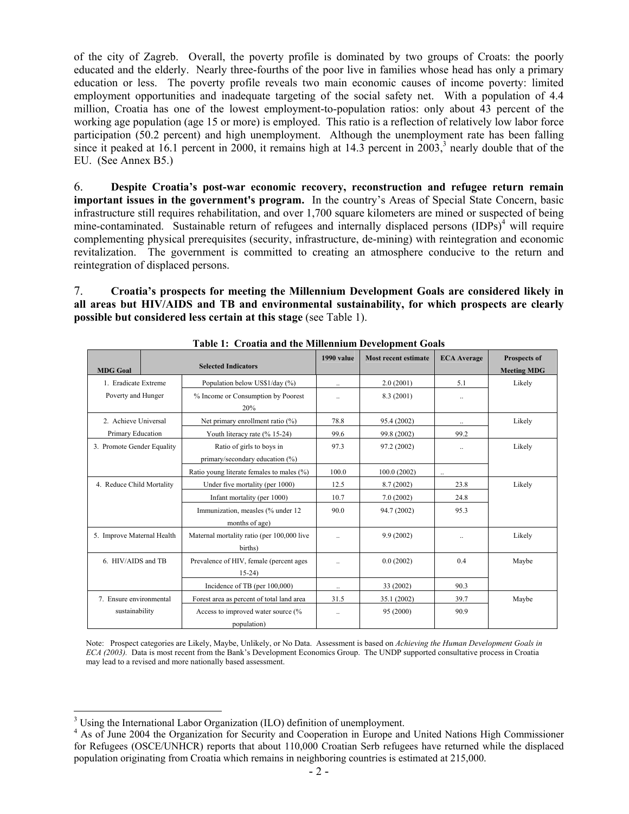of the city of Zagreb. Overall, the poverty profile is dominated by two groups of Croats: the poorly educated and the elderly. Nearly three-fourths of the poor live in families whose head has only a primary education or less. The poverty profile reveals two main economic causes of income poverty: limited employment opportunities and inadequate targeting of the social safety net. With a population of 4.4 million, Croatia has one of the lowest employment-to-population ratios: only about 43 percent of the working age population (age 15 or more) is employed. This ratio is a reflection of relatively low labor force participation (50.2 percent) and high unemployment. Although the unemployment rate has been falling since it peaked at  $16.1$  percent in 2000, it remains high at  $14.3$  percent in  $2003$ ,<sup>3</sup> nearly double that of the EU. (See Annex B5.)

6. **Despite Croatia's post-war economic recovery, reconstruction and refugee return remain important issues in the government's program.** In the country's Areas of Special State Concern, basic infrastructure still requires rehabilitation, and over 1,700 square kilometers are mined or suspected of being mine-contaminated. Sustainable return of refugees and internally displaced persons  $(IDPs)<sup>4</sup>$  will require complementing physical prerequisites (security, infrastructure, de-mining) with reintegration and economic revitalization. The government is committed to creating an atmosphere conducive to the return and reintegration of displaced persons.

7. **Croatia's prospects for meeting the Millennium Development Goals are considered likely in all areas but HIV/AIDS and TB and environmental sustainability, for which prospects are clearly possible but considered less certain at this stage** (see Table 1).

| uviv 11 - Orough and the Britannam Deterophiem Obuls |                            |                                                              |            |                             |                    |                                           |
|------------------------------------------------------|----------------------------|--------------------------------------------------------------|------------|-----------------------------|--------------------|-------------------------------------------|
| <b>MDG Goal</b>                                      | <b>Selected Indicators</b> |                                                              | 1990 value | <b>Most recent estimate</b> | <b>ECA</b> Average | <b>Prospects of</b><br><b>Meeting MDG</b> |
| 1. Eradicate Extreme                                 |                            | Population below US\$1/day (%)                               | $\ddotsc$  | 2.0(2001)                   | 5.1                | Likely                                    |
| Poverty and Hunger                                   |                            | % Income or Consumption by Poorest<br>20%                    | $\ddotsc$  | 8.3(2001)                   |                    |                                           |
| 2. Achieve Universal                                 |                            | Net primary enrollment ratio (%)                             | 78.8       | 95.4 (2002)                 |                    | Likely                                    |
| Primary Education                                    |                            | Youth literacy rate (% 15-24)                                | 99.6       | 99.8 (2002)                 | 99.2               |                                           |
| 3. Promote Gender Equality                           |                            | Ratio of girls to boys in<br>primary/secondary education (%) | 97.3       | 97.2 (2002)                 | $\ddotsc$          | Likely                                    |
|                                                      |                            | Ratio young literate females to males (%)                    | 100.0      | 100.0(2002)                 |                    |                                           |
| 4. Reduce Child Mortality                            |                            | Under five mortality (per 1000)                              | 12.5       | 8.7(2002)                   | 23.8               | Likely                                    |
|                                                      |                            | Infant mortality (per 1000)                                  | 10.7       | 7.0(2002)                   | 24.8               |                                           |
|                                                      |                            | Immunization, measles (% under 12<br>months of age)          | 90.0       | 94.7 (2002)                 | 95.3               |                                           |
| 5. Improve Maternal Health                           |                            | Maternal mortality ratio (per 100,000 live<br>births)        |            | 9.9(2002)                   | $\ddotsc$          | Likely                                    |
| 6. HIV/AIDS and TB                                   |                            | Prevalence of HIV, female (percent ages<br>$15-24$           |            | 0.0(2002)                   | 0.4                | Maybe                                     |
|                                                      |                            | Incidence of TB (per 100,000)                                | $\ddotsc$  | 33 (2002)                   | 90.3               |                                           |
| 7. Ensure environmental                              |                            | Forest area as percent of total land area                    | 31.5       | 35.1 (2002)                 | 39.7               | Maybe                                     |
| sustainability                                       |                            | Access to improved water source (%<br>population)            | $\ddots$   | 95 (2000)                   | 90.9               |                                           |

**Table 1: Croatia and the Millennium Development Goals** 

Note: Prospect categories are Likely, Maybe, Unlikely, or No Data. Assessment is based on *Achieving the Human Development Goals in ECA (2003).* Data is most recent from the Bank's Development Economics Group. The UNDP supported consultative process in Croatia may lead to a revised and more nationally based assessment.

<sup>&</sup>lt;sup>3</sup> Using the International Labor Organization (ILO) definition of unemployment.

<sup>&</sup>lt;sup>4</sup> As of June 2004 the Organization for Security and Cooperation in Europe and United Nations High Commissioner for Refugees (OSCE/UNHCR) reports that about 110,000 Croatian Serb refugees have returned while the displaced population originating from Croatia which remains in neighboring countries is estimated at 215,000.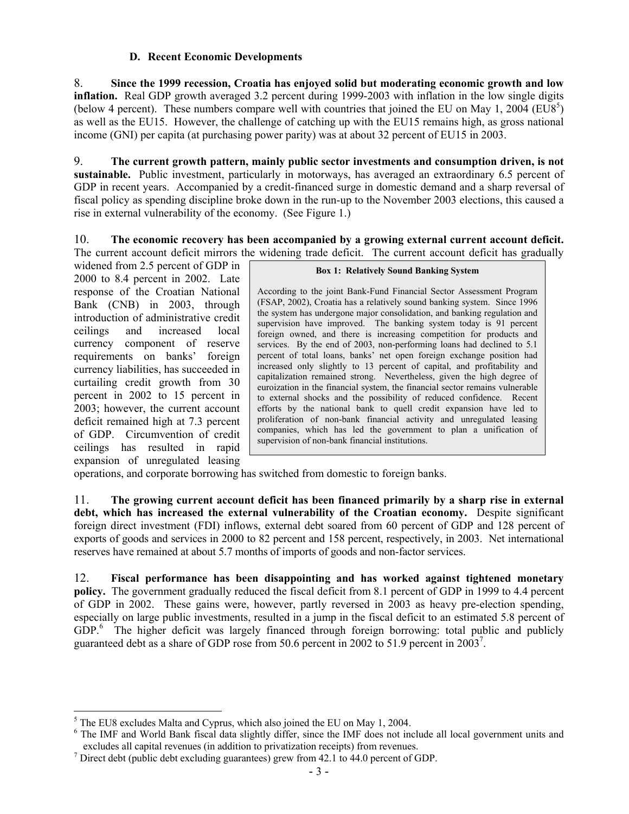## **D. Recent Economic Developments**

8. **Since the 1999 recession, Croatia has enjoyed solid but moderating economic growth and low inflation.** Real GDP growth averaged 3.2 percent during 1999-2003 with inflation in the low single digits (below 4 percent). These numbers compare well with countries that joined the EU on May 1, 2004 (EU8<sup>5</sup>) as well as the EU15. However, the challenge of catching up with the EU15 remains high, as gross national income (GNI) per capita (at purchasing power parity) was at about 32 percent of EU15 in 2003.

9. **The current growth pattern, mainly public sector investments and consumption driven, is not sustainable.** Public investment, particularly in motorways, has averaged an extraordinary 6.5 percent of GDP in recent years. Accompanied by a credit-financed surge in domestic demand and a sharp reversal of fiscal policy as spending discipline broke down in the run-up to the November 2003 elections, this caused a rise in external vulnerability of the economy. (See Figure 1.)

10. **The economic recovery has been accompanied by a growing external current account deficit.** The current account deficit mirrors the widening trade deficit. The current account deficit has gradually

widened from 2.5 percent of GDP in 2000 to 8.4 percent in 2002. Late response of the Croatian National Bank (CNB) in 2003, through introduction of administrative credit ceilings and increased local currency component of reserve requirements on banks' foreign currency liabilities, has succeeded in curtailing credit growth from 30 percent in 2002 to 15 percent in 2003; however, the current account deficit remained high at 7.3 percent of GDP. Circumvention of credit ceilings has resulted in rapid expansion of unregulated leasing

#### **Box 1: Relatively Sound Banking System**

According to the joint Bank-Fund Financial Sector Assessment Program (FSAP, 2002), Croatia has a relatively sound banking system. Since 1996 the system has undergone major consolidation, and banking regulation and supervision have improved. The banking system today is 91 percent foreign owned, and there is increasing competition for products and services. By the end of 2003, non-performing loans had declined to 5.1 percent of total loans, banks' net open foreign exchange position had increased only slightly to 13 percent of capital, and profitability and capitalization remained strong. Nevertheless, given the high degree of euroization in the financial system, the financial sector remains vulnerable to external shocks and the possibility of reduced confidence. Recent efforts by the national bank to quell credit expansion have led to proliferation of non-bank financial activity and unregulated leasing companies, which has led the government to plan a unification of supervision of non-bank financial institutions.

operations, and corporate borrowing has switched from domestic to foreign banks.

11. **The growing current account deficit has been financed primarily by a sharp rise in external debt, which has increased the external vulnerability of the Croatian economy.** Despite significant foreign direct investment (FDI) inflows, external debt soared from 60 percent of GDP and 128 percent of exports of goods and services in 2000 to 82 percent and 158 percent, respectively, in 2003. Net international reserves have remained at about 5.7 months of imports of goods and non-factor services.

12. **Fiscal performance has been disappointing and has worked against tightened monetary policy.** The government gradually reduced the fiscal deficit from 8.1 percent of GDP in 1999 to 4.4 percent of GDP in 2002. These gains were, however, partly reversed in 2003 as heavy pre-election spending, especially on large public investments, resulted in a jump in the fiscal deficit to an estimated 5.8 percent of GDP.<sup>6</sup> The higher deficit was largely financed through foreign borrowing: total public and publicly guaranteed debt as a share of GDP rose from 50.6 percent in 2002 to 51.9 percent in 2003<sup>7</sup>.

<sup>&</sup>lt;sup>5</sup> The EU8 excludes Malta and Cyprus, which also joined the EU on May 1, 2004.

<sup>&</sup>lt;sup>6</sup> The IMF and World Bank fiscal data slightly differ, since the IMF does not include all local government units and excludes all capital revenues (in addition to privatization receipts) from revenues.

 $\frac{7}{1}$  Direct debt (public debt excluding guarantees) grew from 42.1 to 44.0 percent of GDP.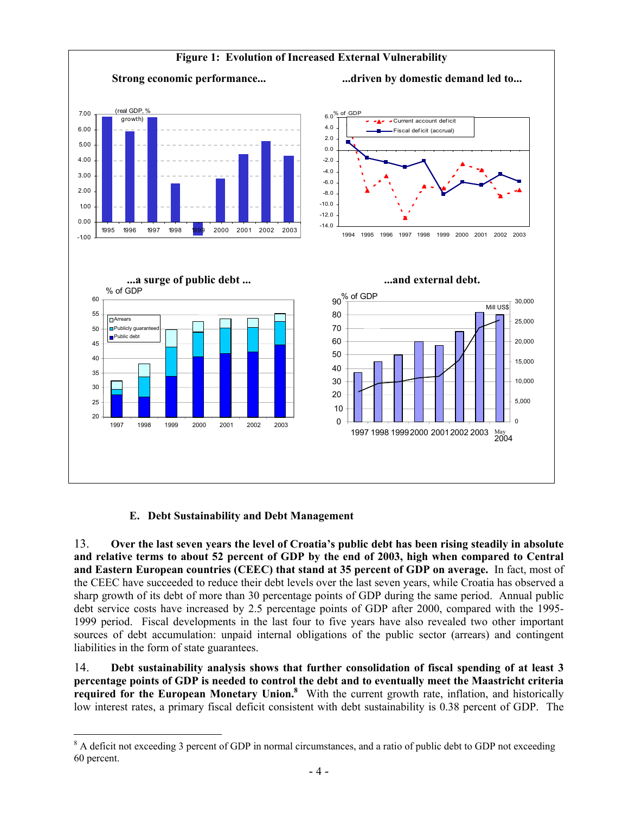

# **E. Debt Sustainability and Debt Management**

 $\overline{a}$ 

13. **Over the last seven years the level of Croatia's public debt has been rising steadily in absolute and relative terms to about 52 percent of GDP by the end of 2003, high when compared to Central and Eastern European countries (CEEC) that stand at 35 percent of GDP on average.** In fact, most of the CEEC have succeeded to reduce their debt levels over the last seven years, while Croatia has observed a sharp growth of its debt of more than 30 percentage points of GDP during the same period. Annual public debt service costs have increased by 2.5 percentage points of GDP after 2000, compared with the 1995- 1999 period. Fiscal developments in the last four to five years have also revealed two other important sources of debt accumulation: unpaid internal obligations of the public sector (arrears) and contingent liabilities in the form of state guarantees.

14. **Debt sustainability analysis shows that further consolidation of fiscal spending of at least 3 percentage points of GDP is needed to control the debt and to eventually meet the Maastricht criteria**  required for the European Monetary Union.<sup>8</sup> With the current growth rate, inflation, and historically low interest rates, a primary fiscal deficit consistent with debt sustainability is 0.38 percent of GDP. The

<sup>&</sup>lt;sup>8</sup> A deficit not exceeding 3 percent of GDP in normal circumstances, and a ratio of public debt to GDP not exceeding 60 percent.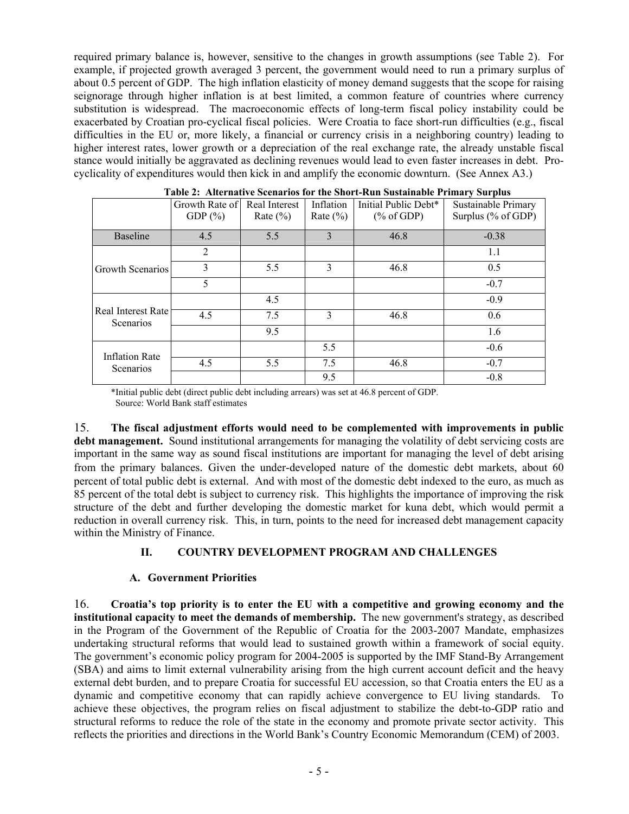required primary balance is, however, sensitive to the changes in growth assumptions (see Table 2). For example, if projected growth averaged 3 percent, the government would need to run a primary surplus of about 0.5 percent of GDP. The high inflation elasticity of money demand suggests that the scope for raising seignorage through higher inflation is at best limited, a common feature of countries where currency substitution is widespread. The macroeconomic effects of long-term fiscal policy instability could be exacerbated by Croatian pro-cyclical fiscal policies. Were Croatia to face short-run difficulties (e.g., fiscal difficulties in the EU or, more likely, a financial or currency crisis in a neighboring country) leading to higher interest rates, lower growth or a depreciation of the real exchange rate, the already unstable fiscal stance would initially be aggravated as declining revenues would lead to even faster increases in debt. Procyclicality of expenditures would then kick in and amplify the economic downturn. (See Annex A3.)

|                                 | Growth Rate of<br>GDP $(\%)$ | Real Interest<br>Rate $(\% )$ | Inflation<br>Rate $(\% )$ | Initial Public Debt*<br>% of GDP) | Sustainable Primary<br>Surplus (% of GDP) |
|---------------------------------|------------------------------|-------------------------------|---------------------------|-----------------------------------|-------------------------------------------|
| <b>Baseline</b>                 | 4.5                          | 5.5                           | 3                         | 46.8                              | $-0.38$                                   |
|                                 | 2                            |                               |                           |                                   | 1.1                                       |
| <b>Growth Scenarios</b>         | 3                            | 5.5                           | 3                         | 46.8                              | 0.5                                       |
|                                 | 5                            |                               |                           |                                   | $-0.7$                                    |
|                                 |                              | 4.5                           |                           |                                   | $-0.9$                                    |
| Real Interest Rate<br>Scenarios | 4.5                          | 7.5                           | 3                         | 46.8                              | 0.6                                       |
|                                 |                              | 9.5                           |                           |                                   | 1.6                                       |
| <b>Inflation Rate</b>           |                              |                               | 5.5                       |                                   | $-0.6$                                    |
| Scenarios                       | 4.5                          | 5.5                           | 7.5                       | 46.8                              | $-0.7$                                    |
|                                 |                              |                               | 9.5                       |                                   | $-0.8$                                    |

|  |  | Table 2: Alternative Scenarios for the Short-Run Sustainable Primary Surplus |  |
|--|--|------------------------------------------------------------------------------|--|
|  |  |                                                                              |  |

\*Initial public debt (direct public debt including arrears) was set at 46.8 percent of GDP. Source: World Bank staff estimates

15. **The fiscal adjustment efforts would need to be complemented with improvements in public debt management.** Sound institutional arrangements for managing the volatility of debt servicing costs are important in the same way as sound fiscal institutions are important for managing the level of debt arising from the primary balances. Given the under-developed nature of the domestic debt markets, about 60 percent of total public debt is external. And with most of the domestic debt indexed to the euro, as much as 85 percent of the total debt is subject to currency risk. This highlights the importance of improving the risk structure of the debt and further developing the domestic market for kuna debt, which would permit a reduction in overall currency risk. This, in turn, points to the need for increased debt management capacity within the Ministry of Finance.

#### **II. COUNTRY DEVELOPMENT PROGRAM AND CHALLENGES**

#### **A. Government Priorities**

16. **Croatia's top priority is to enter the EU with a competitive and growing economy and the institutional capacity to meet the demands of membership.** The new government's strategy, as described in the Program of the Government of the Republic of Croatia for the 2003-2007 Mandate, emphasizes undertaking structural reforms that would lead to sustained growth within a framework of social equity. The government's economic policy program for 2004-2005 is supported by the IMF Stand-By Arrangement (SBA) and aims to limit external vulnerability arising from the high current account deficit and the heavy external debt burden, and to prepare Croatia for successful EU accession, so that Croatia enters the EU as a dynamic and competitive economy that can rapidly achieve convergence to EU living standards. To achieve these objectives, the program relies on fiscal adjustment to stabilize the debt-to-GDP ratio and structural reforms to reduce the role of the state in the economy and promote private sector activity. This reflects the priorities and directions in the World Bank's Country Economic Memorandum (CEM) of 2003.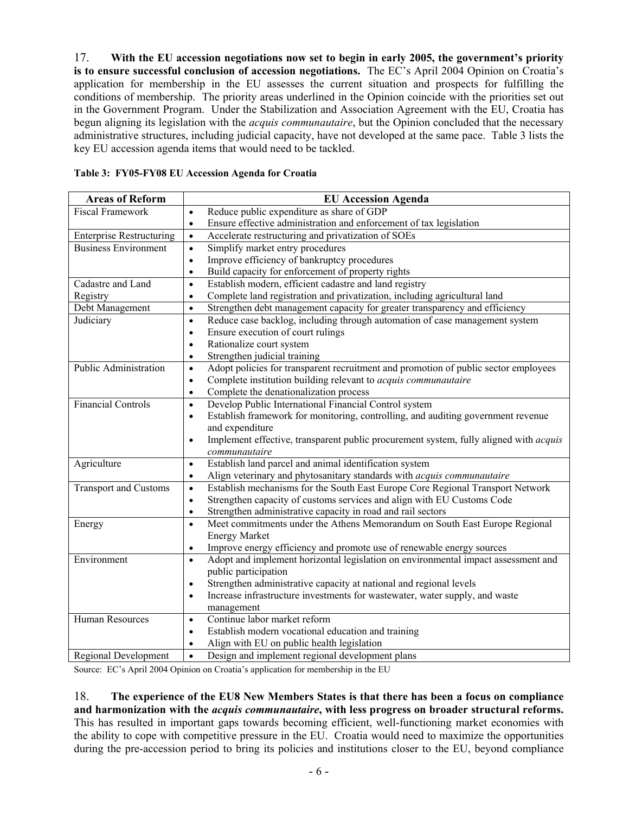17. **With the EU accession negotiations now set to begin in early 2005, the government's priority is to ensure successful conclusion of accession negotiations.** The EC's April 2004 Opinion on Croatia's application for membership in the EU assesses the current situation and prospects for fulfilling the conditions of membership. The priority areas underlined in the Opinion coincide with the priorities set out in the Government Program. Under the Stabilization and Association Agreement with the EU, Croatia has begun aligning its legislation with the *acquis communautaire*, but the Opinion concluded that the necessary administrative structures, including judicial capacity, have not developed at the same pace. Table 3 lists the key EU accession agenda items that would need to be tackled.

| <b>Areas of Reform</b>          | <b>EU Accession Agenda</b>                                                                                |
|---------------------------------|-----------------------------------------------------------------------------------------------------------|
| <b>Fiscal Framework</b>         | Reduce public expenditure as share of GDP<br>$\bullet$                                                    |
|                                 | Ensure effective administration and enforcement of tax legislation<br>$\bullet$                           |
| <b>Enterprise Restructuring</b> | Accelerate restructuring and privatization of SOEs<br>$\bullet$                                           |
| <b>Business Environment</b>     | Simplify market entry procedures<br>$\bullet$                                                             |
|                                 | Improve efficiency of bankruptcy procedures<br>$\bullet$                                                  |
|                                 | Build capacity for enforcement of property rights<br>$\bullet$                                            |
| Cadastre and Land               | Establish modern, efficient cadastre and land registry<br>$\bullet$                                       |
| Registry                        | Complete land registration and privatization, including agricultural land<br>$\bullet$                    |
| Debt Management                 | Strengthen debt management capacity for greater transparency and efficiency<br>$\bullet$                  |
| Judiciary                       | Reduce case backlog, including through automation of case management system<br>$\bullet$                  |
|                                 | Ensure execution of court rulings<br>$\bullet$                                                            |
|                                 | Rationalize court system<br>$\bullet$                                                                     |
|                                 | Strengthen judicial training<br>$\bullet$                                                                 |
| <b>Public Administration</b>    | Adopt policies for transparent recruitment and promotion of public sector employees<br>$\bullet$          |
|                                 | Complete institution building relevant to <i>acquis communautaire</i><br>$\bullet$                        |
|                                 | Complete the denationalization process<br>$\bullet$                                                       |
| <b>Financial Controls</b>       | Develop Public International Financial Control system<br>$\bullet$                                        |
|                                 | Establish framework for monitoring, controlling, and auditing government revenue<br>$\bullet$             |
|                                 | and expenditure                                                                                           |
|                                 | Implement effective, transparent public procurement system, fully aligned with <i>acquis</i><br>$\bullet$ |
|                                 | communautaire                                                                                             |
| Agriculture                     | Establish land parcel and animal identification system<br>$\bullet$                                       |
|                                 | Align veterinary and phytosanitary standards with <i>acquis communautaire</i><br>$\bullet$                |
| <b>Transport and Customs</b>    | Establish mechanisms for the South East Europe Core Regional Transport Network<br>$\bullet$               |
|                                 | Strengthen capacity of customs services and align with EU Customs Code<br>$\bullet$                       |
|                                 | Strengthen administrative capacity in road and rail sectors<br>$\bullet$                                  |
| Energy                          | Meet commitments under the Athens Memorandum on South East Europe Regional<br>$\bullet$                   |
|                                 | <b>Energy Market</b>                                                                                      |
|                                 | Improve energy efficiency and promote use of renewable energy sources<br>$\bullet$                        |
| Environment                     | Adopt and implement horizontal legislation on environmental impact assessment and<br>$\bullet$            |
|                                 | public participation                                                                                      |
|                                 | Strengthen administrative capacity at national and regional levels<br>$\bullet$                           |
|                                 | Increase infrastructure investments for wastewater, water supply, and waste<br>$\bullet$                  |
|                                 | management                                                                                                |
| Human Resources                 | Continue labor market reform<br>$\bullet$                                                                 |
|                                 | Establish modern vocational education and training<br>$\bullet$                                           |
|                                 | Align with EU on public health legislation<br>$\bullet$                                                   |
| <b>Regional Development</b>     | Design and implement regional development plans<br>$\bullet$                                              |

| Table 3: FY05-FY08 EU Accession Agenda for Croatia |  |  |  |
|----------------------------------------------------|--|--|--|
|                                                    |  |  |  |

Source: EC's April 2004 Opinion on Croatia's application for membership in the EU

18. **The experience of the EU8 New Members States is that there has been a focus on compliance and harmonization with the** *acquis communautaire***, with less progress on broader structural reforms.** This has resulted in important gaps towards becoming efficient, well-functioning market economies with the ability to cope with competitive pressure in the EU. Croatia would need to maximize the opportunities during the pre-accession period to bring its policies and institutions closer to the EU, beyond compliance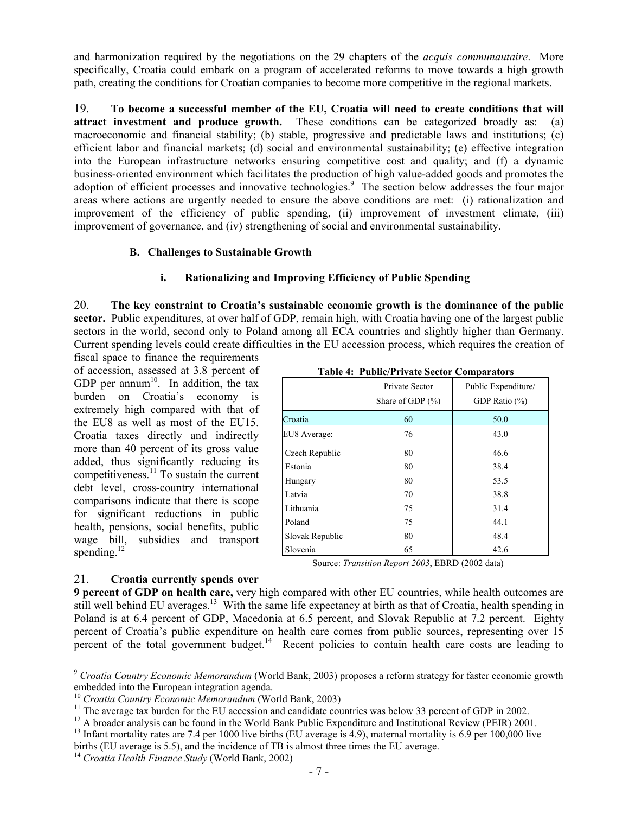and harmonization required by the negotiations on the 29 chapters of the *acquis communautaire*. More specifically, Croatia could embark on a program of accelerated reforms to move towards a high growth path, creating the conditions for Croatian companies to become more competitive in the regional markets.

19. **To become a successful member of the EU, Croatia will need to create conditions that will attract investment and produce growth.** These conditions can be categorized broadly as: (a) macroeconomic and financial stability; (b) stable, progressive and predictable laws and institutions; (c) efficient labor and financial markets; (d) social and environmental sustainability; (e) effective integration into the European infrastructure networks ensuring competitive cost and quality; and (f) a dynamic business-oriented environment which facilitates the production of high value-added goods and promotes the adoption of efficient processes and innovative technologies.<sup>9</sup> The section below addresses the four major areas where actions are urgently needed to ensure the above conditions are met: (i) rationalization and improvement of the efficiency of public spending, (ii) improvement of investment climate, (iii) improvement of governance, and (iv) strengthening of social and environmental sustainability.

## **B. Challenges to Sustainable Growth**

## **i. Rationalizing and Improving Efficiency of Public Spending**

20. **The key constraint to Croatia's sustainable economic growth is the dominance of the public sector.** Public expenditures, at over half of GDP, remain high, with Croatia having one of the largest public sectors in the world, second only to Poland among all ECA countries and slightly higher than Germany. Current spending levels could create difficulties in the EU accession process, which requires the creation of

fiscal space to finance the requirements of accession, assessed at 3.8 percent of GDP per annum<sup>10</sup>. In addition, the tax burden on Croatia's economy is extremely high compared with that of the EU8 as well as most of the EU15. Croatia taxes directly and indirectly more than 40 percent of its gross value added, thus significantly reducing its competitiveness.11 To sustain the current debt level, cross-country international comparisons indicate that there is scope for significant reductions in public health, pensions, social benefits, public wage bill, subsidies and transport spending. $^{12}$ 

| Table 4: Fublic/Frivate Sector Comparators |                                        |                                      |  |  |  |  |
|--------------------------------------------|----------------------------------------|--------------------------------------|--|--|--|--|
|                                            | Private Sector<br>Share of GDP $(\% )$ | Public Expenditure/<br>GDP Ratio (%) |  |  |  |  |
| Croatia                                    | 60                                     | 50.0                                 |  |  |  |  |
| EU8 Average:                               | 76                                     | 43.0                                 |  |  |  |  |
| Czech Republic                             | 80                                     | 46.6                                 |  |  |  |  |
| Estonia                                    | 80                                     | 38.4                                 |  |  |  |  |
| Hungary                                    | 80                                     | 53.5                                 |  |  |  |  |
| Latvia                                     | 70                                     | 38.8                                 |  |  |  |  |
| Lithuania                                  | 75                                     | 31.4                                 |  |  |  |  |
| Poland                                     | 75                                     | 44.1                                 |  |  |  |  |
| Slovak Republic                            | 80                                     | 48.4                                 |  |  |  |  |
| Slovenia                                   | 65                                     | 42.6                                 |  |  |  |  |

Table *A*: Public/Private Sector

Source: *Transition Report 2003*, EBRD (2002 data)

#### 21. **Croatia currently spends over**

 $\overline{a}$ 

**9 percent of GDP on health care,** very high compared with other EU countries, while health outcomes are still well behind EU averages.<sup>13</sup> With the same life expectancy at birth as that of Croatia, health spending in Poland is at 6.4 percent of GDP, Macedonia at 6.5 percent, and Slovak Republic at 7.2 percent. Eighty percent of Croatia's public expenditure on health care comes from public sources, representing over 15 percent of the total government budget.<sup>14</sup> Recent policies to contain health care costs are leading to

<sup>9</sup> *Croatia Country Economic Memorandum* (World Bank, 2003) proposes a reform strategy for faster economic growth embedded into the European integration agenda.<br><sup>10</sup> Croatia Country Economic Memorandum (World Bank, 2003)

<sup>&</sup>lt;sup>11</sup> The average tax burden for the EU accession and candidate countries was below 33 percent of GDP in 2002.<br><sup>12</sup> A broader analysis can be found in the World Bank Public Expenditure and Institutional Review (PEIR) 2001.

<sup>&</sup>lt;sup>13</sup> Infant mortality rates are 7.4 per 1000 live births (EU average is 4.9), maternal mortality is 6.9 per 100,000 live births (EU average is 5.5), and the incidence of TB is almost three times the EU average. 14 *Croatia Health Finance Study* (World Bank, 2002)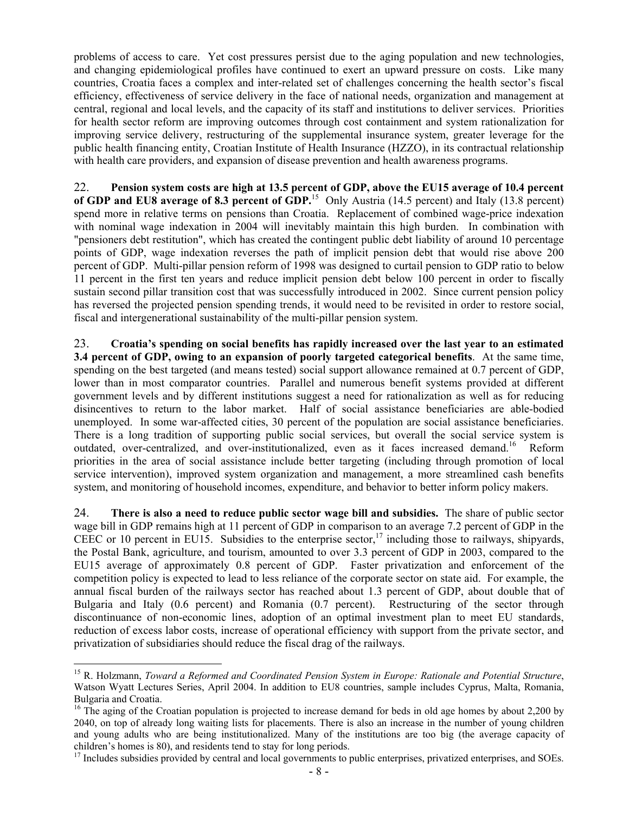problems of access to care. Yet cost pressures persist due to the aging population and new technologies, and changing epidemiological profiles have continued to exert an upward pressure on costs. Like many countries, Croatia faces a complex and inter-related set of challenges concerning the health sector's fiscal efficiency, effectiveness of service delivery in the face of national needs, organization and management at central, regional and local levels, and the capacity of its staff and institutions to deliver services. Priorities for health sector reform are improving outcomes through cost containment and system rationalization for improving service delivery, restructuring of the supplemental insurance system, greater leverage for the public health financing entity, Croatian Institute of Health Insurance (HZZO), in its contractual relationship with health care providers, and expansion of disease prevention and health awareness programs.

22. **Pension system costs are high at 13.5 percent of GDP, above the EU15 average of 10.4 percent of GDP and EU8 average of 8.3 percent of GDP.**<sup>15</sup> Only Austria (14.5 percent) and Italy (13.8 percent) spend more in relative terms on pensions than Croatia. Replacement of combined wage-price indexation with nominal wage indexation in 2004 will inevitably maintain this high burden. In combination with "pensioners debt restitution", which has created the contingent public debt liability of around 10 percentage points of GDP, wage indexation reverses the path of implicit pension debt that would rise above 200 percent of GDP. Multi-pillar pension reform of 1998 was designed to curtail pension to GDP ratio to below 11 percent in the first ten years and reduce implicit pension debt below 100 percent in order to fiscally sustain second pillar transition cost that was successfully introduced in 2002. Since current pension policy has reversed the projected pension spending trends, it would need to be revisited in order to restore social, fiscal and intergenerational sustainability of the multi-pillar pension system.

23. **Croatia's spending on social benefits has rapidly increased over the last year to an estimated 3.4 percent of GDP, owing to an expansion of poorly targeted categorical benefits**. At the same time, spending on the best targeted (and means tested) social support allowance remained at 0.7 percent of GDP, lower than in most comparator countries. Parallel and numerous benefit systems provided at different government levels and by different institutions suggest a need for rationalization as well as for reducing disincentives to return to the labor market. Half of social assistance beneficiaries are able-bodied unemployed. In some war-affected cities, 30 percent of the population are social assistance beneficiaries. There is a long tradition of supporting public social services, but overall the social service system is outdated, over-centralized, and over-institutionalized, even as it faces increased demand.16 Reform priorities in the area of social assistance include better targeting (including through promotion of local service intervention), improved system organization and management, a more streamlined cash benefits system, and monitoring of household incomes, expenditure, and behavior to better inform policy makers.

24. **There is also a need to reduce public sector wage bill and subsidies.** The share of public sector wage bill in GDP remains high at 11 percent of GDP in comparison to an average 7.2 percent of GDP in the CEEC or 10 percent in EU15. Subsidies to the enterprise sector,<sup>17</sup> including those to railways, shipyards, the Postal Bank, agriculture, and tourism, amounted to over 3.3 percent of GDP in 2003, compared to the EU15 average of approximately 0.8 percent of GDP. Faster privatization and enforcement of the competition policy is expected to lead to less reliance of the corporate sector on state aid. For example, the annual fiscal burden of the railways sector has reached about 1.3 percent of GDP, about double that of Bulgaria and Italy (0.6 percent) and Romania (0.7 percent). Restructuring of the sector through discontinuance of non-economic lines, adoption of an optimal investment plan to meet EU standards, reduction of excess labor costs, increase of operational efficiency with support from the private sector, and privatization of subsidiaries should reduce the fiscal drag of the railways.

 $\overline{a}$ 

<sup>15</sup> R. Holzmann, *Toward a Reformed and Coordinated Pension System in Europe: Rationale and Potential Structure*, Watson Wyatt Lectures Series, April 2004. In addition to EU8 countries, sample includes Cyprus, Malta, Romania, Bulgaria and Croatia.

<sup>&</sup>lt;sup>16</sup> The aging of the Croatian population is projected to increase demand for beds in old age homes by about 2,200 by 2040, on top of already long waiting lists for placements. There is also an increase in the number of young children and young adults who are being institutionalized. Many of the institutions are too big (the average capacity of children's homes is 80), and residents tend to stay for long periods.

<sup>&</sup>lt;sup>17</sup> Includes subsidies provided by central and local governments to public enterprises, privatized enterprises, and SOEs.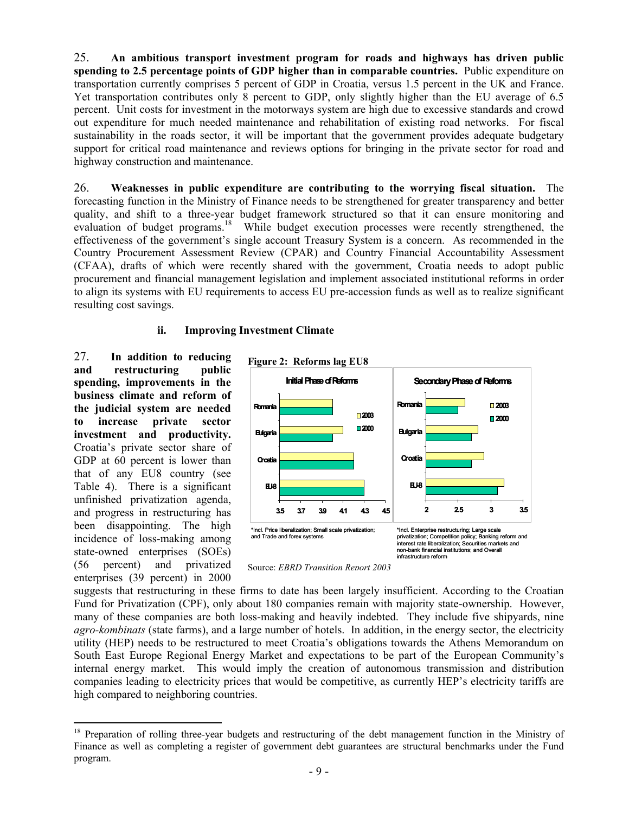25. **An ambitious transport investment program for roads and highways has driven public spending to 2.5 percentage points of GDP higher than in comparable countries.** Public expenditure on transportation currently comprises 5 percent of GDP in Croatia, versus 1.5 percent in the UK and France. Yet transportation contributes only 8 percent to GDP, only slightly higher than the EU average of 6.5 percent. Unit costs for investment in the motorways system are high due to excessive standards and crowd out expenditure for much needed maintenance and rehabilitation of existing road networks. For fiscal sustainability in the roads sector, it will be important that the government provides adequate budgetary support for critical road maintenance and reviews options for bringing in the private sector for road and highway construction and maintenance.

26. **Weaknesses in public expenditure are contributing to the worrying fiscal situation.** The forecasting function in the Ministry of Finance needs to be strengthened for greater transparency and better quality, and shift to a three-year budget framework structured so that it can ensure monitoring and evaluation of budget programs.<sup>18</sup> While budget execution processes were recently strengthened, the effectiveness of the government's single account Treasury System is a concern. As recommended in the Country Procurement Assessment Review (CPAR) and Country Financial Accountability Assessment (CFAA), drafts of which were recently shared with the government, Croatia needs to adopt public procurement and financial management legislation and implement associated institutional reforms in order to align its systems with EU requirements to access EU pre-accession funds as well as to realize significant resulting cost savings.

#### **ii. Improving Investment Climate**

27. **In addition to reducing and restructuring public spending, improvements in the business climate and reform of the judicial system are needed to increase private sector investment and productivity.**  Croatia's private sector share of GDP at 60 percent is lower than that of any EU8 country (see Table 4). There is a significant unfinished privatization agenda, and progress in restructuring has been disappointing. The high incidence of loss-making among state-owned enterprises (SOEs) (56 percent) and privatized enterprises (39 percent) in 2000

 $\overline{a}$ 



Source: *EBRD Transition Report 2003*

suggests that restructuring in these firms to date has been largely insufficient. According to the Croatian Fund for Privatization (CPF), only about 180 companies remain with majority state-ownership. However, many of these companies are both loss-making and heavily indebted. They include five shipyards, nine *agro-kombinats* (state farms), and a large number of hotels. In addition, in the energy sector, the electricity utility (HEP) needs to be restructured to meet Croatia's obligations towards the Athens Memorandum on South East Europe Regional Energy Market and expectations to be part of the European Community's internal energy market. This would imply the creation of autonomous transmission and distribution companies leading to electricity prices that would be competitive, as currently HEP's electricity tariffs are high compared to neighboring countries.

<sup>&</sup>lt;sup>18</sup> Preparation of rolling three-year budgets and restructuring of the debt management function in the Ministry of Finance as well as completing a register of government debt guarantees are structural benchmarks under the Fund program.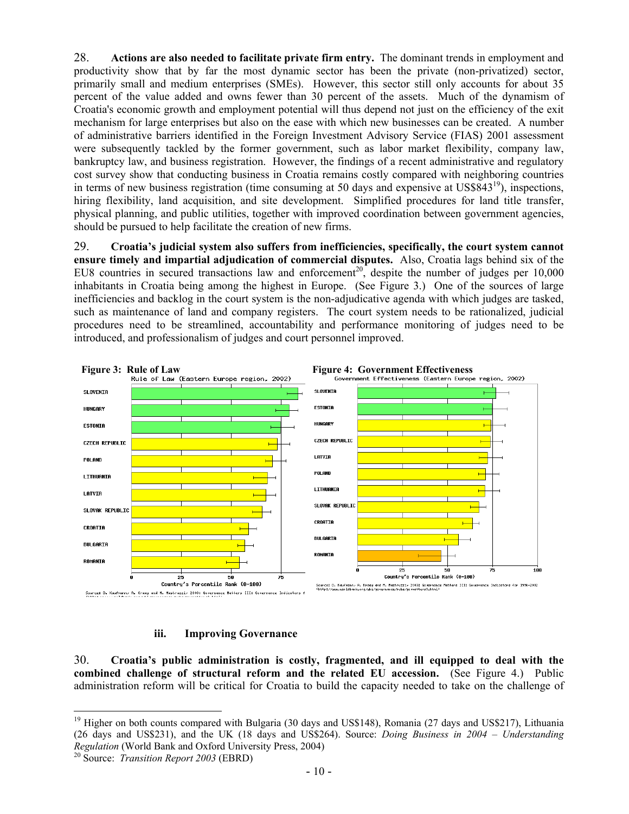28. **Actions are also needed to facilitate private firm entry.** The dominant trends in employment and productivity show that by far the most dynamic sector has been the private (non-privatized) sector, primarily small and medium enterprises (SMEs). However, this sector still only accounts for about 35 percent of the value added and owns fewer than 30 percent of the assets. Much of the dynamism of Croatia's economic growth and employment potential will thus depend not just on the efficiency of the exit mechanism for large enterprises but also on the ease with which new businesses can be created. A number of administrative barriers identified in the Foreign Investment Advisory Service (FIAS) 2001 assessment were subsequently tackled by the former government, such as labor market flexibility, company law, bankruptcy law, and business registration. However, the findings of a recent administrative and regulatory cost survey show that conducting business in Croatia remains costly compared with neighboring countries in terms of new business registration (time consuming at 50 days and expensive at  $\text{USS}843^{19}$ ), inspections, hiring flexibility, land acquisition, and site development. Simplified procedures for land title transfer, physical planning, and public utilities, together with improved coordination between government agencies, should be pursued to help facilitate the creation of new firms.

29. **Croatia's judicial system also suffers from inefficiencies, specifically, the court system cannot ensure timely and impartial adjudication of commercial disputes.** Also, Croatia lags behind six of the EU8 countries in secured transactions law and enforcement<sup>20</sup>, despite the number of judges per  $10,000$ inhabitants in Croatia being among the highest in Europe. (See Figure 3.) One of the sources of large inefficiencies and backlog in the court system is the non-adjudicative agenda with which judges are tasked, such as maintenance of land and company registers. The court system needs to be rationalized, iudicial procedures need to be streamlined, accountability and performance monitoring of judges need to be introduced, and professionalism of judges and court personnel improved.



**iii. Improving Governance** 

30. **Croatia's public administration is costly, fragmented, and ill equipped to deal with the combined challenge of structural reform and the related EU accession.** (See Figure 4.)Public administration reform will be critical for Croatia to build the capacity needed to take on the challenge of

 $\overline{a}$ 

<sup>&</sup>lt;sup>19</sup> Higher on both counts compared with Bulgaria (30 days and US\$148), Romania (27 days and US\$217), Lithuania (26 days and US\$231), and the UK (18 days and US\$264). Source: *Doing Business in 2004 – Understanding Regulation* (World Bank and Oxford University Press, 2004) 20 Source: *Transition Report 2003* (EBRD)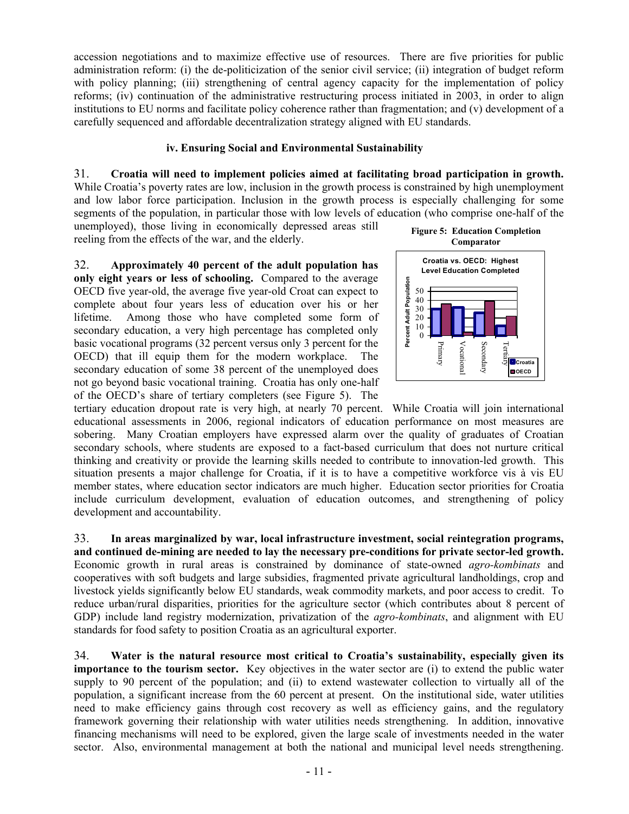accession negotiations and to maximize effective use of resources. There are five priorities for public administration reform: (i) the de-politicization of the senior civil service; (ii) integration of budget reform with policy planning; (iii) strengthening of central agency capacity for the implementation of policy reforms; (iv) continuation of the administrative restructuring process initiated in 2003, in order to align institutions to EU norms and facilitate policy coherence rather than fragmentation; and (v) development of a carefully sequenced and affordable decentralization strategy aligned with EU standards.

## **iv. Ensuring Social and Environmental Sustainability**

# 31. **Croatia will need to implement policies aimed at facilitating broad participation in growth.**

While Croatia's poverty rates are low, inclusion in the growth process is constrained by high unemployment and low labor force participation. Inclusion in the growth process is especially challenging for some segments of the population, in particular those with low levels of education (who comprise one-half of the

unemployed), those living in economically depressed areas still reeling from the effects of the war, and the elderly.

32. **Approximately 40 percent of the adult population has only eight years or less of schooling.** Compared to the average OECD five year-old, the average five year-old Croat can expect to complete about four years less of education over his or her lifetime. Among those who have completed some form of secondary education, a very high percentage has completed only basic vocational programs (32 percent versus only 3 percent for the OECD) that ill equip them for the modern workplace. The secondary education of some 38 percent of the unemployed does not go beyond basic vocational training. Croatia has only one-half of the OECD's share of tertiary completers (see Figure 5). The



tertiary education dropout rate is very high, at nearly 70 percent. While Croatia will join international educational assessments in 2006, regional indicators of education performance on most measures are sobering. Many Croatian employers have expressed alarm over the quality of graduates of Croatian secondary schools, where students are exposed to a fact-based curriculum that does not nurture critical thinking and creativity or provide the learning skills needed to contribute to innovation-led growth. This situation presents a major challenge for Croatia, if it is to have a competitive workforce vis à vis EU member states, where education sector indicators are much higher. Education sector priorities for Croatia include curriculum development, evaluation of education outcomes, and strengthening of policy development and accountability.

33. **In areas marginalized by war, local infrastructure investment, social reintegration programs, and continued de-mining are needed to lay the necessary pre-conditions for private sector-led growth.**  Economic growth in rural areas is constrained by dominance of state-owned *agro-kombinats* and cooperatives with soft budgets and large subsidies, fragmented private agricultural landholdings, crop and livestock yields significantly below EU standards, weak commodity markets, and poor access to credit. To reduce urban/rural disparities, priorities for the agriculture sector (which contributes about 8 percent of GDP) include land registry modernization, privatization of the *agro-kombinats*, and alignment with EU standards for food safety to position Croatia as an agricultural exporter.

34. **Water is the natural resource most critical to Croatia's sustainability, especially given its importance to the tourism sector.** Key objectives in the water sector are (i) to extend the public water supply to 90 percent of the population; and (ii) to extend wastewater collection to virtually all of the population, a significant increase from the 60 percent at present. On the institutional side, water utilities need to make efficiency gains through cost recovery as well as efficiency gains, and the regulatory framework governing their relationship with water utilities needs strengthening. In addition, innovative financing mechanisms will need to be explored, given the large scale of investments needed in the water sector. Also, environmental management at both the national and municipal level needs strengthening.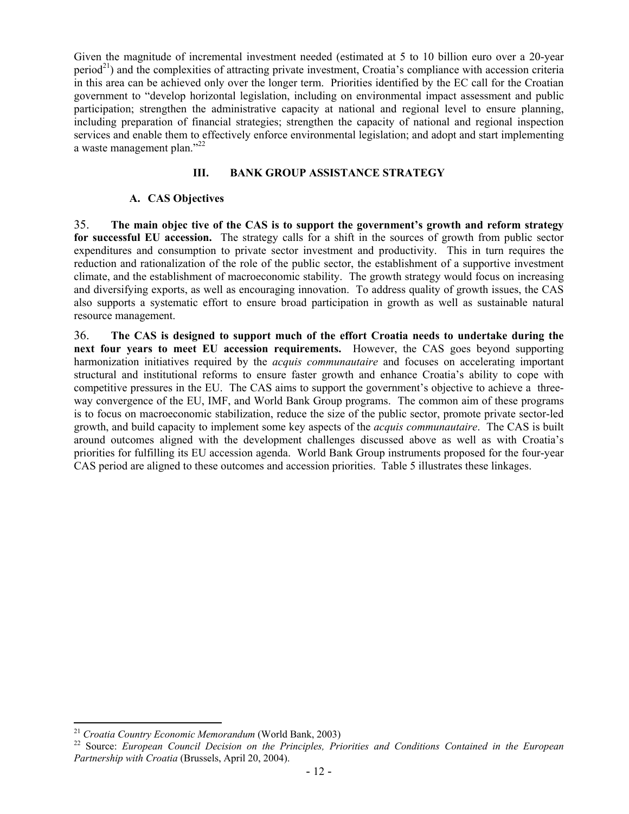Given the magnitude of incremental investment needed (estimated at 5 to 10 billion euro over a 20-year  $period<sup>21</sup>$  and the complexities of attracting private investment, Croatia's compliance with accession criteria in this area can be achieved only over the longer term. Priorities identified by the EC call for the Croatian government to "develop horizontal legislation, including on environmental impact assessment and public participation; strengthen the administrative capacity at national and regional level to ensure planning, including preparation of financial strategies; strengthen the capacity of national and regional inspection services and enable them to effectively enforce environmental legislation; and adopt and start implementing a waste management plan."22

## **III. BANK GROUP ASSISTANCE STRATEGY**

#### **A. CAS Objectives**

35. **The main objec tive of the CAS is to support the government's growth and reform strategy for successful EU accession.** The strategy calls for a shift in the sources of growth from public sector expenditures and consumption to private sector investment and productivity.This in turn requires the reduction and rationalization of the role of the public sector, the establishment of a supportive investment climate, and the establishment of macroeconomic stability. The growth strategy would focus on increasing and diversifying exports, as well as encouraging innovation. To address quality of growth issues, the CAS also supports a systematic effort to ensure broad participation in growth as well as sustainable natural resource management.

36. **The CAS is designed to support much of the effort Croatia needs to undertake during the next four years to meet EU accession requirements.** However, the CAS goes beyond supporting harmonization initiatives required by the *acquis communautaire* and focuses on accelerating important structural and institutional reforms to ensure faster growth and enhance Croatia's ability to cope with competitive pressures in the EU. The CAS aims to support the government's objective to achieve a threeway convergence of the EU, IMF, and World Bank Group programs. The common aim of these programs is to focus on macroeconomic stabilization, reduce the size of the public sector, promote private sector-led growth, and build capacity to implement some key aspects of the *acquis communautaire*. The CAS is built around outcomes aligned with the development challenges discussed above as well as with Croatia's priorities for fulfilling its EU accession agenda. World Bank Group instruments proposed for the four-year CAS period are aligned to these outcomes and accession priorities. Table 5 illustrates these linkages.

 $\overline{a}$ 

<sup>&</sup>lt;sup>21</sup> *Croatia Country Economic Memorandum* (World Bank, 2003)<br><sup>22</sup> Source: *European Council Decision on the Principles, Priorities and Conditions Contained in the European Partnership with Croatia* (Brussels, April 20, 2004).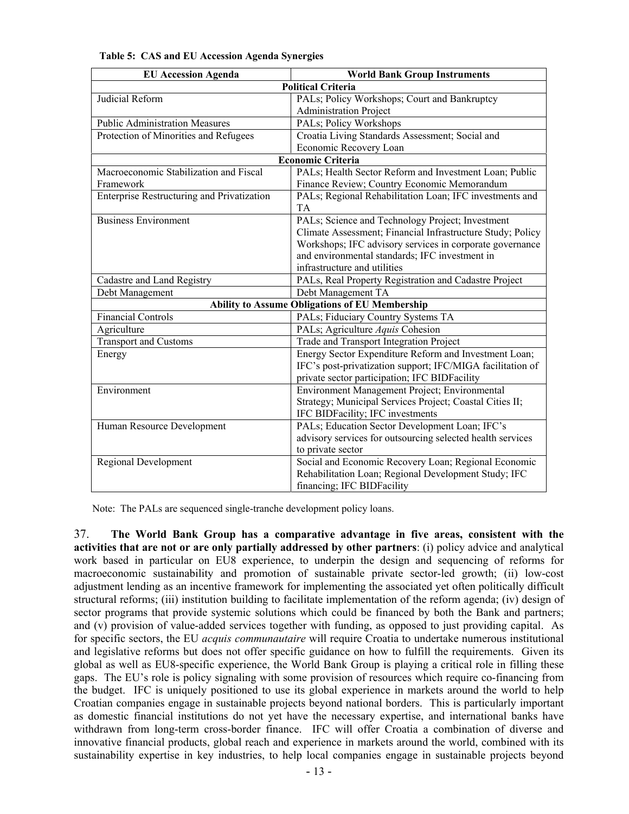| <b>EU Accession Agenda</b>                 | <b>World Bank Group Instruments</b>                        |
|--------------------------------------------|------------------------------------------------------------|
|                                            | <b>Political Criteria</b>                                  |
| Judicial Reform                            | PALs; Policy Workshops; Court and Bankruptcy               |
|                                            | <b>Administration Project</b>                              |
| <b>Public Administration Measures</b>      | PALs; Policy Workshops                                     |
| Protection of Minorities and Refugees      | Croatia Living Standards Assessment; Social and            |
|                                            | Economic Recovery Loan                                     |
|                                            | <b>Economic Criteria</b>                                   |
| Macroeconomic Stabilization and Fiscal     | PALs; Health Sector Reform and Investment Loan; Public     |
| Framework                                  | Finance Review; Country Economic Memorandum                |
| Enterprise Restructuring and Privatization | PALs; Regional Rehabilitation Loan; IFC investments and    |
|                                            | <b>TA</b>                                                  |
| <b>Business Environment</b>                | PALs; Science and Technology Project; Investment           |
|                                            | Climate Assessment; Financial Infrastructure Study; Policy |
|                                            | Workshops; IFC advisory services in corporate governance   |
|                                            | and environmental standards; IFC investment in             |
|                                            | infrastructure and utilities                               |
| Cadastre and Land Registry                 | PALs, Real Property Registration and Cadastre Project      |
| Debt Management                            | Debt Management TA                                         |
|                                            | <b>Ability to Assume Obligations of EU Membership</b>      |
| <b>Financial Controls</b>                  | PALs; Fiduciary Country Systems TA                         |
| Agriculture                                | PALs; Agriculture Aquis Cohesion                           |
| <b>Transport and Customs</b>               | Trade and Transport Integration Project                    |
| Energy                                     | Energy Sector Expenditure Reform and Investment Loan;      |
|                                            | IFC's post-privatization support; IFC/MIGA facilitation of |
|                                            | private sector participation; IFC BIDFacility              |
| Environment                                | Environment Management Project; Environmental              |
|                                            | Strategy; Municipal Services Project; Coastal Cities II;   |
|                                            | IFC BIDFacility; IFC investments                           |
| Human Resource Development                 | PALs; Education Sector Development Loan; IFC's             |
|                                            | advisory services for outsourcing selected health services |
|                                            | to private sector                                          |
| <b>Regional Development</b>                | Social and Economic Recovery Loan; Regional Economic       |
|                                            | Rehabilitation Loan; Regional Development Study; IFC       |
|                                            | financing; IFC BIDFacility                                 |

#### **Table 5: CAS and EU Accession Agenda Synergies**

Note: The PALs are sequenced single-tranche development policy loans.

37. **The World Bank Group has a comparative advantage in five areas, consistent with the activities that are not or are only partially addressed by other partners**: (i) policy advice and analytical work based in particular on EU8 experience, to underpin the design and sequencing of reforms for macroeconomic sustainability and promotion of sustainable private sector-led growth; (ii) low-cost adjustment lending as an incentive framework for implementing the associated yet often politically difficult structural reforms; (iii) institution building to facilitate implementation of the reform agenda; (iv) design of sector programs that provide systemic solutions which could be financed by both the Bank and partners; and (v) provision of value-added services together with funding, as opposed to just providing capital. As for specific sectors, the EU *acquis communautaire* will require Croatia to undertake numerous institutional and legislative reforms but does not offer specific guidance on how to fulfill the requirements. Given its global as well as EU8-specific experience, the World Bank Group is playing a critical role in filling these gaps. The EU's role is policy signaling with some provision of resources which require co-financing from the budget. IFC is uniquely positioned to use its global experience in markets around the world to help Croatian companies engage in sustainable projects beyond national borders. This is particularly important as domestic financial institutions do not yet have the necessary expertise, and international banks have withdrawn from long-term cross-border finance. IFC will offer Croatia a combination of diverse and innovative financial products, global reach and experience in markets around the world, combined with its sustainability expertise in key industries, to help local companies engage in sustainable projects beyond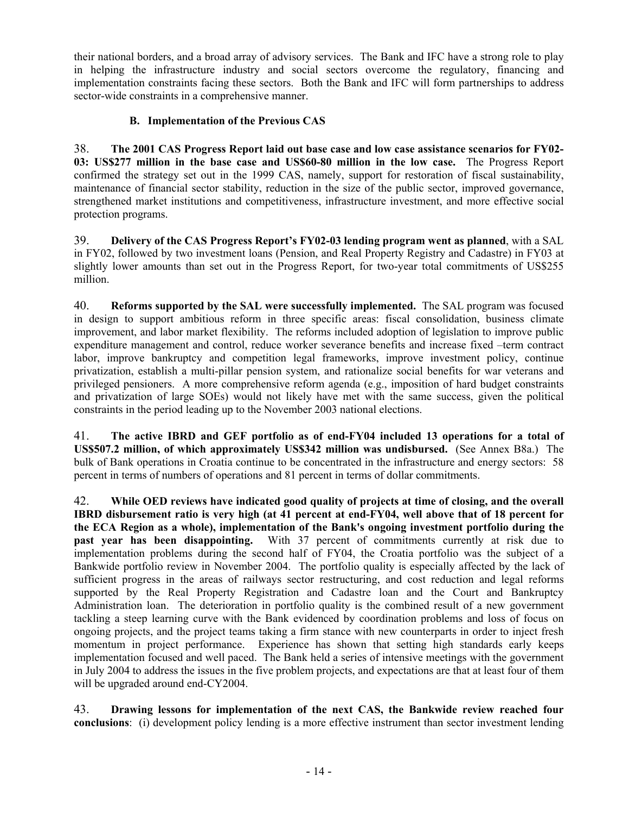their national borders, and a broad array of advisory services. The Bank and IFC have a strong role to play in helping the infrastructure industry and social sectors overcome the regulatory, financing and implementation constraints facing these sectors. Both the Bank and IFC will form partnerships to address sector-wide constraints in a comprehensive manner.

# **B. Implementation of the Previous CAS**

38. **The 2001 CAS Progress Report laid out base case and low case assistance scenarios for FY02- 03: US\$277 million in the base case and US\$60-80 million in the low case.** The Progress Report confirmed the strategy set out in the 1999 CAS, namely, support for restoration of fiscal sustainability, maintenance of financial sector stability, reduction in the size of the public sector, improved governance, strengthened market institutions and competitiveness, infrastructure investment, and more effective social protection programs.

39. **Delivery of the CAS Progress Report's FY02-03 lending program went as planned**, with a SAL in FY02, followed by two investment loans (Pension, and Real Property Registry and Cadastre) in FY03 at slightly lower amounts than set out in the Progress Report, for two-year total commitments of US\$255 million.

40. **Reforms supported by the SAL were successfully implemented.** The SAL program was focused in design to support ambitious reform in three specific areas: fiscal consolidation, business climate improvement, and labor market flexibility. The reforms included adoption of legislation to improve public expenditure management and control, reduce worker severance benefits and increase fixed –term contract labor, improve bankruptcy and competition legal frameworks, improve investment policy, continue privatization, establish a multi-pillar pension system, and rationalize social benefits for war veterans and privileged pensioners. A more comprehensive reform agenda (e.g., imposition of hard budget constraints and privatization of large SOEs) would not likely have met with the same success, given the political constraints in the period leading up to the November 2003 national elections.

41. **The active IBRD and GEF portfolio as of end-FY04 included 13 operations for a total of US\$507.2 million, of which approximately US\$342 million was undisbursed.** (See Annex B8a.) The bulk of Bank operations in Croatia continue to be concentrated in the infrastructure and energy sectors: 58 percent in terms of numbers of operations and 81 percent in terms of dollar commitments.

42. **While OED reviews have indicated good quality of projects at time of closing, and the overall IBRD disbursement ratio is very high (at 41 percent at end-FY04, well above that of 18 percent for the ECA Region as a whole), implementation of the Bank's ongoing investment portfolio during the past year has been disappointing.** With 37 percent of commitments currently at risk due to implementation problems during the second half of FY04, the Croatia portfolio was the subject of a Bankwide portfolio review in November 2004. The portfolio quality is especially affected by the lack of sufficient progress in the areas of railways sector restructuring, and cost reduction and legal reforms supported by the Real Property Registration and Cadastre loan and the Court and Bankruptcy Administration loan. The deterioration in portfolio quality is the combined result of a new government tackling a steep learning curve with the Bank evidenced by coordination problems and loss of focus on ongoing projects, and the project teams taking a firm stance with new counterparts in order to inject fresh momentum in project performance. Experience has shown that setting high standards early keeps implementation focused and well paced. The Bank held a series of intensive meetings with the government in July 2004 to address the issues in the five problem projects, and expectations are that at least four of them will be upgraded around end-CY2004.

43. **Drawing lessons for implementation of the next CAS, the Bankwide review reached four conclusions**: (i) development policy lending is a more effective instrument than sector investment lending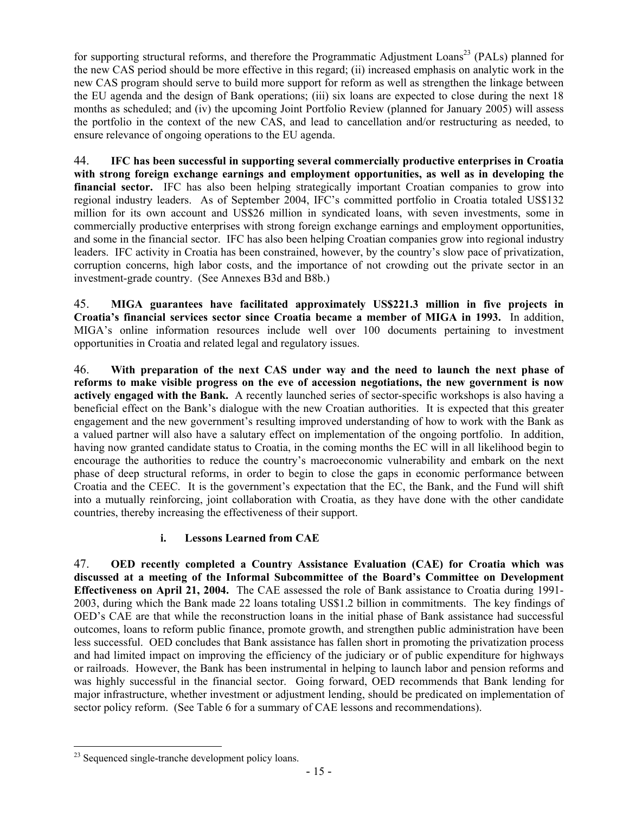for supporting structural reforms, and therefore the Programmatic Adjustment Loans<sup>23</sup> (PALs) planned for the new CAS period should be more effective in this regard; (ii) increased emphasis on analytic work in the new CAS program should serve to build more support for reform as well as strengthen the linkage between the EU agenda and the design of Bank operations; (iii) six loans are expected to close during the next 18 months as scheduled; and (iv) the upcoming Joint Portfolio Review (planned for January 2005) will assess the portfolio in the context of the new CAS, and lead to cancellation and/or restructuring as needed, to ensure relevance of ongoing operations to the EU agenda.

44. **IFC has been successful in supporting several commercially productive enterprises in Croatia with strong foreign exchange earnings and employment opportunities, as well as in developing the**  financial sector. IFC has also been helping strategically important Croatian companies to grow into regional industry leaders. As of September 2004, IFC's committed portfolio in Croatia totaled US\$132 million for its own account and US\$26 million in syndicated loans, with seven investments, some in commercially productive enterprises with strong foreign exchange earnings and employment opportunities, and some in the financial sector. IFC has also been helping Croatian companies grow into regional industry leaders. IFC activity in Croatia has been constrained, however, by the country's slow pace of privatization, corruption concerns, high labor costs, and the importance of not crowding out the private sector in an investment-grade country. (See Annexes B3d and B8b.)

45. **MIGA guarantees have facilitated approximately US\$221.3 million in five projects in Croatia's financial services sector since Croatia became a member of MIGA in 1993.** In addition, MIGA's online information resources include well over 100 documents pertaining to investment opportunities in Croatia and related legal and regulatory issues.

46. **With preparation of the next CAS under way and the need to launch the next phase of reforms to make visible progress on the eve of accession negotiations, the new government is now actively engaged with the Bank.** A recently launched series of sector-specific workshops is also having a beneficial effect on the Bank's dialogue with the new Croatian authorities. It is expected that this greater engagement and the new government's resulting improved understanding of how to work with the Bank as a valued partner will also have a salutary effect on implementation of the ongoing portfolio. In addition, having now granted candidate status to Croatia, in the coming months the EC will in all likelihood begin to encourage the authorities to reduce the country's macroeconomic vulnerability and embark on the next phase of deep structural reforms, in order to begin to close the gaps in economic performance between Croatia and the CEEC. It is the government's expectation that the EC, the Bank, and the Fund will shift into a mutually reinforcing, joint collaboration with Croatia, as they have done with the other candidate countries, thereby increasing the effectiveness of their support.

# **i. Lessons Learned from CAE**

47. **OED recently completed a Country Assistance Evaluation (CAE) for Croatia which was discussed at a meeting of the Informal Subcommittee of the Board's Committee on Development Effectiveness on April 21, 2004.** The CAE assessed the role of Bank assistance to Croatia during 1991- 2003, during which the Bank made 22 loans totaling US\$1.2 billion in commitments. The key findings of OED's CAE are that while the reconstruction loans in the initial phase of Bank assistance had successful outcomes, loans to reform public finance, promote growth, and strengthen public administration have been less successful. OED concludes that Bank assistance has fallen short in promoting the privatization process and had limited impact on improving the efficiency of the judiciary or of public expenditure for highways or railroads. However, the Bank has been instrumental in helping to launch labor and pension reforms and was highly successful in the financial sector. Going forward, OED recommends that Bank lending for major infrastructure, whether investment or adjustment lending, should be predicated on implementation of sector policy reform.(See Table 6 for a summary of CAE lessons and recommendations).

 $\overline{a}$ 

<sup>23</sup> Sequenced single-tranche development policy loans.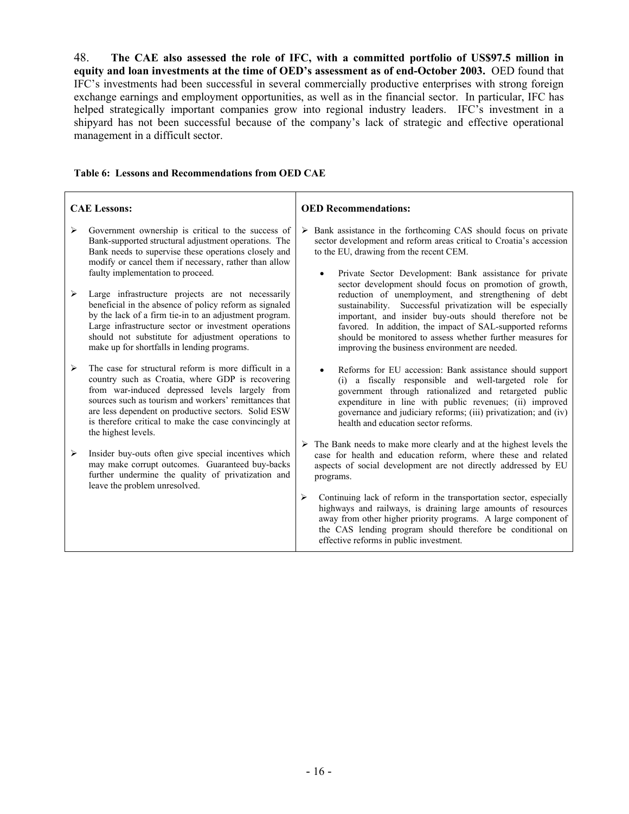48. **The CAE also assessed the role of IFC, with a committed portfolio of US\$97.5 million in equity and loan investments at the time of OED's assessment as of end-October 2003.** OED found that IFC's investments had been successful in several commercially productive enterprises with strong foreign exchange earnings and employment opportunities, as well as in the financial sector. In particular, IFC has helped strategically important companies grow into regional industry leaders. IFC's investment in a shipyard has not been successful because of the company's lack of strategic and effective operational management in a difficult sector.

|        | <b>CAE Lessons:</b>                                                                                                                                                                                                                                                                                                                                                                                                                                                                                                                                                                                    |   | <b>OED</b> Recommendations:                                                                                                                                                                                                                                                                                                                                                                                                                                                                                                                                                                                                                                           |
|--------|--------------------------------------------------------------------------------------------------------------------------------------------------------------------------------------------------------------------------------------------------------------------------------------------------------------------------------------------------------------------------------------------------------------------------------------------------------------------------------------------------------------------------------------------------------------------------------------------------------|---|-----------------------------------------------------------------------------------------------------------------------------------------------------------------------------------------------------------------------------------------------------------------------------------------------------------------------------------------------------------------------------------------------------------------------------------------------------------------------------------------------------------------------------------------------------------------------------------------------------------------------------------------------------------------------|
| ⋗<br>➤ | Government ownership is critical to the success of<br>Bank-supported structural adjustment operations. The<br>Bank needs to supervise these operations closely and<br>modify or cancel them if necessary, rather than allow<br>faulty implementation to proceed.<br>Large infrastructure projects are not necessarily<br>beneficial in the absence of policy reform as signaled<br>by the lack of a firm tie-in to an adjustment program.<br>Large infrastructure sector or investment operations<br>should not substitute for adjustment operations to<br>make up for shortfalls in lending programs. | ➤ | Bank assistance in the forthcoming CAS should focus on private<br>sector development and reform areas critical to Croatia's accession<br>to the EU, drawing from the recent CEM.<br>Private Sector Development: Bank assistance for private<br>sector development should focus on promotion of growth,<br>reduction of unemployment, and strengthening of debt<br>sustainability. Successful privatization will be especially<br>important, and insider buy-outs should therefore not be<br>favored. In addition, the impact of SAL-supported reforms<br>should be monitored to assess whether further measures for<br>improving the business environment are needed. |
| ➤      | The case for structural reform is more difficult in a<br>country such as Croatia, where GDP is recovering<br>from war-induced depressed levels largely from<br>sources such as tourism and workers' remittances that<br>are less dependent on productive sectors. Solid ESW<br>is therefore critical to make the case convincingly at<br>the highest levels.                                                                                                                                                                                                                                           |   | Reforms for EU accession: Bank assistance should support<br>(i) a fiscally responsible and well-targeted role for<br>government through rationalized and retargeted public<br>expenditure in line with public revenues; (ii) improved<br>governance and judiciary reforms; (iii) privatization; and (iv)<br>health and education sector reforms.                                                                                                                                                                                                                                                                                                                      |
| ➤      | Insider buy-outs often give special incentives which<br>may make corrupt outcomes. Guaranteed buy-backs<br>further undermine the quality of privatization and<br>leave the problem unresolved.                                                                                                                                                                                                                                                                                                                                                                                                         |   | $\triangleright$ The Bank needs to make more clearly and at the highest levels the<br>case for health and education reform, where these and related<br>aspects of social development are not directly addressed by EU<br>programs.                                                                                                                                                                                                                                                                                                                                                                                                                                    |
|        |                                                                                                                                                                                                                                                                                                                                                                                                                                                                                                                                                                                                        | ➤ | Continuing lack of reform in the transportation sector, especially<br>highways and railways, is draining large amounts of resources<br>away from other higher priority programs. A large component of<br>the CAS lending program should therefore be conditional on<br>effective reforms in public investment.                                                                                                                                                                                                                                                                                                                                                        |

#### **Table 6: Lessons and Recommendations from OED CAE**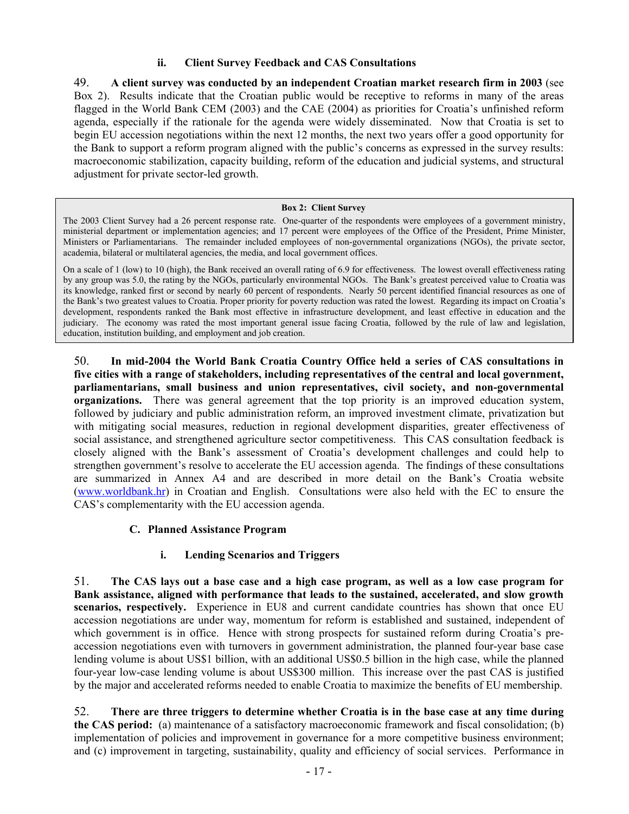## **ii. Client Survey Feedback and CAS Consultations**

49. **A client survey was conducted by an independent Croatian market research firm in 2003** (see Box 2). Results indicate that the Croatian public would be receptive to reforms in many of the areas flagged in the World Bank CEM (2003) and the CAE (2004) as priorities for Croatia's unfinished reform agenda, especially if the rationale for the agenda were widely disseminated. Now that Croatia is set to begin EU accession negotiations within the next 12 months, the next two years offer a good opportunity for the Bank to support a reform program aligned with the public's concerns as expressed in the survey results: macroeconomic stabilization, capacity building, reform of the education and judicial systems, and structural adjustment for private sector-led growth.

#### **Box 2: Client Survey**

The 2003 Client Survey had a 26 percent response rate. One-quarter of the respondents were employees of a government ministry, ministerial department or implementation agencies; and 17 percent were employees of the Office of the President, Prime Minister, Ministers or Parliamentarians. The remainder included employees of non-governmental organizations (NGOs), the private sector, academia, bilateral or multilateral agencies, the media, and local government offices.

On a scale of 1 (low) to 10 (high), the Bank received an overall rating of 6.9 for effectiveness. The lowest overall effectiveness rating by any group was 5.0, the rating by the NGOs, particularly environmental NGOs. The Bank's greatest perceived value to Croatia was its knowledge, ranked first or second by nearly 60 percent of respondents. Nearly 50 percent identified financial resources as one of the Bank's two greatest values to Croatia. Proper priority for poverty reduction was rated the lowest. Regarding its impact on Croatia's development, respondents ranked the Bank most effective in infrastructure development, and least effective in education and the judiciary. The economy was rated the most important general issue facing Croatia, followed by the rule of law and legislation, education, institution building, and employment and job creation.

50. **In mid-2004 the World Bank Croatia Country Office held a series of CAS consultations in five cities with a range of stakeholders, including representatives of the central and local government, parliamentarians, small business and union representatives, civil society, and non-governmental organizations.** There was general agreement that the top priority is an improved education system, followed by judiciary and public administration reform, an improved investment climate, privatization but with mitigating social measures, reduction in regional development disparities, greater effectiveness of social assistance, and strengthened agriculture sector competitiveness. This CAS consultation feedback is closely aligned with the Bank's assessment of Croatia's development challenges and could help to strengthen government's resolve to accelerate the EU accession agenda. The findings of these consultations are summarized in Annex A4 and are described in more detail on the Bank's Croatia website (www.worldbank.hr) in Croatian and English. Consultations were also held with the EC to ensure the CAS's complementarity with the EU accession agenda.

#### **C. Planned Assistance Program**

#### **i. Lending Scenarios and Triggers**

51. **The CAS lays out a base case and a high case program, as well as a low case program for Bank assistance, aligned with performance that leads to the sustained, accelerated, and slow growth scenarios, respectively.** Experience in EU8 and current candidate countries has shown that once EU accession negotiations are under way, momentum for reform is established and sustained, independent of which government is in office. Hence with strong prospects for sustained reform during Croatia's preaccession negotiations even with turnovers in government administration, the planned four-year base case lending volume is about US\$1 billion, with an additional US\$0.5 billion in the high case, while the planned four-year low-case lending volume is about US\$300 million. This increase over the past CAS is justified by the major and accelerated reforms needed to enable Croatia to maximize the benefits of EU membership.

52. **There are three triggers to determine whether Croatia is in the base case at any time during the CAS period:** (a) maintenance of a satisfactory macroeconomic framework and fiscal consolidation; (b) implementation of policies and improvement in governance for a more competitive business environment; and (c) improvement in targeting, sustainability, quality and efficiency of social services. Performance in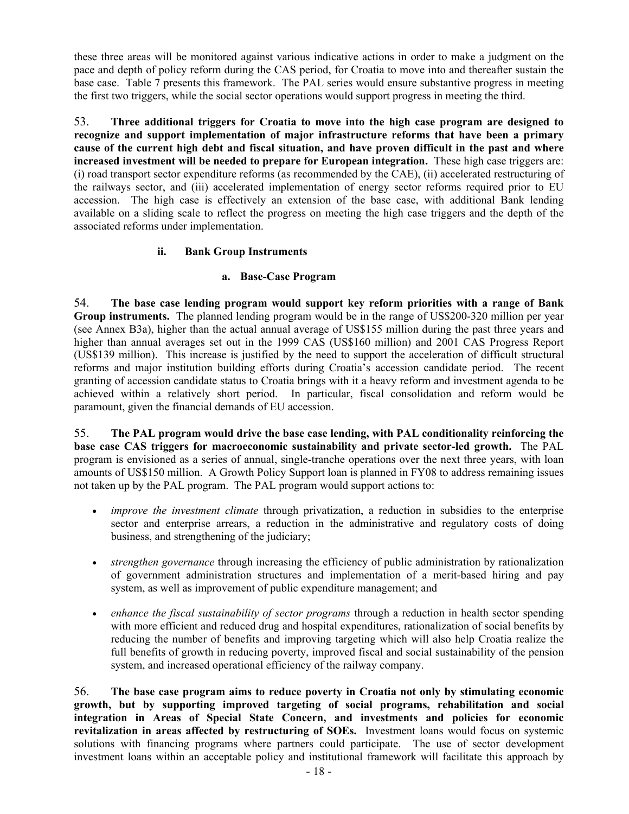these three areas will be monitored against various indicative actions in order to make a judgment on the pace and depth of policy reform during the CAS period, for Croatia to move into and thereafter sustain the base case. Table 7 presents this framework. The PAL series would ensure substantive progress in meeting the first two triggers, while the social sector operations would support progress in meeting the third.

53. **Three additional triggers for Croatia to move into the high case program are designed to recognize and support implementation of major infrastructure reforms that have been a primary cause of the current high debt and fiscal situation, and have proven difficult in the past and where increased investment will be needed to prepare for European integration.** These high case triggers are: (i) road transport sector expenditure reforms (as recommended by the CAE), (ii) accelerated restructuring of the railways sector, and (iii) accelerated implementation of energy sector reforms required prior to EU accession. The high case is effectively an extension of the base case, with additional Bank lending available on a sliding scale to reflect the progress on meeting the high case triggers and the depth of the associated reforms under implementation.

# **ii. Bank Group Instruments**

## **a. Base-Case Program**

54. **The base case lending program would support key reform priorities with a range of Bank Group instruments.** The planned lending program would be in the range of US\$200-320 million per year (see Annex B3a), higher than the actual annual average of US\$155 million during the past three years and higher than annual averages set out in the 1999 CAS (US\$160 million) and 2001 CAS Progress Report (US\$139 million). This increase is justified by the need to support the acceleration of difficult structural reforms and major institution building efforts during Croatia's accession candidate period. The recent granting of accession candidate status to Croatia brings with it a heavy reform and investment agenda to be achieved within a relatively short period. In particular, fiscal consolidation and reform would be paramount, given the financial demands of EU accession.

55. **The PAL program would drive the base case lending, with PAL conditionality reinforcing the base case CAS triggers for macroeconomic sustainability and private sector-led growth.** The PAL program is envisioned as a series of annual, single-tranche operations over the next three years, with loan amounts of US\$150 million. A Growth Policy Support loan is planned in FY08 to address remaining issues not taken up by the PAL program. The PAL program would support actions to:

- *improve the investment climate* through privatization, a reduction in subsidies to the enterprise sector and enterprise arrears, a reduction in the administrative and regulatory costs of doing business, and strengthening of the judiciary;
- *strengthen governance* through increasing the efficiency of public administration by rationalization of government administration structures and implementation of a merit-based hiring and pay system, as well as improvement of public expenditure management; and
- *enhance the fiscal sustainability of sector programs* through a reduction in health sector spending with more efficient and reduced drug and hospital expenditures, rationalization of social benefits by reducing the number of benefits and improving targeting which will also help Croatia realize the full benefits of growth in reducing poverty, improved fiscal and social sustainability of the pension system, and increased operational efficiency of the railway company.

56. **The base case program aims to reduce poverty in Croatia not only by stimulating economic growth, but by supporting improved targeting of social programs, rehabilitation and social integration in Areas of Special State Concern, and investments and policies for economic revitalization in areas affected by restructuring of SOEs.** Investment loans would focus on systemic solutions with financing programs where partners could participate. The use of sector development investment loans within an acceptable policy and institutional framework will facilitate this approach by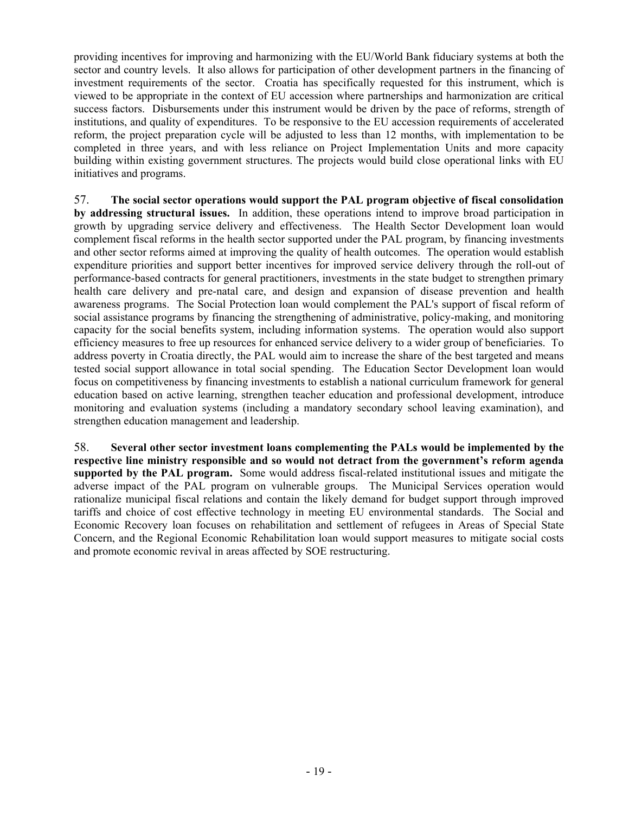providing incentives for improving and harmonizing with the EU/World Bank fiduciary systems at both the sector and country levels. It also allows for participation of other development partners in the financing of investment requirements of the sector. Croatia has specifically requested for this instrument, which is viewed to be appropriate in the context of EU accession where partnerships and harmonization are critical success factors. Disbursements under this instrument would be driven by the pace of reforms, strength of institutions, and quality of expenditures. To be responsive to the EU accession requirements of accelerated reform, the project preparation cycle will be adjusted to less than 12 months, with implementation to be completed in three years, and with less reliance on Project Implementation Units and more capacity building within existing government structures. The projects would build close operational links with EU initiatives and programs.

57. **The social sector operations would support the PAL program objective of fiscal consolidation by addressing structural issues.** In addition, these operations intend to improve broad participation in growth by upgrading service delivery and effectiveness.The Health Sector Development loan would complement fiscal reforms in the health sector supported under the PAL program, by financing investments and other sector reforms aimed at improving the quality of health outcomes. The operation would establish expenditure priorities and support better incentives for improved service delivery through the roll-out of performance-based contracts for general practitioners, investments in the state budget to strengthen primary health care delivery and pre-natal care, and design and expansion of disease prevention and health awareness programs. The Social Protection loan would complement the PAL's support of fiscal reform of social assistance programs by financing the strengthening of administrative, policy-making, and monitoring capacity for the social benefits system, including information systems. The operation would also support efficiency measures to free up resources for enhanced service delivery to a wider group of beneficiaries. To address poverty in Croatia directly, the PAL would aim to increase the share of the best targeted and means tested social support allowance in total social spending. The Education Sector Development loan would focus on competitiveness by financing investments to establish a national curriculum framework for general education based on active learning, strengthen teacher education and professional development, introduce monitoring and evaluation systems (including a mandatory secondary school leaving examination), and strengthen education management and leadership.

58. **Several other sector investment loans complementing the PALs would be implemented by the respective line ministry responsible and so would not detract from the government's reform agenda supported by the PAL program.** Some would address fiscal-related institutional issues and mitigate the adverse impact of the PAL program on vulnerable groups.The Municipal Services operation would rationalize municipal fiscal relations and contain the likely demand for budget support through improved tariffs and choice of cost effective technology in meeting EU environmental standards. The Social and Economic Recovery loan focuses on rehabilitation and settlement of refugees in Areas of Special State Concern, and the Regional Economic Rehabilitation loan would support measures to mitigate social costs and promote economic revival in areas affected by SOE restructuring.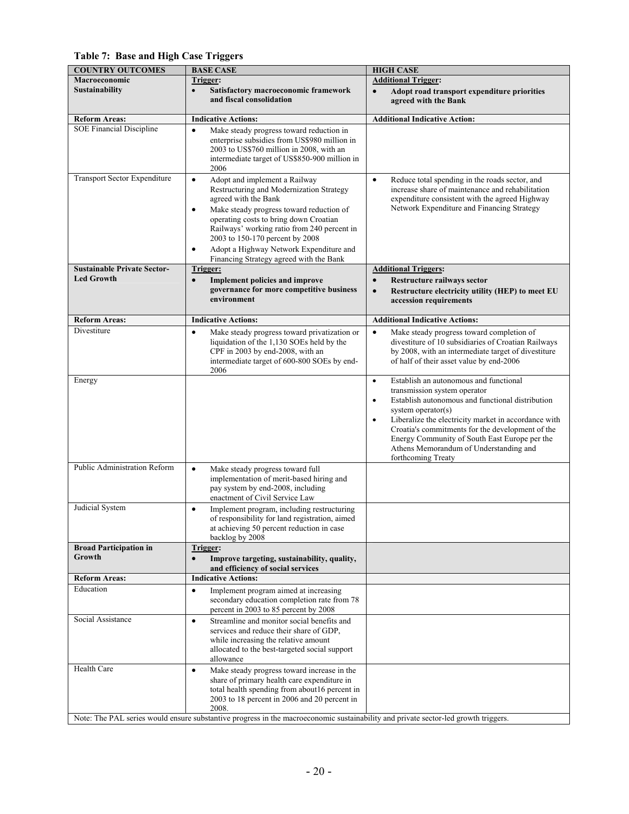**Table 7: Base and High Case Triggers**

| <b>COUNTRY OUTCOMES</b>            | <b>BASE CASE</b>                                                                                                                   | <b>HIGH CASE</b>                                                                                                      |
|------------------------------------|------------------------------------------------------------------------------------------------------------------------------------|-----------------------------------------------------------------------------------------------------------------------|
| Macroeconomic                      | Trigger:                                                                                                                           | <b>Additional Trigger:</b>                                                                                            |
| <b>Sustainability</b>              | Satisfactory macroeconomic framework<br>$\bullet$                                                                                  | Adopt road transport expenditure priorities<br>$\bullet$                                                              |
|                                    | and fiscal consolidation                                                                                                           | agreed with the Bank                                                                                                  |
|                                    |                                                                                                                                    |                                                                                                                       |
| <b>Reform Areas:</b>               | <b>Indicative Actions:</b>                                                                                                         | <b>Additional Indicative Action:</b>                                                                                  |
| <b>SOE Financial Discipline</b>    | $\bullet$<br>Make steady progress toward reduction in                                                                              |                                                                                                                       |
|                                    | enterprise subsidies from US\$980 million in                                                                                       |                                                                                                                       |
|                                    | 2003 to US\$760 million in 2008, with an                                                                                           |                                                                                                                       |
|                                    | intermediate target of US\$850-900 million in                                                                                      |                                                                                                                       |
|                                    | 2006                                                                                                                               |                                                                                                                       |
| Transport Sector Expenditure       | $\bullet$<br>Adopt and implement a Railway                                                                                         | $\bullet$<br>Reduce total spending in the roads sector, and                                                           |
|                                    | Restructuring and Modernization Strategy                                                                                           | increase share of maintenance and rehabilitation                                                                      |
|                                    | agreed with the Bank                                                                                                               | expenditure consistent with the agreed Highway                                                                        |
|                                    | Make steady progress toward reduction of<br>$\bullet$                                                                              | Network Expenditure and Financing Strategy                                                                            |
|                                    | operating costs to bring down Croatian                                                                                             |                                                                                                                       |
|                                    | Railways' working ratio from 240 percent in                                                                                        |                                                                                                                       |
|                                    | 2003 to 150-170 percent by 2008                                                                                                    |                                                                                                                       |
|                                    | Adopt a Highway Network Expenditure and                                                                                            |                                                                                                                       |
|                                    | Financing Strategy agreed with the Bank                                                                                            |                                                                                                                       |
| <b>Sustainable Private Sector-</b> | Trigger:                                                                                                                           | <b>Additional Triggers:</b>                                                                                           |
| <b>Led Growth</b>                  | <b>Implement policies and improve</b><br>$\bullet$                                                                                 | Restructure railways sector<br>$\bullet$                                                                              |
|                                    | governance for more competitive business                                                                                           | Restructure electricity utility (HEP) to meet EU<br>$\bullet$                                                         |
|                                    | environment                                                                                                                        | accession requirements                                                                                                |
|                                    |                                                                                                                                    |                                                                                                                       |
| <b>Reform Areas:</b>               | <b>Indicative Actions:</b>                                                                                                         | <b>Additional Indicative Actions:</b>                                                                                 |
| Divestiture                        | Make steady progress toward privatization or<br>$\bullet$                                                                          | Make steady progress toward completion of<br>$\bullet$                                                                |
|                                    | liquidation of the 1,130 SOEs held by the                                                                                          | divestiture of 10 subsidiaries of Croatian Railways                                                                   |
|                                    | CPF in 2003 by end-2008, with an                                                                                                   | by 2008, with an intermediate target of divestiture                                                                   |
|                                    | intermediate target of 600-800 SOEs by end-                                                                                        | of half of their asset value by end-2006                                                                              |
|                                    | 2006                                                                                                                               |                                                                                                                       |
| Energy                             |                                                                                                                                    | Establish an autonomous and functional<br>$\bullet$                                                                   |
|                                    |                                                                                                                                    | transmission system operator                                                                                          |
|                                    |                                                                                                                                    | Establish autonomous and functional distribution<br>$\bullet$                                                         |
|                                    |                                                                                                                                    | system operator(s)                                                                                                    |
|                                    |                                                                                                                                    | Liberalize the electricity market in accordance with<br>$\bullet$<br>Croatia's commitments for the development of the |
|                                    |                                                                                                                                    | Energy Community of South East Europe per the                                                                         |
|                                    |                                                                                                                                    | Athens Memorandum of Understanding and                                                                                |
|                                    |                                                                                                                                    | forthcoming Treaty                                                                                                    |
| Public Administration Reform       | $\bullet$<br>Make steady progress toward full                                                                                      |                                                                                                                       |
|                                    | implementation of merit-based hiring and                                                                                           |                                                                                                                       |
|                                    | pay system by end-2008, including                                                                                                  |                                                                                                                       |
|                                    | enactment of Civil Service Law                                                                                                     |                                                                                                                       |
| Judicial System                    | Implement program, including restructuring<br>$\bullet$                                                                            |                                                                                                                       |
|                                    | of responsibility for land registration, aimed                                                                                     |                                                                                                                       |
|                                    | at achieving 50 percent reduction in case                                                                                          |                                                                                                                       |
|                                    | backlog by 2008                                                                                                                    |                                                                                                                       |
| <b>Broad Participation in</b>      | Trigger:                                                                                                                           |                                                                                                                       |
| Growth                             | Improve targeting, sustainability, quality,<br>$\bullet$                                                                           |                                                                                                                       |
|                                    | and efficiency of social services                                                                                                  |                                                                                                                       |
| <b>Reform Areas:</b>               | <b>Indicative Actions:</b>                                                                                                         |                                                                                                                       |
| Education                          | Implement program aimed at increasing<br>$\bullet$                                                                                 |                                                                                                                       |
|                                    | secondary education completion rate from 78                                                                                        |                                                                                                                       |
|                                    | percent in 2003 to 85 percent by 2008                                                                                              |                                                                                                                       |
| Social Assistance                  | Streamline and monitor social benefits and<br>$\bullet$                                                                            |                                                                                                                       |
|                                    | services and reduce their share of GDP,                                                                                            |                                                                                                                       |
|                                    | while increasing the relative amount                                                                                               |                                                                                                                       |
|                                    | allocated to the best-targeted social support                                                                                      |                                                                                                                       |
|                                    | allowance                                                                                                                          |                                                                                                                       |
| Health Care                        | Make steady progress toward increase in the<br>$\bullet$                                                                           |                                                                                                                       |
|                                    | share of primary health care expenditure in                                                                                        |                                                                                                                       |
|                                    | total health spending from about16 percent in                                                                                      |                                                                                                                       |
|                                    | 2003 to 18 percent in 2006 and 20 percent in                                                                                       |                                                                                                                       |
|                                    | 2008.                                                                                                                              |                                                                                                                       |
|                                    | Note: The PAL series would ensure substantive progress in the macroeconomic sustainability and private sector-led growth triggers. |                                                                                                                       |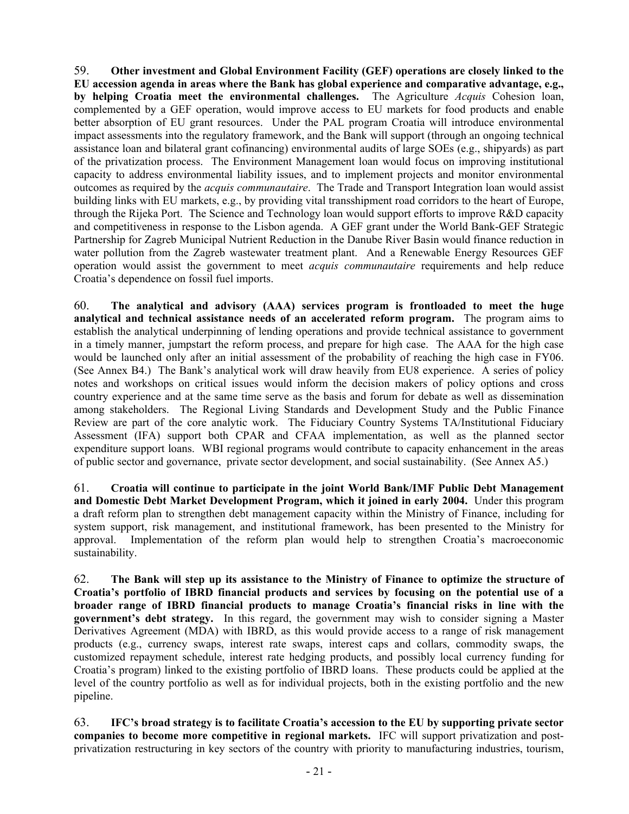59. **Other investment and Global Environment Facility (GEF) operations are closely linked to the EU accession agenda in areas where the Bank has global experience and comparative advantage, e.g., by helping Croatia meet the environmental challenges.** The Agriculture *Acquis* Cohesion loan, complemented by a GEF operation, would improve access to EU markets for food products and enable better absorption of EU grant resources. Under the PAL program Croatia will introduce environmental impact assessments into the regulatory framework, and the Bank will support (through an ongoing technical assistance loan and bilateral grant cofinancing) environmental audits of large SOEs (e.g., shipyards) as part of the privatization process. The Environment Management loan would focus on improving institutional capacity to address environmental liability issues, and to implement projects and monitor environmental outcomes as required by the *acquis communautaire*. The Trade and Transport Integration loan would assist building links with EU markets, e.g., by providing vital transshipment road corridors to the heart of Europe, through the Rijeka Port. The Science and Technology loan would support efforts to improve R&D capacity and competitiveness in response to the Lisbon agenda. A GEF grant under the World Bank-GEF Strategic Partnership for Zagreb Municipal Nutrient Reduction in the Danube River Basin would finance reduction in water pollution from the Zagreb wastewater treatment plant. And a Renewable Energy Resources GEF operation would assist the government to meet *acquis communautaire* requirements and help reduce Croatia's dependence on fossil fuel imports.

60. **The analytical and advisory (AAA) services program is frontloaded to meet the huge analytical and technical assistance needs of an accelerated reform program.** The program aims to establish the analytical underpinning of lending operations and provide technical assistance to government in a timely manner, jumpstart the reform process, and prepare for high case. The AAA for the high case would be launched only after an initial assessment of the probability of reaching the high case in FY06. (See Annex B4.) The Bank's analytical work will draw heavily from EU8 experience. A series of policy notes and workshops on critical issues would inform the decision makers of policy options and cross country experience and at the same time serve as the basis and forum for debate as well as dissemination among stakeholders. The Regional Living Standards and Development Study and the Public Finance Review are part of the core analytic work. The Fiduciary Country Systems TA/Institutional Fiduciary Assessment (IFA) support both CPAR and CFAA implementation, as well as the planned sector expenditure support loans. WBI regional programs would contribute to capacity enhancement in the areas of public sector and governance, private sector development, and social sustainability. (See Annex A5.)

61. **Croatia will continue to participate in the joint World Bank/IMF Public Debt Management and Domestic Debt Market Development Program, which it joined in early 2004.** Under this program a draft reform plan to strengthen debt management capacity within the Ministry of Finance, including for system support, risk management, and institutional framework, has been presented to the Ministry for approval. Implementation of the reform plan would help to strengthen Croatia's macroeconomic sustainability.

62. **The Bank will step up its assistance to the Ministry of Finance to optimize the structure of Croatia's portfolio of IBRD financial products and services by focusing on the potential use of a broader range of IBRD financial products to manage Croatia's financial risks in line with the government's debt strategy.** In this regard, the government may wish to consider signing a Master Derivatives Agreement (MDA) with IBRD, as this would provide access to a range of risk management products (e.g., currency swaps, interest rate swaps, interest caps and collars, commodity swaps, the customized repayment schedule, interest rate hedging products, and possibly local currency funding for Croatia's program) linked to the existing portfolio of IBRD loans. These products could be applied at the level of the country portfolio as well as for individual projects, both in the existing portfolio and the new pipeline.

63. **IFC's broad strategy is to facilitate Croatia's accession to the EU by supporting private sector companies to become more competitive in regional markets.** IFC will support privatization and postprivatization restructuring in key sectors of the country with priority to manufacturing industries, tourism,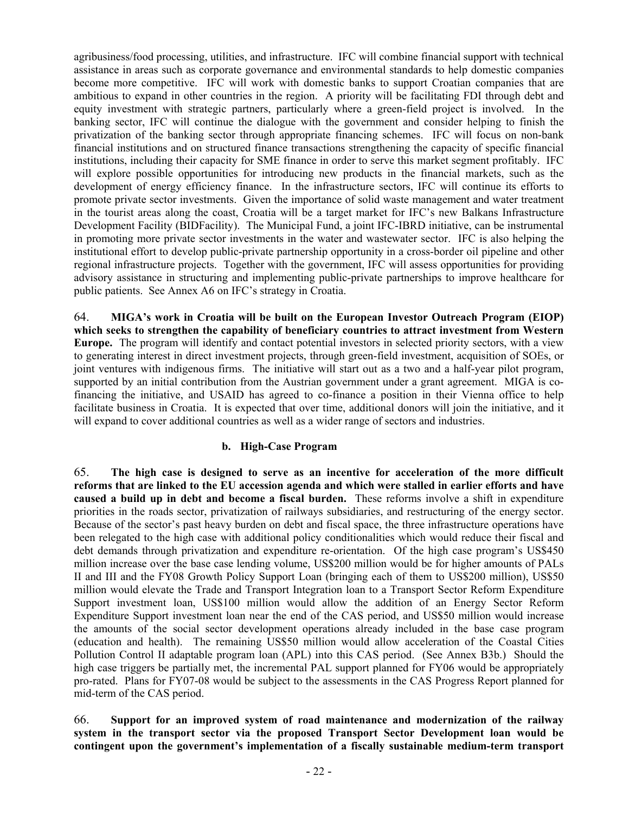agribusiness/food processing, utilities, and infrastructure. IFC will combine financial support with technical assistance in areas such as corporate governance and environmental standards to help domestic companies become more competitive. IFC will work with domestic banks to support Croatian companies that are ambitious to expand in other countries in the region. A priority will be facilitating FDI through debt and equity investment with strategic partners, particularly where a green-field project is involved. In the banking sector, IFC will continue the dialogue with the government and consider helping to finish the privatization of the banking sector through appropriate financing schemes. IFC will focus on non-bank financial institutions and on structured finance transactions strengthening the capacity of specific financial institutions, including their capacity for SME finance in order to serve this market segment profitably. IFC will explore possible opportunities for introducing new products in the financial markets, such as the development of energy efficiency finance. In the infrastructure sectors, IFC will continue its efforts to promote private sector investments. Given the importance of solid waste management and water treatment in the tourist areas along the coast, Croatia will be a target market for IFC's new Balkans Infrastructure Development Facility (BIDFacility). The Municipal Fund, a joint IFC-IBRD initiative, can be instrumental in promoting more private sector investments in the water and wastewater sector. IFC is also helping the institutional effort to develop public-private partnership opportunity in a cross-border oil pipeline and other regional infrastructure projects. Together with the government, IFC will assess opportunities for providing advisory assistance in structuring and implementing public-private partnerships to improve healthcare for public patients. See Annex A6 on IFC's strategy in Croatia.

64. **MIGA's work in Croatia will be built on the European Investor Outreach Program (EIOP) which seeks to strengthen the capability of beneficiary countries to attract investment from Western Europe.** The program will identify and contact potential investors in selected priority sectors, with a view to generating interest in direct investment projects, through green-field investment, acquisition of SOEs, or joint ventures with indigenous firms. The initiative will start out as a two and a half-year pilot program, supported by an initial contribution from the Austrian government under a grant agreement. MIGA is cofinancing the initiative, and USAID has agreed to co-finance a position in their Vienna office to help facilitate business in Croatia. It is expected that over time, additional donors will join the initiative, and it will expand to cover additional countries as well as a wider range of sectors and industries.

#### **b. High-Case Program**

65. **The high case is designed to serve as an incentive for acceleration of the more difficult reforms that are linked to the EU accession agenda and which were stalled in earlier efforts and have caused a build up in debt and become a fiscal burden.** These reforms involve a shift in expenditure priorities in the roads sector, privatization of railways subsidiaries, and restructuring of the energy sector. Because of the sector's past heavy burden on debt and fiscal space, the three infrastructure operations have been relegated to the high case with additional policy conditionalities which would reduce their fiscal and debt demands through privatization and expenditure re-orientation. Of the high case program's US\$450 million increase over the base case lending volume, US\$200 million would be for higher amounts of PALs II and III and the FY08 Growth Policy Support Loan (bringing each of them to US\$200 million), US\$50 million would elevate the Trade and Transport Integration loan to a Transport Sector Reform Expenditure Support investment loan, US\$100 million would allow the addition of an Energy Sector Reform Expenditure Support investment loan near the end of the CAS period, and US\$50 million would increase the amounts of the social sector development operations already included in the base case program (education and health). The remaining US\$50 million would allow acceleration of the Coastal Cities Pollution Control II adaptable program loan (APL) into this CAS period. (See Annex B3b.) Should the high case triggers be partially met, the incremental PAL support planned for FY06 would be appropriately pro-rated. Plans for FY07-08 would be subject to the assessments in the CAS Progress Report planned for mid-term of the CAS period.

66. **Support for an improved system of road maintenance and modernization of the railway system in the transport sector via the proposed Transport Sector Development loan would be contingent upon the government's implementation of a fiscally sustainable medium-term transport**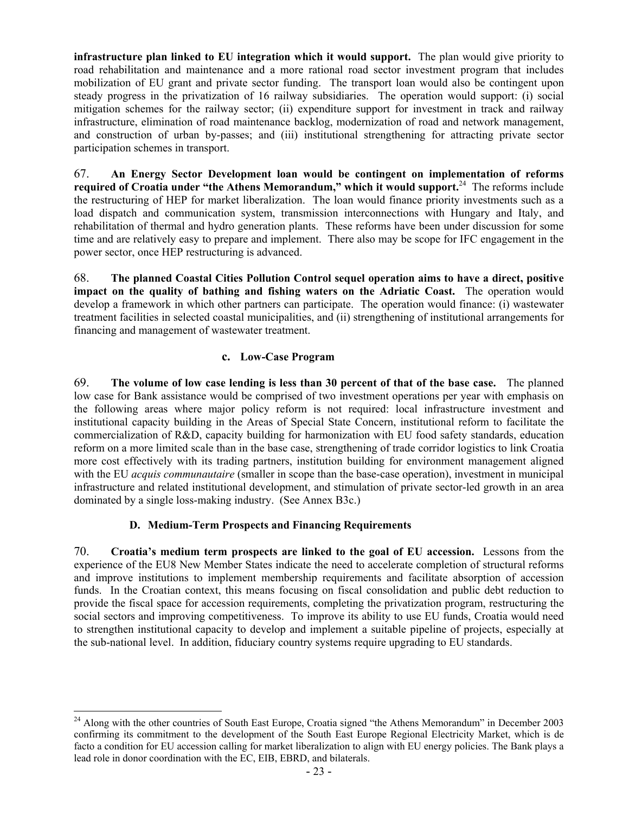**infrastructure plan linked to EU integration which it would support.** The plan would give priority to road rehabilitation and maintenance and a more rational road sector investment program that includes mobilization of EU grant and private sector funding.The transport loan would also be contingent upon steady progress in the privatization of 16 railway subsidiaries. The operation would support: (i) social mitigation schemes for the railway sector; (ii) expenditure support for investment in track and railway infrastructure, elimination of road maintenance backlog, modernization of road and network management, and construction of urban by-passes; and (iii) institutional strengthening for attracting private sector participation schemes in transport.

67. **An Energy Sector Development loan would be contingent on implementation of reforms required of Croatia under "the Athens Memorandum," which it would support.**24 The reforms include the restructuring of HEP for market liberalization. The loan would finance priority investments such as a load dispatch and communication system, transmission interconnections with Hungary and Italy, and rehabilitation of thermal and hydro generation plants. These reforms have been under discussion for some time and are relatively easy to prepare and implement. There also may be scope for IFC engagement in the power sector, once HEP restructuring is advanced.

68. **The planned Coastal Cities Pollution Control sequel operation aims to have a direct, positive impact on the quality of bathing and fishing waters on the Adriatic Coast.** The operation would develop a framework in which other partners can participate. The operation would finance: (i) wastewater treatment facilities in selected coastal municipalities, and (ii) strengthening of institutional arrangements for financing and management of wastewater treatment.

## **c. Low-Case Program**

69. **The volume of low case lending is less than 30 percent of that of the base case.** The planned low case for Bank assistance would be comprised of two investment operations per year with emphasis on the following areas where major policy reform is not required: local infrastructure investment and institutional capacity building in the Areas of Special State Concern, institutional reform to facilitate the commercialization of R&D, capacity building for harmonization with EU food safety standards, education reform on a more limited scale than in the base case, strengthening of trade corridor logistics to link Croatia more cost effectively with its trading partners, institution building for environment management aligned with the EU *acquis communautaire* (smaller in scope than the base-case operation), investment in municipal infrastructure and related institutional development, and stimulation of private sector-led growth in an area dominated by a single loss-making industry. (See Annex B3c.)

## **D. Medium-Term Prospects and Financing Requirements**

 $\overline{a}$ 

70. **Croatia's medium term prospects are linked to the goal of EU accession.** Lessons from the experience of the EU8 New Member States indicate the need to accelerate completion of structural reforms and improve institutions to implement membership requirements and facilitate absorption of accession funds. In the Croatian context, this means focusing on fiscal consolidation and public debt reduction to provide the fiscal space for accession requirements, completing the privatization program, restructuring the social sectors and improving competitiveness. To improve its ability to use EU funds, Croatia would need to strengthen institutional capacity to develop and implement a suitable pipeline of projects, especially at the sub-national level. In addition, fiduciary country systems require upgrading to EU standards.

<sup>&</sup>lt;sup>24</sup> Along with the other countries of South East Europe, Croatia signed "the Athens Memorandum" in December 2003 confirming its commitment to the development of the South East Europe Regional Electricity Market, which is de facto a condition for EU accession calling for market liberalization to align with EU energy policies. The Bank plays a lead role in donor coordination with the EC, EIB, EBRD, and bilaterals.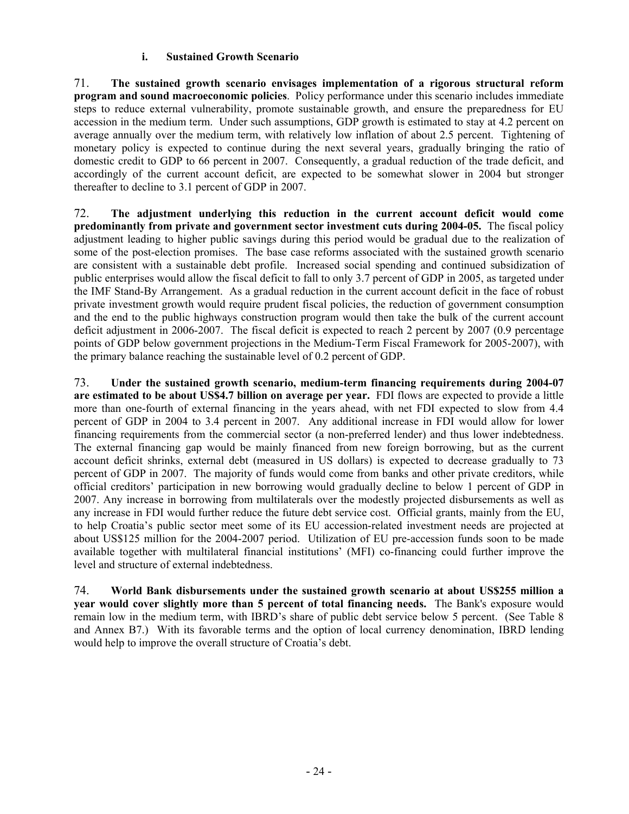## **i. Sustained Growth Scenario**

71. **The sustained growth scenario envisages implementation of a rigorous structural reform program and sound macroeconomic policies**. Policy performance under this scenario includes immediate steps to reduce external vulnerability, promote sustainable growth, and ensure the preparedness for EU accession in the medium term. Under such assumptions, GDP growth is estimated to stay at 4.2 percent on average annually over the medium term, with relatively low inflation of about 2.5 percent. Tightening of monetary policy is expected to continue during the next several years, gradually bringing the ratio of domestic credit to GDP to 66 percent in 2007. Consequently, a gradual reduction of the trade deficit, and accordingly of the current account deficit, are expected to be somewhat slower in 2004 but stronger thereafter to decline to 3.1 percent of GDP in 2007.

72. **The adjustment underlying this reduction in the current account deficit would come predominantly from private and government sector investment cuts during 2004-05.** The fiscal policy adjustment leading to higher public savings during this period would be gradual due to the realization of some of the post-election promises. The base case reforms associated with the sustained growth scenario are consistent with a sustainable debt profile. Increased social spending and continued subsidization of public enterprises would allow the fiscal deficit to fall to only 3.7 percent of GDP in 2005, as targeted under the IMF Stand-By Arrangement. As a gradual reduction in the current account deficit in the face of robust private investment growth would require prudent fiscal policies, the reduction of government consumption and the end to the public highways construction program would then take the bulk of the current account deficit adjustment in 2006-2007. The fiscal deficit is expected to reach 2 percent by 2007 (0.9 percentage points of GDP below government projections in the Medium-Term Fiscal Framework for 2005-2007), with the primary balance reaching the sustainable level of 0.2 percent of GDP.

73. **Under the sustained growth scenario, medium-term financing requirements during 2004-07 are estimated to be about US\$4.7 billion on average per year.** FDI flows are expected to provide a little more than one-fourth of external financing in the years ahead, with net FDI expected to slow from 4.4 percent of GDP in 2004 to 3.4 percent in 2007. Any additional increase in FDI would allow for lower financing requirements from the commercial sector (a non-preferred lender) and thus lower indebtedness. The external financing gap would be mainly financed from new foreign borrowing, but as the current account deficit shrinks, external debt (measured in US dollars) is expected to decrease gradually to 73 percent of GDP in 2007. The majority of funds would come from banks and other private creditors, while official creditors' participation in new borrowing would gradually decline to below 1 percent of GDP in 2007. Any increase in borrowing from multilaterals over the modestly projected disbursements as well as any increase in FDI would further reduce the future debt service cost.Official grants, mainly from the EU, to help Croatia's public sector meet some of its EU accession-related investment needs are projected at about US\$125 million for the 2004-2007 period. Utilization of EU pre-accession funds soon to be made available together with multilateral financial institutions' (MFI) co-financing could further improve the level and structure of external indebtedness.

74. **World Bank disbursements under the sustained growth scenario at about US\$255 million a year would cover slightly more than 5 percent of total financing needs.** The Bank's exposure would remain low in the medium term, with IBRD's share of public debt service below 5 percent. (See Table 8 and Annex B7.) With its favorable terms and the option of local currency denomination, IBRD lending would help to improve the overall structure of Croatia's debt.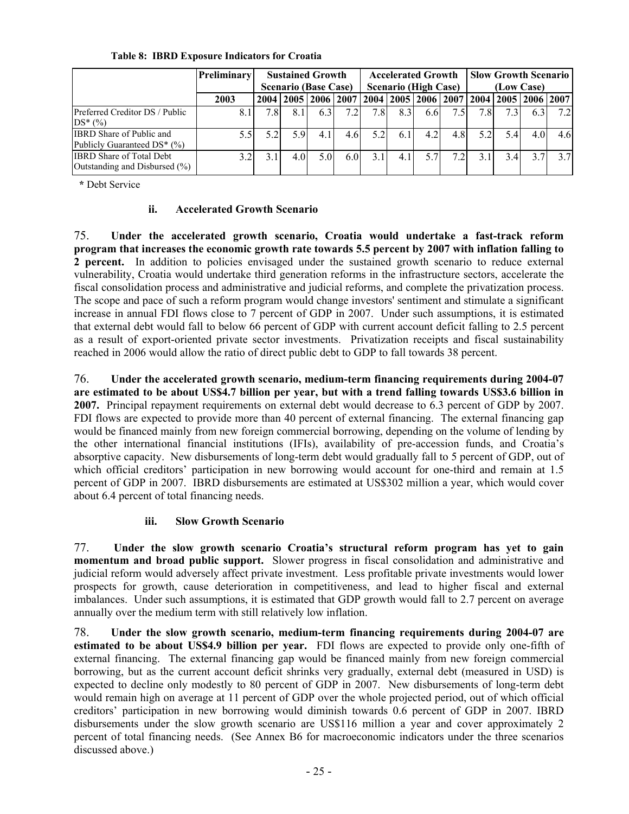|                                                                  | <b>Preliminary</b> | <b>Sustained Growth</b><br><b>Scenario (Base Case)</b> |      |                                                                                   | <b>Accelerated Growth</b><br><b>Scenario (High Case)</b> |      |     | <b>Slow Growth Scenario</b><br>(Low Case) |     |     |     |     |     |
|------------------------------------------------------------------|--------------------|--------------------------------------------------------|------|-----------------------------------------------------------------------------------|----------------------------------------------------------|------|-----|-------------------------------------------|-----|-----|-----|-----|-----|
|                                                                  | 2003               |                                                        |      | 2004   2005   2006   2007   2004   2005   2006   2007   2004   2005   2006   2007 |                                                          |      |     |                                           |     |     |     |     |     |
| Preferred Creditor DS / Public<br>$DS*(\%)$                      | 8.1                | 78                                                     | 8.1  | 6.31                                                                              | 7.2 <sub>1</sub>                                         | 7.8I | 8.3 | 6.6                                       | 7.5 | 7.8 | 7.3 | 6.3 | 7.2 |
| <b>IBRD</b> Share of Public and<br>Publicly Guaranteed DS* (%)   | 5.5                | 5.2                                                    | .5.9 | 4 1                                                                               | 4.6                                                      | 5.2  | 6.1 | 4.2                                       | 4.8 | 5.2 | 54  | 4.0 | 4.6 |
| <b>IBRD</b> Share of Total Debt<br>Outstanding and Disbursed (%) | 3.2                | 3.1                                                    | 4.0  | 5.0                                                                               | 6.01                                                     | 3.1  | 4.1 | 5.7                                       | 7.2 | 31  | 3.4 | 371 | 37  |

## **Table 8: IBRD Exposure Indicators for Croatia**

 **\*** Debt Service

## **ii. Accelerated Growth Scenario**

75. **Under the accelerated growth scenario, Croatia would undertake a fast-track reform program that increases the economic growth rate towards 5.5 percent by 2007 with inflation falling to 2 percent.** In addition to policies envisaged under the sustained growth scenario to reduce external vulnerability, Croatia would undertake third generation reforms in the infrastructure sectors, accelerate the fiscal consolidation process and administrative and judicial reforms, and complete the privatization process. The scope and pace of such a reform program would change investors' sentiment and stimulate a significant increase in annual FDI flows close to 7 percent of GDP in 2007. Under such assumptions, it is estimated that external debt would fall to below 66 percent of GDP with current account deficit falling to 2.5 percent as a result of export-oriented private sector investments. Privatization receipts and fiscal sustainability reached in 2006 would allow the ratio of direct public debt to GDP to fall towards 38 percent.

76. **Under the accelerated growth scenario, medium-term financing requirements during 2004-07 are estimated to be about US\$4.7 billion per year, but with a trend falling towards US\$3.6 billion in 2007.** Principal repayment requirements on external debt would decrease to 6.3 percent of GDP by 2007. FDI flows are expected to provide more than 40 percent of external financing. The external financing gap would be financed mainly from new foreign commercial borrowing, depending on the volume of lending by the other international financial institutions (IFIs), availability of pre-accession funds, and Croatia's absorptive capacity. New disbursements of long-term debt would gradually fall to 5 percent of GDP, out of which official creditors' participation in new borrowing would account for one-third and remain at 1.5 percent of GDP in 2007. IBRD disbursements are estimated at US\$302 million a year, which would cover about 6.4 percent of total financing needs.

# **iii. Slow Growth Scenario**

77. **Under the slow growth scenario Croatia's structural reform program has yet to gain momentum and broad public support.** Slower progress in fiscal consolidation and administrative and judicial reform would adversely affect private investment. Less profitable private investments would lower prospects for growth, cause deterioration in competitiveness, and lead to higher fiscal and external imbalances. Under such assumptions, it is estimated that GDP growth would fall to 2.7 percent on average annually over the medium term with still relatively low inflation.

78. **Under the slow growth scenario, medium-term financing requirements during 2004-07 are estimated to be about US\$4.9 billion per year.** FDI flows are expected to provide only one-fifth of external financing. The external financing gap would be financed mainly from new foreign commercial borrowing, but as the current account deficit shrinks very gradually, external debt (measured in USD) is expected to decline only modestly to 80 percent of GDP in 2007. New disbursements of long-term debt would remain high on average at 11 percent of GDP over the whole projected period, out of which official creditors' participation in new borrowing would diminish towards 0.6 percent of GDP in 2007. IBRD disbursements under the slow growth scenario are US\$116 million a year and cover approximately 2 percent of total financing needs. (See Annex B6 for macroeconomic indicators under the three scenarios discussed above.)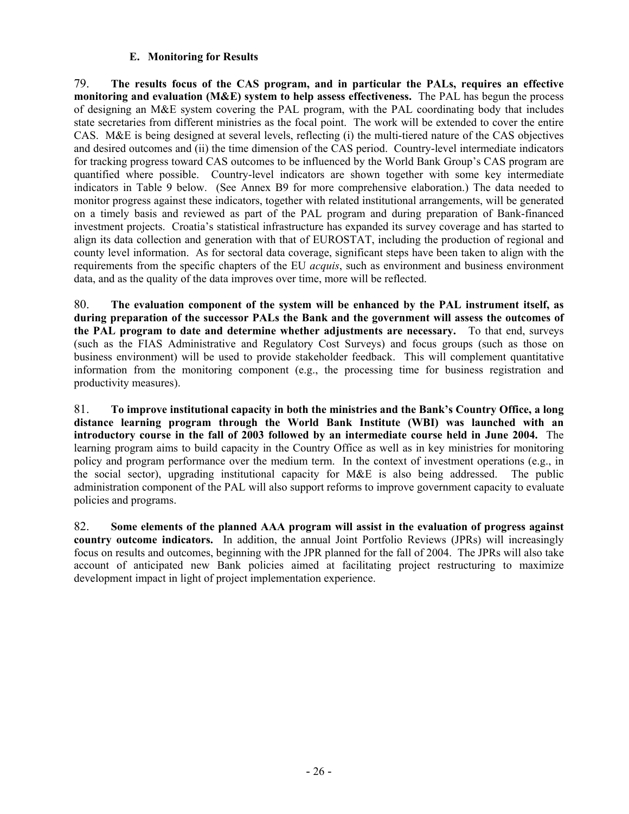## **E. Monitoring for Results**

79. **The results focus of the CAS program, and in particular the PALs, requires an effective monitoring and evaluation (M&E) system to help assess effectiveness.** The PAL has begun the process of designing an M&E system covering the PAL program, with the PAL coordinating body that includes state secretaries from different ministries as the focal point. The work will be extended to cover the entire CAS. M&E is being designed at several levels, reflecting (i) the multi-tiered nature of the CAS objectives and desired outcomes and (ii) the time dimension of the CAS period. Country-level intermediate indicators for tracking progress toward CAS outcomes to be influenced by the World Bank Group's CAS program are quantified where possible. Country-level indicators are shown together with some key intermediate indicators in Table 9 below. (See Annex B9 for more comprehensive elaboration.) The data needed to monitor progress against these indicators, together with related institutional arrangements, will be generated on a timely basis and reviewed as part of the PAL program and during preparation of Bank-financed investment projects. Croatia's statistical infrastructure has expanded its survey coverage and has started to align its data collection and generation with that of EUROSTAT, including the production of regional and county level information. As for sectoral data coverage, significant steps have been taken to align with the requirements from the specific chapters of the EU *acquis*, such as environment and business environment data, and as the quality of the data improves over time, more will be reflected.

80. **The evaluation component of the system will be enhanced by the PAL instrument itself, as during preparation of the successor PALs the Bank and the government will assess the outcomes of the PAL program to date and determine whether adjustments are necessary.** To that end, surveys (such as the FIAS Administrative and Regulatory Cost Surveys) and focus groups (such as those on business environment) will be used to provide stakeholder feedback. This will complement quantitative information from the monitoring component (e.g., the processing time for business registration and productivity measures).

81. **To improve institutional capacity in both the ministries and the Bank's Country Office, a long distance learning program through the World Bank Institute (WBI) was launched with an introductory course in the fall of 2003 followed by an intermediate course held in June 2004.** The learning program aims to build capacity in the Country Office as well as in key ministries for monitoring policy and program performance over the medium term. In the context of investment operations (e.g., in the social sector), upgrading institutional capacity for M&E is also being addressed. The public administration component of the PAL will also support reforms to improve government capacity to evaluate policies and programs.

82. **Some elements of the planned AAA program will assist in the evaluation of progress against country outcome indicators.** In addition, the annual Joint Portfolio Reviews (JPRs) will increasingly focus on results and outcomes, beginning with the JPR planned for the fall of 2004. The JPRs will also take account of anticipated new Bank policies aimed at facilitating project restructuring to maximize development impact in light of project implementation experience.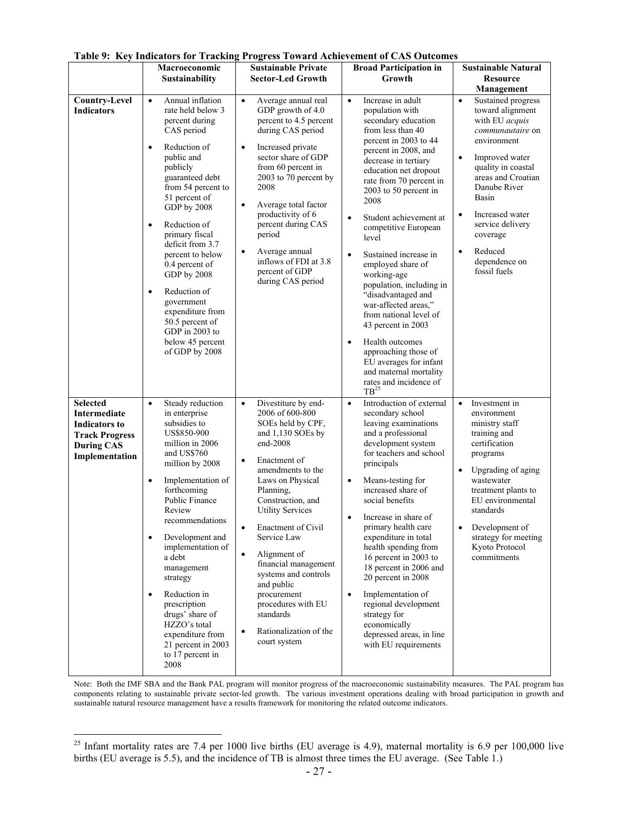|                                                                                                                         | Macroeconomic<br><b>Sustainability</b>                                                                                                                                                                                                                                                                                                                                                                                                                                               | $0.992 - 0.11$<br><b>Sustainable Private</b><br><b>Sector-Led Growth</b>                                                                                                                                                                                                                                                                                                                                                                                                                                  | <b>Broad Participation in</b><br>Growth                                                                                                                                                                                                                                                                                                                                                                                                                                                                                                                                                                                                                                                    | <b>Sustainable Natural</b><br><b>Resource</b>                                                                                                                                                                                                                                                               |  |  |
|-------------------------------------------------------------------------------------------------------------------------|--------------------------------------------------------------------------------------------------------------------------------------------------------------------------------------------------------------------------------------------------------------------------------------------------------------------------------------------------------------------------------------------------------------------------------------------------------------------------------------|-----------------------------------------------------------------------------------------------------------------------------------------------------------------------------------------------------------------------------------------------------------------------------------------------------------------------------------------------------------------------------------------------------------------------------------------------------------------------------------------------------------|--------------------------------------------------------------------------------------------------------------------------------------------------------------------------------------------------------------------------------------------------------------------------------------------------------------------------------------------------------------------------------------------------------------------------------------------------------------------------------------------------------------------------------------------------------------------------------------------------------------------------------------------------------------------------------------------|-------------------------------------------------------------------------------------------------------------------------------------------------------------------------------------------------------------------------------------------------------------------------------------------------------------|--|--|
|                                                                                                                         |                                                                                                                                                                                                                                                                                                                                                                                                                                                                                      |                                                                                                                                                                                                                                                                                                                                                                                                                                                                                                           |                                                                                                                                                                                                                                                                                                                                                                                                                                                                                                                                                                                                                                                                                            | Management                                                                                                                                                                                                                                                                                                  |  |  |
| <b>Country-Level</b><br><b>Indicators</b>                                                                               | Annual inflation<br>$\bullet$<br>rate held below 3<br>percent during<br>CAS period<br>Reduction of<br>$\bullet$<br>public and<br>publicly<br>guaranteed debt<br>from 54 percent to<br>51 percent of<br>GDP by 2008<br>Reduction of<br>$\bullet$<br>primary fiscal<br>deficit from 3.7<br>percent to below<br>0.4 percent of<br>GDP by 2008<br>Reduction of<br>$\bullet$<br>government<br>expenditure from<br>50.5 percent of<br>GDP in 2003 to<br>below 45 percent<br>of GDP by 2008 | Average annual real<br>$\bullet$<br>GDP growth of 4.0<br>percent to 4.5 percent<br>during CAS period<br>Increased private<br>$\bullet$<br>sector share of GDP<br>from 60 percent in<br>2003 to 70 percent by<br>2008<br>Average total factor<br>$\bullet$<br>productivity of 6<br>percent during CAS<br>period<br>Average annual<br>$\bullet$<br>inflows of FDI at 3.8<br>percent of GDP<br>during CAS period                                                                                             | Increase in adult<br>$\bullet$<br>population with<br>secondary education<br>from less than 40<br>percent in 2003 to 44<br>percent in 2008, and<br>decrease in tertiary<br>education net dropout<br>rate from 70 percent in<br>2003 to 50 percent in<br>2008<br>$\bullet$<br>Student achievement at<br>competitive European<br>level<br>$\bullet$<br>Sustained increase in<br>employed share of<br>working-age<br>population, including in<br>"disadvantaged and<br>war-affected areas,"<br>from national level of<br>43 percent in 2003<br>Health outcomes<br>$\bullet$<br>approaching those of<br>EU averages for infant<br>and maternal mortality<br>rates and incidence of<br>$TB^{25}$ | Sustained progress<br>$\bullet$<br>toward alignment<br>with EU acquis<br>communautaire on<br>environment<br>Improved water<br>quality in coastal<br>areas and Croatian<br>Danube River<br>Basin<br>Increased water<br>service delivery<br>coverage<br>Reduced<br>$\bullet$<br>dependence on<br>fossil fuels |  |  |
| <b>Selected</b><br>Intermediate<br><b>Indicators to</b><br><b>Track Progress</b><br><b>During CAS</b><br>Implementation | Steady reduction<br>$\bullet$<br>in enterprise<br>subsidies to<br>US\$850-900<br>million in 2006<br>and US\$760<br>million by 2008<br>Implementation of<br>$\bullet$<br>forthcoming<br>Public Finance<br>Review<br>recommendations<br>$\bullet$<br>Development and<br>implementation of<br>a debt<br>management<br>strategy<br>Reduction in<br>$\bullet$<br>prescription<br>drugs' share of<br>HZZO's total<br>expenditure from<br>21 percent in 2003<br>to 17 percent in<br>2008    | Divestiture by end-<br>$\bullet$<br>2006 of 600-800<br>SOEs held by CPF,<br>and 1,130 SOEs by<br>end-2008<br>Enactment of<br>$\bullet$<br>amendments to the<br>Laws on Physical<br>Planning,<br>Construction, and<br><b>Utility Services</b><br><b>Enactment of Civil</b><br>$\bullet$<br>Service Law<br>$\bullet$<br>Alignment of<br>financial management<br>systems and controls<br>and public<br>procurement<br>procedures with EU<br>standards<br>Rationalization of the<br>$\bullet$<br>court system | Introduction of external<br>$\bullet$<br>secondary school<br>leaving examinations<br>and a professional<br>development system<br>for teachers and school<br>principals<br>Means-testing for<br>$\bullet$<br>increased share of<br>social benefits<br>Increase in share of<br>primary health care<br>expenditure in total<br>health spending from<br>16 percent in 2003 to<br>18 percent in 2006 and<br>20 percent in 2008<br>Implementation of<br>$\bullet$<br>regional development<br>strategy for<br>economically<br>depressed areas, in line<br>with EU requirements                                                                                                                    | Investment in<br>$\bullet$<br>environment<br>ministry staff<br>training and<br>certification<br>programs<br>Upgrading of aging<br>$\bullet$<br>wastewater<br>treatment plants to<br>EU environmental<br>standards<br>Development of<br>strategy for meeting<br>Kyoto Protocol<br>commitments                |  |  |

**Table 9: Key Indicators for Tracking Progress Toward Achievement of CAS Outcomes** 

Note: Both the IMF SBA and the Bank PAL program will monitor progress of the macroeconomic sustainability measures. The PAL program has components relating to sustainable private sector-led growth. The various investment operations dealing with broad participation in growth and sustainable natural resource management have a results framework for monitoring the related outcome indicators.

 $\overline{a}$ 

<sup>&</sup>lt;sup>25</sup> Infant mortality rates are 7.4 per 1000 live births (EU average is 4.9), maternal mortality is 6.9 per 100,000 live births (EU average is 5.5), and the incidence of TB is almost three times the EU average. (See Table 1.)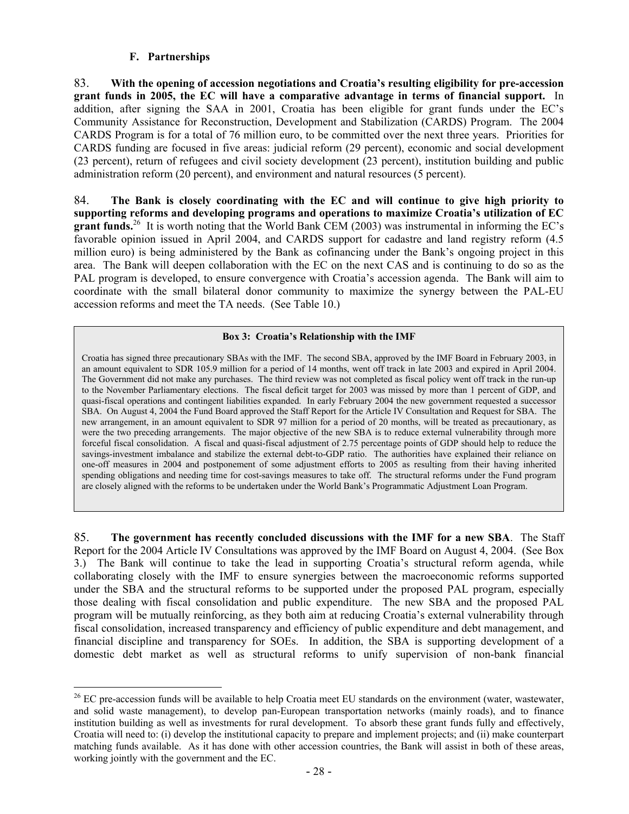#### **F. Partnerships**

 $\overline{a}$ 

83. **With the opening of accession negotiations and Croatia's resulting eligibility for pre-accession grant funds in 2005, the EC will have a comparative advantage in terms of financial support.** In addition, after signing the SAA in 2001, Croatia has been eligible for grant funds under the EC's Community Assistance for Reconstruction, Development and Stabilization (CARDS) Program. The 2004 CARDS Program is for a total of 76 million euro, to be committed over the next three years. Priorities for CARDS funding are focused in five areas: judicial reform (29 percent), economic and social development (23 percent), return of refugees and civil society development (23 percent), institution building and public administration reform (20 percent), and environment and natural resources (5 percent).

84. **The Bank is closely coordinating with the EC and will continue to give high priority to supporting reforms and developing programs and operations to maximize Croatia's utilization of EC grant funds.**<sup>26</sup> It is worth noting that the World Bank CEM (2003) was instrumental in informing the EC's favorable opinion issued in April 2004, and CARDS support for cadastre and land registry reform (4.5 million euro) is being administered by the Bank as cofinancing under the Bank's ongoing project in this area. The Bank will deepen collaboration with the EC on the next CAS and is continuing to do so as the PAL program is developed, to ensure convergence with Croatia's accession agenda. The Bank will aim to coordinate with the small bilateral donor community to maximize the synergy between the PAL-EU accession reforms and meet the TA needs. (See Table 10.)

## **Box 3: Croatia's Relationship with the IMF**

Croatia has signed three precautionary SBAs with the IMF. The second SBA, approved by the IMF Board in February 2003, in an amount equivalent to SDR 105.9 million for a period of 14 months, went off track in late 2003 and expired in April 2004. The Government did not make any purchases. The third review was not completed as fiscal policy went off track in the run-up to the November Parliamentary elections. The fiscal deficit target for 2003 was missed by more than 1 percent of GDP, and quasi-fiscal operations and contingent liabilities expanded. In early February 2004 the new government requested a successor SBA. On August 4, 2004 the Fund Board approved the Staff Report for the Article IV Consultation and Request for SBA. The new arrangement, in an amount equivalent to SDR 97 million for a period of 20 months, will be treated as precautionary, as were the two preceding arrangements. The major objective of the new SBA is to reduce external vulnerability through more forceful fiscal consolidation. A fiscal and quasi-fiscal adjustment of 2.75 percentage points of GDP should help to reduce the savings-investment imbalance and stabilize the external debt-to-GDP ratio. The authorities have explained their reliance on one-off measures in 2004 and postponement of some adjustment efforts to 2005 as resulting from their having inherited spending obligations and needing time for cost-savings measures to take off. The structural reforms under the Fund program are closely aligned with the reforms to be undertaken under the World Bank's Programmatic Adjustment Loan Program.

85. **The government has recently concluded discussions with the IMF for a new SBA**. The Staff Report for the 2004 Article IV Consultations was approved by the IMF Board on August 4, 2004. (See Box 3.) The Bank will continue to take the lead in supporting Croatia's structural reform agenda, while collaborating closely with the IMF to ensure synergies between the macroeconomic reforms supported under the SBA and the structural reforms to be supported under the proposed PAL program, especially those dealing with fiscal consolidation and public expenditure. The new SBA and the proposed PAL program will be mutually reinforcing, as they both aim at reducing Croatia's external vulnerability through fiscal consolidation, increased transparency and efficiency of public expenditure and debt management, and financial discipline and transparency for SOEs. In addition, the SBA is supporting development of a domestic debt market as well as structural reforms to unify supervision of non-bank financial

 $26$  EC pre-accession funds will be available to help Croatia meet EU standards on the environment (water, wastewater, and solid waste management), to develop pan-European transportation networks (mainly roads), and to finance institution building as well as investments for rural development. To absorb these grant funds fully and effectively, Croatia will need to: (i) develop the institutional capacity to prepare and implement projects; and (ii) make counterpart matching funds available. As it has done with other accession countries, the Bank will assist in both of these areas, working jointly with the government and the EC.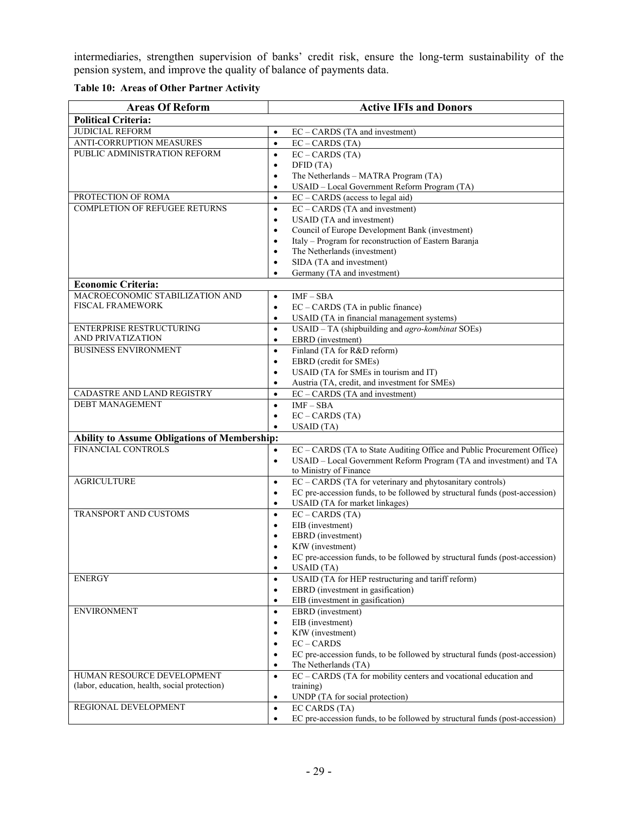intermediaries, strengthen supervision of banks' credit risk, ensure the long-term sustainability of the pension system, and improve the quality of balance of payments data.

**Table 10: Areas of Other Partner Activity** 

| <b>Areas Of Reform</b>                              | <b>Active IFIs and Donors</b>                                                            |
|-----------------------------------------------------|------------------------------------------------------------------------------------------|
| <b>Political Criteria:</b>                          |                                                                                          |
| <b>JUDICIAL REFORM</b>                              | EC - CARDS (TA and investment)<br>$\bullet$                                              |
| <b>ANTI-CORRUPTION MEASURES</b>                     | $EC - CARDS (TA)$<br>$\bullet$                                                           |
| PUBLIC ADMINISTRATION REFORM                        | $EC - CARDS (TA)$<br>$\bullet$                                                           |
|                                                     | DFID (TA)<br>$\bullet$                                                                   |
|                                                     | The Netherlands - MATRA Program (TA)<br>$\bullet$                                        |
|                                                     | USAID - Local Government Reform Program (TA)<br>$\bullet$                                |
| PROTECTION OF ROMA                                  | $EC - CARDS$ (access to legal aid)<br>$\bullet$                                          |
| <b>COMPLETION OF REFUGEE RETURNS</b>                | EC - CARDS (TA and investment)<br>$\bullet$                                              |
|                                                     | USAID (TA and investment)<br>$\bullet$                                                   |
|                                                     | Council of Europe Development Bank (investment)<br>$\bullet$                             |
|                                                     | Italy - Program for reconstruction of Eastern Baranja<br>$\bullet$                       |
|                                                     | The Netherlands (investment)<br>٠                                                        |
|                                                     | SIDA (TA and investment)<br>$\bullet$                                                    |
|                                                     | Germany (TA and investment)<br>$\bullet$                                                 |
| <b>Economic Criteria:</b>                           |                                                                                          |
| MACROECONOMIC STABILIZATION AND                     | $IMF - SBA$<br>$\bullet$                                                                 |
| <b>FISCAL FRAMEWORK</b>                             | EC - CARDS (TA in public finance)<br>$\bullet$                                           |
|                                                     | USAID (TA in financial management systems)<br>$\bullet$                                  |
| <b>ENTERPRISE RESTRUCTURING</b>                     | USAID - TA (shipbuilding and agro-kombinat SOEs)<br>$\bullet$                            |
| AND PRIVATIZATION                                   | EBRD (investment)<br>$\bullet$                                                           |
| <b>BUSINESS ENVIRONMENT</b>                         | Finland (TA for R&D reform)<br>$\bullet$                                                 |
|                                                     | EBRD (credit for SMEs)<br>$\bullet$                                                      |
|                                                     | USAID (TA for SMEs in tourism and IT)<br>$\bullet$                                       |
|                                                     | Austria (TA, credit, and investment for SMEs)<br>٠                                       |
| CADASTRE AND LAND REGISTRY                          | EC - CARDS (TA and investment)<br>$\bullet$                                              |
| <b>DEBT MANAGEMENT</b>                              | $IMF - SBA$<br>$\bullet$                                                                 |
|                                                     | $EC - CARDS (TA)$<br>$\bullet$                                                           |
|                                                     | USAID(TA)<br>$\bullet$                                                                   |
| <b>Ability to Assume Obligations of Membership:</b> |                                                                                          |
| <b>FINANCIAL CONTROLS</b>                           | EC - CARDS (TA to State Auditing Office and Public Procurement Office)<br>$\bullet$      |
|                                                     | USAID - Local Government Reform Program (TA and investment) and TA<br>$\bullet$          |
|                                                     | to Ministry of Finance                                                                   |
| <b>AGRICULTURE</b>                                  | EC - CARDS (TA for veterinary and phytosanitary controls)<br>$\bullet$                   |
|                                                     | EC pre-accession funds, to be followed by structural funds (post-accession)<br>$\bullet$ |
|                                                     | USAID (TA for market linkages)<br>٠                                                      |
| TRANSPORT AND CUSTOMS                               | $EC - CARDS (TA)$<br>$\bullet$                                                           |
|                                                     | EIB (investment)<br>$\bullet$                                                            |
|                                                     | EBRD (investment)                                                                        |
|                                                     | KfW (investment)                                                                         |
|                                                     | EC pre-accession funds, to be followed by structural funds (post-accession)              |
|                                                     | USAID (TA)<br>٠                                                                          |
| <b>ENERGY</b>                                       | USAID (TA for HEP restructuring and tariff reform)<br>$\bullet$                          |
|                                                     | EBRD (investment in gasification)<br>$\bullet$                                           |
|                                                     | EIB (investment in gasification)<br>$\bullet$                                            |
| <b>ENVIRONMENT</b>                                  | EBRD (investment)<br>$\bullet$                                                           |
|                                                     | EIB (investment)<br>٠                                                                    |
|                                                     | KfW (investment)<br>$\bullet$                                                            |
|                                                     | $EC - CARDS$<br>$\bullet$                                                                |
|                                                     | EC pre-accession funds, to be followed by structural funds (post-accession)<br>٠         |
|                                                     | The Netherlands (TA)<br>٠                                                                |
| HUMAN RESOURCE DEVELOPMENT                          | EC – CARDS (TA for mobility centers and vocational education and<br>$\bullet$            |
| (labor, education, health, social protection)       | training)                                                                                |
|                                                     | UNDP (TA for social protection)<br>٠                                                     |
| REGIONAL DEVELOPMENT                                | EC CARDS (TA)<br>$\bullet$                                                               |
|                                                     | EC pre-accession funds, to be followed by structural funds (post-accession)<br>$\bullet$ |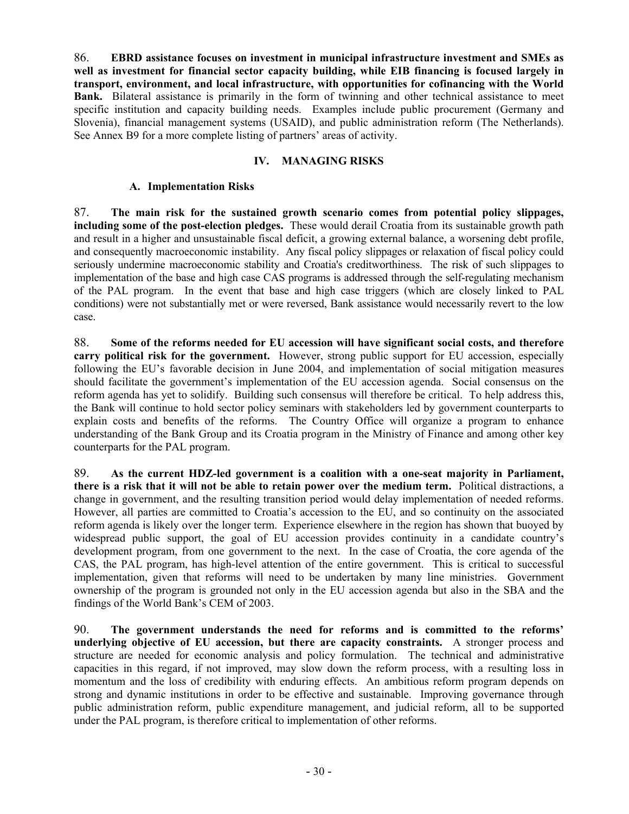86. **EBRD assistance focuses on investment in municipal infrastructure investment and SMEs as well as investment for financial sector capacity building, while EIB financing is focused largely in transport, environment, and local infrastructure, with opportunities for cofinancing with the World Bank.** Bilateral assistance is primarily in the form of twinning and other technical assistance to meet specific institution and capacity building needs. Examples include public procurement (Germany and Slovenia), financial management systems (USAID), and public administration reform (The Netherlands). See Annex B9 for a more complete listing of partners' areas of activity.

# **IV. MANAGING RISKS**

# **A. Implementation Risks**

87. **The main risk for the sustained growth scenario comes from potential policy slippages, including some of the post-election pledges.** These would derail Croatia from its sustainable growth path and result in a higher and unsustainable fiscal deficit, a growing external balance, a worsening debt profile, and consequently macroeconomic instability. Any fiscal policy slippages or relaxation of fiscal policy could seriously undermine macroeconomic stability and Croatia's creditworthiness. The risk of such slippages to implementation of the base and high case CAS programs is addressed through the self-regulating mechanism of the PAL program. In the event that base and high case triggers (which are closely linked to PAL conditions) were not substantially met or were reversed, Bank assistance would necessarily revert to the low case.

88. **Some of the reforms needed for EU accession will have significant social costs, and therefore carry political risk for the government.** However, strong public support for EU accession, especially following the EU's favorable decision in June 2004, and implementation of social mitigation measures should facilitate the government's implementation of the EU accession agenda. Social consensus on the reform agenda has yet to solidify. Building such consensus will therefore be critical. To help address this, the Bank will continue to hold sector policy seminars with stakeholders led by government counterparts to explain costs and benefits of the reforms. The Country Office will organize a program to enhance understanding of the Bank Group and its Croatia program in the Ministry of Finance and among other key counterparts for the PAL program.

89. **As the current HDZ-led government is a coalition with a one-seat majority in Parliament, there is a risk that it will not be able to retain power over the medium term.** Political distractions, a change in government, and the resulting transition period would delay implementation of needed reforms. However, all parties are committed to Croatia's accession to the EU, and so continuity on the associated reform agenda is likely over the longer term. Experience elsewhere in the region has shown that buoyed by widespread public support, the goal of EU accession provides continuity in a candidate country's development program, from one government to the next. In the case of Croatia, the core agenda of the CAS, the PAL program, has high-level attention of the entire government. This is critical to successful implementation, given that reforms will need to be undertaken by many line ministries. Government ownership of the program is grounded not only in the EU accession agenda but also in the SBA and the findings of the World Bank's CEM of 2003.

90. **The government understands the need for reforms and is committed to the reforms' underlying objective of EU accession, but there are capacity constraints.** A stronger process and structure are needed for economic analysis and policy formulation. The technical and administrative capacities in this regard, if not improved, may slow down the reform process, with a resulting loss in momentum and the loss of credibility with enduring effects. An ambitious reform program depends on strong and dynamic institutions in order to be effective and sustainable. Improving governance through public administration reform, public expenditure management, and judicial reform, all to be supported under the PAL program, is therefore critical to implementation of other reforms.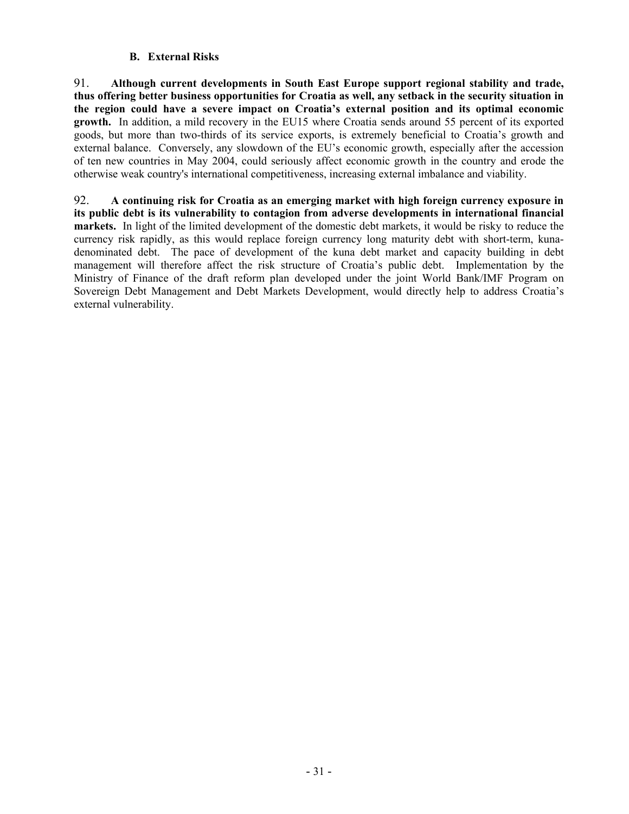# **B. External Risks**

91. **Although current developments in South East Europe support regional stability and trade, thus offering better business opportunities for Croatia as well, any setback in the security situation in the region could have a severe impact on Croatia's external position and its optimal economic growth.** In addition, a mild recovery in the EU15 where Croatia sends around 55 percent of its exported goods, but more than two-thirds of its service exports, is extremely beneficial to Croatia's growth and external balance. Conversely, any slowdown of the EU's economic growth, especially after the accession of ten new countries in May 2004, could seriously affect economic growth in the country and erode the otherwise weak country's international competitiveness, increasing external imbalance and viability.

92. **A continuing risk for Croatia as an emerging market with high foreign currency exposure in its public debt is its vulnerability to contagion from adverse developments in international financial markets.** In light of the limited development of the domestic debt markets, it would be risky to reduce the currency risk rapidly, as this would replace foreign currency long maturity debt with short-term, kunadenominated debt. The pace of development of the kuna debt market and capacity building in debt management will therefore affect the risk structure of Croatia's public debt. Implementation by the Ministry of Finance of the draft reform plan developed under the joint World Bank/IMF Program on Sovereign Debt Management and Debt Markets Development, would directly help to address Croatia's external vulnerability.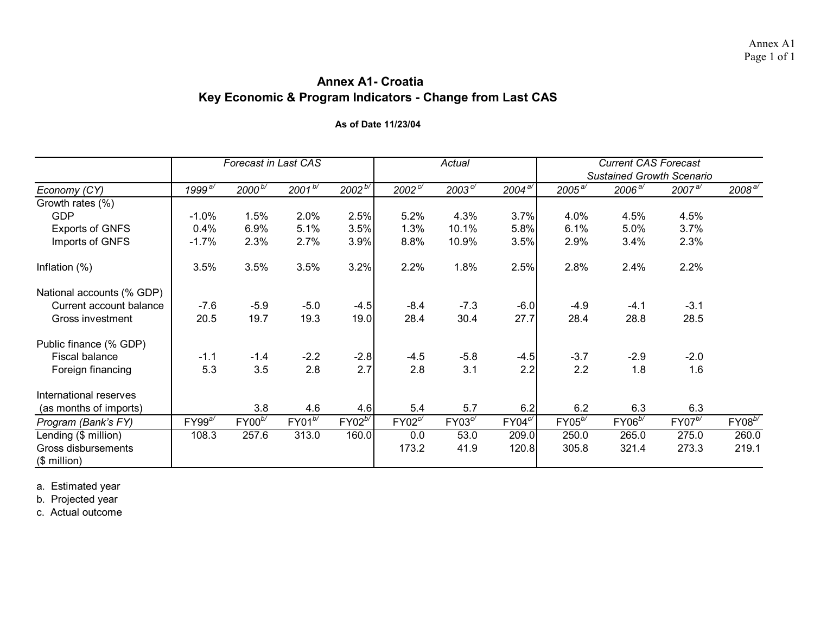# **Annex A1- CroatiaKey Economic & Program Indicators - Change from Last CAS**

#### **As of Date 11/23/04**

|                           |                                            | Forecast in Last CAS |             |              |               | Actual        |             |             | <b>Current CAS Forecast</b><br><b>Sustained Growth Scenario</b> |             |                       |
|---------------------------|--------------------------------------------|----------------------|-------------|--------------|---------------|---------------|-------------|-------------|-----------------------------------------------------------------|-------------|-----------------------|
| Economy (CY)              | 1999 $^{\mathsf{a} \overline{\mathsf{c}}}$ | $2000^{b/}$          | $2001^{b/}$ | $2002^{b/2}$ | $2002^{\,c/}$ | $2003^{\,c/}$ | $2004^{a/}$ | $2005^{a/}$ | $2006^{\overline{a'}}$                                          | $2007^{a/}$ | $2008^{\overline{a}}$ |
| Growth rates (%)          |                                            |                      |             |              |               |               |             |             |                                                                 |             |                       |
| <b>GDP</b>                | $-1.0%$                                    | 1.5%                 | 2.0%        | 2.5%         | 5.2%          | 4.3%          | 3.7%        | 4.0%        | 4.5%                                                            | 4.5%        |                       |
| <b>Exports of GNFS</b>    | 0.4%                                       | 6.9%                 | 5.1%        | 3.5%         | 1.3%          | 10.1%         | 5.8%        | 6.1%        | 5.0%                                                            | 3.7%        |                       |
| Imports of GNFS           | $-1.7%$                                    | 2.3%                 | 2.7%        | 3.9%         | 8.8%          | 10.9%         | 3.5%        | 2.9%        | 3.4%                                                            | 2.3%        |                       |
| Inflation $(\%)$          | 3.5%                                       | 3.5%                 | 3.5%        | 3.2%         | 2.2%          | 1.8%          | 2.5%        | 2.8%        | 2.4%                                                            | 2.2%        |                       |
| National accounts (% GDP) |                                            |                      |             |              |               |               |             |             |                                                                 |             |                       |
| Current account balance   | $-7.6$                                     | $-5.9$               | $-5.0$      | $-4.5$       | $-8.4$        | $-7.3$        | $-6.0$      | $-4.9$      | $-4.1$                                                          | $-3.1$      |                       |
| Gross investment          | 20.5                                       | 19.7                 | 19.3        | 19.0         | 28.4          | 30.4          | 27.7        | 28.4        | 28.8                                                            | 28.5        |                       |
| Public finance (% GDP)    |                                            |                      |             |              |               |               |             |             |                                                                 |             |                       |
| <b>Fiscal balance</b>     | $-1.1$                                     | $-1.4$               | $-2.2$      | $-2.8$       | $-4.5$        | $-5.8$        | $-4.5$      | $-3.7$      | $-2.9$                                                          | $-2.0$      |                       |
| Foreign financing         | 5.3                                        | 3.5                  | 2.8         | 2.7          | 2.8           | 3.1           | 2.2         | 2.2         | 1.8                                                             | 1.6         |                       |
| International reserves    |                                            |                      |             |              |               |               |             |             |                                                                 |             |                       |
| (as months of imports)    |                                            | 3.8                  | 4.6         | 4.6          | 5.4           | 5.7           | 6.2         | 6.2         | 6.3                                                             | 6.3         |                       |
| Program (Bank's FY)       | $FY99^{a/}$                                | $FY00^{b/}$          | $FY01^{b/}$ | $FY02^{b/}$  | $FY02^{c}$    | $FY03^{c'}$   | $FY04^{c'}$ | $FY05^{b/}$ | $FY06^{b/}$                                                     | $FY07^{b/}$ | $FY08^{b/}$           |
| Lending (\$ million)      | 108.3                                      | 257.6                | 313.0       | 160.0        | 0.0           | 53.0          | 209.0       | 250.0       | 265.0                                                           | 275.0       | 260.0                 |
| Gross disbursements       |                                            |                      |             |              | 173.2         | 41.9          | 120.8       | 305.8       | 321.4                                                           | 273.3       | 219.1                 |
| $$$ million)              |                                            |                      |             |              |               |               |             |             |                                                                 |             |                       |

a. Estimated year

b. Projected year

c. Actual outcome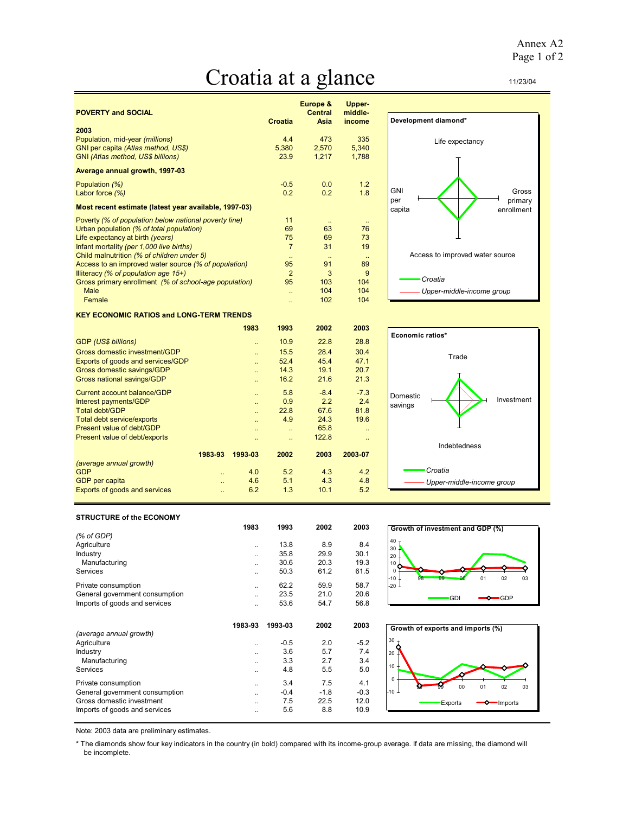# Croatia at a glance

| <b>POVERTY and SOCIAL</b>                             |                      | Europe &<br><b>Central</b> | <b>Upper-</b><br>middle- |
|-------------------------------------------------------|----------------------|----------------------------|--------------------------|
|                                                       | <b>Croatia</b>       | Asia                       | income                   |
| 2003                                                  |                      |                            |                          |
| Population, mid-year (millions)                       | 4.4                  | 473                        | 335                      |
| GNI per capita (Atlas method, US\$)                   | 5,380                | 2,570                      | 5,340                    |
| GNI (Atlas method, US\$ billions)                     | 23.9                 | 1,217                      | 1,788                    |
| Average annual growth, 1997-03                        |                      |                            |                          |
| Population (%)                                        | $-0.5$               | 0.0                        | 1.2                      |
| Labor force $(\%)$                                    | 0.2                  | 0.2                        | 1.8                      |
| Most recent estimate (latest year available, 1997-03) |                      |                            |                          |
| Poverty (% of population below national poverty line) | 11                   |                            | $\ddotsc$                |
| Urban population (% of total population)              | 69                   | 63                         | 76                       |
| Life expectancy at birth (years)                      | 75                   | 69                         | 73                       |
| Infant mortality (per 1,000 live births)              | $\overline{7}$       | 31                         | 19                       |
| Child malnutrition (% of children under 5)            | $\ddot{\phantom{1}}$ | $\ddot{\phantom{1}}$       | $\ddotsc$                |
| Access to an improved water source (% of population)  | 95                   | 91                         | 89                       |
| Illiteracy (% of population age $15+$ )               | $\overline{2}$       | 3                          | 9                        |
| Gross primary enrollment (% of school-age population) | 95                   | 103                        | 104                      |
| <b>Male</b>                                           | Ω.                   | 104                        | 104                      |
| Female                                                |                      | 102                        | 104                      |



#### **KEY ECONOMIC RATIOS and LONG-TERM TRENDS**

|                                      |                      | 1983                 | 1993 | 2002   | 2003    |
|--------------------------------------|----------------------|----------------------|------|--------|---------|
| <b>GDP (US\$ billions)</b>           |                      | $\ddot{\phantom{1}}$ | 10.9 | 22.8   | 28.8    |
| Gross domestic investment/GDP        |                      | $\ddot{\phantom{a}}$ | 15.5 | 28.4   | 30.4    |
| Exports of goods and services/GDP    |                      | $\ddot{\phantom{a}}$ | 52.4 | 45.4   | 47.1    |
| Gross domestic savings/GDP           |                      | $\ddot{\phantom{a}}$ | 14.3 | 19.1   | 20.7    |
| <b>Gross national savings/GDP</b>    |                      | $\ddot{\phantom{a}}$ | 16.2 | 21.6   | 21.3    |
| Current account balance/GDP          |                      | $\ddot{\phantom{a}}$ | 5.8  | $-8.4$ | $-7.3$  |
| Interest payments/GDP                |                      | $\ddot{\phantom{a}}$ | 0.9  | 2.2    | 2.4     |
| <b>Total debt/GDP</b>                |                      | $\ddot{\phantom{a}}$ | 22.8 | 67.6   | 81.8    |
| <b>Total debt service/exports</b>    |                      | $\ddot{\phantom{a}}$ | 4.9  | 24.3   | 19.6    |
| Present value of debt/GDP            |                      | $\ddot{\phantom{a}}$ |      | 65.8   | ٠.      |
| Present value of debt/exports        |                      | $\ddot{\phantom{1}}$ |      | 122.8  | Ω.      |
|                                      | 1983-93              | 1993-03              | 2002 | 2003   | 2003-07 |
| (average annual growth)              |                      |                      |      |        |         |
| GDP                                  | ٠.                   | 4.0                  | 5.2  | 4.3    | 4.2     |
| <b>GDP</b> per capita                | $\ddot{\phantom{a}}$ | 4.6                  | 5.1  | 4.3    | 4.8     |
| <b>Exports of goods and services</b> | ٠.                   | 6.2                  | 1.3  | 10.1   | 5.2     |
|                                      |                      |                      |      |        |         |



#### **STRUCTURE of the ECONOMY**

|                                | 1983                 | 1993    | 2002   | 2003   | Growth of investment and G |
|--------------------------------|----------------------|---------|--------|--------|----------------------------|
| (% of GDP)                     |                      |         |        |        |                            |
| Agriculture                    | $\ddot{\phantom{a}}$ | 13.8    | 8.9    | 8.4    | 40<br>30                   |
| Industry                       | $\ddot{\phantom{a}}$ | 35.8    | 29.9   | 30.1   | 20                         |
| Manufacturing                  |                      | 30.6    | 20.3   | 19.3   | 10.                        |
| Services                       | $\ddot{\phantom{a}}$ | 50.3    | 61.2   | 61.5   | $\Omega$                   |
| Private consumption            | $\ddot{\phantom{a}}$ | 62.2    | 59.9   | 58.7   | $-10 -$<br>98<br>-20 -     |
| General government consumption | $\ddot{\phantom{a}}$ | 23.5    | 21.0   | 20.6   |                            |
| Imports of goods and services  | $\ddot{\phantom{a}}$ | 53.6    | 54.7   | 56.8   | <b>GDI</b>                 |
|                                | 1983-93              | 1993-03 | 2002   | 2003   | Growth of exports and impo |
|                                |                      |         |        |        |                            |
| (average annual growth)        |                      |         |        |        |                            |
| Agriculture                    | $\ddot{\phantom{a}}$ | $-0.5$  | 2.0    | $-5.2$ | $30 -$                     |
| Industry                       | $\ddot{\phantom{a}}$ | 3.6     | 5.7    | 7.4    | 20                         |
| Manufacturing                  | $\ddot{\phantom{a}}$ | 3.3     | 2.7    | 3.4    |                            |
| Services                       | $\ddot{\phantom{a}}$ | 4.8     | 5.5    | 5.0    | $10 -$                     |
| Private consumption            |                      | 3.4     | 7.5    | 4.1    | $\Omega$                   |
| General government consumption | $\ddot{\phantom{a}}$ | $-0.4$  | $-1.8$ | $-0.3$ | 00<br>l-10 ⊥               |
| Gross domestic investment      | $\ddot{\phantom{a}}$ | 7.5     | 22.5   | 12.0   | <b>Exports</b>             |

**Growth of investment and GDP (%)** ♦ 98 99 00 01 02 03 **GDP** 



Note: 2003 data are preliminary estimates.

\* The diamonds show four key indicators in the country (in bold) compared with its income-group average. If data are missing, the diamond will be incomplete.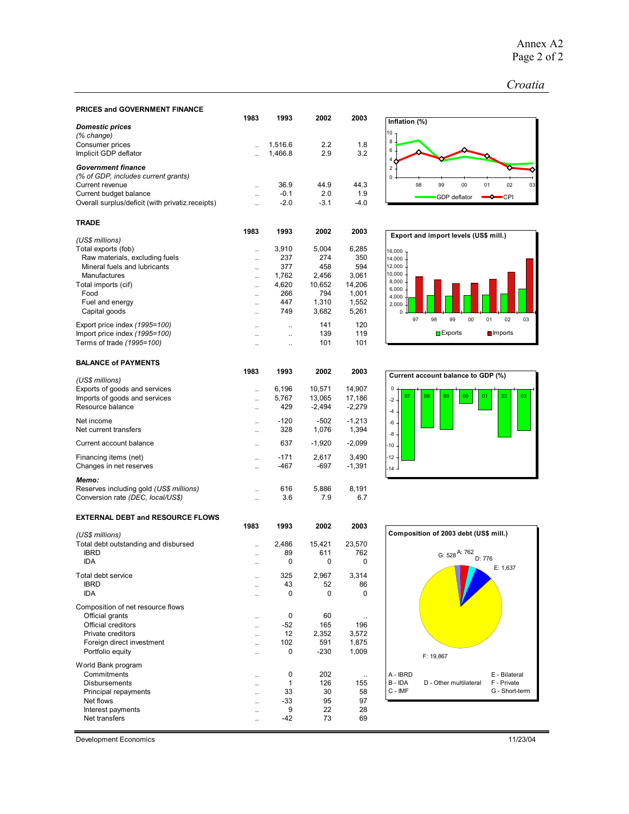#### *Croatia*

| PRICES and GOVERNMENT FINANCE                                  |                                              |                                              |              |                |  |
|----------------------------------------------------------------|----------------------------------------------|----------------------------------------------|--------------|----------------|--|
|                                                                | 1983                                         | 1993                                         | 2002         | 2003           |  |
| <b>Domestic prices</b>                                         |                                              |                                              |              |                |  |
| (% change)<br>Consumer prices                                  | $\ddot{\phantom{a}}$                         | 1,516.6                                      | 2.2          | 1.8            |  |
| Implicit GDP deflator                                          | $\ddotsc$                                    | 1,466.8                                      | 2.9          | 3.2            |  |
|                                                                |                                              |                                              |              |                |  |
| <b>Government finance</b>                                      |                                              |                                              |              |                |  |
| (% of GDP, includes current grants)<br>Current revenue         |                                              | 36.9                                         | 44.9         | 44.3           |  |
| Current budget balance                                         | $\ddotsc$<br>$\ddotsc$                       | $-0.1$                                       | 2.0          | 1.9            |  |
| Overall surplus/deficit (with privatiz.receipts)               | $\ddotsc$                                    | $-2.0$                                       | $-3.1$       | $-4.0$         |  |
|                                                                |                                              |                                              |              |                |  |
| <b>TRADE</b>                                                   |                                              |                                              |              |                |  |
|                                                                | 1983                                         | 1993                                         | 2002         | 2003           |  |
| (US\$ millions)                                                |                                              |                                              |              |                |  |
| Total exports (fob)                                            | $\ddotsc$                                    | 3,910                                        | 5,004        | 6,285          |  |
| Raw materials, excluding fuels                                 | $\ddotsc$                                    | 237<br>377                                   | 274<br>458   | 350<br>594     |  |
| Mineral fuels and lubricants<br>Manufactures                   | Ω.                                           | 1,762                                        | 2,456        | 3,061          |  |
| Total imports (cif)                                            | $\ddot{\phantom{a}}$<br>$\ddot{\phantom{a}}$ | 4,620                                        | 10,652       | 14,206         |  |
| Food                                                           | $\ddot{\phantom{a}}$                         | 266                                          | 794          | 1,001          |  |
| Fuel and energy                                                |                                              | 447                                          | 1,310        | 1,552          |  |
| Capital goods                                                  | $\ddot{\phantom{a}}$                         | 749                                          | 3,682        | 5,261          |  |
|                                                                |                                              |                                              | 141          | 120            |  |
| Export price index (1995=100)<br>Import price index (1995=100) | $\ddot{\phantom{a}}$                         | $\ddot{\phantom{a}}$<br>$\ddot{\phantom{a}}$ | 139          | 119            |  |
| Terms of trade (1995=100)                                      | $\ddot{\phantom{a}}$<br>$\ddot{\phantom{a}}$ | ٠.                                           | 101          | 101            |  |
|                                                                |                                              |                                              |              |                |  |
| <b>BALANCE of PAYMENTS</b>                                     |                                              |                                              |              |                |  |
|                                                                | 1983                                         | 1993                                         | 2002         | 2003           |  |
| (US\$ millions)                                                |                                              |                                              |              |                |  |
| Exports of goods and services                                  | $\ddotsc$                                    | 6,196                                        | 10,571       | 14,907         |  |
| Imports of goods and services<br>Resource balance              | $\ddotsc$                                    | 5,767<br>429                                 | 13,065       | 17,186         |  |
|                                                                | $\ddot{\phantom{0}}$                         |                                              | $-2,494$     | $-2,279$       |  |
| Net income                                                     | $\ddot{\phantom{a}}$                         | $-120$                                       | -502         | $-1,213$       |  |
| Net current transfers                                          | $\ddotsc$                                    | 328                                          | 1,076        | 1,394          |  |
| Current account balance                                        | $\ddotsc$                                    | 637                                          | $-1,920$     | $-2,099$       |  |
| Financing items (net)                                          | $\ddot{\phantom{a}}$                         | $-171$                                       | 2,617        | 3,490          |  |
| Changes in net reserves                                        | $\ddot{\phantom{a}}$                         | -467                                         | -697         | $-1,391$       |  |
| Memo:                                                          |                                              |                                              |              |                |  |
| Reserves including gold (US\$ millions)                        | ٠.                                           | 616                                          | 5,886        | 8,191          |  |
| Conversion rate (DEC, local/US\$)                              | $\ddot{\phantom{a}}$                         | 3.6                                          | 7.9          | 6.7            |  |
|                                                                |                                              |                                              |              |                |  |
| <b>EXTERNAL DEBT and RESOURCE FLOWS</b>                        |                                              |                                              |              |                |  |
|                                                                | 1983                                         | 1993                                         | 2002         | 2003           |  |
| (US\$ millions)                                                |                                              |                                              |              |                |  |
| Total debt outstanding and disbursed<br><b>IBRD</b>            | $\ddot{\phantom{a}}$                         | 2,486                                        | 15,421       | 23,570         |  |
| IDA                                                            | $\ddotsc$                                    | 89<br>0                                      | 611<br>0     | 762<br>0       |  |
|                                                                |                                              |                                              |              |                |  |
| Total debt service                                             |                                              | 325                                          | 2,967        | 3,314          |  |
| <b>IBRD</b>                                                    |                                              | 43                                           | 52           | 86             |  |
| IDA                                                            |                                              | 0                                            | 0            | 0              |  |
| Composition of net resource flows                              |                                              |                                              |              |                |  |
| Official grants                                                | $\ddot{\phantom{0}}$                         | 0                                            | 60           |                |  |
| Official creditors                                             | ٠.                                           | $-52$                                        | 165          | 196            |  |
| Private creditors<br>Foreign direct investment                 | .,                                           | 12<br>102                                    | 2,352<br>591 | 3,572<br>1,875 |  |
|                                                                | ٠.                                           |                                              |              |                |  |

Foreign direct investment  $\begin{array}{ccccccccc}\n & & & & & & & & & & 102 & 591 & 1,875 \\
\text{Portfolio equity} & & & & & & & & \dots & 0 & -230 & 1,009\n\end{array}$ 

Commitments ... 0 202 ...<br>Disbursements ... 1 126 155 Disbursements ... 1 126 155<br>Principal repayments ... 33 30 58 Principal repayments<br>
Net flows 33 30 58<br>
Net flows 33 58<br>
97<br>
97 Net flows ... 33 95 97<br>Interest payments ... 9 22 28

Net transfers 69

Portfolio equity ...

Interest payments .. 9 22 28









Development Economics 11/23/04

World Bank program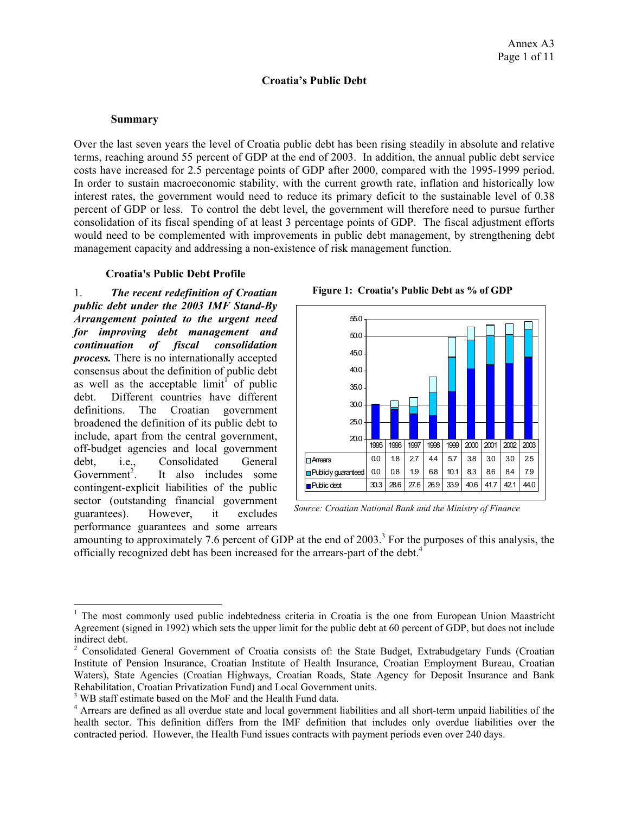#### **Croatia's Public Debt**

#### **Summary**

Over the last seven years the level of Croatia public debt has been rising steadily in absolute and relative terms, reaching around 55 percent of GDP at the end of 2003. In addition, the annual public debt service costs have increased for 2.5 percentage points of GDP after 2000, compared with the 1995-1999 period. In order to sustain macroeconomic stability, with the current growth rate, inflation and historically low interest rates, the government would need to reduce its primary deficit to the sustainable level of 0.38 percent of GDP or less. To control the debt level, the government will therefore need to pursue further consolidation of its fiscal spending of at least 3 percentage points of GDP. The fiscal adjustment efforts would need to be complemented with improvements in public debt management, by strengthening debt management capacity and addressing a non-existence of risk management function.

### **Croatia's Public Debt Profile**

1. *The recent redefinition of Croatian public debt under the 2003 IMF Stand-By Arrangement pointed to the urgent need for improving debt management and continuation of fiscal consolidation process.* There is no internationally accepted consensus about the definition of public debt as well as the acceptable  $\text{limit}^{\text{T}}$  of public debt. Different countries have different definitions. The Croatian government broadened the definition of its public debt to include, apart from the central government, off-budget agencies and local government debt, i.e., Consolidated General Government<sup>2</sup>. . It also includes some contingent-explicit liabilities of the public sector (outstanding financial government guarantees). However, it excludes performance guarantees and some arrears

 $\overline{a}$ 





*Source: Croatian National Bank and the Ministry of Finance* 

amounting to approximately 7.6 percent of GDP at the end of  $2003$ .<sup>3</sup> For the purposes of this analysis, the officially recognized debt has been increased for the arrears-part of the debt.4

<sup>&</sup>lt;sup>1</sup> The most commonly used public indebtedness criteria in Croatia is the one from European Union Maastricht Agreement (signed in 1992) which sets the upper limit for the public debt at 60 percent of GDP, but does not include indirect debt.

<sup>&</sup>lt;sup>2</sup> Consolidated General Government of Croatia consists of: the State Budget, Extrabudgetary Funds (Croatian Institute of Pension Insurance, Croatian Institute of Health Insurance, Croatian Employment Bureau, Croatian Waters), State Agencies (Croatian Highways, Croatian Roads, State Agency for Deposit Insurance and Bank Rehabilitation, Croatian Privatization Fund) and Local Government units.

<sup>&</sup>lt;sup>3</sup> WB staff estimate based on the MoF and the Health Fund data.

<sup>&</sup>lt;sup>4</sup> Arrears are defined as all overdue state and local government liabilities and all short-term unpaid liabilities of the health sector. This definition differs from the IMF definition that includes only overdue liabilities over the contracted period. However, the Health Fund issues contracts with payment periods even over 240 days.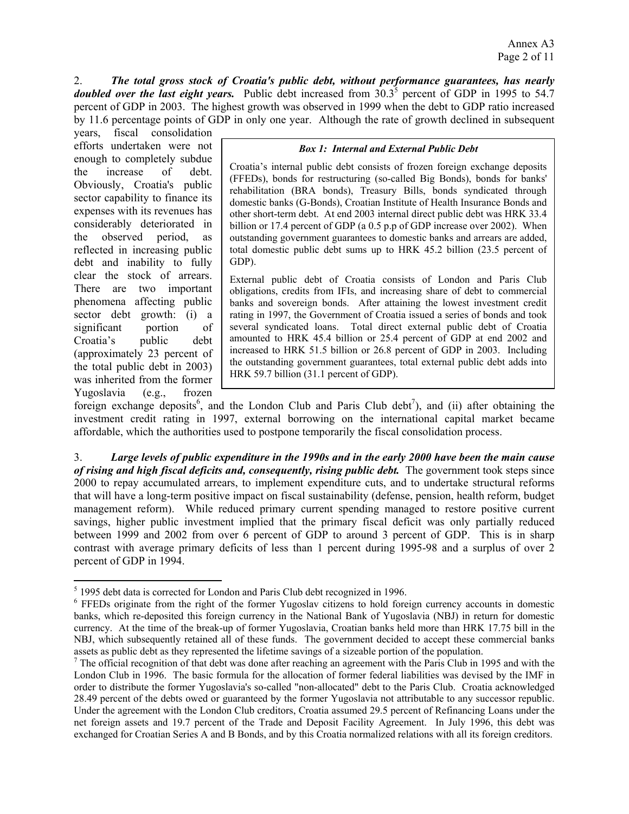2. *The total gross stock of Croatia's public debt, without performance guarantees, has nearly doubled over the last eight years.* Public debt increased from  $30.3^5$  percent of GDP in 1995 to 54.7 percent of GDP in 2003. The highest growth was observed in 1999 when the debt to GDP ratio increased by 11.6 percentage points of GDP in only one year. Although the rate of growth declined in subsequent

years, fiscal consolidation efforts undertaken were not enough to completely subdue the increase of debt. Obviously, Croatia's public sector capability to finance its expenses with its revenues has considerably deteriorated in the observed period, as reflected in increasing public debt and inability to fully clear the stock of arrears. There are two important phenomena affecting public sector debt growth: (i) a significant portion of Croatia's public debt (approximately 23 percent of the total public debt in 2003) was inherited from the former Yugoslavia (e.g., frozen

 $\overline{a}$ 

#### *Box 1: Internal and External Public Debt*

Croatia's internal public debt consists of frozen foreign exchange deposits (FFEDs), bonds for restructuring (so-called Big Bonds), bonds for banks' rehabilitation (BRA bonds), Treasury Bills, bonds syndicated through domestic banks (G-Bonds), Croatian Institute of Health Insurance Bonds and other short-term debt. At end 2003 internal direct public debt was HRK 33.4 billion or 17.4 percent of GDP (a 0.5 p.p of GDP increase over 2002). When outstanding government guarantees to domestic banks and arrears are added, total domestic public debt sums up to HRK 45.2 billion (23.5 percent of GDP).

External public debt of Croatia consists of London and Paris Club obligations, credits from IFIs, and increasing share of debt to commercial banks and sovereign bonds. After attaining the lowest investment credit rating in 1997, the Government of Croatia issued a series of bonds and took several syndicated loans. Total direct external public debt of Croatia amounted to HRK 45.4 billion or 25.4 percent of GDP at end 2002 and increased to HRK 51.5 billion or 26.8 percent of GDP in 2003. Including the outstanding government guarantees, total external public debt adds into HRK 59.7 billion (31.1 percent of GDP).

foreign exchange deposits<sup>6</sup>, and the London Club and Paris Club debt<sup>7</sup>), and (ii) after obtaining the investment credit rating in 1997, external borrowing on the international capital market became affordable, which the authorities used to postpone temporarily the fiscal consolidation process.

3. *Large levels of public expenditure in the 1990s and in the early 2000 have been the main cause of rising and high fiscal deficits and, consequently, rising public debt.* The government took steps since 2000 to repay accumulated arrears, to implement expenditure cuts, and to undertake structural reforms that will have a long-term positive impact on fiscal sustainability (defense, pension, health reform, budget management reform). While reduced primary current spending managed to restore positive current savings, higher public investment implied that the primary fiscal deficit was only partially reduced between 1999 and 2002 from over 6 percent of GDP to around 3 percent of GDP. This is in sharp contrast with average primary deficits of less than 1 percent during 1995-98 and a surplus of over 2 percent of GDP in 1994.

 $<sup>5</sup>$  1995 debt data is corrected for London and Paris Club debt recognized in 1996.</sup>

<sup>&</sup>lt;sup>6</sup> FFEDs originate from the right of the former Yugoslav citizens to hold foreign currency accounts in domestic banks, which re-deposited this foreign currency in the National Bank of Yugoslavia (NBJ) in return for domestic currency. At the time of the break-up of former Yugoslavia, Croatian banks held more than HRK 17.75 bill in the NBJ, which subsequently retained all of these funds. The government decided to accept these commercial banks assets as public debt as they represented the lifetime savings of a sizeable portion of the population.

 $<sup>7</sup>$  The official recognition of that debt was done after reaching an agreement with the Paris Club in 1995 and with the</sup> London Club in 1996. The basic formula for the allocation of former federal liabilities was devised by the IMF in order to distribute the former Yugoslavia's so-called "non-allocated" debt to the Paris Club. Croatia acknowledged 28.49 percent of the debts owed or guaranteed by the former Yugoslavia not attributable to any successor republic. Under the agreement with the London Club creditors, Croatia assumed 29.5 percent of Refinancing Loans under the net foreign assets and 19.7 percent of the Trade and Deposit Facility Agreement. In July 1996, this debt was exchanged for Croatian Series A and B Bonds, and by this Croatia normalized relations with all its foreign creditors.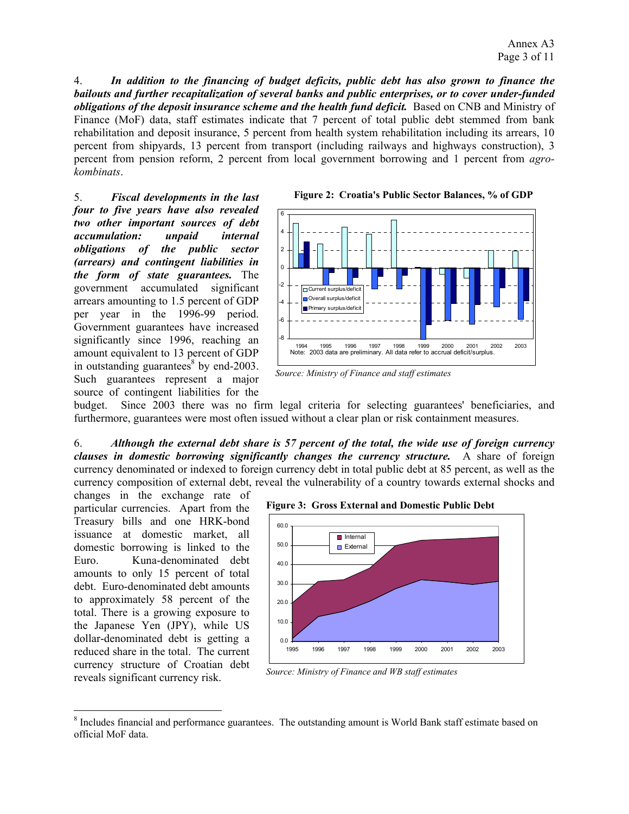4. *In addition to the financing of budget deficits, public debt has also grown to finance the bailouts and further recapitalization of several banks and public enterprises, or to cover under-funded obligations of the deposit insurance scheme and the health fund deficit.* Based on CNB and Ministry of Finance (MoF) data, staff estimates indicate that 7 percent of total public debt stemmed from bank rehabilitation and deposit insurance, 5 percent from health system rehabilitation including its arrears, 10 percent from shipyards, 13 percent from transport (including railways and highways construction), 3 percent from pension reform, 2 percent from local government borrowing and 1 percent from *agrokombinats*.

5. *Fiscal developments in the last four to five years have also revealed two other important sources of debt accumulation: unpaid internal obligations of the public sector (arrears) and contingent liabilities in the form of state guarantees.* The government accumulated significant arrears amounting to 1.5 percent of GDP per year in the 1996-99 period. Government guarantees have increased significantly since 1996, reaching an amount equivalent to 13 percent of GDP in outstanding guarantees $8$  by end-2003. Such guarantees represent a major source of contingent liabilities for the





*Source: Ministry of Finance and staff estimates*

budget. Since 2003 there was no firm legal criteria for selecting guarantees' beneficiaries, and furthermore, guarantees were most often issued without a clear plan or risk containment measures.

6. *Although the external debt share is 57 percent of the total, the wide use of foreign currency clauses in domestic borrowing significantly changes the currency structure.* A share of foreign currency denominated or indexed to foreign currency debt in total public debt at 85 percent, as well as the currency composition of external debt, reveal the vulnerability of a country towards external shocks and

changes in the exchange rate of particular currencies. Apart from the Treasury bills and one HRK-bond issuance at domestic market, all domestic borrowing is linked to the Euro. Kuna-denominated debt amounts to only 15 percent of total debt. Euro-denominated debt amounts to approximately 58 percent of the total. There is a growing exposure to the Japanese Yen (JPY), while US dollar-denominated debt is getting a reduced share in the total. The current currency structure of Croatian debt reveals significant currency risk.

 $\overline{a}$ 





*Source: Ministry of Finance and WB staff estimates* 

<sup>&</sup>lt;sup>8</sup> Includes financial and performance guarantees. The outstanding amount is World Bank staff estimate based on official MoF data.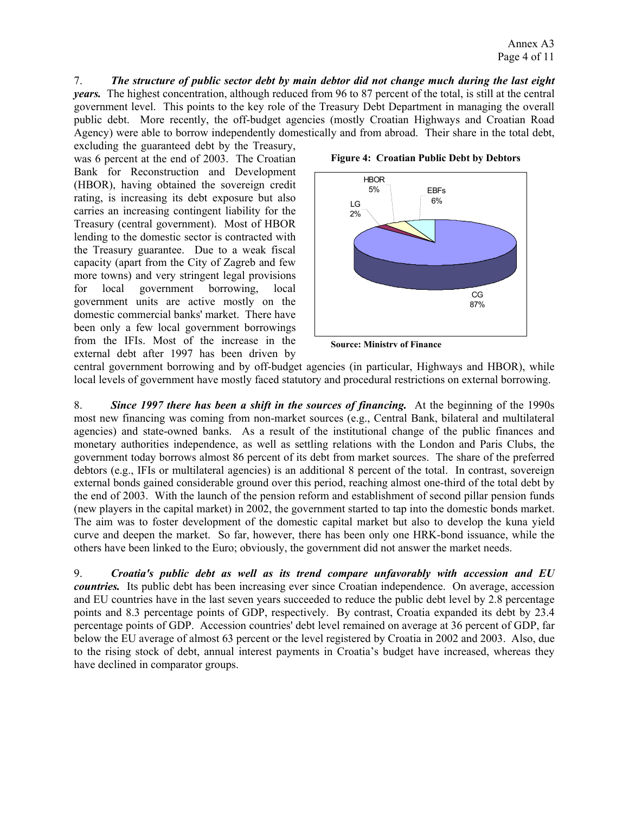7. *The structure of public sector debt by main debtor did not change much during the last eight years.* The highest concentration, although reduced from 96 to 87 percent of the total, is still at the central government level. This points to the key role of the Treasury Debt Department in managing the overall public debt. More recently, the off-budget agencies (mostly Croatian Highways and Croatian Road Agency) were able to borrow independently domestically and from abroad. Their share in the total debt,

excluding the guaranteed debt by the Treasury, was 6 percent at the end of 2003. The Croatian Bank for Reconstruction and Development (HBOR), having obtained the sovereign credit rating, is increasing its debt exposure but also carries an increasing contingent liability for the Treasury (central government). Most of HBOR lending to the domestic sector is contracted with the Treasury guarantee. Due to a weak fiscal capacity (apart from the City of Zagreb and few more towns) and very stringent legal provisions for local government borrowing, local government units are active mostly on the domestic commercial banks' market. There have been only a few local government borrowings from the IFIs. Most of the increase in the external debt after 1997 has been driven by



**Figure 4: Croatian Public Debt by Debtors** 

**Source: Ministry of Finance**

central government borrowing and by off-budget agencies (in particular, Highways and HBOR), while local levels of government have mostly faced statutory and procedural restrictions on external borrowing.

8. *Since 1997 there has been a shift in the sources of financing.* At the beginning of the 1990s most new financing was coming from non-market sources (e.g., Central Bank, bilateral and multilateral agencies) and state-owned banks. As a result of the institutional change of the public finances and monetary authorities independence, as well as settling relations with the London and Paris Clubs, the government today borrows almost 86 percent of its debt from market sources. The share of the preferred debtors (e.g., IFIs or multilateral agencies) is an additional 8 percent of the total. In contrast, sovereign external bonds gained considerable ground over this period, reaching almost one-third of the total debt by the end of 2003. With the launch of the pension reform and establishment of second pillar pension funds (new players in the capital market) in 2002, the government started to tap into the domestic bonds market. The aim was to foster development of the domestic capital market but also to develop the kuna yield curve and deepen the market. So far, however, there has been only one HRK-bond issuance, while the others have been linked to the Euro; obviously, the government did not answer the market needs.

9. *Croatia's public debt as well as its trend compare unfavorably with accession and EU countries.* Its public debt has been increasing ever since Croatian independence. On average, accession and EU countries have in the last seven years succeeded to reduce the public debt level by 2.8 percentage points and 8.3 percentage points of GDP, respectively. By contrast, Croatia expanded its debt by 23.4 percentage points of GDP. Accession countries' debt level remained on average at 36 percent of GDP, far below the EU average of almost 63 percent or the level registered by Croatia in 2002 and 2003. Also, due to the rising stock of debt, annual interest payments in Croatia's budget have increased, whereas they have declined in comparator groups.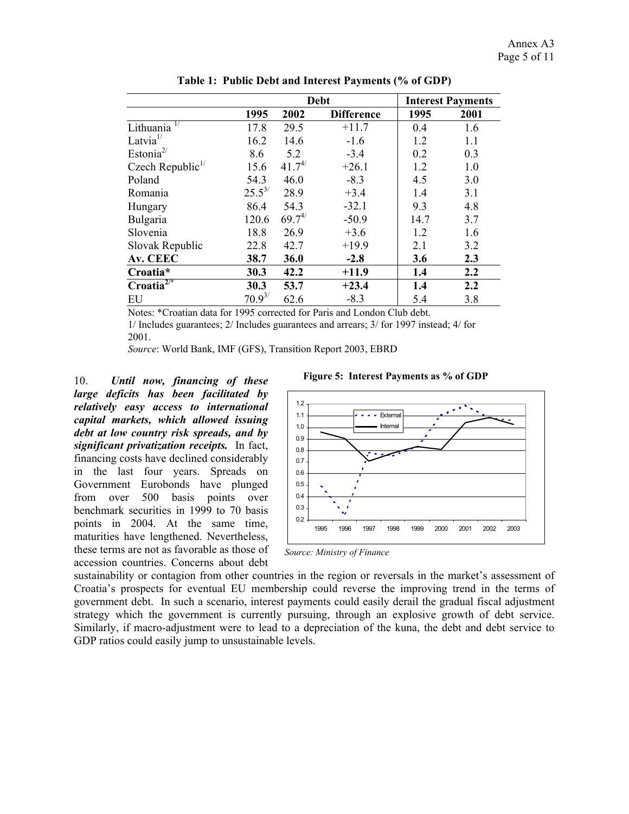|                                    |             | <b>Debt</b> |                   |      | <b>Interest Payments</b> |
|------------------------------------|-------------|-------------|-------------------|------|--------------------------|
|                                    | 1995        | 2002        | <b>Difference</b> | 1995 | 2001                     |
| Lithuania <sup>17</sup>            | 17.8        | 29.5        | $+11.7$           | 0.4  | 1.6                      |
| Latvia $1/$                        | 16.2        | 14.6        | $-1.6$            | 1.2  | 1.1                      |
| Estonia <sup><math>2/</math></sup> | 8.6         | 5.2         | $-3.4$            | 0.2  | 0.3                      |
| Czech Republic $\frac{1}{2}$       | 15.6        | $41.7^{4/}$ | $+26.1$           | 1.2  | 1.0                      |
| Poland                             | 54.3        | 46.0        | $-8.3$            | 4.5  | 3.0                      |
| Romania                            | $25.5^{3/}$ | 28.9        | $+3.4$            | 1.4  | 3.1                      |
| Hungary                            | 86.4        | 54.3        | $-32.1$           | 9.3  | 4.8                      |
| Bulgaria                           | 120.6       | $69.7^{4/}$ | $-50.9$           | 14.7 | 3.7                      |
| Slovenia                           | 18.8        | 26.9        | $+3.6$            | 1.2  | 1.6                      |
| Slovak Republic                    | 22.8        | 42.7        | $+19.9$           | 2.1  | 3.2                      |
| Av. CEEC                           | 38.7        | 36.0        | $-2.8$            | 3.6  | 2.3                      |
| Croatia*                           | 30.3        | 42.2        | $+11.9$           | 1.4  | 2.2                      |
| $Croatia^{2/•}$                    | 30.3        | 53.7        | $+23.4$           | 1.4  | 2.2                      |
| EU                                 | $70.9^{3/}$ | 62.6        | $-8.3$            | 5.4  | 3.8                      |

**Table 1: Public Debt and Interest Payments (% of GDP)** 

Notes: \*Croatian data for 1995 corrected for Paris and London Club debt.

1/ Includes guarantees; 2/ Includes guarantees and arrears; 3/ for 1997 instead; 4/ for 2001.

*Source*: World Bank, IMF (GFS), Transition Report 2003, EBRD

10. *Until now, financing of these large deficits has been facilitated by relatively easy access to international capital markets, which allowed issuing debt at low country risk spreads, and by significant privatization receipts.* In fact, financing costs have declined considerably in the last four years. Spreads on Government Eurobonds have plunged from over 500 basis points over benchmark securities in 1999 to 70 basis points in 2004. At the same time, maturities have lengthened. Nevertheless, these terms are not as favorable as those of accession countries. Concerns about debt





*Source: Ministry of Finance* 

sustainability or contagion from other countries in the region or reversals in the market's assessment of Croatia's prospects for eventual EU membership could reverse the improving trend in the terms of government debt. In such a scenario, interest payments could easily derail the gradual fiscal adjustment strategy which the government is currently pursuing, through an explosive growth of debt service. Similarly, if macro-adjustment were to lead to a depreciation of the kuna, the debt and debt service to GDP ratios could easily jump to unsustainable levels.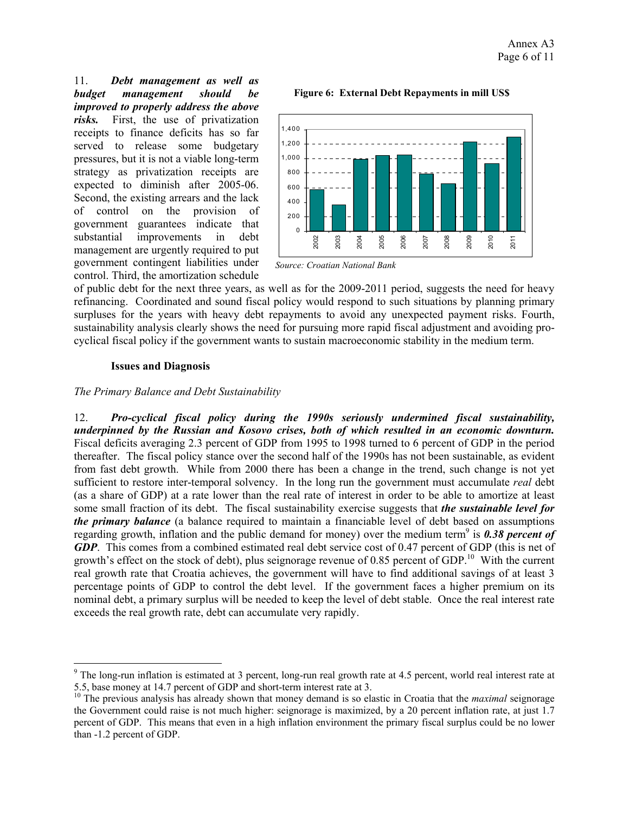11. *Debt management as well as budget management should be improved to properly address the above risks.* First, the use of privatization receipts to finance deficits has so far served to release some budgetary pressures, but it is not a viable long-term strategy as privatization receipts are expected to diminish after 2005-06. Second, the existing arrears and the lack of control on the provision of government guarantees indicate that substantial improvements in debt management are urgently required to put government contingent liabilities under control. Third, the amortization schedule

#### **Figure 6: External Debt Repayments in mill US\$**



*Source: Croatian National Bank*

of public debt for the next three years, as well as for the 2009-2011 period, suggests the need for heavy refinancing. Coordinated and sound fiscal policy would respond to such situations by planning primary surpluses for the years with heavy debt repayments to avoid any unexpected payment risks. Fourth, sustainability analysis clearly shows the need for pursuing more rapid fiscal adjustment and avoiding procyclical fiscal policy if the government wants to sustain macroeconomic stability in the medium term.

#### **Issues and Diagnosis**

 $\overline{a}$ 

#### *The Primary Balance and Debt Sustainability*

12. *Pro-cyclical fiscal policy during the 1990s seriously undermined fiscal sustainability, underpinned by the Russian and Kosovo crises, both of which resulted in an economic downturn.* Fiscal deficits averaging 2.3 percent of GDP from 1995 to 1998 turned to 6 percent of GDP in the period thereafter. The fiscal policy stance over the second half of the 1990s has not been sustainable, as evident from fast debt growth. While from 2000 there has been a change in the trend, such change is not yet sufficient to restore inter-temporal solvency. In the long run the government must accumulate *real* debt (as a share of GDP) at a rate lower than the real rate of interest in order to be able to amortize at least some small fraction of its debt. The fiscal sustainability exercise suggests that *the sustainable level for the primary balance* (a balance required to maintain a financiable level of debt based on assumptions regarding growth, inflation and the public demand for money) over the medium term<sup>9</sup> is **0.38 percent of** *GDP*. This comes from a combined estimated real debt service cost of 0.47 percent of GDP (this is net of growth's effect on the stock of debt), plus seignorage revenue of 0.85 percent of GDP.<sup>10</sup> With the current real growth rate that Croatia achieves, the government will have to find additional savings of at least 3 percentage points of GDP to control the debt level. If the government faces a higher premium on its nominal debt, a primary surplus will be needed to keep the level of debt stable. Once the real interest rate exceeds the real growth rate, debt can accumulate very rapidly.

 $9$  The long-run inflation is estimated at 3 percent, long-run real growth rate at 4.5 percent, world real interest rate at 5.5, base money at 14.7 percent of GDP and short-term interest rate at 3.

<sup>&</sup>lt;sup>10</sup> The previous analysis has already shown that money demand is so elastic in Croatia that the *maximal* seignorage the Government could raise is not much higher: seignorage is maximized, by a 20 percent inflation rate, at just 1.7 percent of GDP. This means that even in a high inflation environment the primary fiscal surplus could be no lower than -1.2 percent of GDP.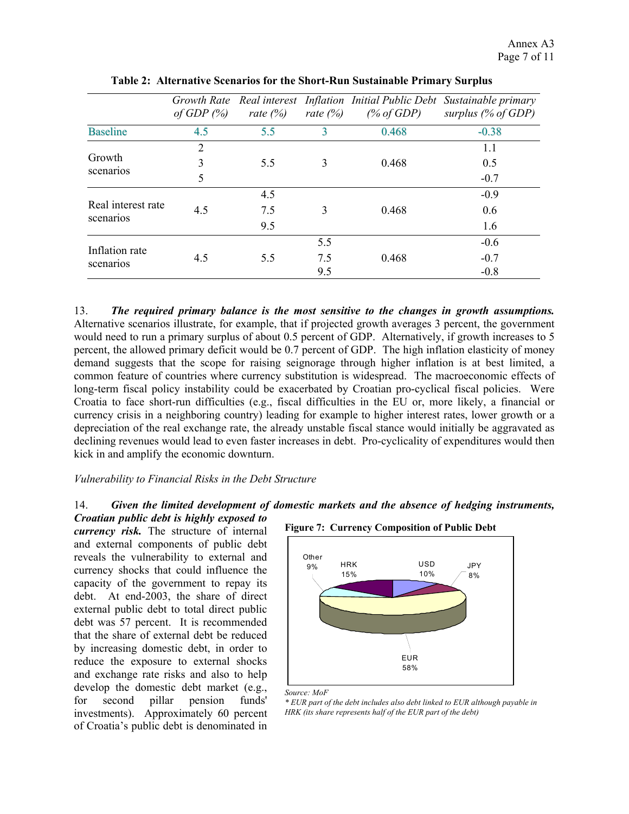|                             | Growth Rate<br>of GDP $(\%)$ | rate $(%)$ | rate $(\%)$ | (% of GDP) | Real interest Inflation Initial Public Debt Sustainable primary<br>surplus $(\%$ of GDP) |
|-----------------------------|------------------------------|------------|-------------|------------|------------------------------------------------------------------------------------------|
| <b>Baseline</b>             | 4.5                          | 5.5        | 3           | 0.468      | $-0.38$                                                                                  |
|                             | $\overline{2}$               |            |             |            | 1.1                                                                                      |
| Growth                      | 3                            | 5.5        | 3           | 0.468      | 0.5                                                                                      |
| scenarios                   | 5                            |            |             |            | $-0.7$                                                                                   |
|                             |                              | 4.5        |             |            | $-0.9$                                                                                   |
| Real interest rate          | 4.5                          | 7.5        |             | 0.468      | 0.6                                                                                      |
| scenarios                   |                              | 9.5        |             |            | 1.6                                                                                      |
|                             |                              |            | 5.5         |            | $-0.6$                                                                                   |
| Inflation rate<br>scenarios | 4.5                          | 5.5        | 7.5         | 0.468      | $-0.7$                                                                                   |
|                             |                              |            | 9.5         |            | $-0.8$                                                                                   |

**Table 2: Alternative Scenarios for the Short-Run Sustainable Primary Surplus** 

13. *The required primary balance is the most sensitive to the changes in growth assumptions.* Alternative scenarios illustrate, for example, that if projected growth averages 3 percent, the government would need to run a primary surplus of about 0.5 percent of GDP. Alternatively, if growth increases to 5 percent, the allowed primary deficit would be 0.7 percent of GDP. The high inflation elasticity of money demand suggests that the scope for raising seignorage through higher inflation is at best limited, a common feature of countries where currency substitution is widespread. The macroeconomic effects of long-term fiscal policy instability could be exacerbated by Croatian pro-cyclical fiscal policies. Were Croatia to face short-run difficulties (e.g., fiscal difficulties in the EU or, more likely, a financial or currency crisis in a neighboring country) leading for example to higher interest rates, lower growth or a depreciation of the real exchange rate, the already unstable fiscal stance would initially be aggravated as declining revenues would lead to even faster increases in debt. Pro-cyclicality of expenditures would then kick in and amplify the economic downturn.

#### *Vulnerability to Financial Risks in the Debt Structure*

#### 14. *Given the limited development of domestic markets and the absence of hedging instruments, Croatian public debt is highly exposed to*

*currency risk.* The structure of internal and external components of public debt reveals the vulnerability to external and currency shocks that could influence the capacity of the government to repay its debt. At end-2003, the share of direct external public debt to total direct public debt was 57 percent. It is recommended that the share of external debt be reduced by increasing domestic debt, in order to reduce the exposure to external shocks and exchange rate risks and also to help develop the domestic debt market (e.g., for second pillar pension funds' investments). Approximately 60 percent of Croatia's public debt is denominated in





*Source: MoF* 

*\* EUR part of the debt includes also debt linked to EUR although payable in HRK (its share represents half of the EUR part of the debt)*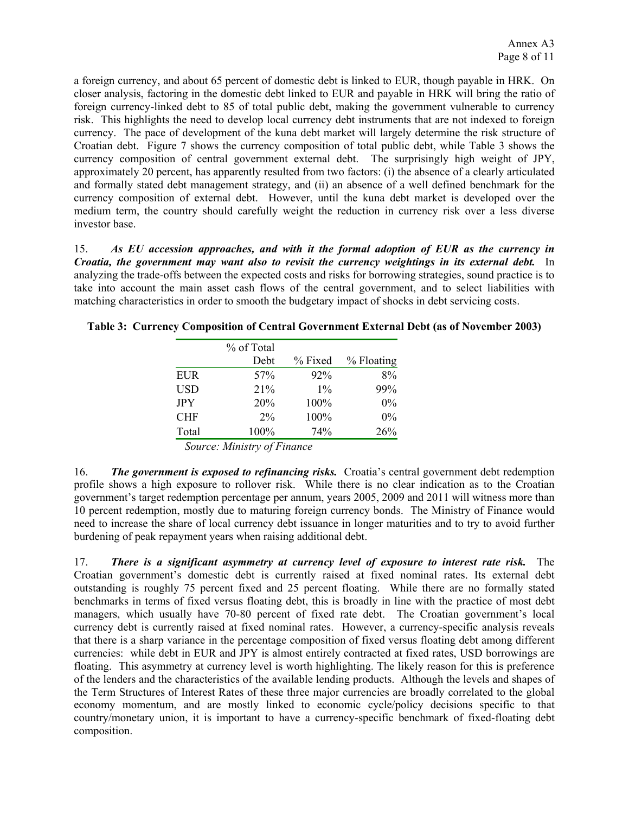a foreign currency, and about 65 percent of domestic debt is linked to EUR, though payable in HRK. On closer analysis, factoring in the domestic debt linked to EUR and payable in HRK will bring the ratio of foreign currency-linked debt to 85 of total public debt, making the government vulnerable to currency risk. This highlights the need to develop local currency debt instruments that are not indexed to foreign currency. The pace of development of the kuna debt market will largely determine the risk structure of Croatian debt. Figure 7 shows the currency composition of total public debt, while Table 3 shows the currency composition of central government external debt. The surprisingly high weight of JPY, approximately 20 percent, has apparently resulted from two factors: (i) the absence of a clearly articulated and formally stated debt management strategy, and (ii) an absence of a well defined benchmark for the currency composition of external debt. However, until the kuna debt market is developed over the medium term, the country should carefully weight the reduction in currency risk over a less diverse investor base.

15. *As EU accession approaches, and with it the formal adoption of EUR as the currency in Croatia, the government may want also to revisit the currency weightings in its external debt.* In analyzing the trade-offs between the expected costs and risks for borrowing strategies, sound practice is to take into account the main asset cash flows of the central government, and to select liabilities with matching characteristics in order to smooth the budgetary impact of shocks in debt servicing costs.

|            | % of Total |         |            |
|------------|------------|---------|------------|
|            | Debt       | % Fixed | % Floating |
| EUR        | 57%        | $92\%$  | 8%         |
| <b>USD</b> | 21%        | $1\%$   | 99%        |
| <b>JPY</b> | 20%        | 100%    | $0\%$      |
| <b>CHF</b> | $2\%$      | 100%    | $0\%$      |
| Total      | 100%       | 74%     | 26%        |

**Table 3: Currency Composition of Central Government External Debt (as of November 2003)** 

 *Source: Ministry of Finance* 

16. *The government is exposed to refinancing risks.* Croatia's central government debt redemption profile shows a high exposure to rollover risk. While there is no clear indication as to the Croatian government's target redemption percentage per annum, years 2005, 2009 and 2011 will witness more than 10 percent redemption, mostly due to maturing foreign currency bonds. The Ministry of Finance would need to increase the share of local currency debt issuance in longer maturities and to try to avoid further burdening of peak repayment years when raising additional debt.

17. *There is a significant asymmetry at currency level of exposure to interest rate risk.* The Croatian government's domestic debt is currently raised at fixed nominal rates. Its external debt outstanding is roughly 75 percent fixed and 25 percent floating. While there are no formally stated benchmarks in terms of fixed versus floating debt, this is broadly in line with the practice of most debt managers, which usually have 70-80 percent of fixed rate debt. The Croatian government's local currency debt is currently raised at fixed nominal rates. However, a currency-specific analysis reveals that there is a sharp variance in the percentage composition of fixed versus floating debt among different currencies: while debt in EUR and JPY is almost entirely contracted at fixed rates, USD borrowings are floating. This asymmetry at currency level is worth highlighting. The likely reason for this is preference of the lenders and the characteristics of the available lending products. Although the levels and shapes of the Term Structures of Interest Rates of these three major currencies are broadly correlated to the global economy momentum, and are mostly linked to economic cycle/policy decisions specific to that country/monetary union, it is important to have a currency-specific benchmark of fixed-floating debt composition.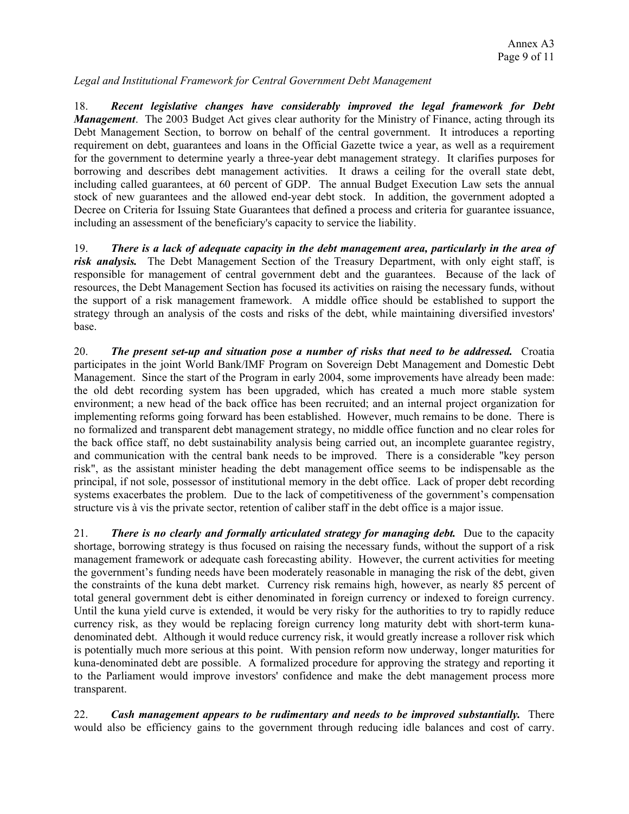*Legal and Institutional Framework for Central Government Debt Management* 

18. *Recent legislative changes have considerably improved the legal framework for Debt Management*. The 2003 Budget Act gives clear authority for the Ministry of Finance, acting through its Debt Management Section, to borrow on behalf of the central government. It introduces a reporting requirement on debt, guarantees and loans in the Official Gazette twice a year, as well as a requirement for the government to determine yearly a three-year debt management strategy. It clarifies purposes for borrowing and describes debt management activities. It draws a ceiling for the overall state debt, including called guarantees, at 60 percent of GDP. The annual Budget Execution Law sets the annual stock of new guarantees and the allowed end-year debt stock. In addition, the government adopted a Decree on Criteria for Issuing State Guarantees that defined a process and criteria for guarantee issuance, including an assessment of the beneficiary's capacity to service the liability.

19. *There is a lack of adequate capacity in the debt management area, particularly in the area of risk analysis.* The Debt Management Section of the Treasury Department, with only eight staff, is responsible for management of central government debt and the guarantees. Because of the lack of resources, the Debt Management Section has focused its activities on raising the necessary funds, without the support of a risk management framework. A middle office should be established to support the strategy through an analysis of the costs and risks of the debt, while maintaining diversified investors' base.

20. *The present set-up and situation pose a number of risks that need to be addressed.* Croatia participates in the joint World Bank/IMF Program on Sovereign Debt Management and Domestic Debt Management. Since the start of the Program in early 2004, some improvements have already been made: the old debt recording system has been upgraded, which has created a much more stable system environment; a new head of the back office has been recruited; and an internal project organization for implementing reforms going forward has been established. However, much remains to be done. There is no formalized and transparent debt management strategy, no middle office function and no clear roles for the back office staff, no debt sustainability analysis being carried out, an incomplete guarantee registry, and communication with the central bank needs to be improved. There is a considerable "key person risk", as the assistant minister heading the debt management office seems to be indispensable as the principal, if not sole, possessor of institutional memory in the debt office. Lack of proper debt recording systems exacerbates the problem. Due to the lack of competitiveness of the government's compensation structure vis à vis the private sector, retention of caliber staff in the debt office is a major issue.

21. *There is no clearly and formally articulated strategy for managing debt.* Due to the capacity shortage, borrowing strategy is thus focused on raising the necessary funds, without the support of a risk management framework or adequate cash forecasting ability. However, the current activities for meeting the government's funding needs have been moderately reasonable in managing the risk of the debt, given the constraints of the kuna debt market. Currency risk remains high, however, as nearly 85 percent of total general government debt is either denominated in foreign currency or indexed to foreign currency. Until the kuna yield curve is extended, it would be very risky for the authorities to try to rapidly reduce currency risk, as they would be replacing foreign currency long maturity debt with short-term kunadenominated debt. Although it would reduce currency risk, it would greatly increase a rollover risk which is potentially much more serious at this point. With pension reform now underway, longer maturities for kuna-denominated debt are possible. A formalized procedure for approving the strategy and reporting it to the Parliament would improve investors' confidence and make the debt management process more transparent.

22. *Cash management appears to be rudimentary and needs to be improved substantially.* There would also be efficiency gains to the government through reducing idle balances and cost of carry.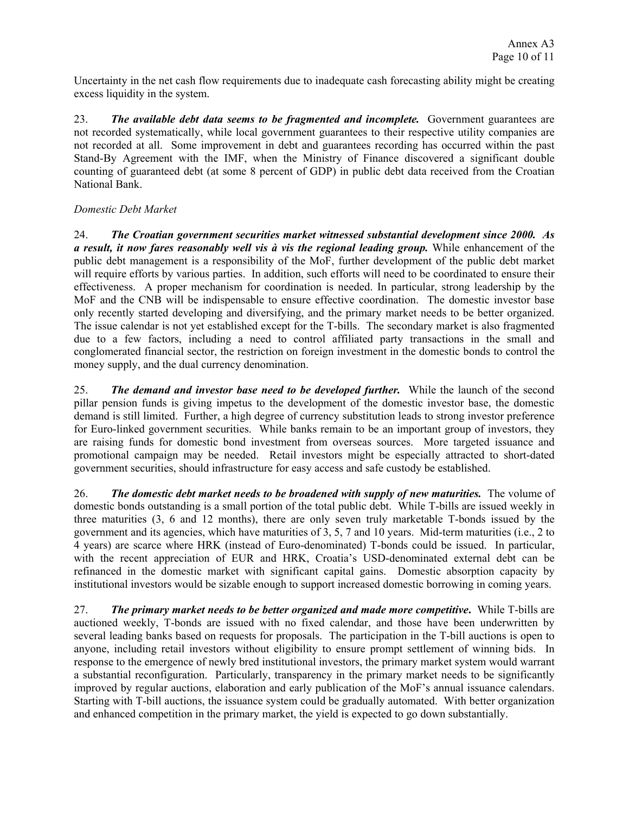Uncertainty in the net cash flow requirements due to inadequate cash forecasting ability might be creating excess liquidity in the system.

23. *The available debt data seems to be fragmented and incomplete.* Government guarantees are not recorded systematically, while local government guarantees to their respective utility companies are not recorded at all. Some improvement in debt and guarantees recording has occurred within the past Stand-By Agreement with the IMF, when the Ministry of Finance discovered a significant double counting of guaranteed debt (at some 8 percent of GDP) in public debt data received from the Croatian National Bank.

# *Domestic Debt Market*

24. *The Croatian government securities market witnessed substantial development since 2000. As a result, it now fares reasonably well vis à vis the regional leading group.* While enhancement of the public debt management is a responsibility of the MoF, further development of the public debt market will require efforts by various parties. In addition, such efforts will need to be coordinated to ensure their effectiveness. A proper mechanism for coordination is needed. In particular, strong leadership by the MoF and the CNB will be indispensable to ensure effective coordination. The domestic investor base only recently started developing and diversifying, and the primary market needs to be better organized. The issue calendar is not yet established except for the T-bills. The secondary market is also fragmented due to a few factors, including a need to control affiliated party transactions in the small and conglomerated financial sector, the restriction on foreign investment in the domestic bonds to control the money supply, and the dual currency denomination.

25. *The demand and investor base need to be developed further.* While the launch of the second pillar pension funds is giving impetus to the development of the domestic investor base, the domestic demand is still limited. Further, a high degree of currency substitution leads to strong investor preference for Euro-linked government securities. While banks remain to be an important group of investors, they are raising funds for domestic bond investment from overseas sources. More targeted issuance and promotional campaign may be needed. Retail investors might be especially attracted to short-dated government securities, should infrastructure for easy access and safe custody be established.

26. *The domestic debt market needs to be broadened with supply of new maturities.* The volume of domestic bonds outstanding is a small portion of the total public debt. While T-bills are issued weekly in three maturities (3, 6 and 12 months), there are only seven truly marketable T-bonds issued by the government and its agencies, which have maturities of 3, 5, 7 and 10 years. Mid-term maturities (i.e., 2 to 4 years) are scarce where HRK (instead of Euro-denominated) T-bonds could be issued. In particular, with the recent appreciation of EUR and HRK, Croatia's USD-denominated external debt can be refinanced in the domestic market with significant capital gains. Domestic absorption capacity by institutional investors would be sizable enough to support increased domestic borrowing in coming years.

27. *The primary market needs to be better organized and made more competitive***.** While T-bills are auctioned weekly, T-bonds are issued with no fixed calendar, and those have been underwritten by several leading banks based on requests for proposals. The participation in the T-bill auctions is open to anyone, including retail investors without eligibility to ensure prompt settlement of winning bids. In response to the emergence of newly bred institutional investors, the primary market system would warrant a substantial reconfiguration. Particularly, transparency in the primary market needs to be significantly improved by regular auctions, elaboration and early publication of the MoF's annual issuance calendars. Starting with T-bill auctions, the issuance system could be gradually automated. With better organization and enhanced competition in the primary market, the yield is expected to go down substantially.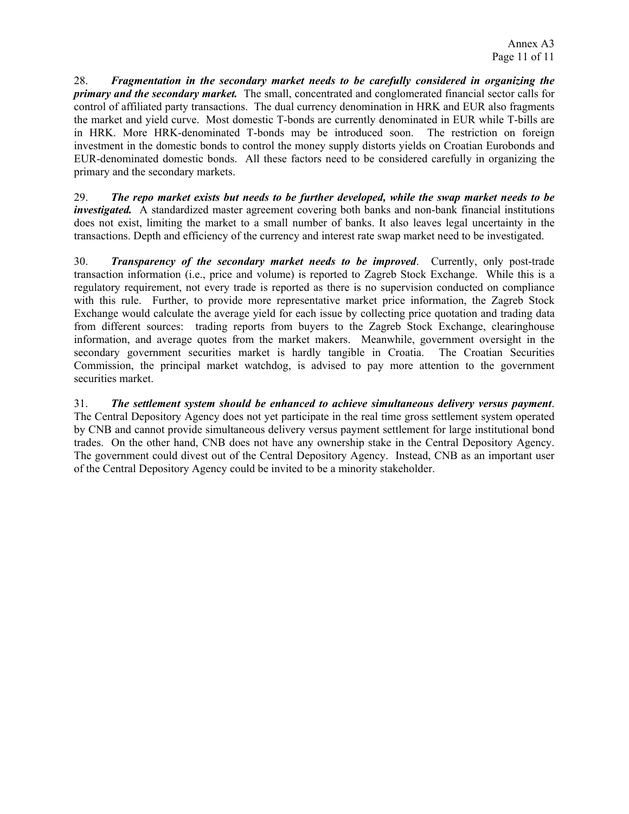28. *Fragmentation in the secondary market needs to be carefully considered in organizing the primary and the secondary market.* The small, concentrated and conglomerated financial sector calls for control of affiliated party transactions. The dual currency denomination in HRK and EUR also fragments the market and yield curve. Most domestic T-bonds are currently denominated in EUR while T-bills are in HRK. More HRK-denominated T-bonds may be introduced soon. The restriction on foreign investment in the domestic bonds to control the money supply distorts yields on Croatian Eurobonds and EUR-denominated domestic bonds. All these factors need to be considered carefully in organizing the primary and the secondary markets.

29. *The repo market exists but needs to be further developed, while the swap market needs to be investigated.* A standardized master agreement covering both banks and non-bank financial institutions does not exist, limiting the market to a small number of banks. It also leaves legal uncertainty in the transactions. Depth and efficiency of the currency and interest rate swap market need to be investigated.

30. *Transparency of the secondary market needs to be improved*. Currently, only post-trade transaction information (i.e., price and volume) is reported to Zagreb Stock Exchange. While this is a regulatory requirement, not every trade is reported as there is no supervision conducted on compliance with this rule. Further, to provide more representative market price information, the Zagreb Stock Exchange would calculate the average yield for each issue by collecting price quotation and trading data from different sources: trading reports from buyers to the Zagreb Stock Exchange, clearinghouse information, and average quotes from the market makers. Meanwhile, government oversight in the secondary government securities market is hardly tangible in Croatia. The Croatian Securities Commission, the principal market watchdog, is advised to pay more attention to the government securities market.

31. *The settlement system should be enhanced to achieve simultaneous delivery versus payment*. The Central Depository Agency does not yet participate in the real time gross settlement system operated by CNB and cannot provide simultaneous delivery versus payment settlement for large institutional bond trades. On the other hand, CNB does not have any ownership stake in the Central Depository Agency. The government could divest out of the Central Depository Agency. Instead, CNB as an important user of the Central Depository Agency could be invited to be a minority stakeholder.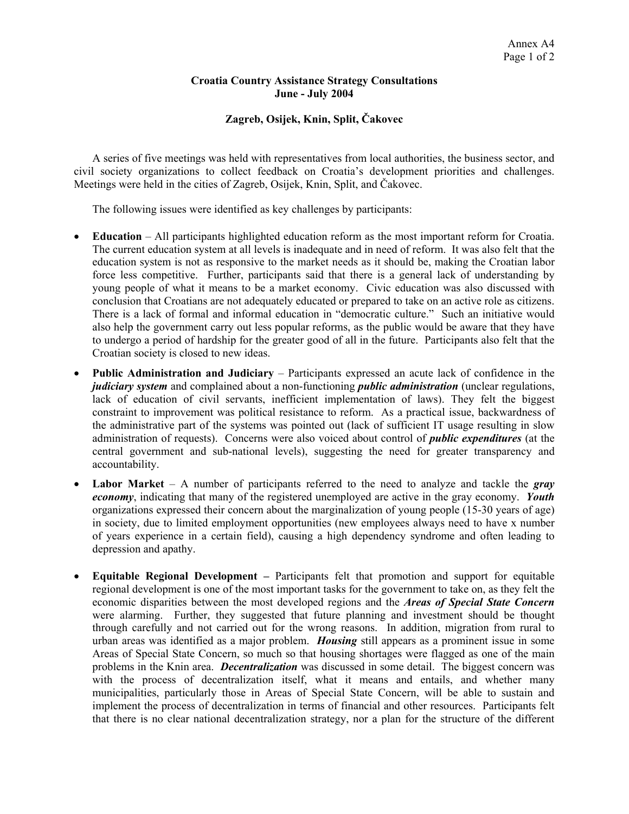#### **Croatia Country Assistance Strategy Consultations June - July 2004**

# **Zagreb, Osijek, Knin, Split, Čakovec**

A series of five meetings was held with representatives from local authorities, the business sector, and civil society organizations to collect feedback on Croatia's development priorities and challenges. Meetings were held in the cities of Zagreb, Osijek, Knin, Split, and Čakovec.

The following issues were identified as key challenges by participants:

- **Education**  All participants highlighted education reform as the most important reform for Croatia. The current education system at all levels is inadequate and in need of reform. It was also felt that the education system is not as responsive to the market needs as it should be, making the Croatian labor force less competitive. Further, participants said that there is a general lack of understanding by young people of what it means to be a market economy. Civic education was also discussed with conclusion that Croatians are not adequately educated or prepared to take on an active role as citizens. There is a lack of formal and informal education in "democratic culture." Such an initiative would also help the government carry out less popular reforms, as the public would be aware that they have to undergo a period of hardship for the greater good of all in the future. Participants also felt that the Croatian society is closed to new ideas.
- **Public Administration and Judiciary** Participants expressed an acute lack of confidence in the *judiciary system* and complained about a non-functioning *public administration* (unclear regulations, lack of education of civil servants, inefficient implementation of laws). They felt the biggest constraint to improvement was political resistance to reform. As a practical issue, backwardness of the administrative part of the systems was pointed out (lack of sufficient IT usage resulting in slow administration of requests). Concerns were also voiced about control of *public expenditures* (at the central government and sub-national levels), suggesting the need for greater transparency and accountability.
- **Labor Market** A number of participants referred to the need to analyze and tackle the *gray economy*, indicating that many of the registered unemployed are active in the gray economy. *Youth* organizations expressed their concern about the marginalization of young people (15-30 years of age) in society, due to limited employment opportunities (new employees always need to have x number of years experience in a certain field), causing a high dependency syndrome and often leading to depression and apathy.
- **Equitable Regional Development** Participants felt that promotion and support for equitable regional development is one of the most important tasks for the government to take on, as they felt the economic disparities between the most developed regions and the *Areas of Special State Concern* were alarming. Further, they suggested that future planning and investment should be thought through carefully and not carried out for the wrong reasons. In addition, migration from rural to urban areas was identified as a major problem. *Housing* still appears as a prominent issue in some Areas of Special State Concern, so much so that housing shortages were flagged as one of the main problems in the Knin area. *Decentralization* was discussed in some detail. The biggest concern was with the process of decentralization itself, what it means and entails, and whether many municipalities, particularly those in Areas of Special State Concern, will be able to sustain and implement the process of decentralization in terms of financial and other resources. Participants felt that there is no clear national decentralization strategy, nor a plan for the structure of the different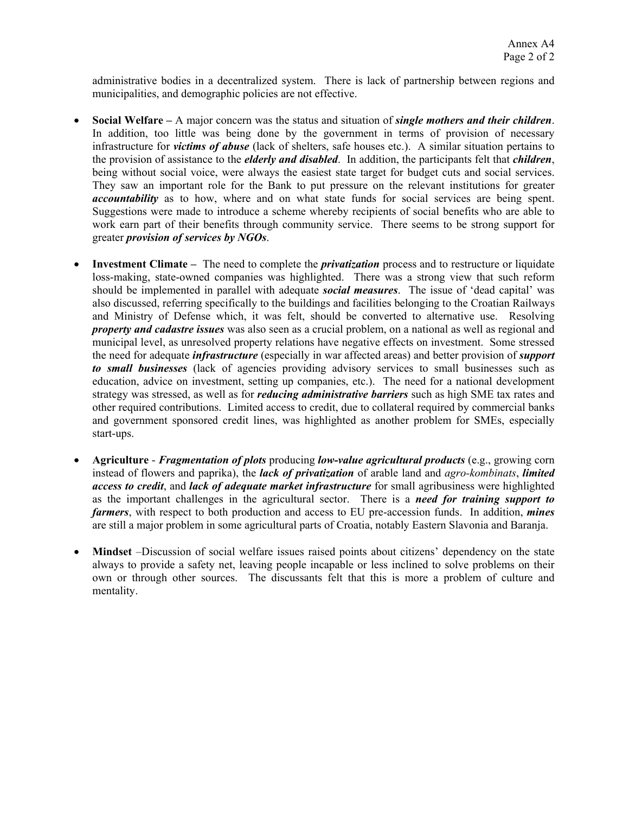administrative bodies in a decentralized system. There is lack of partnership between regions and municipalities, and demographic policies are not effective.

- **Social Welfare** A major concern was the status and situation of *single mothers and their children*. In addition, too little was being done by the government in terms of provision of necessary infrastructure for *victims of abuse* (lack of shelters, safe houses etc.). A similar situation pertains to the provision of assistance to the *elderly and disabled*. In addition, the participants felt that *children*, being without social voice, were always the easiest state target for budget cuts and social services. They saw an important role for the Bank to put pressure on the relevant institutions for greater *accountability* as to how, where and on what state funds for social services are being spent. Suggestions were made to introduce a scheme whereby recipients of social benefits who are able to work earn part of their benefits through community service. There seems to be strong support for greater *provision of services by NGOs*.
- **Investment Climate** The need to complete the *privatization* process and to restructure or liquidate loss-making, state-owned companies was highlighted. There was a strong view that such reform should be implemented in parallel with adequate *social measures*. The issue of 'dead capital' was also discussed, referring specifically to the buildings and facilities belonging to the Croatian Railways and Ministry of Defense which, it was felt, should be converted to alternative use. Resolving *property and cadastre issues* was also seen as a crucial problem, on a national as well as regional and municipal level, as unresolved property relations have negative effects on investment. Some stressed the need for adequate *infrastructure* (especially in war affected areas) and better provision of *support to small businesses* (lack of agencies providing advisory services to small businesses such as education, advice on investment, setting up companies, etc.). The need for a national development strategy was stressed, as well as for *reducing administrative barriers* such as high SME tax rates and other required contributions. Limited access to credit, due to collateral required by commercial banks and government sponsored credit lines, was highlighted as another problem for SMEs, especially start-ups.
- **Agriculture**  *Fragmentation of plots* producing *low-value agricultural products* (e.g., growing corn instead of flowers and paprika), the *lack of privatization* of arable land and *agro-kombinats*, *limited access to credit*, and *lack of adequate market infrastructure* for small agribusiness were highlighted as the important challenges in the agricultural sector. There is a *need for training support to farmers*, with respect to both production and access to EU pre-accession funds. In addition, *mines* are still a major problem in some agricultural parts of Croatia, notably Eastern Slavonia and Baranja.
- **Mindset** –Discussion of social welfare issues raised points about citizens' dependency on the state always to provide a safety net, leaving people incapable or less inclined to solve problems on their own or through other sources. The discussants felt that this is more a problem of culture and mentality.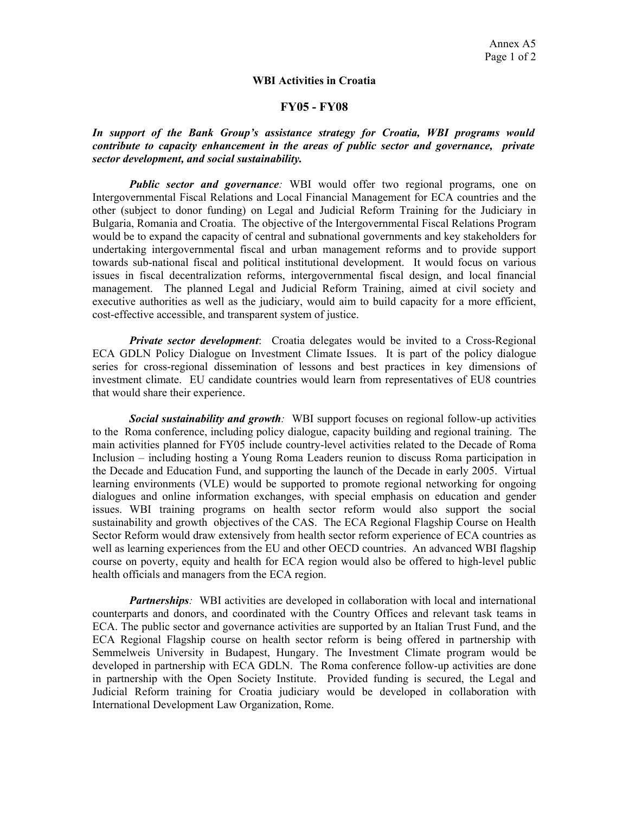#### **WBI Activities in Croatia**

#### **FY05 - FY08**

*In support of the Bank Group's assistance strategy for Croatia, WBI programs would contribute to capacity enhancement in the areas of public sector and governance, private sector development, and social sustainability.* 

*Public sector and governance*: WBI would offer two regional programs, one on Intergovernmental Fiscal Relations and Local Financial Management for ECA countries and the other (subject to donor funding) on Legal and Judicial Reform Training for the Judiciary in Bulgaria, Romania and Croatia. The objective of the Intergovernmental Fiscal Relations Program would be to expand the capacity of central and subnational governments and key stakeholders for undertaking intergovernmental fiscal and urban management reforms and to provide support towards sub-national fiscal and political institutional development. It would focus on various issues in fiscal decentralization reforms, intergovernmental fiscal design, and local financial management. The planned Legal and Judicial Reform Training, aimed at civil society and executive authorities as well as the judiciary, would aim to build capacity for a more efficient, cost-effective accessible, and transparent system of justice.

*Private sector development*: Croatia delegates would be invited to a Cross-Regional ECA GDLN Policy Dialogue on Investment Climate Issues. It is part of the policy dialogue series for cross-regional dissemination of lessons and best practices in key dimensions of investment climate. EU candidate countries would learn from representatives of EU8 countries that would share their experience.

*Social sustainability and growth:* WBI support focuses on regional follow-up activities to the Roma conference, including policy dialogue, capacity building and regional training. The main activities planned for FY05 include country-level activities related to the Decade of Roma Inclusion – including hosting a Young Roma Leaders reunion to discuss Roma participation in the Decade and Education Fund, and supporting the launch of the Decade in early 2005. Virtual learning environments (VLE) would be supported to promote regional networking for ongoing dialogues and online information exchanges, with special emphasis on education and gender issues. WBI training programs on health sector reform would also support the social sustainability and growth objectives of the CAS. The ECA Regional Flagship Course on Health Sector Reform would draw extensively from health sector reform experience of ECA countries as well as learning experiences from the EU and other OECD countries. An advanced WBI flagship course on poverty, equity and health for ECA region would also be offered to high-level public health officials and managers from the ECA region.

*Partnerships:* WBI activities are developed in collaboration with local and international counterparts and donors, and coordinated with the Country Offices and relevant task teams in ECA. The public sector and governance activities are supported by an Italian Trust Fund, and the ECA Regional Flagship course on health sector reform is being offered in partnership with Semmelweis University in Budapest, Hungary. The Investment Climate program would be developed in partnership with ECA GDLN. The Roma conference follow-up activities are done in partnership with the Open Society Institute. Provided funding is secured, the Legal and Judicial Reform training for Croatia judiciary would be developed in collaboration with International Development Law Organization, Rome.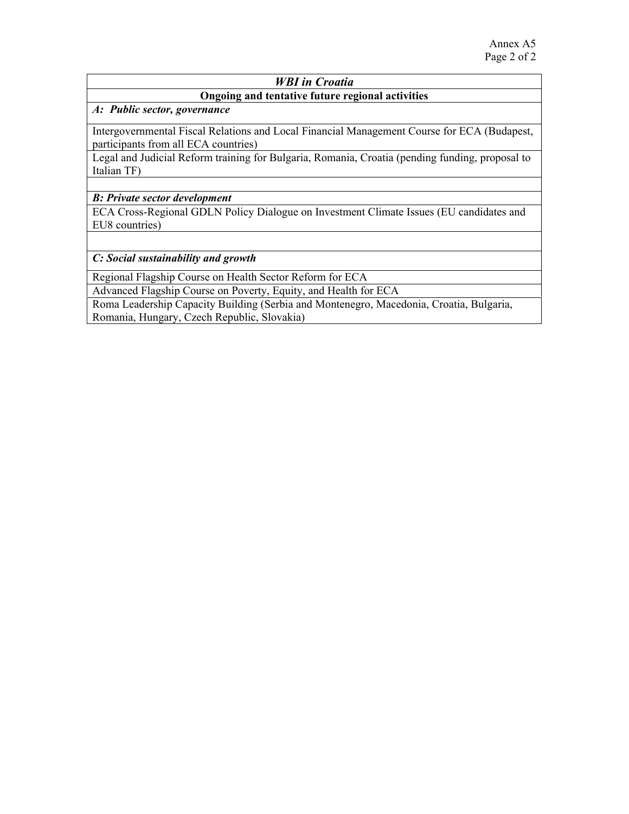# *WBI in Croatia*

# **Ongoing and tentative future regional activities**

# *A:**Public sector, governance*

Intergovernmental Fiscal Relations and Local Financial Management Course for ECA (Budapest, participants from all ECA countries)

Legal and Judicial Reform training for Bulgaria, Romania, Croatia (pending funding, proposal to Italian TF)

#### *B: Private sector development*

ECA Cross-Regional GDLN Policy Dialogue on Investment Climate Issues (EU candidates and EU8 countries)

#### *C: Social sustainability and growth*

Regional Flagship Course on Health Sector Reform for ECA

Advanced Flagship Course on Poverty, Equity, and Health for ECA

Roma Leadership Capacity Building (Serbia and Montenegro, Macedonia, Croatia, Bulgaria, Romania, Hungary, Czech Republic, Slovakia)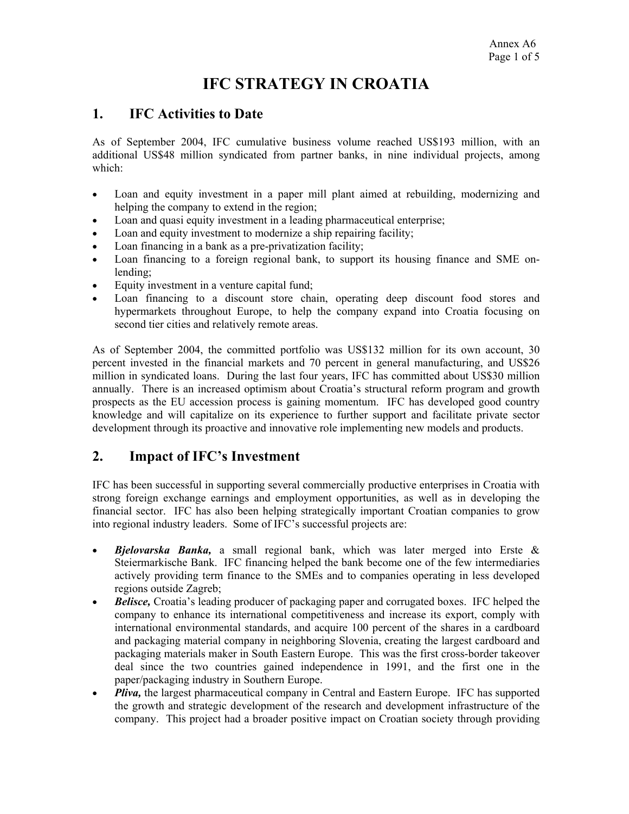# **IFC STRATEGY IN CROATIA**

# **1. IFC Activities to Date**

As of September 2004, IFC cumulative business volume reached US\$193 million, with an additional US\$48 million syndicated from partner banks, in nine individual projects, among which:

- Loan and equity investment in a paper mill plant aimed at rebuilding, modernizing and helping the company to extend in the region;
- Loan and quasi equity investment in a leading pharmaceutical enterprise;
- Loan and equity investment to modernize a ship repairing facility;
- Loan financing in a bank as a pre-privatization facility;
- Loan financing to a foreign regional bank, to support its housing finance and SME onlending;
- Equity investment in a venture capital fund;
- Loan financing to a discount store chain, operating deep discount food stores and hypermarkets throughout Europe, to help the company expand into Croatia focusing on second tier cities and relatively remote areas.

As of September 2004, the committed portfolio was US\$132 million for its own account, 30 percent invested in the financial markets and 70 percent in general manufacturing, and US\$26 million in syndicated loans. During the last four years, IFC has committed about US\$30 million annually. There is an increased optimism about Croatia's structural reform program and growth prospects as the EU accession process is gaining momentum. IFC has developed good country knowledge and will capitalize on its experience to further support and facilitate private sector development through its proactive and innovative role implementing new models and products.

# **2. Impact of IFC's Investment**

IFC has been successful in supporting several commercially productive enterprises in Croatia with strong foreign exchange earnings and employment opportunities, as well as in developing the financial sector. IFC has also been helping strategically important Croatian companies to grow into regional industry leaders. Some of IFC's successful projects are:

- *Bjelovarska Banka,* a small regional bank, which was later merged into Erste & Steiermarkische Bank. IFC financing helped the bank become one of the few intermediaries actively providing term finance to the SMEs and to companies operating in less developed regions outside Zagreb;
- *Belisce,* Croatia's leading producer of packaging paper and corrugated boxes. IFC helped the company to enhance its international competitiveness and increase its export, comply with international environmental standards, and acquire 100 percent of the shares in a cardboard and packaging material company in neighboring Slovenia, creating the largest cardboard and packaging materials maker in South Eastern Europe. This was the first cross-border takeover deal since the two countries gained independence in 1991, and the first one in the paper/packaging industry in Southern Europe.
- *Pliva*, the largest pharmaceutical company in Central and Eastern Europe. IFC has supported the growth and strategic development of the research and development infrastructure of the company. This project had a broader positive impact on Croatian society through providing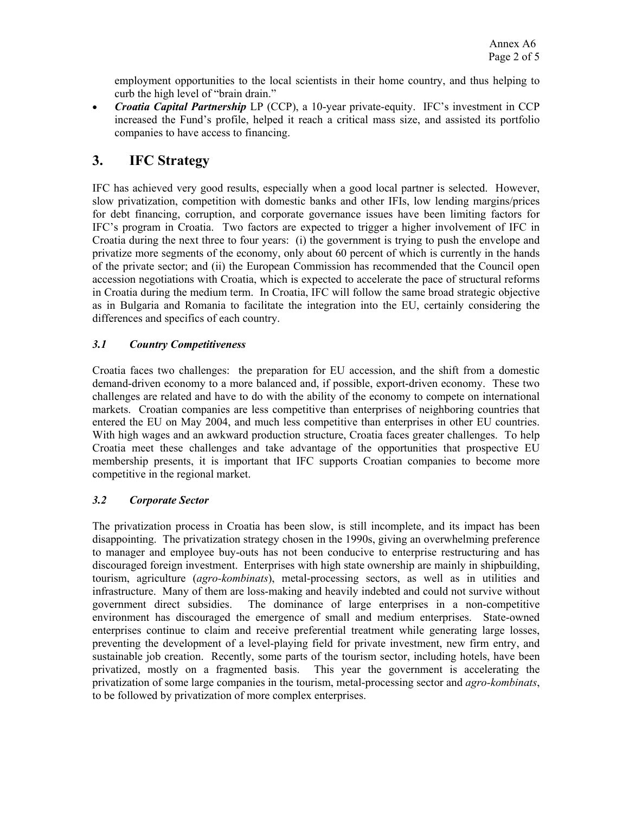employment opportunities to the local scientists in their home country, and thus helping to curb the high level of "brain drain."

• *Croatia Capital Partnership* LP (CCP), a 10-year private-equity. IFC's investment in CCP increased the Fund's profile, helped it reach a critical mass size, and assisted its portfolio companies to have access to financing.

# **3. IFC Strategy**

IFC has achieved very good results, especially when a good local partner is selected. However, slow privatization, competition with domestic banks and other IFIs, low lending margins/prices for debt financing, corruption, and corporate governance issues have been limiting factors for IFC's program in Croatia. Two factors are expected to trigger a higher involvement of IFC in Croatia during the next three to four years: (i) the government is trying to push the envelope and privatize more segments of the economy, only about 60 percent of which is currently in the hands of the private sector; and (ii) the European Commission has recommended that the Council open accession negotiations with Croatia, which is expected to accelerate the pace of structural reforms in Croatia during the medium term. In Croatia, IFC will follow the same broad strategic objective as in Bulgaria and Romania to facilitate the integration into the EU, certainly considering the differences and specifics of each country.

# *3.1 Country Competitiveness*

Croatia faces two challenges: the preparation for EU accession, and the shift from a domestic demand-driven economy to a more balanced and, if possible, export-driven economy. These two challenges are related and have to do with the ability of the economy to compete on international markets. Croatian companies are less competitive than enterprises of neighboring countries that entered the EU on May 2004, and much less competitive than enterprises in other EU countries. With high wages and an awkward production structure, Croatia faces greater challenges. To help Croatia meet these challenges and take advantage of the opportunities that prospective EU membership presents, it is important that IFC supports Croatian companies to become more competitive in the regional market.

# *3.2 Corporate Sector*

The privatization process in Croatia has been slow, is still incomplete, and its impact has been disappointing. The privatization strategy chosen in the 1990s, giving an overwhelming preference to manager and employee buy-outs has not been conducive to enterprise restructuring and has discouraged foreign investment. Enterprises with high state ownership are mainly in shipbuilding, tourism, agriculture (*agro-kombinats*), metal-processing sectors, as well as in utilities and infrastructure. Many of them are loss-making and heavily indebted and could not survive without government direct subsidies. The dominance of large enterprises in a non-competitive environment has discouraged the emergence of small and medium enterprises. State-owned enterprises continue to claim and receive preferential treatment while generating large losses, preventing the development of a level-playing field for private investment, new firm entry, and sustainable job creation. Recently, some parts of the tourism sector, including hotels, have been privatized, mostly on a fragmented basis. This year the government is accelerating the privatization of some large companies in the tourism, metal-processing sector and *agro-kombinats*, to be followed by privatization of more complex enterprises.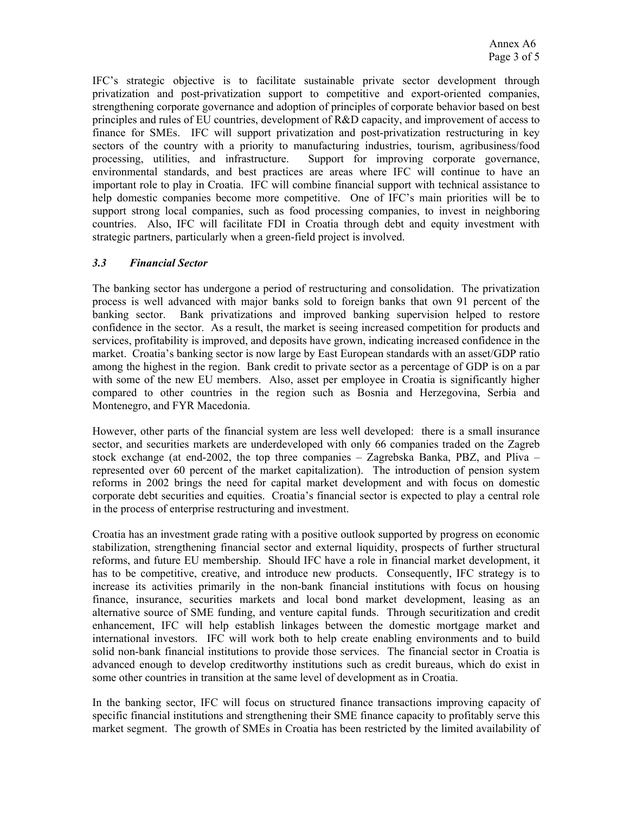IFC's strategic objective is to facilitate sustainable private sector development through privatization and post-privatization support to competitive and export-oriented companies, strengthening corporate governance and adoption of principles of corporate behavior based on best principles and rules of EU countries, development of R&D capacity, and improvement of access to finance for SMEs. IFC will support privatization and post-privatization restructuring in key sectors of the country with a priority to manufacturing industries, tourism, agribusiness/food processing, utilities, and infrastructure. Support for improving corporate governance, environmental standards, and best practices are areas where IFC will continue to have an important role to play in Croatia. IFC will combine financial support with technical assistance to help domestic companies become more competitive. One of IFC's main priorities will be to support strong local companies, such as food processing companies, to invest in neighboring countries. Also, IFC will facilitate FDI in Croatia through debt and equity investment with strategic partners, particularly when a green-field project is involved.

### *3.3 Financial Sector*

The banking sector has undergone a period of restructuring and consolidation. The privatization process is well advanced with major banks sold to foreign banks that own 91 percent of the banking sector. Bank privatizations and improved banking supervision helped to restore confidence in the sector. As a result, the market is seeing increased competition for products and services, profitability is improved, and deposits have grown, indicating increased confidence in the market. Croatia's banking sector is now large by East European standards with an asset/GDP ratio among the highest in the region. Bank credit to private sector as a percentage of GDP is on a par with some of the new EU members. Also, asset per employee in Croatia is significantly higher compared to other countries in the region such as Bosnia and Herzegovina, Serbia and Montenegro, and FYR Macedonia.

However, other parts of the financial system are less well developed: there is a small insurance sector, and securities markets are underdeveloped with only 66 companies traded on the Zagreb stock exchange (at end-2002, the top three companies – Zagrebska Banka, PBZ, and Pliva – represented over 60 percent of the market capitalization). The introduction of pension system reforms in 2002 brings the need for capital market development and with focus on domestic corporate debt securities and equities. Croatia's financial sector is expected to play a central role in the process of enterprise restructuring and investment.

Croatia has an investment grade rating with a positive outlook supported by progress on economic stabilization, strengthening financial sector and external liquidity, prospects of further structural reforms, and future EU membership. Should IFC have a role in financial market development, it has to be competitive, creative, and introduce new products. Consequently, IFC strategy is to increase its activities primarily in the non-bank financial institutions with focus on housing finance, insurance, securities markets and local bond market development, leasing as an alternative source of SME funding, and venture capital funds. Through securitization and credit enhancement, IFC will help establish linkages between the domestic mortgage market and international investors. IFC will work both to help create enabling environments and to build solid non-bank financial institutions to provide those services. The financial sector in Croatia is advanced enough to develop creditworthy institutions such as credit bureaus, which do exist in some other countries in transition at the same level of development as in Croatia.

In the banking sector, IFC will focus on structured finance transactions improving capacity of specific financial institutions and strengthening their SME finance capacity to profitably serve this market segment. The growth of SMEs in Croatia has been restricted by the limited availability of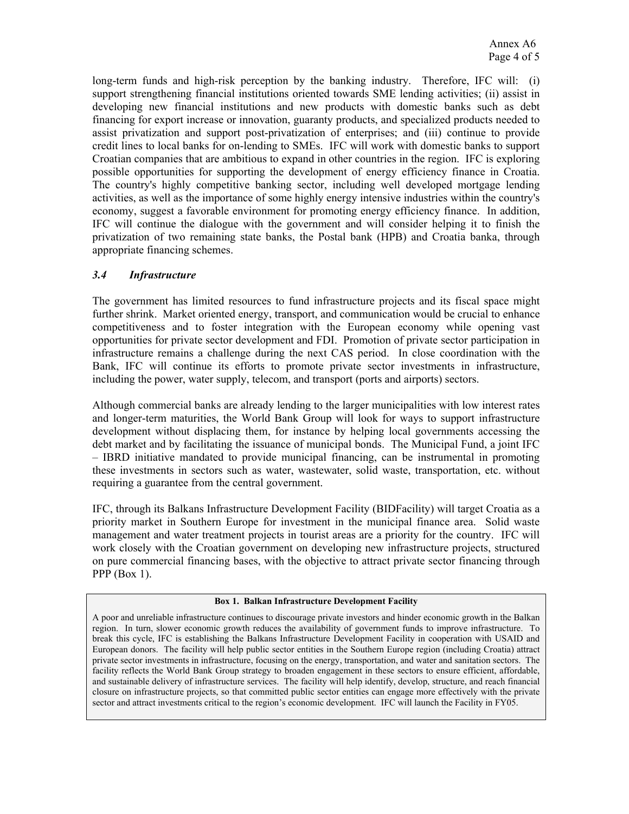long-term funds and high-risk perception by the banking industry. Therefore, IFC will: (i) support strengthening financial institutions oriented towards SME lending activities; (ii) assist in developing new financial institutions and new products with domestic banks such as debt financing for export increase or innovation, guaranty products, and specialized products needed to assist privatization and support post-privatization of enterprises; and (iii) continue to provide credit lines to local banks for on-lending to SMEs. IFC will work with domestic banks to support Croatian companies that are ambitious to expand in other countries in the region. IFC is exploring possible opportunities for supporting the development of energy efficiency finance in Croatia. The country's highly competitive banking sector, including well developed mortgage lending activities, as well as the importance of some highly energy intensive industries within the country's economy, suggest a favorable environment for promoting energy efficiency finance. In addition, IFC will continue the dialogue with the government and will consider helping it to finish the privatization of two remaining state banks, the Postal bank (HPB) and Croatia banka, through appropriate financing schemes.

### *3.4 Infrastructure*

The government has limited resources to fund infrastructure projects and its fiscal space might further shrink. Market oriented energy, transport, and communication would be crucial to enhance competitiveness and to foster integration with the European economy while opening vast opportunities for private sector development and FDI. Promotion of private sector participation in infrastructure remains a challenge during the next CAS period. In close coordination with the Bank, IFC will continue its efforts to promote private sector investments in infrastructure, including the power, water supply, telecom, and transport (ports and airports) sectors.

Although commercial banks are already lending to the larger municipalities with low interest rates and longer-term maturities, the World Bank Group will look for ways to support infrastructure development without displacing them, for instance by helping local governments accessing the debt market and by facilitating the issuance of municipal bonds. The Municipal Fund, a joint IFC – IBRD initiative mandated to provide municipal financing, can be instrumental in promoting these investments in sectors such as water, wastewater, solid waste, transportation, etc. without requiring a guarantee from the central government.

IFC, through its Balkans Infrastructure Development Facility (BIDFacility) will target Croatia as a priority market in Southern Europe for investment in the municipal finance area. Solid waste management and water treatment projects in tourist areas are a priority for the country. IFC will work closely with the Croatian government on developing new infrastructure projects, structured on pure commercial financing bases, with the objective to attract private sector financing through PPP  $(Box 1)$ .

#### **Box 1. Balkan Infrastructure Development Facility**

A poor and unreliable infrastructure continues to discourage private investors and hinder economic growth in the Balkan region. In turn, slower economic growth reduces the availability of government funds to improve infrastructure. To break this cycle, IFC is establishing the Balkans Infrastructure Development Facility in cooperation with USAID and European donors. The facility will help public sector entities in the Southern Europe region (including Croatia) attract private sector investments in infrastructure, focusing on the energy, transportation, and water and sanitation sectors. The facility reflects the World Bank Group strategy to broaden engagement in these sectors to ensure efficient, affordable, and sustainable delivery of infrastructure services. The facility will help identify, develop, structure, and reach financial closure on infrastructure projects, so that committed public sector entities can engage more effectively with the private sector and attract investments critical to the region's economic development. IFC will launch the Facility in FY05.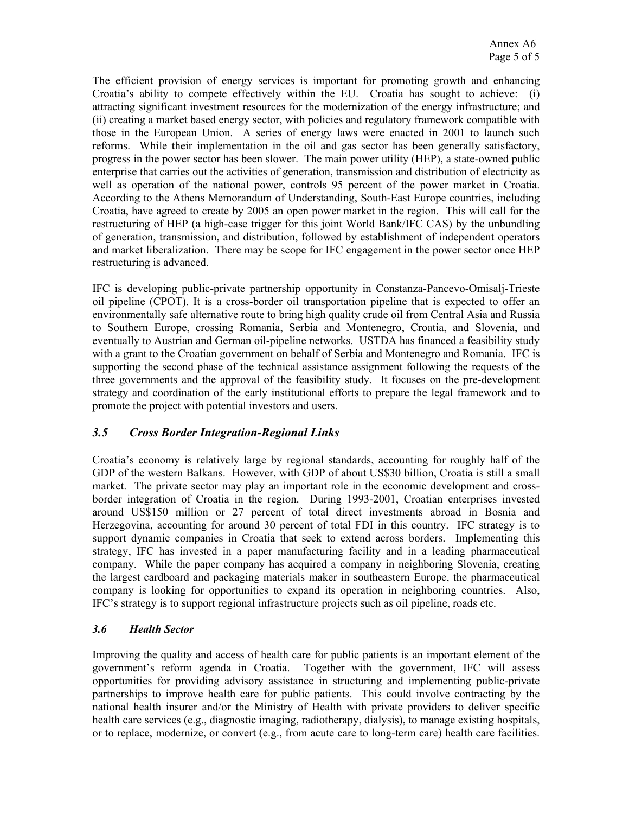The efficient provision of energy services is important for promoting growth and enhancing Croatia's ability to compete effectively within the EU. Croatia has sought to achieve: (i) attracting significant investment resources for the modernization of the energy infrastructure; and (ii) creating a market based energy sector, with policies and regulatory framework compatible with those in the European Union. A series of energy laws were enacted in 2001 to launch such reforms. While their implementation in the oil and gas sector has been generally satisfactory, progress in the power sector has been slower. The main power utility (HEP), a state-owned public enterprise that carries out the activities of generation, transmission and distribution of electricity as well as operation of the national power, controls 95 percent of the power market in Croatia. According to the Athens Memorandum of Understanding, South-East Europe countries, including Croatia, have agreed to create by 2005 an open power market in the region. This will call for the restructuring of HEP (a high-case trigger for this joint World Bank/IFC CAS) by the unbundling of generation, transmission, and distribution, followed by establishment of independent operators and market liberalization. There may be scope for IFC engagement in the power sector once HEP restructuring is advanced.

IFC is developing public-private partnership opportunity in Constanza-Pancevo-Omisalj-Trieste oil pipeline (CPOT). It is a cross-border oil transportation pipeline that is expected to offer an environmentally safe alternative route to bring high quality crude oil from Central Asia and Russia to Southern Europe, crossing Romania, Serbia and Montenegro, Croatia, and Slovenia, and eventually to Austrian and German oil-pipeline networks. USTDA has financed a feasibility study with a grant to the Croatian government on behalf of Serbia and Montenegro and Romania. IFC is supporting the second phase of the technical assistance assignment following the requests of the three governments and the approval of the feasibility study. It focuses on the pre-development strategy and coordination of the early institutional efforts to prepare the legal framework and to promote the project with potential investors and users.

# *3.5 Cross Border Integration-Regional Links*

Croatia's economy is relatively large by regional standards, accounting for roughly half of the GDP of the western Balkans. However, with GDP of about US\$30 billion, Croatia is still a small market. The private sector may play an important role in the economic development and crossborder integration of Croatia in the region. During 1993-2001, Croatian enterprises invested around US\$150 million or 27 percent of total direct investments abroad in Bosnia and Herzegovina, accounting for around 30 percent of total FDI in this country. IFC strategy is to support dynamic companies in Croatia that seek to extend across borders. Implementing this strategy, IFC has invested in a paper manufacturing facility and in a leading pharmaceutical company. While the paper company has acquired a company in neighboring Slovenia, creating the largest cardboard and packaging materials maker in southeastern Europe, the pharmaceutical company is looking for opportunities to expand its operation in neighboring countries. Also, IFC's strategy is to support regional infrastructure projects such as oil pipeline, roads etc.

# *3.6 Health Sector*

Improving the quality and access of health care for public patients is an important element of the government's reform agenda in Croatia. Together with the government, IFC will assess opportunities for providing advisory assistance in structuring and implementing public-private partnerships to improve health care for public patients. This could involve contracting by the national health insurer and/or the Ministry of Health with private providers to deliver specific health care services (e.g., diagnostic imaging, radiotherapy, dialysis), to manage existing hospitals, or to replace, modernize, or convert (e.g., from acute care to long-term care) health care facilities.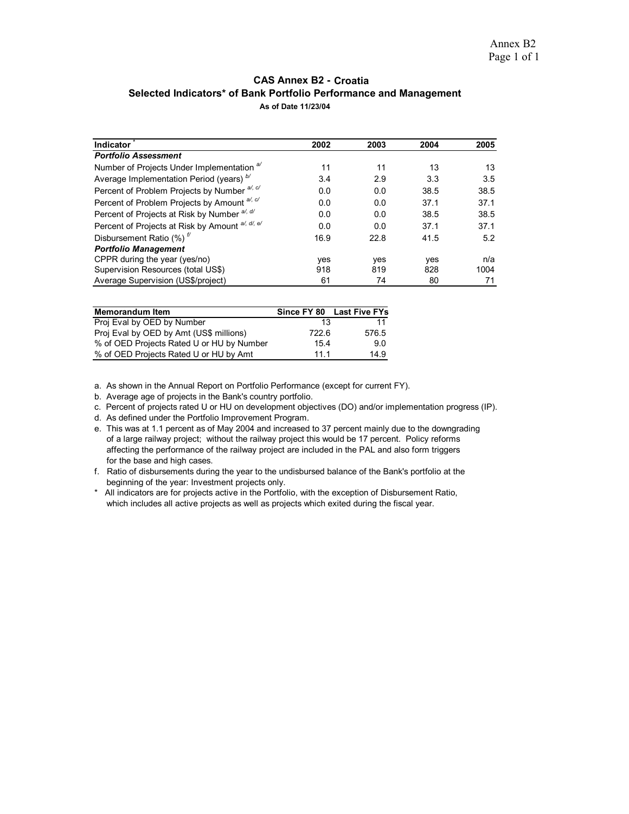#### **Selected Indicators\* of Bank Portfolio Performance and Management CAS Annex B2 - Croatia As of Date 11/23/04**

| Indicator                                             | 2002 | 2003 | 2004 | 2005 |
|-------------------------------------------------------|------|------|------|------|
| <b>Portfolio Assessment</b>                           |      |      |      |      |
| Number of Projects Under Implementation <sup>a/</sup> | 11   | 11   | 13   | 13   |
| Average Implementation Period (years) b/              | 3.4  | 2.9  | 3.3  | 3.5  |
| Percent of Problem Projects by Number a/, c/          | 0.0  | 0.0  | 38.5 | 38.5 |
| Percent of Problem Projects by Amount al, c/          | 0.0  | 0.0  | 37.1 | 37.1 |
| Percent of Projects at Risk by Number a/, d/          | 0.0  | 0.0  | 38.5 | 38.5 |
| Percent of Projects at Risk by Amount al, dl, el      | 0.0  | 0.0  | 37.1 | 37.1 |
| Disbursement Ratio $(\%)$ <sup><math>\#</math></sup>  | 16.9 | 22.8 | 41.5 | 5.2  |
| <b>Portfolio Management</b>                           |      |      |      |      |
| CPPR during the year (yes/no)                         | yes  | yes  | yes  | n/a  |
| Supervision Resources (total US\$)                    | 918  | 819  | 828  | 1004 |
| Average Supervision (US\$/project)                    | 61   | 74   | 80   | 71   |

| <b>Memorandum Item</b>                    |       | Since FY 80 Last Five FYs |
|-------------------------------------------|-------|---------------------------|
| Proj Eval by OED by Number                | 13    | 11                        |
| Proj Eval by OED by Amt (US\$ millions)   | 722.6 | 576.5                     |
| % of OED Projects Rated U or HU by Number | 15.4  | 90                        |
| % of OED Projects Rated U or HU by Amt    | 11 1  | 14.9                      |

a. As shown in the Annual Report on Portfolio Performance (except for current FY).

b. Average age of projects in the Bank's country portfolio.

c. Percent of projects rated U or HU on development objectives (DO) and/or implementation progress (IP).

d. As defined under the Portfolio Improvement Program.

- e. This was at 1.1 percent as of May 2004 and increased to 37 percent mainly due to the downgrading of a large railway project; without the railway project this would be 17 percent. Policy reforms affecting the performance of the railway project are included in the PAL and also form triggers for the base and high cases.
- f. Ratio of disbursements during the year to the undisbursed balance of the Bank's portfolio at the beginning of the year: Investment projects only.
- \* All indicators are for projects active in the Portfolio, with the exception of Disbursement Ratio, which includes all active projects as well as projects which exited during the fiscal year.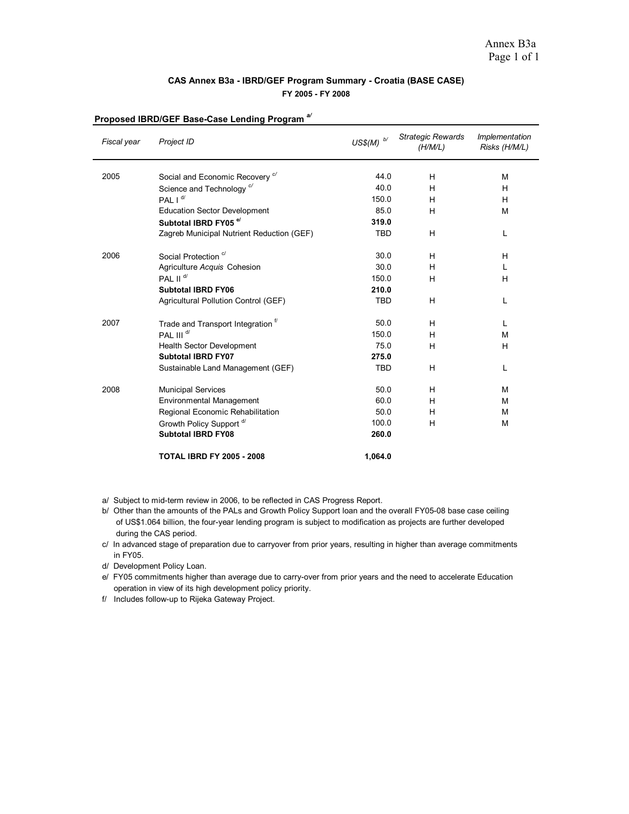#### **CAS Annex B3a - IBRD/GEF Program Summary - Croatia (BASE CASE) FY 2005 - FY 2008**

| Fiscal year | Project ID                                   | $US\$(M)\xrightarrow{b/}$ | <b>Strategic Rewards</b><br>(H/M/L) | Implementation<br>Risks (H/M/L) |
|-------------|----------------------------------------------|---------------------------|-------------------------------------|---------------------------------|
| 2005        | Social and Economic Recovery <sup>c/</sup>   | 44.0                      | H                                   | M                               |
|             | Science and Technology <sup>c/</sup>         | 40.0                      | H                                   | H                               |
|             | PAL $I^{d/2}$                                | 150.0                     | н                                   | H                               |
|             | <b>Education Sector Development</b>          | 85.0                      | H                                   | M                               |
|             | Subtotal IBRD FY05 <sup>e/</sup>             | 319.0                     |                                     |                                 |
|             | Zagreb Municipal Nutrient Reduction (GEF)    | <b>TBD</b>                | H                                   | L                               |
| 2006        | Social Protection <sup>c/</sup>              | 30.0                      | H                                   | H                               |
|             | Agriculture Acquis Cohesion                  | 30.0                      | H                                   | L                               |
|             | PAL II <sup>d/</sup>                         | 150.0                     | н                                   | H                               |
|             | <b>Subtotal IBRD FY06</b>                    | 210.0                     |                                     |                                 |
|             | Agricultural Pollution Control (GEF)         | <b>TBD</b>                | H                                   | L                               |
| 2007        | Trade and Transport Integration <sup>f</sup> | 50.0                      | H                                   | L                               |
|             | PAL III <sup>d/</sup>                        | 150.0                     | H                                   | M                               |
|             | <b>Health Sector Development</b>             | 75.0                      | H                                   | H                               |
|             | <b>Subtotal IBRD FY07</b>                    | 275.0                     |                                     |                                 |
|             | Sustainable Land Management (GEF)            | <b>TBD</b>                | H                                   | L                               |
| 2008        | <b>Municipal Services</b>                    | 50.0                      | H                                   | M                               |
|             | Environmental Management                     | 60.0                      | н                                   | м                               |
|             | Regional Economic Rehabilitation             | 50.0                      | н                                   | M                               |
|             | Growth Policy Support <sup>d/</sup>          | 100.0                     | н                                   | м                               |
|             | <b>Subtotal IBRD FY08</b>                    | 260.0                     |                                     |                                 |
|             | <b>TOTAL IBRD FY 2005 - 2008</b>             | 1,064.0                   |                                     |                                 |

# **Proposed IBRD/GEF Base-Case Lending Program** *a/*

a/ Subject to mid-term review in 2006, to be reflected in CAS Progress Report.

 of US\$1.064 billion, the four-year lending program is subject to modification as projects are further developed during the CAS period. b/ Other than the amounts of the PALs and Growth Policy Support loan and the overall FY05-08 base case ceiling

c/ In advanced stage of preparation due to carryover from prior years, resulting in higher than average commitments in FY05.

- d/ Development Policy Loan.
- e/ FY05 commitments higher than average due to carry-over from prior years and the need to accelerate Education operation in view of its high development policy priority.
- f/ Includes follow-up to Rijeka Gateway Project.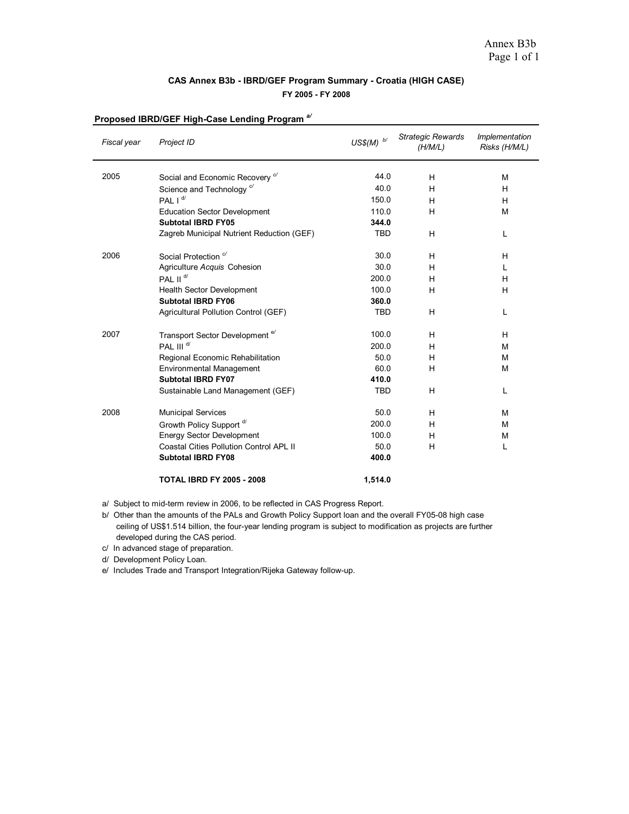#### **CAS Annex B3b - IBRD/GEF Program Summary - Croatia (HIGH CASE) FY 2005 - FY 2008**

| Fiscal year | Project ID                                     | $USS(M)$ $\ ^b\ ^{\prime}$ | <b>Strategic Rewards</b><br>(H/M/L) | Implementation<br>Risks (H/M/L) |
|-------------|------------------------------------------------|----------------------------|-------------------------------------|---------------------------------|
| 2005        | Social and Economic Recovery <sup>c/</sup>     | 44.0                       | H                                   | M                               |
|             | Science and Technology <sup>c/</sup>           | 40.0                       | H                                   | H                               |
|             | PAL I <sup>d/</sup>                            | 150.0                      | н                                   | н                               |
|             | <b>Education Sector Development</b>            | 110.0                      | H                                   | M                               |
|             | <b>Subtotal IBRD FY05</b>                      | 344.0                      |                                     |                                 |
|             | Zagreb Municipal Nutrient Reduction (GEF)      | <b>TBD</b>                 | н                                   | L                               |
| 2006        | Social Protection <sup>c/</sup>                | 30.0                       | H                                   | H                               |
|             | Agriculture Acquis Cohesion                    | 30.0                       | н                                   | L                               |
|             | PAI II <sup>d/</sup>                           | 200.0                      | н                                   | H                               |
|             | <b>Health Sector Development</b>               | 100.0                      | н                                   | H                               |
|             | <b>Subtotal IBRD FY06</b>                      | 360.0                      |                                     |                                 |
|             | Agricultural Pollution Control (GEF)           | <b>TBD</b>                 | H                                   | L                               |
| 2007        | Transport Sector Development <sup>e/</sup>     | 100.0                      | H                                   | H                               |
|             | PAL III <sup>d/</sup>                          | 200.0                      | н                                   | M                               |
|             | Regional Economic Rehabilitation               | 50.0                       | H                                   | M                               |
|             | Environmental Management                       | 60.0                       | H                                   | M                               |
|             | Subtotal IBRD FY07                             | 410.0                      |                                     |                                 |
|             | Sustainable Land Management (GEF)              | <b>TBD</b>                 | н                                   | L                               |
| 2008        | <b>Municipal Services</b>                      | 50.0                       | H                                   | м                               |
|             | Growth Policy Support <sup>d/</sup>            | 200.0                      | н                                   | м                               |
|             | <b>Energy Sector Development</b>               | 100.0                      | H                                   | M                               |
|             | <b>Coastal Cities Pollution Control APL II</b> | 50.0                       | н                                   | L                               |
|             | <b>Subtotal IBRD FY08</b>                      | 400.0                      |                                     |                                 |
|             | <b>TOTAL IBRD FY 2005 - 2008</b>               | 1,514.0                    |                                     |                                 |

# **Proposed IBRD/GEF High-Case Lending Program** *a/*

a/ Subject to mid-term review in 2006, to be reflected in CAS Progress Report.

- c/ In advanced stage of preparation.
- d/ Development Policy Loan.

e/ Includes Trade and Transport Integration/Rijeka Gateway follow-up.

b/ Other than the amounts of the PALs and Growth Policy Support loan and the overall FY05-08 high case ceiling of US\$1.514 billion, the four-year lending program is subject to modification as projects are further developed during the CAS period.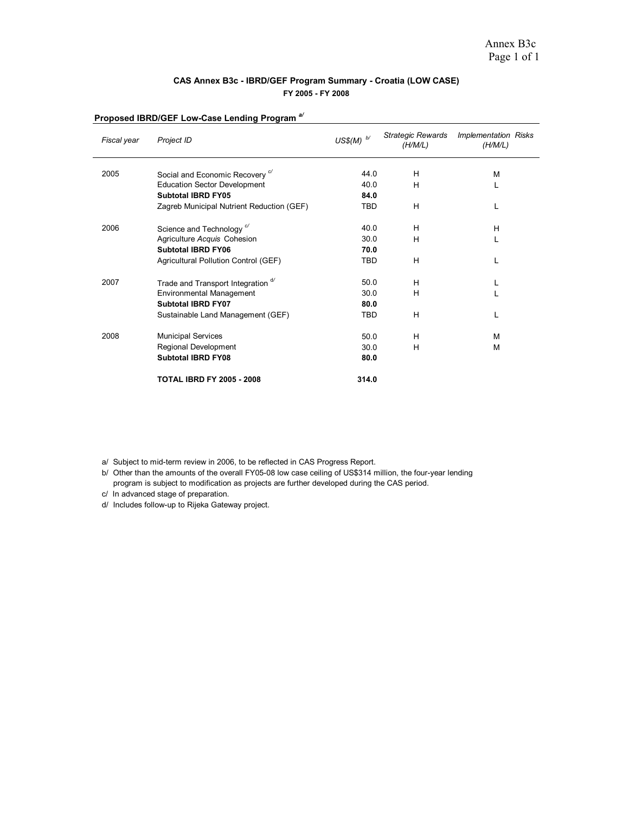#### **CAS Annex B3c - IBRD/GEF Program Summary - Croatia (LOW CASE) FY 2005 - FY 2008**

| Fiscal year | Project ID                                 | US\$(M) $^{b}$ | <b>Strategic Rewards</b><br>(H/M/L) | <b>Implementation Risks</b><br>(H/M/L) |
|-------------|--------------------------------------------|----------------|-------------------------------------|----------------------------------------|
| 2005        | Social and Economic Recovery <sup>c/</sup> | 44.0           | н                                   | M                                      |
|             | <b>Education Sector Development</b>        | 40.0           | H                                   |                                        |
|             | <b>Subtotal IBRD FY05</b>                  | 84.0           |                                     |                                        |
|             | Zagreb Municipal Nutrient Reduction (GEF)  | <b>TBD</b>     | н                                   | L                                      |
| 2006        | Science and Technology <sup>c'</sup>       | 40.0           | н                                   | H                                      |
|             | Agriculture Acquis Cohesion                | 30.0           | н                                   |                                        |
|             | <b>Subtotal IBRD FY06</b>                  | 70.0           |                                     |                                        |
|             | Agricultural Pollution Control (GEF)       | <b>TBD</b>     | н                                   |                                        |
| 2007        | Trade and Transport Integration d'         | 50.0           | н                                   |                                        |
|             | <b>Environmental Management</b>            | 30.0           | н                                   |                                        |
|             | <b>Subtotal IBRD FY07</b>                  | 80.0           |                                     |                                        |
|             | Sustainable Land Management (GEF)          | TBD            | н                                   | L                                      |
| 2008        | <b>Municipal Services</b>                  | 50.0           | н                                   | M                                      |
|             | Regional Development                       | 30.0           | н                                   | M                                      |
|             | <b>Subtotal IBRD FY08</b>                  | 80.0           |                                     |                                        |
|             | <b>TOTAL IBRD FY 2005 - 2008</b>           | 314.0          |                                     |                                        |

#### **Proposed IBRD/GEF Low-Case Lending Program** *a/*

a/ Subject to mid-term review in 2006, to be reflected in CAS Progress Report.

b/ Other than the amounts of the overall FY05-08 low case ceiling of US\$314 million, the four-year lending program is subject to modification as projects are further developed during the CAS period.

c/ In advanced stage of preparation.

d/ Includes follow-up to Rijeka Gateway project.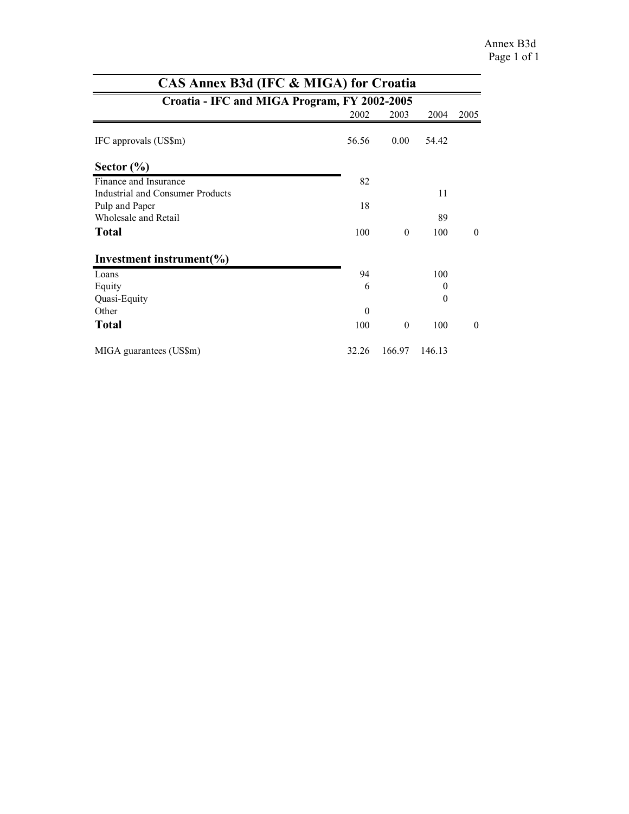|                                              | CAS Annex B3d (IFC & MIGA) for Croatia |          |          |          |  |  |  |  |  |  |  |  |
|----------------------------------------------|----------------------------------------|----------|----------|----------|--|--|--|--|--|--|--|--|
| Croatia - IFC and MIGA Program, FY 2002-2005 |                                        |          |          |          |  |  |  |  |  |  |  |  |
|                                              | 2002                                   | 2003     | 2004     | 2005     |  |  |  |  |  |  |  |  |
| IFC approvals (US\$m)                        | 56.56                                  | 0.00     | 54.42    |          |  |  |  |  |  |  |  |  |
| Sector $(\% )$                               |                                        |          |          |          |  |  |  |  |  |  |  |  |
| Finance and Insurance                        | 82                                     |          |          |          |  |  |  |  |  |  |  |  |
| Industrial and Consumer Products             |                                        |          | 11       |          |  |  |  |  |  |  |  |  |
| Pulp and Paper                               | 18                                     |          |          |          |  |  |  |  |  |  |  |  |
| Wholesale and Retail                         |                                        |          | 89       |          |  |  |  |  |  |  |  |  |
| <b>Total</b>                                 | 100                                    | $\theta$ | 100      | $\theta$ |  |  |  |  |  |  |  |  |
| Investment instrument $(\% )$                |                                        |          |          |          |  |  |  |  |  |  |  |  |
| Loans                                        | 94                                     |          | 100      |          |  |  |  |  |  |  |  |  |
| Equity                                       | 6                                      |          | $\theta$ |          |  |  |  |  |  |  |  |  |
| Quasi-Equity                                 |                                        |          | $\theta$ |          |  |  |  |  |  |  |  |  |
| Other                                        | $\theta$                               |          |          |          |  |  |  |  |  |  |  |  |
| <b>Total</b>                                 | 100                                    | $\theta$ | 100      | $\theta$ |  |  |  |  |  |  |  |  |
| MIGA guarantees (US\$m)                      | 32.26                                  | 166.97   | 146.13   |          |  |  |  |  |  |  |  |  |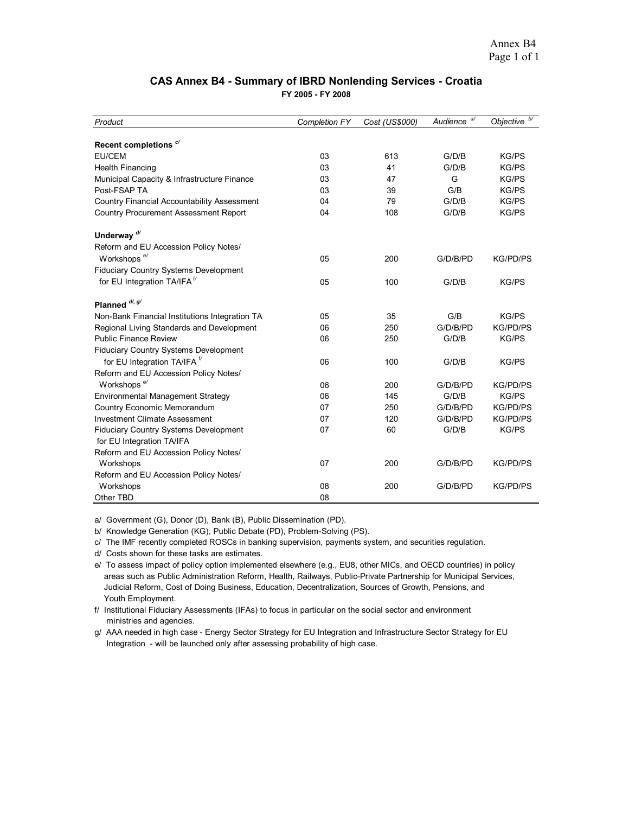#### **CAS Annex B4 - Summary of IBRD Nonlending Services - Croatia**

**FY 2005 - FY 2008**

| Product                                        | <b>Completion FY</b> | Cost (US\$000) | a<br>Audience | b/<br>Objective |
|------------------------------------------------|----------------------|----------------|---------------|-----------------|
|                                                |                      |                |               |                 |
| Recent completions <sup>c/</sup>               |                      |                |               |                 |
| EU/CEM                                         | 03                   | 613            | G/D/B         | <b>KG/PS</b>    |
| <b>Health Financing</b>                        | 03                   | 41             | G/D/B         | <b>KG/PS</b>    |
| Municipal Capacity & Infrastructure Finance    | 03                   | 47             | G             | <b>KG/PS</b>    |
| Post-FSAP TA                                   | 03                   | 39             | G/B           | <b>KG/PS</b>    |
| Country Financial Accountability Assessment    | 04                   | 79             | G/D/B         | <b>KG/PS</b>    |
| <b>Country Procurement Assessment Report</b>   | 04                   | 108            | G/D/B         | <b>KG/PS</b>    |
| Underway <sup>d/</sup>                         |                      |                |               |                 |
| Reform and EU Accession Policy Notes/          |                      |                |               |                 |
| Workshops <sup>e/</sup>                        | 05                   | 200            | G/D/B/PD      | <b>KG/PD/PS</b> |
| Fiduciary Country Systems Development          |                      |                |               |                 |
| for EU Integration TA/IFA <sup>t/</sup>        | 05                   | 100            | G/D/B         | <b>KG/PS</b>    |
|                                                |                      |                |               |                 |
| Planned <sup>d/, g/</sup>                      |                      |                |               |                 |
| Non-Bank Financial Institutions Integration TA | 05                   | 35             | G/B           | <b>KG/PS</b>    |
| Regional Living Standards and Development      | 06                   | 250            | G/D/B/PD      | <b>KG/PD/PS</b> |
| <b>Public Finance Review</b>                   | 06                   | 250            | G/D/B         | <b>KG/PS</b>    |
| Fiduciary Country Systems Development          |                      |                |               |                 |
| for EU Integration TA/IFA <sup>t/</sup>        | 06                   | 100            | G/D/B         | <b>KG/PS</b>    |
| Reform and EU Accession Policy Notes/          |                      |                |               |                 |
| Workshops <sup>e/</sup>                        | 06                   | 200            | G/D/B/PD      | <b>KG/PD/PS</b> |
| Environmental Management Strategy              | 06                   | 145            | G/D/B         | <b>KG/PS</b>    |
| Country Economic Memorandum                    | 07                   | 250            | G/D/B/PD      | <b>KG/PD/PS</b> |
| <b>Investment Climate Assessment</b>           | 07                   | 120            | G/D/B/PD      | <b>KG/PD/PS</b> |
|                                                | 07                   | 60             | G/D/B         | <b>KG/PS</b>    |
| Fiduciary Country Systems Development          |                      |                |               |                 |
| for EU Integration TA/IFA                      |                      |                |               |                 |
| Reform and EU Accession Policy Notes/          |                      |                |               |                 |
| Workshops                                      | 07                   | 200            | G/D/B/PD      | <b>KG/PD/PS</b> |
| Reform and EU Accession Policy Notes/          |                      |                |               |                 |
| Workshops                                      | 08                   | 200            | G/D/B/PD      | <b>KG/PD/PS</b> |
| Other TBD                                      | 08                   |                |               |                 |

a/ Government (G), Donor (D), Bank (B), Public Dissemination (PD).

b/ Knowledge Generation (KG), Public Debate (PD), Problem-Solving (PS).

c/ The IMF recently completed ROSCs in banking supervision, payments system, and securities regulation.

d/ Costs shown for these tasks are estimates.

e/ To assess impact of policy option implemented elsewhere (e.g., EU8, other MICs, and OECD countries) in policy areas such as Public Administration Reform, Health, Railways, Public-Private Partnership for Municipal Services, Judicial Reform, Cost of Doing Business, Education, Decentralization, Sources of Growth, Pensions, and Youth Employment.

f/ Institutional Fiduciary Assessments (IFAs) to focus in particular on the social sector and environment ministries and agencies.

g/ AAA needed in high case - Energy Sector Strategy for EU Integration and Infrastructure Sector Strategy for EU Integration - will be launched only after assessing probability of high case.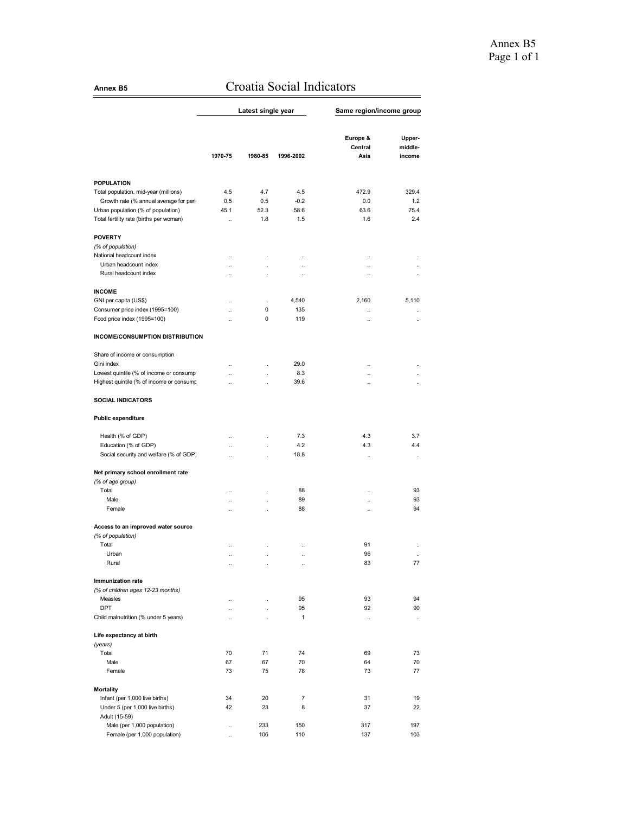# **Annex B5** Croatia Social Indicators

|                                                                |                                              | Latest single year     |                                   | Same region/income group                     |                       |
|----------------------------------------------------------------|----------------------------------------------|------------------------|-----------------------------------|----------------------------------------------|-----------------------|
|                                                                |                                              |                        |                                   |                                              |                       |
|                                                                |                                              |                        |                                   | Europe &                                     | Upper-                |
|                                                                |                                              |                        |                                   | Central                                      | middle-               |
|                                                                | 1970-75                                      | 1980-85                | 1996-2002                         | Asia                                         | income                |
|                                                                |                                              |                        |                                   |                                              |                       |
| <b>POPULATION</b><br>Total population, mid-year (millions)     | 4.5                                          | 4.7                    | 4.5                               | 472.9                                        | 329.4                 |
| Growth rate (% annual average for peri                         | 0.5                                          | 0.5                    | $-0.2$                            | 0.0                                          | 1.2                   |
| Urban population (% of population)                             | 45.1                                         | 52.3                   | 58.6                              | 63.6                                         | 75.4                  |
| Total fertility rate (births per woman)                        | $\ddotsc$                                    | 1.8                    | 1.5                               | 1.6                                          | 2.4                   |
| <b>POVERTY</b>                                                 |                                              |                        |                                   |                                              |                       |
| (% of population)                                              |                                              |                        |                                   |                                              |                       |
| National headcount index<br>Urban headcount index              | $\ddotsc$                                    | $\ddotsc$              | $\ddotsc$                         | $\ddotsc$                                    | $\ddot{\phantom{a}}$  |
| Rural headcount index                                          | $\ddotsc$<br>$\ddotsc$                       | $\ddotsc$<br>$\ddotsc$ | $\ddotsc$<br>$\ddot{\phantom{a}}$ | $\ddot{\phantom{a}}$<br>$\ddot{\phantom{0}}$ | $\ddotsc$<br>$\ddots$ |
|                                                                |                                              |                        |                                   |                                              |                       |
| <b>INCOME</b>                                                  |                                              |                        |                                   |                                              |                       |
| GNI per capita (US\$)                                          |                                              | <br>0                  | 4,540<br>135                      | 2,160                                        | 5,110                 |
| Consumer price index (1995=100)<br>Food price index (1995=100) | $\ddot{\phantom{a}}$<br>$\ddot{\phantom{a}}$ | 0                      | 119                               | $\ddot{\phantom{a}}$<br>$\ddotsc$            | $\ddotsc$<br>$\ddots$ |
| INCOME/CONSUMPTION DISTRIBUTION                                |                                              |                        |                                   |                                              |                       |
|                                                                |                                              |                        |                                   |                                              |                       |
| Share of income or consumption                                 |                                              |                        |                                   |                                              |                       |
| Gini index                                                     | $\ddot{\phantom{a}}$                         | $\ddotsc$              | 29.0                              |                                              |                       |
| Lowest quintile (% of income or consumpl                       | $\ddot{\phantom{a}}$                         | $\ddotsc$              | 8.3<br>39.6                       | $\ddot{\phantom{a}}$                         | $\ddotsc$             |
| Highest quintile (% of income or consump                       | $\ddot{\phantom{a}}$                         | $\ddot{\phantom{a}}$   |                                   | $\ddot{\phantom{a}}$                         | $\ddotsc$             |
| <b>SOCIAL INDICATORS</b>                                       |                                              |                        |                                   |                                              |                       |
| <b>Public expenditure</b>                                      |                                              |                        |                                   |                                              |                       |
| Health (% of GDP)                                              | $\ddot{\phantom{a}}$                         | $\ddot{\phantom{a}}$   | 7.3                               | 4.3                                          | 3.7                   |
| Education (% of GDP)                                           | $\ddot{\phantom{a}}$                         | $\ddotsc$              | 4.2                               | 4.3                                          | 4.4                   |
| Social security and welfare (% of GDP)                         | $\ddot{\phantom{a}}$                         | $\ddot{\phantom{a}}$   | 18.8                              | $\ddotsc$                                    | $\ddotsc$             |
| Net primary school enrollment rate                             |                                              |                        |                                   |                                              |                       |
| (% of age group)                                               |                                              |                        |                                   |                                              |                       |
| Total                                                          |                                              | $\ddot{\phantom{0}}$   | 88                                |                                              | 93                    |
| Male<br>Female                                                 | Ξ.<br>$\ddotsc$                              | $\ddotsc$<br>$\ddotsc$ | 89<br>88                          | $\ddot{\phantom{a}}$                         | 93<br>94              |
|                                                                |                                              |                        |                                   |                                              |                       |
| Access to an improved water source<br>(% of population)        |                                              |                        |                                   |                                              |                       |
| Total                                                          | $\ddotsc$                                    | $\ddotsc$              | $\ddot{\phantom{0}}$              | 91                                           | $\ddot{\phantom{0}}$  |
| Urban                                                          |                                              | $\ddot{\phantom{0}}$   | $\ddot{\phantom{0}}$              | 96                                           |                       |
| Rural                                                          |                                              |                        |                                   | 83                                           | 77                    |
| <b>Immunization rate</b>                                       |                                              |                        |                                   |                                              |                       |
| (% of children ages 12-23 months)                              |                                              |                        |                                   |                                              |                       |
| Measles                                                        | $\ddotsc$                                    | $\ddotsc$              | 95                                | 93                                           | 94                    |
| <b>DPT</b><br>Child malnutrition (% under 5 years)             | ä,                                           | $\ddotsc$              | 95<br>$\mathbf{1}$                | 92                                           | 90                    |
|                                                                | ä,                                           | $\ddotsc$              |                                   | $\ddotsc$                                    | $\ddotsc$             |
| Life expectancy at birth<br>(years)                            |                                              |                        |                                   |                                              |                       |
| Total                                                          | 70                                           | 71                     | 74                                | 69                                           | 73                    |
| Male                                                           | 67                                           | 67                     | 70                                | 64                                           | 70                    |
| Female                                                         | 73                                           | 75                     | 78                                | 73                                           | 77                    |
| <b>Mortality</b>                                               |                                              |                        |                                   |                                              |                       |
| Infant (per 1,000 live births)                                 | 34                                           | 20                     | $\overline{7}$                    | 31                                           | 19                    |
| Under 5 (per 1,000 live births)<br>Adult (15-59)               | 42                                           | 23                     | 8                                 | 37                                           | 22                    |
| Male (per 1,000 population)                                    | $\ddotsc$                                    | 233                    | 150                               | 317                                          | 197                   |
| Female (per 1,000 population)                                  | $\ddotsc$                                    | 106                    | 110                               | 137                                          | 103                   |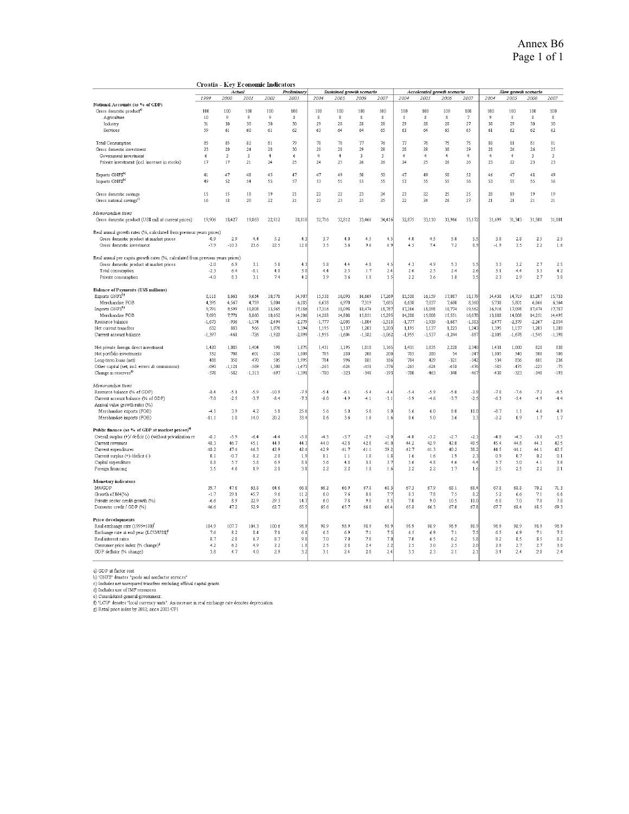|                                                                                    | Croatia - Key Economic Indicators |                         |          |                |                      |                |                           |             |                         |                |                             |                |                |                 |                      |                  |            |
|------------------------------------------------------------------------------------|-----------------------------------|-------------------------|----------|----------------|----------------------|----------------|---------------------------|-------------|-------------------------|----------------|-----------------------------|----------------|----------------|-----------------|----------------------|------------------|------------|
|                                                                                    |                                   | Actual                  |          |                | Preliminary          |                | Sustained growth scenario |             |                         |                | Accelerated growth scenario |                |                |                 | Slow growth scenario |                  |            |
|                                                                                    | 1999                              | 2000                    | 2001     | 2002           | 2003                 | 2004           | 2005                      | 2006        | 2007                    | 2004           | 2005                        | 2006           | 2007           | 2004            | 2005                 | 2006             | 2007       |
| National Accounts (as % of GDP)                                                    |                                   |                         |          |                |                      |                |                           |             |                         |                |                             |                |                |                 |                      |                  |            |
| Gross domestic product <sup>8)</sup>                                               | 100                               | 100                     | 100      | 100            | 100                  | 100            | 100                       | 100         | 100                     | 100            | 100                         | 100            | 100            | 100             | 100                  | 100              | 100        |
| Agriculture                                                                        | 10                                | 9                       | 9        | $\overline{9}$ | 8                    | 8              | 8                         | 8           | $\mathbf{8}$            | $\,$ 8         | 8                           | $\,$ 8         | $\tau$         | 9               | 8                    | $\boldsymbol{8}$ | 8          |
| Industry                                                                           | 31                                | 30                      | 30       | 30             | 30                   | 29             | 28                        | 28          | 28                      | 29             | 28                          | 28             | 27             | 30 <sup>°</sup> | 29                   | 30               | 30         |
| Services                                                                           | 59                                | 61                      | 60       | 61             | 62                   | 63             | 64                        | 64          | 65                      | 63             | 64                          | 65             | 65             | 61              | 62                   | 62               | 62         |
| Total Consumption                                                                  | 85                                | 85                      | 82       | 81             | 79                   | $7\mathrm{3}$  | 78                        | $\sqrt{77}$ | $76\,$                  | $\overline{T}$ | $78\,$                      | 75             | 75             | 80              | 81                   | 81               | 81         |
| Gross domestic investment                                                          | 23                                | 20                      | 24       | 28             | 30                   | 28             | 28                        | 29          | 28                      | 28             | 28                          | 30             | 29             | 28              | 26                   | 26               | 25         |
| Government investment                                                              | ń                                 | $\overline{\mathbf{3}}$ | 3        | $\overline{4}$ | 6.                   | $\overline{4}$ | $\overline{4}$            | 3           | $\overline{\mathbf{3}}$ | $\overline{4}$ | $\overline{4}$              | $\overline{4}$ | $\overline{4}$ | $\overline{4}$  | $\overline{4}$       | $\sqrt{3}$       | $\sqrt{3}$ |
| Private investment (incl. increase in stocks)                                      | 17                                | 17                      | 21       | 24             | 25                   | 24             | 25                        | 26          | 26                      | 24             | 25                          | 26             | 26             | 23              | 22                   | 23               | 23         |
| Exports GNFSb)                                                                     | 41                                | 47                      | 48       | 45             | 47                   | 47             | 49                        | 50          | 50                      | 47             | 49                          | 50             | 52             | 46              | 47                   | 48               | 49         |
| Imports GNFS <sup>b)</sup>                                                         | 49                                | 52                      | 54       | 55             | 57                   | 53             | 55                        | 55          | 55                      | 53             | 55                          | 55             | 56             | 53              | 55                   | 55               | 56         |
| Gross domestic savings                                                             | 15                                | 15                      | 18       | 19             | 21                   | 22             | 22                        | 23          | 24                      | 23             | 22                          | 25             | 25             | 20              | 19                   | 19               | 19         |
| Gross national savings <sup>c</sup>                                                | 16                                | 18                      | 20       | 22             | 21                   | 22             | 23                        | 25          | 25                      | 22             | 24                          | 26             | 27             | 21              | 21                   | 21               | 21         |
| Memorandum items                                                                   |                                   |                         |          |                |                      |                |                           |             |                         |                |                             |                |                |                 |                      |                  |            |
| Gross domestic product (US\$ mill at current prices)                               | 19,906                            | 18,427                  | 19,863   | 22.812         | 28,810               | 32,716         | 32,812                    | 33,466      | 34,416                  | 32,875         | 33,110                      | 33,966         | 35,172         | 31,699          | 31,343               | 31,500           | 31,801     |
| Real annual growth rates (%, calculated from previous years prices)                |                                   |                         |          |                |                      |                |                           |             |                         |                |                             |                |                |                 |                      |                  |            |
| Gross domestic product at market prices                                            | $-0.9$                            | 2.9                     | 4.4      | 5.2            | 4.3                  | 3.7            | 4.0                       | 4.5         | 4.5                     | 4.0            | 4.5                         | 5.0            | 5.5            | 3.0             | 2.8                  | 2.5              | 2.5        |
| Gross domestic investment                                                          | $-7.9$                            | $-10.3$                 | 23.6     | 22.5           | 12.0                 | 3.5            | 3.6                       | 9.6         | 6.9                     | 4.5            | 7.4                         | 7.2            | 8.9            | $-1.9$          | 3.5                  | 2.2              | 1.6        |
| Real annual per capita growth rates (%, calculated from previous years prices)     |                                   |                         |          |                |                      |                |                           |             |                         |                |                             |                |                |                 |                      |                  |            |
| Gross domestic product at market prices                                            | $-2.0$                            | 6.9                     | 3.1      | 5.1            | 4.3                  | 5.8            | 4.4                       | 4.8         | 4.5                     | 4.3            | 4.9                         | 5.3            | 5.5            | 3.3             | $3.2\,$              | 2.7              | 2.5        |
| Total consumption                                                                  | $-2.3$                            | 6.4                     | $-0.1$   | 4.8            | 3.0                  | 4.4            | 2.5                       | 1.7         | 2.4                     | 2.6            | 2.5                         | 2.4            | 2.6            | 3.1             | 4,4                  | 3.3              | 4.2        |
| Private consumption                                                                | $-4.0$                            | 8.3                     | 3.1      | 7.4            | 4.2                  | 3.9            | 3.6                       | 1.8         | 3.5                     | 2.2            | 3.6                         | 1.8            | 3.5            | 2.3             | 2.9                  | 2.7              | 3.0        |
| Balance of Payments (US\$ millions)                                                |                                   |                         |          |                |                      |                |                           |             |                         |                |                             |                |                |                 |                      |                  |            |
| Exports GNFS <sup>b)</sup>                                                         | 8,118                             | 8,663                   | 9,634    | 10,571         | 14,907               | 15,538         | 16,093                    | 16,669      | 17,269                  | 15,538         | 16,159                      | 17,087         | 18,179         | 14,438          | 14,719               | 15,207           | 15,733     |
| Merchandise FOB                                                                    | 4,395                             | 4,567                   | 4,759    | 5,004          | 6,285                | 6,638          | 6,970                     | 7,319       | 7,685                   | 6,638          | 7,037                       | 7,600          | 8,360          | 5,738           | 5,801                | 6,066            | 6,364      |
| Imports GNFS <sup>b)</sup>                                                         | 9,791                             | 9,599                   | 10,808   | 13,065         | 17,186               | 17,316         | 18,098                    | 18,474      | 18,787                  | 17,316         | 18,098                      | 18,774         | 19,562         | 16,916          | 17,098               | 17,474           | 17,787     |
| Merchandise FOB                                                                    | 7,693                             | 7,771                   | 8,860    | 10,652         | 14,206               | 14,288         | 14,808                    | 15,051      | 15,295                  | 14,288         | 15,008                      | 15,551         | 16,070         | 13,888          | 14,008               | 14,251           | 14,495     |
| Resource balance                                                                   | $-1,673$                          | $-936$                  | $-1,174$ | $-2,494$       | $-2,279$             | $-1,777$       | $-2,005$                  | $-1,804$    | $-1,518$                | $-1,777$       | $-1,939$                    | $-1,687$       | $-1,383$       | $-2,477$        | $-2,379$             | $-2,267$         | $-2,054$   |
| Net current transfers                                                              | 632                               | 883                     | 966      | 1,076          | 1,394                | 1,195          | 1,137                     | 1,203       | 1,203                   | 1,195          | 1,137                       | 1,223          | 1,243          | 1,395           | 1,137                | 1,203            | 1,203      |
| Current account balance                                                            | $-1,397$                          | $-461$                  | $-726$   | $-1,920$       | $-2,099$             | $-1,955$       | $-1,604$                  | $-1,382$    | $-1,062$                | $-1,955$       | $-1,537$                    | $-1,244$       | $-887$         | $-2,005$        | $-1,678$             | $-1,545$         | $-1,398$   |
| Net private foreign direct investment                                              | 1,420                             | 1,085                   | 1,404    | 591            | 1,875                | 1,431          | 1,195                     | 1,018       | 1,165                   | 1,431          | 1,835                       | 2,228          | 2,340          | 1,431           | 1,000                | 828              | 830        |
| Net portfolio investments                                                          | 532                               | 708                     | 601      | $-230$         | 1,009                | 705            | 280                       | 200         | 200                     | 705            | 280                         | 54             | $-247$         | 1,005           | 540                  | 500              | 500        |
|                                                                                    | 488                               | 350                     | 470      | 505            | 1,995                | 784            | 996                       | 881         | 186                     | 784            | 429                         | $-321$         | $-342$         | 534             | 836                  | 681              | 236        |
| Long-term loans (net)                                                              | $-690$                            |                         | $-569$   | 1,308          |                      | $-265$         | $-624$                    | -458        | $-376$                  | $-265$         | $-624$                      | $-458$         | $-476$         | $-585$          | $-475$               | $-225$           | $-75$      |
| Other capital (net, incl. errors & ommissions)<br>Change in reserves <sup>d)</sup> | $-378$                            | $-1,121$<br>$-582$      |          | $-697$         | $-1,473$<br>$-1,391$ | $-780$         | $-323$                    | $-340$      | $-193$                  | $-780$         | $-463$                      | $-340$         | -467           | $-430$          | $-323$               | $-340$           | $-193$     |
|                                                                                    |                                   |                         | $-1,313$ |                |                      |                |                           |             |                         |                |                             |                |                |                 |                      |                  |            |
| Memorandum items                                                                   |                                   |                         |          |                |                      |                |                           |             |                         |                |                             |                |                |                 |                      |                  |            |
| Resource balance (% of GDP)                                                        | $-8.4$                            | $-5.1$                  | $-5.9$   | $-10.9$        | $-7.9$               | $-5.4$         | $-6.1$                    | $-5.4$      | $-4.4$                  | $-5.4$         | $-5.9$                      | $-5.0$         | $-3.9$         | $-7.8$          | $-7.6$               | $-7.2$           | $-6.5$     |
| Current account balance (% of GDP)                                                 | $-7.0$                            | $-2.5$                  | $-3.7$   | $-8.4$         | $-7.3$               | -6.0           | $-4.9$                    | $-4.1$      | $-3.1$                  | -5.9           | $-4.6$                      | $-3.7$         | $-2.5$         | $-6.3$          | $-5.4$               | -4.9             | $-4.4$     |
| Annual value growth rates (%)                                                      |                                   |                         |          |                |                      |                |                           |             |                         |                |                             |                |                |                 |                      |                  |            |
| Merchandise exports (FOB)                                                          | $-4.1$                            | 3.9                     | 4.2      | 5.1            | 25.6                 | 5.6            | 5.0                       | 5.0         | 5.0                     | 5.6            | 6.0                         | 8.0            | 10.0           | $-8.7$          | 1.1                  | 4.6              | 4.9        |
| Merchandise imports (FOB)                                                          | $-11.1$                           | 1.0                     | 14.0     | 20.2           | 33.4                 | 0.6            | 3.6                       | 1.6         | 1.6                     | 0.6            | 5.0                         | 3.6            | 3.3            | $-2.2$          | 0.9                  | 1.7              | 1.7        |
| Public finance (as % of GDP at market prices) <sup>9</sup>                         |                                   |                         |          |                |                      |                |                           |             |                         |                |                             |                |                |                 |                      |                  |            |
| Overall surplus (+)/ deficit (-) (without privatization re                         | $-8.1$                            | $-5.9$                  | $-6.4$   | $-4.4$         | $-5.8$               | $-4.5$         | $-3.7$                    | $-2.9$      | $-2.0$                  | $-4.0$         | $-3.2$                      | $-2.7$         | $-2.1$         | $-4.8$          | $-4.3$               | $-3.8$           | $-3.5$     |
| Current revenues                                                                   | 48.3                              | 46.7                    | 45.1     | 449            | 44.3                 | 44.0           | 42.8                      | 42.0        | 41.0                    | 44.2           | 42.9                        | 42n            | 40.5           | 45.4            | 44.8                 | 44.3             | 42.5       |
| Current expenditures                                                               | 48.2                              | 47.4                    | 46.3     | 42.9           | 42.4                 | 42.9           | 41.7                      | 41.1        | 39.2                    | 42.7           | 41.3                        | 40.2           | 38.2           | 44.5            | 44.1                 | 44.1             | 42.5       |
| Current surplus (+) /deficit (-)                                                   | 0.1                               | $-0.7$                  | $-1.2$   | 2.0            | 1.9                  | 1.1            | 1.1                       | 1.0         | 1.8                     | 1.6            | 1.6                         | 1.9            | 2.3            | 0.9             | 0.7                  | 0.2              | 0.1        |
| Capital expenditure                                                                | 8.8                               | 5.7                     | 5.8      | 6.9            | 8.1                  | 5.6            | 4.8                       | 3.8         | 3.7                     | 5.6            | 4.8                         | 4.6            | 4.4            | 5.7             | 5.0                  | 4.1              | 3.6        |
| Foreign financing                                                                  | 3.5                               | 4.6                     | 1.9      | 2.8            | 3.1                  | 2.2            | 2.2                       | 1.8         | 1.6                     | 2.2            | 2.2                         | 1.7            | 1.6            | 2.5             | 2.5                  | 2.2              | 2.1        |
| <b>Monetary</b> indicators                                                         |                                   |                         |          |                |                      |                |                           |             |                         |                |                             |                |                |                 |                      |                  |            |
| M4/GDP                                                                             | 39.7                              | 47.6                    | 63.8     | 64.6           | 66.8                 | 66.2           | 66.9                      | 67.8        | 68.3                    | 67.3           | 67.9                        | 68.1           | 68.4           | 67.8            | 68.8                 | 70.2             | 71.3       |
| Growth of M4(%)                                                                    | $-1.7$                            | 29.1                    | 45.7     | 9.6            | 11.2                 | 6.0            | 7.6                       | 8.0         | 7.7                     | 8.3            | 7.8                         | 7.5            | 8.2            | 5.2             | 6.6                  | 7.1              | 6.6        |
| Private sector credit growth (%)                                                   | $-6.6$                            | 8.9                     | 22.9     | 29.3           | 14.7                 | 6.0            | 7.8                       | 9.0         | 8.5                     | 7.0            | 9.0                         | 10.5           | 10.0           | 6.0             | 7.0                  | 7.0              | 7.0        |
| Domestic credit / GDP (%)                                                          | 46.6                              | 47.2                    | 52.9     | 62.7           | 65.5                 | 65.6           | 65.7                      | 66.0        | 66.4                    | 65.8           | 66.3                        | 67.0           | 67.8           | 67.7            | 68.4                 | 68.5             | 69.3       |
| Price developments                                                                 |                                   |                         |          |                |                      |                |                           |             |                         |                |                             |                |                |                 |                      |                  |            |
| Real exchange rate (1995=100) <sup>f</sup>                                         | 104.9                             | 107.7                   | 104.3    | 100.6          | 98.9                 | 98.9           | 98.9                      | 98.9        | 98.9                    | 98.9           | 98.9                        | 98.9           | 98.9           | 98.9            | 98.9                 | 98.9             | 98.9       |
| Exchange rate at end year (LCU/US\$) <sup>f</sup>                                  | 7.6                               | 8.2                     | 8.4      | 7.1            | 6.1                  | 6.5            | 6.9                       | 7.1         | 7.5                     | 6.5            | 6.9                         | $7.1\,$        | 7.5            | 6.5             | 6.9                  | 7.1              | 7.5        |
| Real interest rates                                                                | 8.7                               | 2.8                     | 6.7      | 8.7            | 9.8                  | 7.0            | 7.0                       | 7.0         | 7.0                     | 7.0            | 6.5                         | 6.2            | 5.8            | 8.2             | 8.5                  | 8.5              | 8.2        |
| Consumer price index (% change) <sup>8</sup>                                       | 4.2                               | 6.2                     | 4.9      | 2.2            | 1.8                  | 2.5            | 2.8                       | 2.4         | 2.2                     | 2.5            | 3.0                         | 2.5            | 2.0            | 2.8             | 2.7                  | 2.7              | 3.0        |
| GDP deflator (% change)                                                            | 3.8                               | 4.7                     | 4.0      | 2.9            | 3.2                  | 3.1            | 2.4                       | 2.0         | 2.4                     | 3.3            | 2.3                         | 2.1            | 2.1            | 3.1             | 2.4                  | 2.0              | 2.4        |
|                                                                                    |                                   |                         |          |                |                      |                |                           |             |                         |                |                             |                |                |                 |                      |                  |            |

a) GDP at factor cost<br>b) "GNFS" denotes "goods and nonfactor services"<br>c) Includes net unrequired transfers excluding official capital grants.<br>d) Includes use of IMF resources.<br>e) Consolidated general government.<br>f) "LCU"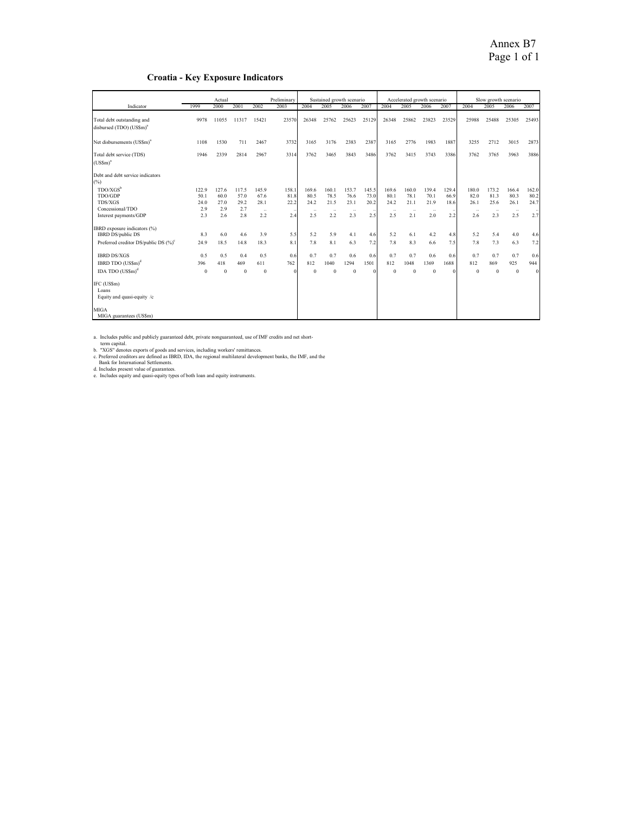#### **Croatia - Key Exposure Indicators**

|                                                                                              |          | Preliminary<br>Actual |              |              |       | Sustained growth scenario |              |          | Accelerated growth scenario |          |           |          | Slow growth scenario |          |          |              |          |
|----------------------------------------------------------------------------------------------|----------|-----------------------|--------------|--------------|-------|---------------------------|--------------|----------|-----------------------------|----------|-----------|----------|----------------------|----------|----------|--------------|----------|
| Indicator                                                                                    | 1999     | 2000                  | 2001         | 2002         | 2003  | 2004                      | 2005         | 2006     | 2007                        | 2004     | 2005      | 2006     | 2007                 | 2004     | 2005     | 2006         | 2007     |
| Total debt outstanding and<br>disbursed (TDO) (US\$m) <sup>a</sup>                           | 9978     | 11055                 | 11317        | 15421        | 23570 | 26348                     | 25762        | 25623    | 25129                       | 26348    | 25862     | 23823    | 23529                | 25988    | 25488    | 25305        | 25493    |
| Net disbursements (US\$m) <sup>2</sup>                                                       | 1108     | 1530                  | 711          | 2467         | 3732  | 3165                      | 3176         | 2383     | 2387                        | 3165     | 2776      | 1983     | 1887                 | 3255     | 2712     | 3015         | 2873     |
| Total debt service (TDS)<br>$(USSm)^{3}$                                                     | 1946     | 2339                  | 2814         | 2967         | 3314  | 3762                      | 3465         | 3843     | 3486                        | 3762     | 3415      | 3743     | 3386                 | 3762     | 3765     | 3963         | 3886     |
| Debt and debt service indicators<br>(%)                                                      |          |                       |              |              |       |                           |              |          |                             |          |           |          |                      |          |          |              |          |
| $TDO/XGS^b$                                                                                  | 122.9    | 127.6                 | 117.5        | 145.9        | 158.1 | 169.6                     | 160.1        | 153.7    | 145.5                       | 169.6    | 160.0     | 139.4    | 129.4                | 180.0    | 173.2    | 166.4        | 162.0    |
| TDO/GDP                                                                                      | 50.1     | 60.0                  | 57.0         | 67.6         | 81.8  | 80.5                      | 78.5         | 76.6     | 73.0                        | 80.1     | 78.1      | 70.1     | 66.9                 | 82.0     | 81.3     | 80.3         | 80.2     |
| <b>TDS/XGS</b>                                                                               | 24.0     | 27.0                  | 29.2         | 28.1         | 22.2  | 24.2                      | 21.5         | 23.1     | 20.2                        | 24.2     | 21.1      | 21.9     | 18.6                 | 26.1     | 25.6     | 26.1         | 24.7     |
| Concessional/TDO                                                                             | 2.9      | 2.9                   | 2.7          | $\ddotsc$    |       | $\ldots$                  | $\sim$       | $\sim$   |                             | $\ldots$ | $\ddotsc$ | $\sim$   |                      | $\sim$   | $\sim$   | $\cdots$     |          |
| Interest payments/GDP                                                                        | 2.3      | 2.6                   | 2.8          | 2.2          | 2.4   | 2.5                       | 2.2          | 2.3      | 2.5                         | 2.5      | 2.1       | 2.0      | 2.2                  | 2.6      | 2.3      | 2.5          | 2.7      |
| (%) IBRD exposure indicators (%)                                                             |          |                       |              |              |       |                           |              |          |                             |          |           |          |                      |          |          |              |          |
| IBRD DS/public DS                                                                            | 8.3      | 6.0                   | 46           | 3.9          | 5.5   | 5.2                       | 5.9          | 4.1      | 4.6                         | 5.2      | 6.1       | 4.2      | 4.8                  | 5.2      | 54       | 4.0          | 4.6      |
| Preferred creditor DS/public DS (%) <sup>c</sup>                                             | 24.9     | 18.5                  | 14.8         | 18.3         | 8.1   | 7.8                       | 8.1          | 6.3      | 7.2                         | 7.8      | 8.3       | 6.6      | 7.5                  | 7.8      | 7.3      | 6.3          | 7.2      |
| <b>IBRD DS/XGS</b>                                                                           | 0.5      | 0.5                   | 0.4          | 0.5          | 0.6   | 0.7                       | 0.7          | 0.6      | 0.6                         | 0.7      | 0.7       | 0.6      | 0.6                  | 0.7      | 0.7      | 0.7          | 0.6      |
| IBRD TDO $(USSm)^d$                                                                          | 396      | 418                   | 469          | 611          | 762   | 812                       | 1040         | 1294     | 1501                        | 812      | 1048      | 1369     | 1688                 | 812      | 869      | 925          | 944      |
| IDA TDO (US\$m) <sup>d</sup>                                                                 | $\theta$ | $\mathbf{0}$          | $\mathbf{0}$ | $\mathbf{0}$ |       | $\Omega$                  | $\mathbf{0}$ | $\theta$ | $\Omega$                    | $\theta$ | $\Omega$  | $\Omega$ |                      | $\Omega$ | $\bf{0}$ | $\mathbf{0}$ | $\theta$ |
| IFC (US\$m)<br>Loans<br>Equity and quasi-equity /c<br><b>MIGA</b><br>MIGA guarantees (US\$m) |          |                       |              |              |       |                           |              |          |                             |          |           |          |                      |          |          |              |          |

%<br>a. Includes public and publicly guaranteed debt, private nonguaranteed, use of IMF credits and net short-<br>term capital.<br>b. "XGS" denotes exports of goods and services, including workers' remittances.<br>c. Preferred credito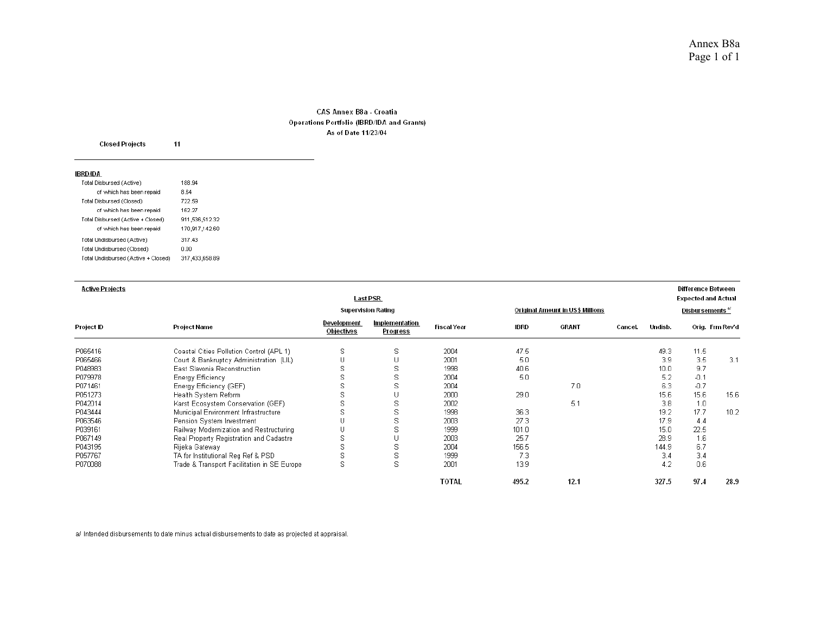#### CAS Annex B8a - Croatia Operations Portfolio (IBRD/IDA and Grants) As of Date 11/23/04

| <b>Closed Projects</b>              | 11             |
|-------------------------------------|----------------|
| IBRD/IDA                            |                |
| Total Disbursed (Active)            | 188.94         |
| of which has been repaid            | 8.64           |
| Total Disbursed (Closed)            | 722.59         |
| of which has been repaid            | 162.27         |
| Total Disbursed (Active + Closed)   | 911,536,512.32 |
| of which has been repaid            | 170,917,142.60 |
| Total Undisbursed (Active)          | 317.43         |
| Total Undisbursed (Closed)          | 0.00           |
| Total Undisbursed (Active + Closed) | 317,433,658.89 |

| <b>Active Projects</b> |                                             | <b>Last PSR</b>           |                                   |                                  |             |       | Difference Between<br><b>Expected and Actual</b> |         |        |                 |
|------------------------|---------------------------------------------|---------------------------|-----------------------------------|----------------------------------|-------------|-------|--------------------------------------------------|---------|--------|-----------------|
|                        |                                             | <b>Supervision Rating</b> |                                   | Original Amount in US\$ Millions |             |       | Disbursements <sup>a/</sup>                      |         |        |                 |
| Project ID             | Project Name                                | Development<br>Objectives | Implementation<br><b>Progress</b> | <b>Fiscal Year</b>               | <b>IBRD</b> | GRANT | Cancel.                                          | Undisb. |        | Orig. Frm Rev'd |
| P065416                | Coastal Cities Pollution Control (APL 1)    | s                         | s                                 | 2004                             | 47.5        |       |                                                  | 49.3    | 11.5   |                 |
| P065466                | Court & Bankruptcy Administration (LIL)     |                           | U                                 | 2001                             | 5.0         |       |                                                  | 3.9     | 3.5    | 3.1             |
| P048983                | East Slavonia Reconstruction                | S                         | s                                 | 1998                             | 40.6        |       |                                                  | 10.0    | 9.7    |                 |
| P079978                | Energy Efficiency                           | S                         | S                                 | 2004                             | 5.0         |       |                                                  | 5.2     | $-0.1$ |                 |
| P071461                | Energy Efficiency (GEF)                     | S                         | s                                 | 2004                             |             | 7.0   |                                                  | 6.3     | $-0.7$ |                 |
| P051273                | Health System Reform                        | S                         | U                                 | 2000                             | 29.0        |       |                                                  | 15.6    | 15.6   | 15.6            |
| P042014                | Karst Ecosystem Conservation (GEF)          | S                         | S                                 | 2002                             |             | 5.1   |                                                  | 3.8     | 1.0    |                 |
| P043444                | Municipal Environment Infrastructure        | S                         | s                                 | 1998                             | 36.3        |       |                                                  | 19.2    | 17.7   | 10.2            |
| P063546                | Pension System Investment                   |                           | S                                 | 2003                             | 27.3        |       |                                                  | 17.9    | 4.4    |                 |
| P039161                | Railway Modernization and Restructuring     |                           | s                                 | 1999                             | 101.0       |       |                                                  | 15.0    | 22.5   |                 |
| P067149                | Real Property Registration and Cadastre     | S                         | U                                 | 2003                             | 25.7        |       |                                                  | 28.9    | 1.6    |                 |
| P043195                | Rijeka Gateway                              | S                         | S                                 | 2004                             | 156.5       |       |                                                  | 144.9   | 6.7    |                 |
| P057767                | TA for Institutional Reg Ref & PSD          | s                         | s                                 | 1999                             | 7.3         |       |                                                  | 3.4     | 3.4    |                 |
| P070088                | Trade & Transport Facilitation in SE Europe | S                         | s                                 | 2001                             | 13.9        |       |                                                  | 4.2     | 0.6    |                 |
|                        |                                             |                           |                                   | <b>TOTAL</b>                     | 495.2       | 12.1  |                                                  | 327.5   | 97.4   | 28.9            |

a/ Intended disbursements to date minus actual disbursements to date as projected at appraisal.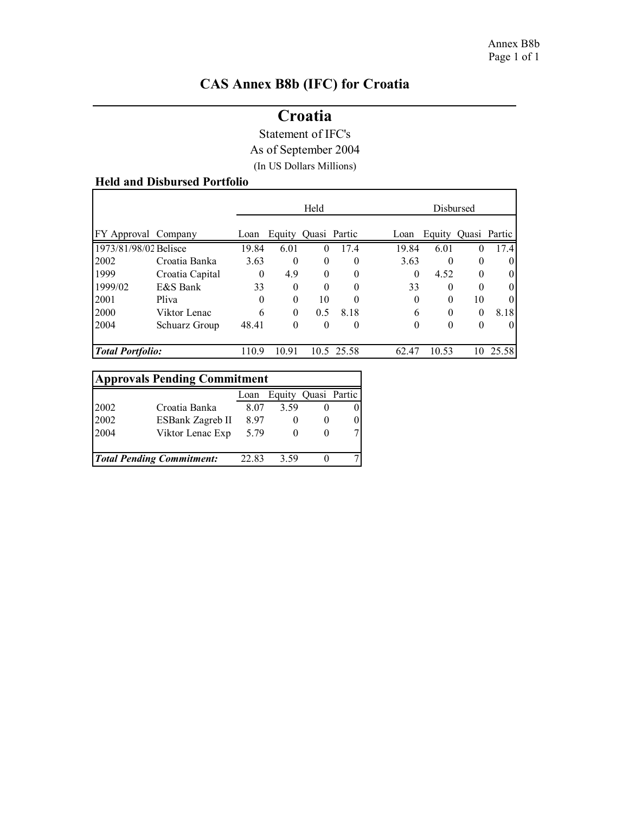ı

# **CAS Annex B8b (IFC) for Croatia**

# **Croatia**

Statement of IFC's

As of September 2004

(In US Dollars Millions)

# **Held and Disbursed Portfolio**

|                         |                 |          |          | Held         |            |          |                     | Disbursed |       |
|-------------------------|-----------------|----------|----------|--------------|------------|----------|---------------------|-----------|-------|
| FY Approval Company     |                 | Loan     | Equity   | Quasi Partic |            | Loan     | Equity Quasi Partic |           |       |
| 1973/81/98/02 Belisce   |                 | 19.84    | 6.01     | 0            | 17.4       | 19.84    | 6.01                | $\theta$  | 17.4  |
| 2002                    | Croatia Banka   | 3.63     | $\Omega$ | $\theta$     | $\theta$   | 3.63     | $\Omega$            | $\theta$  |       |
| 1999                    | Croatia Capital | $\theta$ | 4.9      | $\theta$     | $\theta$   | $\theta$ | 4.52                | $\theta$  | 0     |
| 1999/02                 | E&S Bank        | 33       | $\theta$ | $\Omega$     | $\theta$   | 33       | 0                   | 0         | 0     |
| 2001                    | Pliva           | 0        | $\theta$ | 10           | $\theta$   | $\Omega$ | 0                   | 10        | 0     |
| 2000                    | Viktor Lenac    | 6        | $\theta$ | 0.5          | 8.18       | 6        | $\Omega$            | $\theta$  | 8.18  |
| 2004                    | Schuarz Group   | 48.41    | $\theta$ | $\theta$     | $\theta$   | $\Omega$ | 0                   | $\theta$  |       |
| <b>Total Portfolio:</b> |                 | 110.9    | 10.91    |              | 10.5 25.58 | 62.47    | 10.53               | 10        | 25.58 |

| <b>Approvals Pending Commitment</b> |                                  |       |          |              |  |
|-------------------------------------|----------------------------------|-------|----------|--------------|--|
|                                     |                                  | Loan  | Equity   | Quasi Partic |  |
| 2002                                | Croatia Banka                    | 8.07  | 3.59     |              |  |
| 2002                                | ESBank Zagreb II                 | 897   |          |              |  |
| 2004                                | Viktor Lenac Exp                 | 5.79  | $^{(1)}$ |              |  |
|                                     | <b>Total Pending Commitment:</b> | 22.83 | 3.59     |              |  |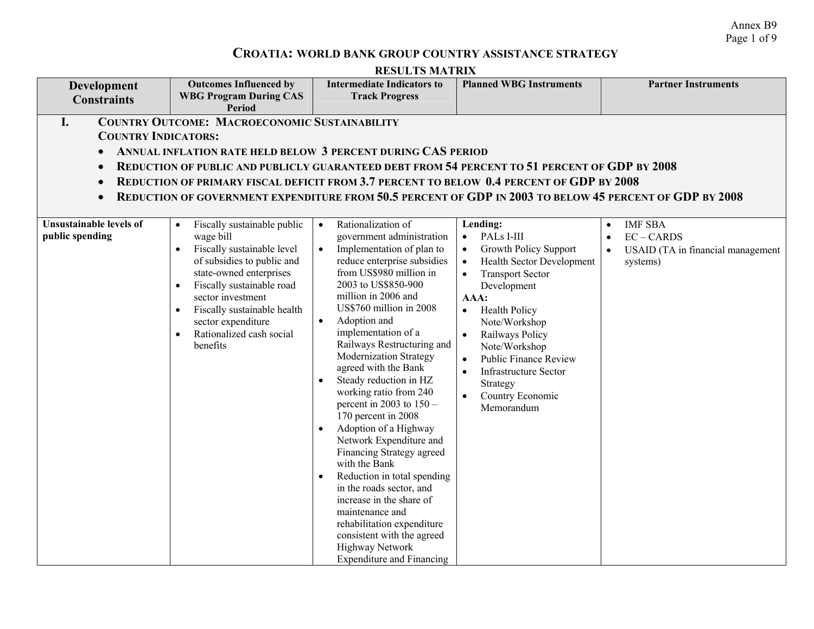Annex B9 Page 1 of 9

# **CROATIA: WORLD BANK GROUP COUNTRY ASSISTANCE STRATEGY**

| Development<br><b>Constraints</b>                                                                                                         | <b>Outcomes Influenced by</b><br><b>WBG Program During CAS</b><br><b>Period</b>                                                                                                                                                                                                                                                                                                                                                                                                       | <b>Intermediate Indicators to</b><br><b>Track Progress</b>                                                                                                                                                                                                                                                                                                                                                                                                                                                                                                                                                                                                                                                                                                                | <b>Planned WBG Instruments</b>                                                                                                                                                                                                                                                                                                                                                       | <b>Partner Instruments</b>                    |
|-------------------------------------------------------------------------------------------------------------------------------------------|---------------------------------------------------------------------------------------------------------------------------------------------------------------------------------------------------------------------------------------------------------------------------------------------------------------------------------------------------------------------------------------------------------------------------------------------------------------------------------------|---------------------------------------------------------------------------------------------------------------------------------------------------------------------------------------------------------------------------------------------------------------------------------------------------------------------------------------------------------------------------------------------------------------------------------------------------------------------------------------------------------------------------------------------------------------------------------------------------------------------------------------------------------------------------------------------------------------------------------------------------------------------------|--------------------------------------------------------------------------------------------------------------------------------------------------------------------------------------------------------------------------------------------------------------------------------------------------------------------------------------------------------------------------------------|-----------------------------------------------|
| I.<br><b>COUNTRY INDICATORS:</b><br>$\bullet$<br>$\bullet$<br>$\bullet$<br>$\bullet$<br><b>Unsustainable levels of</b><br>public spending | <b>COUNTRY OUTCOME: MACROECONOMIC SUSTAINABILITY</b><br>ANNUAL INFLATION RATE HELD BELOW 3 PERCENT DURING CAS PERIOD<br>REDUCTION OF PUBLIC AND PUBLICLY GUARANTEED DEBT FROM 54 PERCENT TO 51 PERCENT OF GDP BY 2008<br>REDUCTION OF PRIMARY FISCAL DEFICIT FROM 3.7 PERCENT TO BELOW 0.4 PERCENT OF GDP BY 2008<br>REDUCTION OF GOVERNMENT EXPENDITURE FROM 50.5 PERCENT OF GDP IN 2003 TO BELOW 45 PERCENT OF GDP BY 2008<br>Fiscally sustainable public<br>$\bullet$<br>wage bill | Rationalization of<br>$\bullet$<br>government administration                                                                                                                                                                                                                                                                                                                                                                                                                                                                                                                                                                                                                                                                                                              | Lending:<br>PALs I-III<br>$\bullet$                                                                                                                                                                                                                                                                                                                                                  | <b>IMF SBA</b><br>$\bullet$<br>$EC - CARDS$   |
|                                                                                                                                           | Fiscally sustainable level<br>$\bullet$<br>of subsidies to public and<br>state-owned enterprises<br>Fiscally sustainable road<br>sector investment<br>Fiscally sustainable health<br>sector expenditure<br>Rationalized cash social<br>$\bullet$<br>benefits                                                                                                                                                                                                                          | Implementation of plan to<br>$\bullet$<br>reduce enterprise subsidies<br>from US\$980 million in<br>2003 to US\$850-900<br>million in 2006 and<br>US\$760 million in 2008<br>Adoption and<br>$\bullet$<br>implementation of a<br>Railways Restructuring and<br>Modernization Strategy<br>agreed with the Bank<br>Steady reduction in HZ<br>working ratio from 240<br>percent in 2003 to $150 -$<br>170 percent in 2008<br>Adoption of a Highway<br>Network Expenditure and<br>Financing Strategy agreed<br>with the Bank<br>Reduction in total spending<br>$\bullet$<br>in the roads sector, and<br>increase in the share of<br>maintenance and<br>rehabilitation expenditure<br>consistent with the agreed<br><b>Highway Network</b><br><b>Expenditure and Financing</b> | <b>Growth Policy Support</b><br>Health Sector Development<br>$\bullet$<br><b>Transport Sector</b><br>$\bullet$<br>Development<br>AAA:<br><b>Health Policy</b><br>$\bullet$<br>Note/Workshop<br>Railways Policy<br>$\bullet$<br>Note/Workshop<br><b>Public Finance Review</b><br>$\bullet$<br><b>Infrastructure Sector</b><br>$\bullet$<br>Strategy<br>Country Economic<br>Memorandum | USAID (TA in financial management<br>systems) |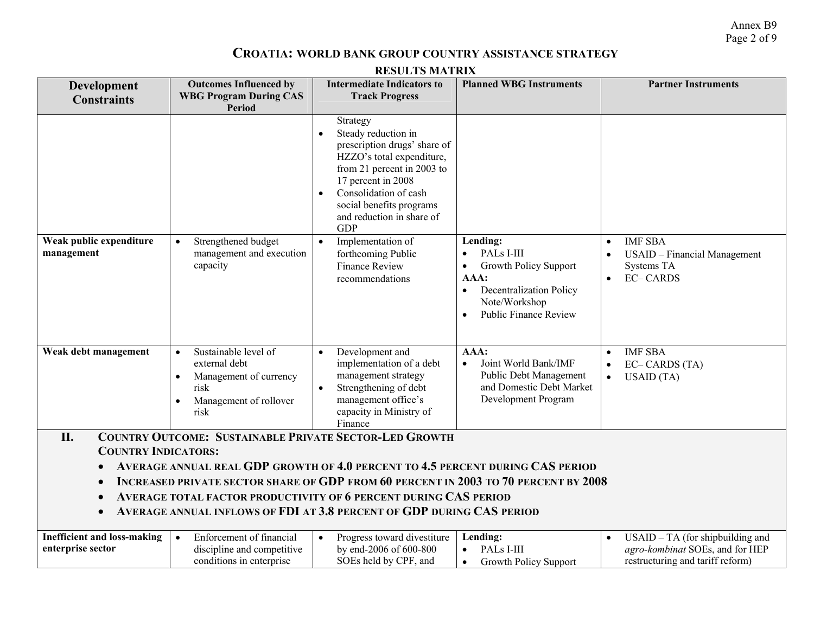Annex B9 Page 2 of 9

# **CROATIA: WORLD BANK GROUP COUNTRY ASSISTANCE STRATEGY**

| <b>Development</b><br><b>Constraints</b>                                                                                                                                                                                                                                                                                                                                                                                              | <b>Outcomes Influenced by</b><br><b>WBG Program During CAS</b><br><b>Period</b>                                                     | <b>Intermediate Indicators to</b><br><b>Track Progress</b>                                                                                                                                                                                                    | <b>Planned WBG Instruments</b>                                                                                                                                              | <b>Partner Instruments</b>                                                                              |
|---------------------------------------------------------------------------------------------------------------------------------------------------------------------------------------------------------------------------------------------------------------------------------------------------------------------------------------------------------------------------------------------------------------------------------------|-------------------------------------------------------------------------------------------------------------------------------------|---------------------------------------------------------------------------------------------------------------------------------------------------------------------------------------------------------------------------------------------------------------|-----------------------------------------------------------------------------------------------------------------------------------------------------------------------------|---------------------------------------------------------------------------------------------------------|
|                                                                                                                                                                                                                                                                                                                                                                                                                                       |                                                                                                                                     | Strategy<br>Steady reduction in<br>$\bullet$<br>prescription drugs' share of<br>HZZO's total expenditure,<br>from 21 percent in 2003 to<br>17 percent in 2008<br>Consolidation of cash<br>social benefits programs<br>and reduction in share of<br><b>GDP</b> |                                                                                                                                                                             |                                                                                                         |
| Weak public expenditure<br>management                                                                                                                                                                                                                                                                                                                                                                                                 | Strengthened budget<br>$\bullet$<br>management and execution<br>capacity                                                            | Implementation of<br>$\bullet$<br>forthcoming Public<br><b>Finance Review</b><br>recommendations                                                                                                                                                              | Lending:<br>PALs I-III<br><b>Growth Policy Support</b><br>AAA:<br><b>Decentralization Policy</b><br>$\bullet$<br>Note/Workshop<br><b>Public Finance Review</b><br>$\bullet$ | <b>IMF SBA</b><br>USAID - Financial Management<br>Systems TA<br><b>EC-CARDS</b>                         |
| Weak debt management                                                                                                                                                                                                                                                                                                                                                                                                                  | Sustainable level of<br>$\bullet$<br>external debt<br>Management of currency<br>risk<br>Management of rollover<br>$\bullet$<br>risk | Development and<br>$\bullet$<br>implementation of a debt<br>management strategy<br>$\bullet$<br>Strengthening of debt<br>management office's<br>capacity in Ministry of<br>Finance                                                                            | AAA:<br>Joint World Bank/IMF<br>$\bullet$<br>Public Debt Management<br>and Domestic Debt Market<br>Development Program                                                      | <b>IMF SBA</b><br>EC-CARDS (TA)<br>$\bullet$<br>USAID (TA)<br>$\bullet$                                 |
| II.<br><b>COUNTRY OUTCOME: SUSTAINABLE PRIVATE SECTOR-LED GROWTH</b><br><b>COUNTRY INDICATORS:</b><br>AVERAGE ANNUAL REAL GDP GROWTH OF 4.0 PERCENT TO 4.5 PERCENT DURING CAS PERIOD<br>INCREASED PRIVATE SECTOR SHARE OF GDP FROM 60 PERCENT IN 2003 TO 70 PERCENT BY 2008<br>AVERAGE TOTAL FACTOR PRODUCTIVITY OF 6 PERCENT DURING CAS PERIOD<br>AVERAGE ANNUAL INFLOWS OF FDI AT 3.8 PERCENT OF GDP DURING CAS PERIOD<br>$\bullet$ |                                                                                                                                     |                                                                                                                                                                                                                                                               |                                                                                                                                                                             |                                                                                                         |
| <b>Inefficient and loss-making</b><br>enterprise sector                                                                                                                                                                                                                                                                                                                                                                               | Enforcement of financial<br>$\bullet$<br>discipline and competitive<br>conditions in enterprise                                     | Progress toward divestiture<br>$\bullet$<br>by end-2006 of 600-800<br>SOEs held by CPF, and                                                                                                                                                                   | Lending:<br>PALs I-III<br><b>Growth Policy Support</b><br>$\bullet$                                                                                                         | USAID - TA (for shipbuilding and<br>agro-kombinat SOEs, and for HEP<br>restructuring and tariff reform) |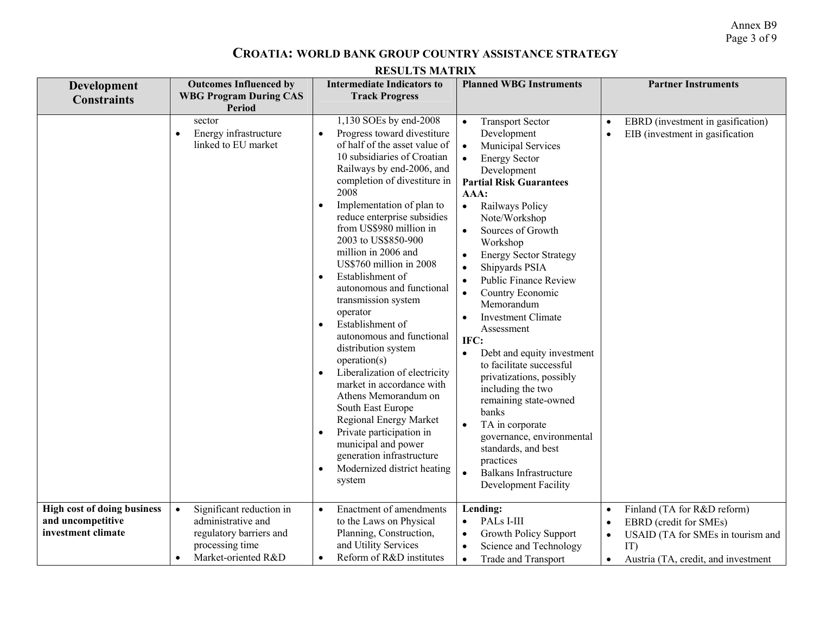Annex B9 Page 3 of 9

## **CROATIA: WORLD BANK GROUP COUNTRY ASSISTANCE STRATEGY**

| <b>Development</b><br><b>Constraints</b>                                      | <b>Outcomes Influenced by</b><br><b>WBG Program During CAS</b><br><b>Period</b>                                                               | <b>Intermediate Indicators to</b><br><b>Track Progress</b>                                                                                                                                                                                                                                                                                                                                                                                                                                                                                                                                                                                                                                                                                                                                                                                                                         | <b>Planned WBG Instruments</b>                                                                                                                                                                                                                                                                                                                                                                                                                                                                                                                                                                                                                                                                                                                                                                                                                         | <b>Partner Instruments</b>                                                                                                                                                                   |
|-------------------------------------------------------------------------------|-----------------------------------------------------------------------------------------------------------------------------------------------|------------------------------------------------------------------------------------------------------------------------------------------------------------------------------------------------------------------------------------------------------------------------------------------------------------------------------------------------------------------------------------------------------------------------------------------------------------------------------------------------------------------------------------------------------------------------------------------------------------------------------------------------------------------------------------------------------------------------------------------------------------------------------------------------------------------------------------------------------------------------------------|--------------------------------------------------------------------------------------------------------------------------------------------------------------------------------------------------------------------------------------------------------------------------------------------------------------------------------------------------------------------------------------------------------------------------------------------------------------------------------------------------------------------------------------------------------------------------------------------------------------------------------------------------------------------------------------------------------------------------------------------------------------------------------------------------------------------------------------------------------|----------------------------------------------------------------------------------------------------------------------------------------------------------------------------------------------|
|                                                                               | sector<br>Energy infrastructure<br>linked to EU market                                                                                        | 1,130 SOEs by end-2008<br>Progress toward divestiture<br>$\bullet$<br>of half of the asset value of<br>10 subsidiaries of Croatian<br>Railways by end-2006, and<br>completion of divestiture in<br>2008<br>Implementation of plan to<br>$\bullet$<br>reduce enterprise subsidies<br>from US\$980 million in<br>2003 to US\$850-900<br>million in 2006 and<br>US\$760 million in 2008<br>Establishment of<br>$\bullet$<br>autonomous and functional<br>transmission system<br>operator<br>Establishment of<br>$\bullet$<br>autonomous and functional<br>distribution system<br>operation(s)<br>Liberalization of electricity<br>$\bullet$<br>market in accordance with<br>Athens Memorandum on<br>South East Europe<br>Regional Energy Market<br>Private participation in<br>$\bullet$<br>municipal and power<br>generation infrastructure<br>Modernized district heating<br>system | $\bullet$<br><b>Transport Sector</b><br>Development<br>Municipal Services<br>$\bullet$<br><b>Energy Sector</b><br>$\bullet$<br>Development<br><b>Partial Risk Guarantees</b><br>AAA:<br>Railways Policy<br>$\bullet$<br>Note/Workshop<br>Sources of Growth<br>$\bullet$<br>Workshop<br><b>Energy Sector Strategy</b><br>$\bullet$<br>Shipyards PSIA<br>$\bullet$<br><b>Public Finance Review</b><br>$\bullet$<br>Country Economic<br>$\bullet$<br>Memorandum<br><b>Investment Climate</b><br>$\bullet$<br>Assessment<br>IFC:<br>Debt and equity investment<br>$\bullet$<br>to facilitate successful<br>privatizations, possibly<br>including the two<br>remaining state-owned<br>banks<br>TA in corporate<br>$\bullet$<br>governance, environmental<br>standards, and best<br>practices<br>Balkans Infrastructure<br>$\bullet$<br>Development Facility | EBRD (investment in gasification)<br>EIB (investment in gasification<br>$\bullet$                                                                                                            |
| <b>High cost of doing business</b><br>and uncompetitive<br>investment climate | Significant reduction in<br>$\bullet$<br>administrative and<br>regulatory barriers and<br>processing time<br>Market-oriented R&D<br>$\bullet$ | Enactment of amendments<br>$\bullet$<br>to the Laws on Physical<br>Planning, Construction,<br>and Utility Services<br>Reform of R&D institutes<br>$\bullet$                                                                                                                                                                                                                                                                                                                                                                                                                                                                                                                                                                                                                                                                                                                        | Lending:<br>PALs I-III<br>$\bullet$<br>Growth Policy Support<br>$\bullet$<br>Science and Technology<br>$\bullet$<br><b>Trade and Transport</b><br>$\bullet$                                                                                                                                                                                                                                                                                                                                                                                                                                                                                                                                                                                                                                                                                            | Finland (TA for R&D reform)<br>$\bullet$<br>EBRD (credit for SMEs)<br>$\bullet$<br>USAID (TA for SMEs in tourism and<br>$\bullet$<br>IT)<br>Austria (TA, credit, and investment<br>$\bullet$ |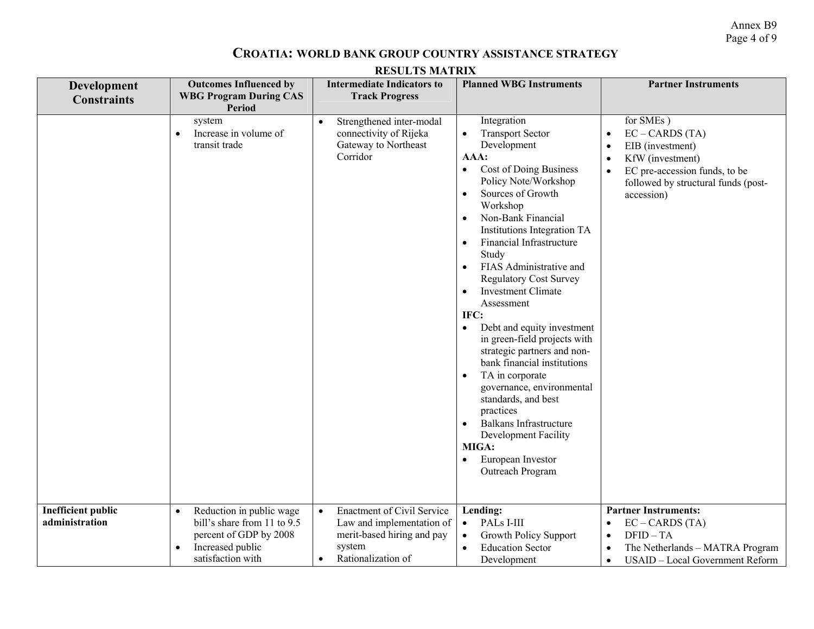Annex B9 Page 4 of 9

#### **CROATIA: WORLD BANK GROUP COUNTRY ASSISTANCE STRATEGY**

| <b>RESULTS MATRIX</b>                       |                                                                                                                                                      |                                                                                                                                                        |                                                                                                                                                                                                                                                                                                                                                                                                                                                                                                                                                                                                                                                                                                                                                                                                                               |                                                                                                                                                                 |
|---------------------------------------------|------------------------------------------------------------------------------------------------------------------------------------------------------|--------------------------------------------------------------------------------------------------------------------------------------------------------|-------------------------------------------------------------------------------------------------------------------------------------------------------------------------------------------------------------------------------------------------------------------------------------------------------------------------------------------------------------------------------------------------------------------------------------------------------------------------------------------------------------------------------------------------------------------------------------------------------------------------------------------------------------------------------------------------------------------------------------------------------------------------------------------------------------------------------|-----------------------------------------------------------------------------------------------------------------------------------------------------------------|
| Development<br><b>Constraints</b>           | <b>Outcomes Influenced by</b><br><b>WBG Program During CAS</b><br><b>Period</b>                                                                      | <b>Intermediate Indicators to</b><br><b>Track Progress</b>                                                                                             | <b>Planned WBG Instruments</b>                                                                                                                                                                                                                                                                                                                                                                                                                                                                                                                                                                                                                                                                                                                                                                                                | <b>Partner Instruments</b>                                                                                                                                      |
|                                             | system<br>Increase in volume of<br>$\bullet$<br>transit trade                                                                                        | Strengthened inter-modal<br>$\bullet$<br>connectivity of Rijeka<br>Gateway to Northeast<br>Corridor                                                    | Integration<br><b>Transport Sector</b><br>$\bullet$<br>Development<br>AAA:<br><b>Cost of Doing Business</b><br>$\bullet$<br>Policy Note/Workshop<br>Sources of Growth<br>$\bullet$<br>Workshop<br>Non-Bank Financial<br>$\bullet$<br>Institutions Integration TA<br>Financial Infrastructure<br>$\bullet$<br>Study<br>FIAS Administrative and<br>$\bullet$<br><b>Regulatory Cost Survey</b><br><b>Investment Climate</b><br>$\bullet$<br>Assessment<br>IFC:<br>Debt and equity investment<br>$\bullet$<br>in green-field projects with<br>strategic partners and non-<br>bank financial institutions<br>TA in corporate<br>$\bullet$<br>governance, environmental<br>standards, and best<br>practices<br><b>Balkans Infrastructure</b><br>$\bullet$<br>Development Facility<br>MIGA:<br>European Investor<br>Outreach Program | for SMEs)<br>$EC - CARDS (TA)$<br>EIB (investment)<br>KfW (investment)<br>EC pre-accession funds, to be<br>followed by structural funds (post-<br>accession)    |
| <b>Inefficient public</b><br>administration | Reduction in public wage<br>$\bullet$<br>bill's share from 11 to 9.5<br>percent of GDP by 2008<br>Increased public<br>$\bullet$<br>satisfaction with | <b>Enactment of Civil Service</b><br>$\bullet$<br>Law and implementation of<br>merit-based hiring and pay<br>system<br>Rationalization of<br>$\bullet$ | Lending:<br>PALs I-III<br>$\bullet$<br>Growth Policy Support<br>$\bullet$<br><b>Education Sector</b><br>$\bullet$<br>Development                                                                                                                                                                                                                                                                                                                                                                                                                                                                                                                                                                                                                                                                                              | <b>Partner Instruments:</b><br>$EC - CARDS (TA)$<br>$DFID - TA$<br>$\bullet$<br>The Netherlands - MATRA Program<br>USAID - Local Government Reform<br>$\bullet$ |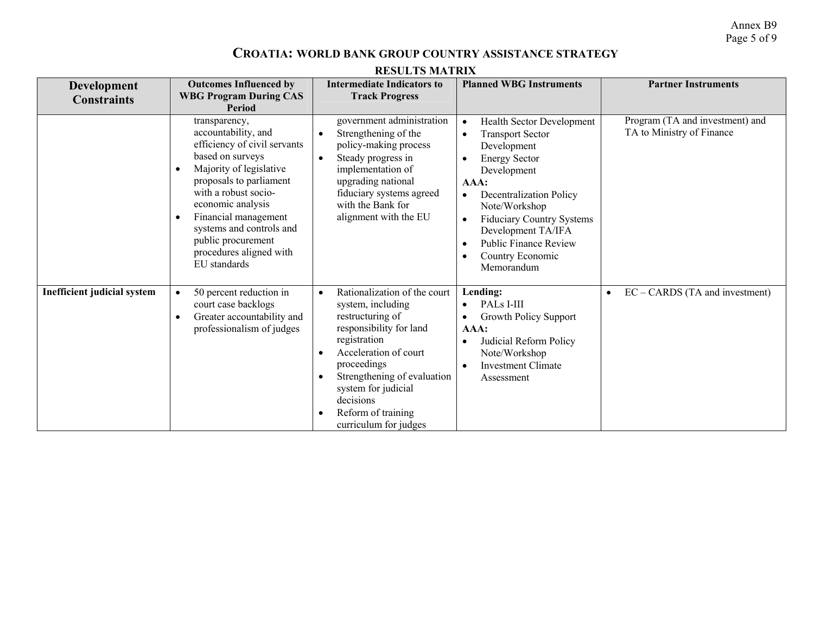Annex B9 Page 5 of 9

#### **CROATIA: WORLD BANK GROUP COUNTRY ASSISTANCE STRATEGY**

| <b>Development</b><br><b>Constraints</b> | <b>Outcomes Influenced by</b><br><b>WBG Program During CAS</b><br><b>Period</b>                                                                                                                                                                                                                                                            | <b>Intermediate Indicators to</b><br><b>Track Progress</b>                                                                                                                                                                                                                                                        | <b>Planned WBG Instruments</b>                                                                                                                                                                                                                                                                                                                                                                      | <b>Partner Instruments</b>                                   |
|------------------------------------------|--------------------------------------------------------------------------------------------------------------------------------------------------------------------------------------------------------------------------------------------------------------------------------------------------------------------------------------------|-------------------------------------------------------------------------------------------------------------------------------------------------------------------------------------------------------------------------------------------------------------------------------------------------------------------|-----------------------------------------------------------------------------------------------------------------------------------------------------------------------------------------------------------------------------------------------------------------------------------------------------------------------------------------------------------------------------------------------------|--------------------------------------------------------------|
|                                          | transparency,<br>accountability, and<br>efficiency of civil servants<br>based on surveys<br>Majority of legislative<br>$\bullet$<br>proposals to parliament<br>with a robust socio-<br>economic analysis<br>Financial management<br>$\bullet$<br>systems and controls and<br>public procurement<br>procedures aligned with<br>EU standards | government administration<br>Strengthening of the<br>$\bullet$<br>policy-making process<br>Steady progress in<br>$\bullet$<br>implementation of<br>upgrading national<br>fiduciary systems agreed<br>with the Bank for<br>alignment with the EU                                                                   | <b>Health Sector Development</b><br>$\bullet$<br><b>Transport Sector</b><br>$\bullet$<br>Development<br><b>Energy Sector</b><br>$\bullet$<br>Development<br>AAA:<br><b>Decentralization Policy</b><br>$\bullet$<br>Note/Workshop<br><b>Fiduciary Country Systems</b><br>$\bullet$<br>Development TA/IFA<br><b>Public Finance Review</b><br>$\bullet$<br>Country Economic<br>$\bullet$<br>Memorandum | Program (TA and investment) and<br>TA to Ministry of Finance |
| Inefficient judicial system              | 50 percent reduction in<br>$\bullet$<br>court case backlogs<br>Greater accountability and<br>$\bullet$<br>professionalism of judges                                                                                                                                                                                                        | Rationalization of the court<br>$\bullet$<br>system, including<br>restructuring of<br>responsibility for land<br>registration<br>Acceleration of court<br>$\bullet$<br>proceedings<br>Strengthening of evaluation<br>$\bullet$<br>system for judicial<br>decisions<br>Reform of training<br>curriculum for judges | Lending:<br>PALs I-III<br>$\bullet$<br>Growth Policy Support<br>AAA:<br>Judicial Reform Policy<br>Note/Workshop<br><b>Investment Climate</b><br>Assessment                                                                                                                                                                                                                                          | $EC - CARDS$ (TA and investment)                             |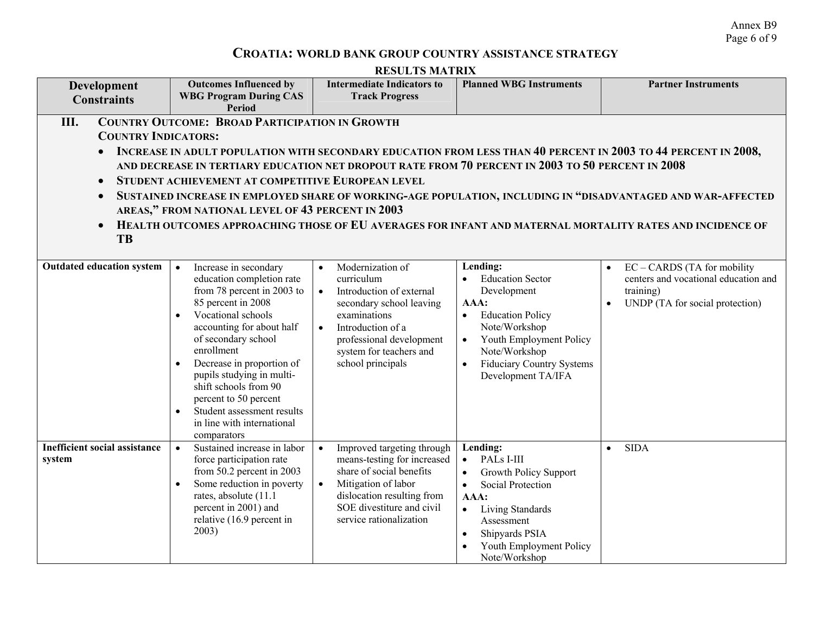Annex B9 Page 6 of 9

## **CROATIA: WORLD BANK GROUP COUNTRY ASSISTANCE STRATEGY**

| Development<br><b>Constraints</b>                                                                                                                                                                                                                                                                                                                                                                                                                                                                                                                                                                                                                                                                           | <b>Outcomes Influenced by</b><br><b>WBG Program During CAS</b><br><b>Period</b>                                                                                                                                                                                                                                                                                                                                 | <b>Intermediate Indicators to</b><br><b>Track Progress</b>                                                                                                                                                                                     | <b>Planned WBG Instruments</b>                                                                                                                                                                                                                       | <b>Partner Instruments</b>                                                                                            |
|-------------------------------------------------------------------------------------------------------------------------------------------------------------------------------------------------------------------------------------------------------------------------------------------------------------------------------------------------------------------------------------------------------------------------------------------------------------------------------------------------------------------------------------------------------------------------------------------------------------------------------------------------------------------------------------------------------------|-----------------------------------------------------------------------------------------------------------------------------------------------------------------------------------------------------------------------------------------------------------------------------------------------------------------------------------------------------------------------------------------------------------------|------------------------------------------------------------------------------------------------------------------------------------------------------------------------------------------------------------------------------------------------|------------------------------------------------------------------------------------------------------------------------------------------------------------------------------------------------------------------------------------------------------|-----------------------------------------------------------------------------------------------------------------------|
| <b>COUNTRY OUTCOME: BROAD PARTICIPATION IN GROWTH</b><br>Ш.<br><b>COUNTRY INDICATORS:</b><br>INCREASE IN ADULT POPULATION WITH SECONDARY EDUCATION FROM LESS THAN 40 PERCENT IN 2003 TO 44 PERCENT IN 2008,<br>AND DECREASE IN TERTIARY EDUCATION NET DROPOUT RATE FROM 70 PERCENT IN 2003 TO 50 PERCENT IN 2008<br>STUDENT ACHIEVEMENT AT COMPETITIVE EUROPEAN LEVEL<br>$\bullet$<br>SUSTAINED INCREASE IN EMPLOYED SHARE OF WORKING-AGE POPULATION, INCLUDING IN "DISADVANTAGED AND WAR-AFFECTED<br>$\bullet$<br>AREAS," FROM NATIONAL LEVEL OF 43 PERCENT IN 2003<br>HEALTH OUTCOMES APPROACHING THOSE OF EU AVERAGES FOR INFANT AND MATERNAL MORTALITY RATES AND INCIDENCE OF<br>$\bullet$<br><b>TB</b> |                                                                                                                                                                                                                                                                                                                                                                                                                 |                                                                                                                                                                                                                                                |                                                                                                                                                                                                                                                      |                                                                                                                       |
| <b>Outdated education system</b>                                                                                                                                                                                                                                                                                                                                                                                                                                                                                                                                                                                                                                                                            | Increase in secondary<br>$\bullet$<br>education completion rate<br>from 78 percent in 2003 to<br>85 percent in 2008<br>Vocational schools<br>accounting for about half<br>of secondary school<br>enrollment<br>Decrease in proportion of<br>pupils studying in multi-<br>shift schools from 90<br>percent to 50 percent<br>Student assessment results<br>$\bullet$<br>in line with international<br>comparators | Modernization of<br>$\bullet$<br>curriculum<br>Introduction of external<br>$\bullet$<br>secondary school leaving<br>examinations<br>Introduction of a<br>$\bullet$<br>professional development<br>system for teachers and<br>school principals | Lending:<br><b>Education Sector</b><br>Development<br>AAA:<br><b>Education Policy</b><br>$\bullet$<br>Note/Workshop<br>Youth Employment Policy<br>$\bullet$<br>Note/Workshop<br><b>Fiduciary Country Systems</b><br>$\bullet$<br>Development TA/IFA  | $EC - CARDS$ (TA for mobility<br>centers and vocational education and<br>training)<br>UNDP (TA for social protection) |
| <b>Inefficient social assistance</b><br>system                                                                                                                                                                                                                                                                                                                                                                                                                                                                                                                                                                                                                                                              | Sustained increase in labor<br>$\bullet$<br>force participation rate<br>from 50.2 percent in 2003<br>Some reduction in poverty<br>$\bullet$<br>rates, absolute (11.1)<br>percent in 2001) and<br>relative (16.9 percent in<br>2003)                                                                                                                                                                             | Improved targeting through<br>$\bullet$<br>means-testing for increased<br>share of social benefits<br>Mitigation of labor<br>$\bullet$<br>dislocation resulting from<br>SOE divestiture and civil<br>service rationalization                   | Lending:<br>PALs I-III<br>$\bullet$<br><b>Growth Policy Support</b><br>$\bullet$<br>Social Protection<br>$\bullet$<br>AAA:<br>Living Standards<br>$\bullet$<br>Assessment<br>Shipyards PSIA<br>$\bullet$<br>Youth Employment Policy<br>Note/Workshop | <b>SIDA</b><br>$\bullet$                                                                                              |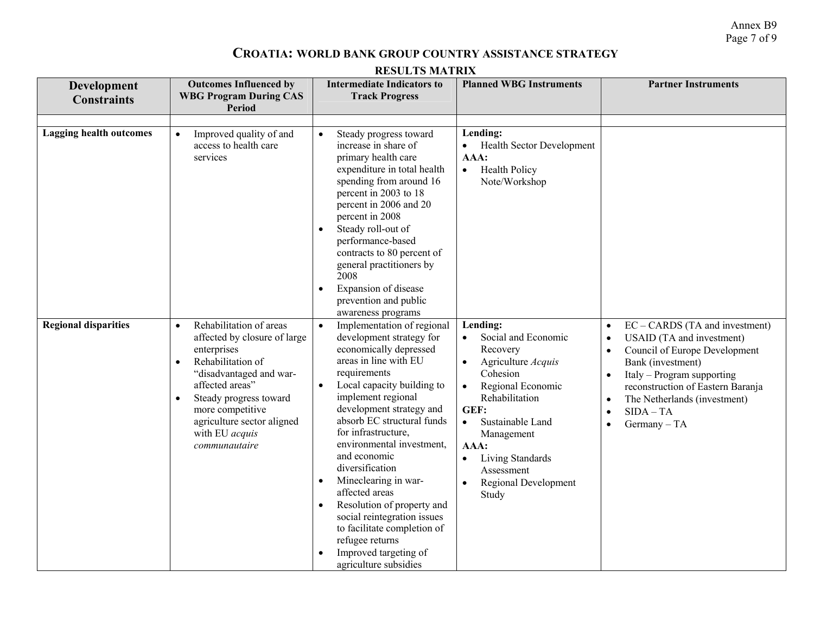Annex B9 Page 7 of 9

#### **CROATIA: WORLD BANK GROUP COUNTRY ASSISTANCE STRATEGY**

| <b>Development</b><br><b>Constraints</b> | <b>Outcomes Influenced by</b><br><b>WBG Program During CAS</b><br><b>Period</b>                                                                                                                                                                                                                 | <b>Intermediate Indicators to</b><br><b>Track Progress</b>                                                                                                                                                                                                                                                                                                                                                                                                                                                                                                          | <b>Planned WBG Instruments</b>                                                                                                                                                                                                                                                                             | <b>Partner Instruments</b>                                                                                                                                                                                                                                                                                                  |
|------------------------------------------|-------------------------------------------------------------------------------------------------------------------------------------------------------------------------------------------------------------------------------------------------------------------------------------------------|---------------------------------------------------------------------------------------------------------------------------------------------------------------------------------------------------------------------------------------------------------------------------------------------------------------------------------------------------------------------------------------------------------------------------------------------------------------------------------------------------------------------------------------------------------------------|------------------------------------------------------------------------------------------------------------------------------------------------------------------------------------------------------------------------------------------------------------------------------------------------------------|-----------------------------------------------------------------------------------------------------------------------------------------------------------------------------------------------------------------------------------------------------------------------------------------------------------------------------|
| <b>Lagging health outcomes</b>           | Improved quality of and<br>$\bullet$<br>access to health care<br>services                                                                                                                                                                                                                       | Steady progress toward<br>$\bullet$<br>increase in share of<br>primary health care<br>expenditure in total health<br>spending from around 16<br>percent in 2003 to 18<br>percent in 2006 and 20<br>percent in 2008<br>Steady roll-out of<br>$\bullet$<br>performance-based<br>contracts to 80 percent of<br>general practitioners by<br>2008<br>Expansion of disease<br>$\bullet$<br>prevention and public<br>awareness programs                                                                                                                                    | Lending:<br><b>Health Sector Development</b><br>AAA:<br><b>Health Policy</b><br>$\bullet$<br>Note/Workshop                                                                                                                                                                                                 |                                                                                                                                                                                                                                                                                                                             |
| <b>Regional disparities</b>              | Rehabilitation of areas<br>$\bullet$<br>affected by closure of large<br>enterprises<br>Rehabilitation of<br>$\bullet$<br>"disadvantaged and war-<br>affected areas"<br>Steady progress toward<br>$\bullet$<br>more competitive<br>agriculture sector aligned<br>with EU acquis<br>communautaire | $\bullet$<br>Implementation of regional<br>development strategy for<br>economically depressed<br>areas in line with EU<br>requirements<br>Local capacity building to<br>implement regional<br>development strategy and<br>absorb EC structural funds<br>for infrastructure,<br>environmental investment,<br>and economic<br>diversification<br>Mineclearing in war-<br>$\bullet$<br>affected areas<br>Resolution of property and<br>social reintegration issues<br>to facilitate completion of<br>refugee returns<br>Improved targeting of<br>agriculture subsidies | Lending:<br>Social and Economic<br>$\bullet$<br>Recovery<br>Agriculture Acquis<br>$\bullet$<br>Cohesion<br>Regional Economic<br>Rehabilitation<br>GEF:<br>Sustainable Land<br>$\bullet$<br>Management<br>AAA:<br>Living Standards<br>$\bullet$<br>Assessment<br>Regional Development<br>$\bullet$<br>Study | EC - CARDS (TA and investment)<br>$\bullet$<br><b>USAID</b> (TA and investment)<br>$\bullet$<br>Council of Europe Development<br>$\bullet$<br>Bank (investment)<br>Italy - Program supporting<br>$\bullet$<br>reconstruction of Eastern Baranja<br>The Netherlands (investment)<br>$SIDA - TA$<br>Germany - TA<br>$\bullet$ |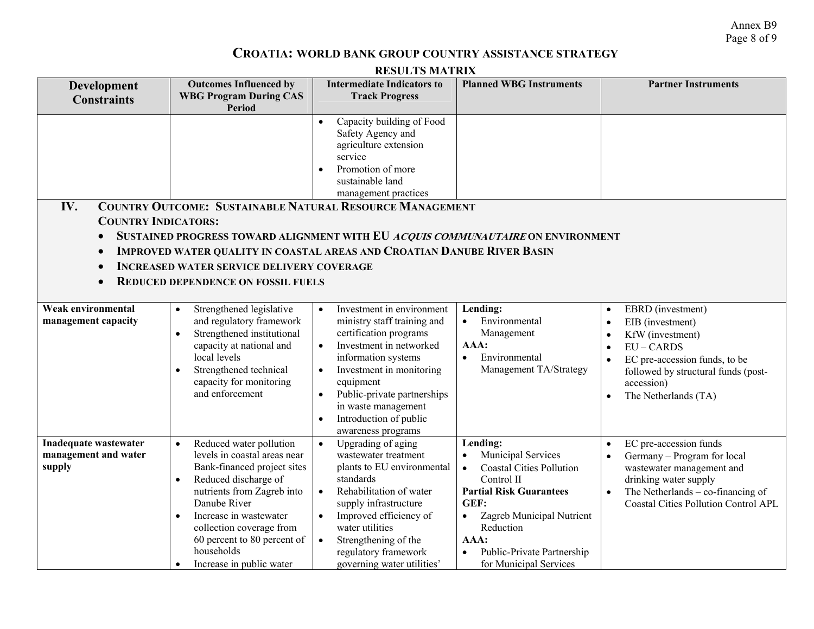Annex B9 Page 8 of 9

# **CROATIA: WORLD BANK GROUP COUNTRY ASSISTANCE STRATEGY**

| <b>RESULTS MATRIX</b>                                                    |                                                                                                                                                                                                                                                                                                                                    |                                                                                                                                                                                                                                                                                                                                                      |                                                                                                                                                                                                                                                                            |                                                                                                                                                                                                                |
|--------------------------------------------------------------------------|------------------------------------------------------------------------------------------------------------------------------------------------------------------------------------------------------------------------------------------------------------------------------------------------------------------------------------|------------------------------------------------------------------------------------------------------------------------------------------------------------------------------------------------------------------------------------------------------------------------------------------------------------------------------------------------------|----------------------------------------------------------------------------------------------------------------------------------------------------------------------------------------------------------------------------------------------------------------------------|----------------------------------------------------------------------------------------------------------------------------------------------------------------------------------------------------------------|
| Development<br><b>Constraints</b>                                        | <b>Outcomes Influenced by</b><br><b>WBG Program During CAS</b><br>Period                                                                                                                                                                                                                                                           | <b>Intermediate Indicators to</b><br><b>Track Progress</b>                                                                                                                                                                                                                                                                                           | <b>Planned WBG Instruments</b>                                                                                                                                                                                                                                             | <b>Partner Instruments</b>                                                                                                                                                                                     |
| IV.<br><b>COUNTRY INDICATORS:</b><br>$\bullet$<br>$\bullet$<br>$\bullet$ | <b>INCREASED WATER SERVICE DELIVERY COVERAGE</b><br><b>REDUCED DEPENDENCE ON FOSSIL FUELS</b>                                                                                                                                                                                                                                      | Capacity building of Food<br>$\bullet$<br>Safety Agency and<br>agriculture extension<br>service<br>Promotion of more<br>$\bullet$<br>sustainable land<br>management practices<br><b>COUNTRY OUTCOME: SUSTAINABLE NATURAL RESOURCE MANAGEMENT</b><br><b>IMPROVED WATER QUALITY IN COASTAL AREAS AND CROATIAN DANUBE RIVER BASIN</b>                   | SUSTAINED PROGRESS TOWARD ALIGNMENT WITH EU ACQUIS COMMUNAUTAIRE ON ENVIRONMENT                                                                                                                                                                                            |                                                                                                                                                                                                                |
| Weak environmental<br>management capacity                                | Strengthened legislative<br>$\bullet$<br>and regulatory framework<br>Strengthened institutional<br>capacity at national and<br>local levels<br>Strengthened technical<br>capacity for monitoring<br>and enforcement                                                                                                                | Investment in environment<br>$\bullet$<br>ministry staff training and<br>certification programs<br>Investment in networked<br>$\bullet$<br>information systems<br>Investment in monitoring<br>$\bullet$<br>equipment<br>Public-private partnerships<br>$\bullet$<br>in waste management<br>Introduction of public<br>$\bullet$<br>awareness programs | Lending:<br>Environmental<br>Management<br>AAA:<br>Environmental<br>$\bullet$<br>Management TA/Strategy                                                                                                                                                                    | EBRD (investment)<br>$\bullet$<br>EIB (investment)<br>KfW (investment)<br>$EU - CARDS$<br>EC pre-accession funds, to be<br>followed by structural funds (post-<br>accession)<br>The Netherlands (TA)           |
| Inadequate wastewater<br>management and water<br>supply                  | Reduced water pollution<br>$\bullet$<br>levels in coastal areas near<br>Bank-financed project sites<br>Reduced discharge of<br>$\bullet$<br>nutrients from Zagreb into<br>Danube River<br>Increase in wastewater<br>$\bullet$<br>collection coverage from<br>60 percent to 80 percent of<br>households<br>Increase in public water | Upgrading of aging<br>$\bullet$<br>wastewater treatment<br>plants to EU environmental<br>standards<br>Rehabilitation of water<br>$\bullet$<br>supply infrastructure<br>Improved efficiency of<br>$\bullet$<br>water utilities<br>$\bullet$<br>Strengthening of the<br>regulatory framework<br>governing water utilities'                             | Lending:<br>Municipal Services<br>$\bullet$<br><b>Coastal Cities Pollution</b><br>$\bullet$<br>Control II<br><b>Partial Risk Guarantees</b><br>GEF:<br>Zagreb Municipal Nutrient<br>$\bullet$<br>Reduction<br>AAA:<br>Public-Private Partnership<br>for Municipal Services | EC pre-accession funds<br>Germany - Program for local<br>wastewater management and<br>drinking water supply<br>The Netherlands $-$ co-financing of<br>$\bullet$<br><b>Coastal Cities Pollution Control APL</b> |